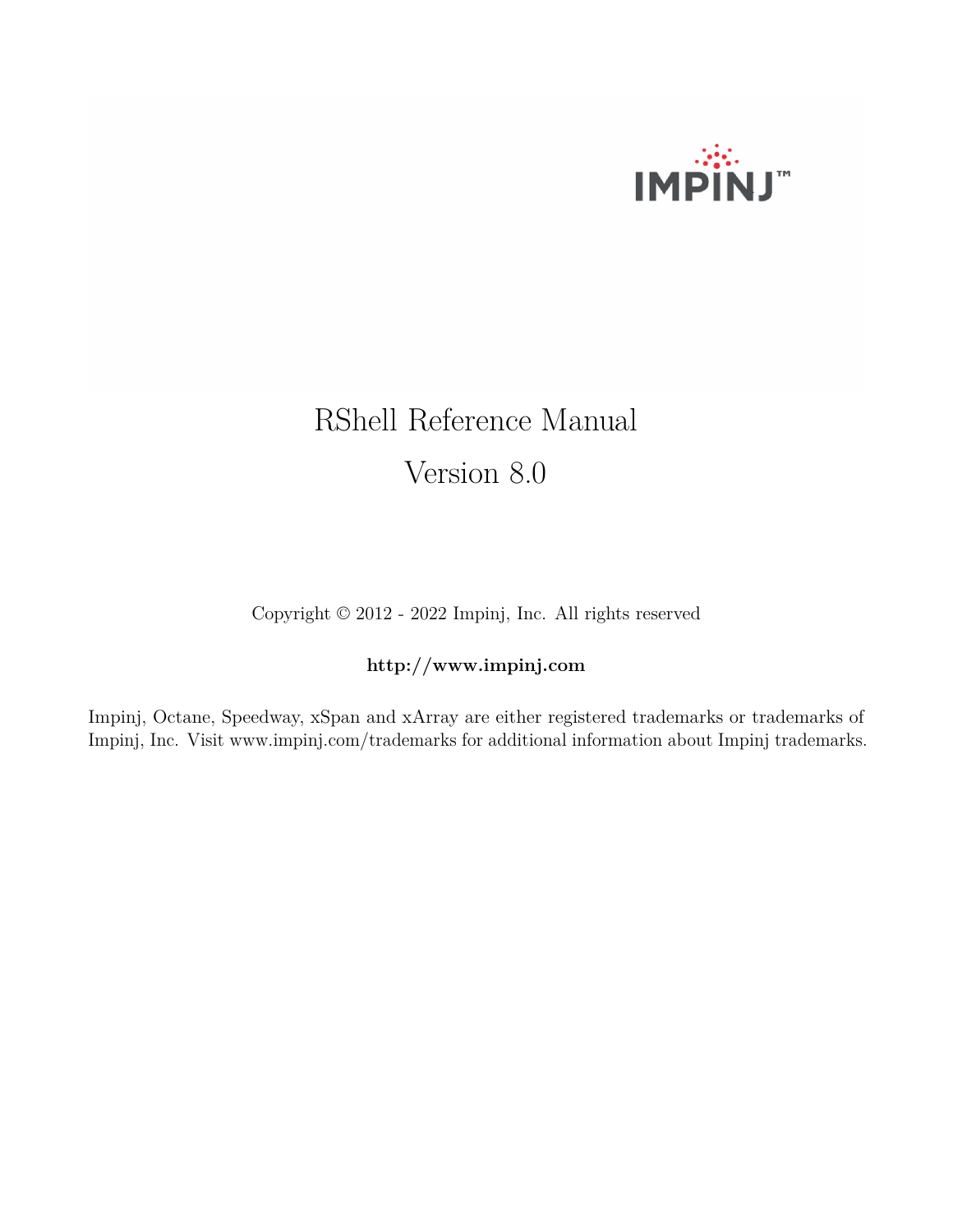

# RShell Reference Manual Version 8.0

Copyright © 2012 - 2022 Impinj, Inc. All rights reserved

# **http://www.impinj.com**

Impinj, Octane, Speedway, xSpan and xArray are either registered trademarks or trademarks of Impinj, Inc. Visit www.impinj.com/trademarks for additional information about Impinj trademarks.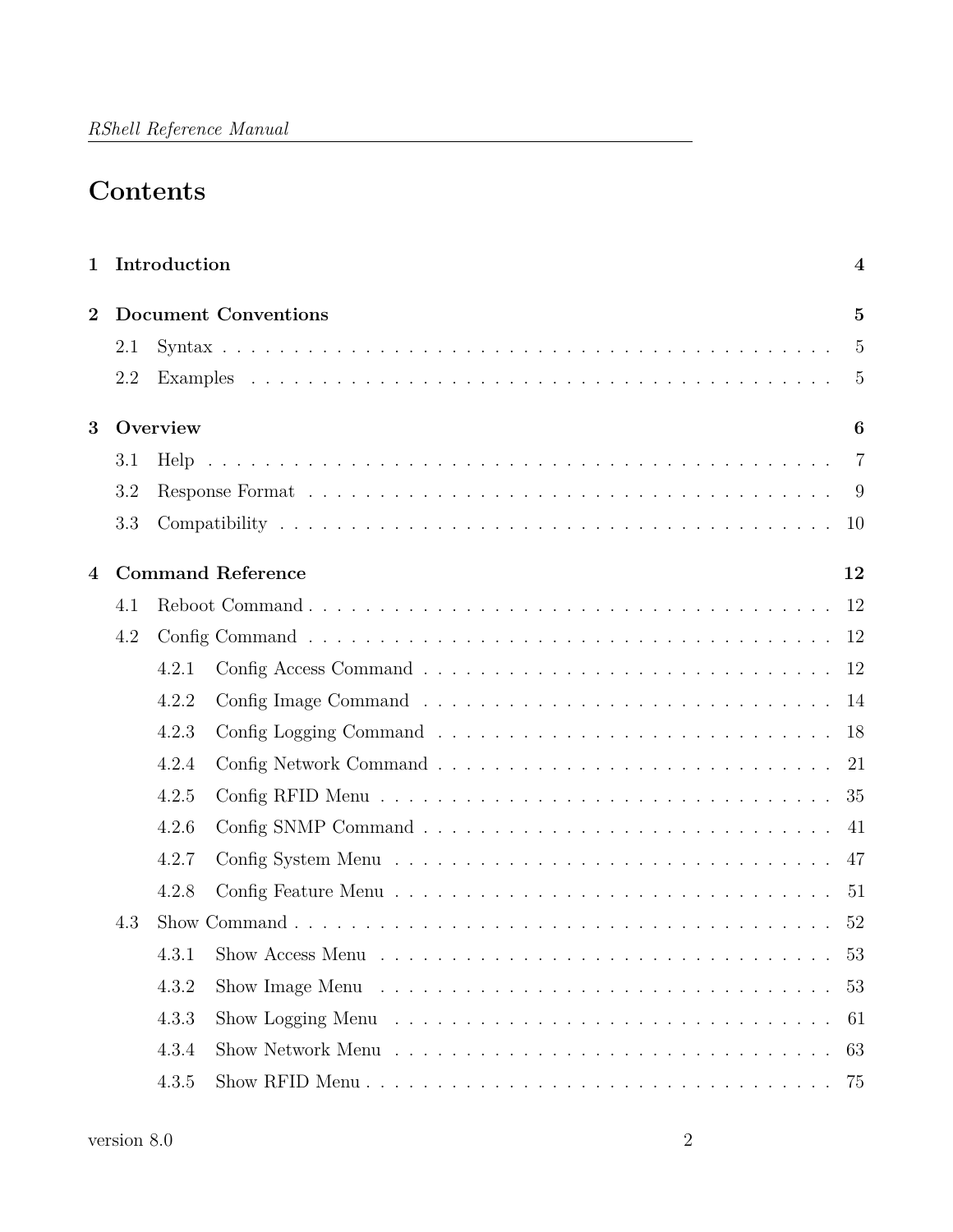# **Contents**

| $\mathbf{1}$   |     | Introduction<br>$\boldsymbol{4}$              |  |
|----------------|-----|-----------------------------------------------|--|
| $\overline{2}$ |     | <b>Document Conventions</b><br>$\overline{5}$ |  |
|                | 2.1 | $\overline{5}$                                |  |
|                | 2.2 | 5                                             |  |
| 3              |     | Overview<br>6                                 |  |
|                | 3.1 | $\overline{7}$                                |  |
|                | 3.2 |                                               |  |
|                | 3.3 | 10                                            |  |
| $\overline{4}$ |     | <b>Command Reference</b><br>12                |  |
|                | 4.1 | 12                                            |  |
|                | 4.2 | 12                                            |  |
|                |     | 12<br>4.2.1                                   |  |
|                |     | 4.2.2                                         |  |
|                |     | 4.2.3<br>18                                   |  |
|                |     | 4.2.4<br>21                                   |  |
|                |     | 4.2.5<br>35                                   |  |
|                |     | 4.2.6<br>41                                   |  |
|                |     | 4.2.7<br>47                                   |  |
|                |     | 4.2.8<br>-51                                  |  |
|                | 4.3 | 52                                            |  |
|                |     | 53                                            |  |
|                |     | 4.3.2<br>53                                   |  |
|                |     | 4.3.3<br>61                                   |  |
|                |     | 4.3.4<br>63                                   |  |
|                |     | 4.3.5<br>75                                   |  |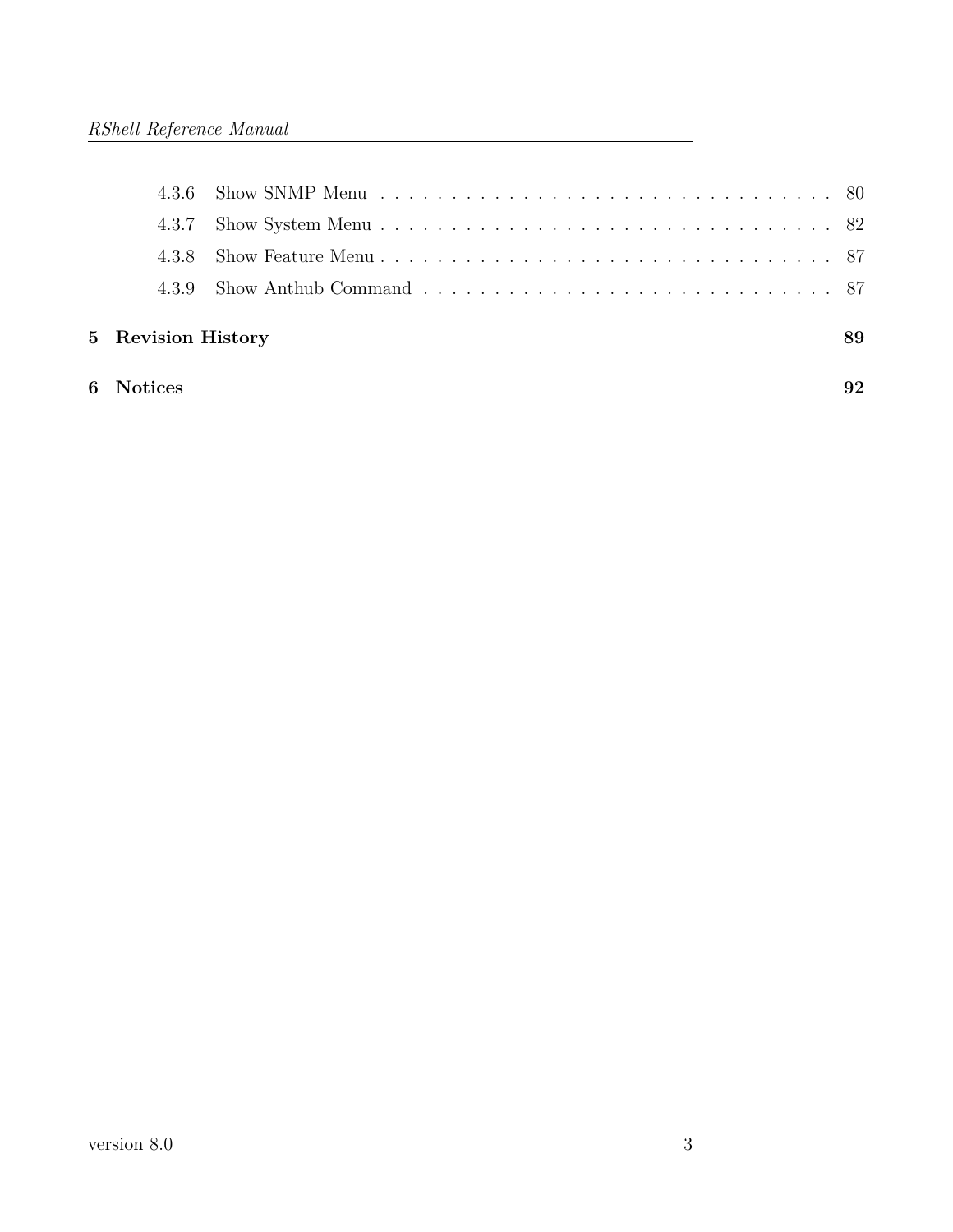| 6 Notices          |    |
|--------------------|----|
| 5 Revision History | 89 |
| 439                |    |
| 438                |    |
| 4.3.7              |    |
|                    |    |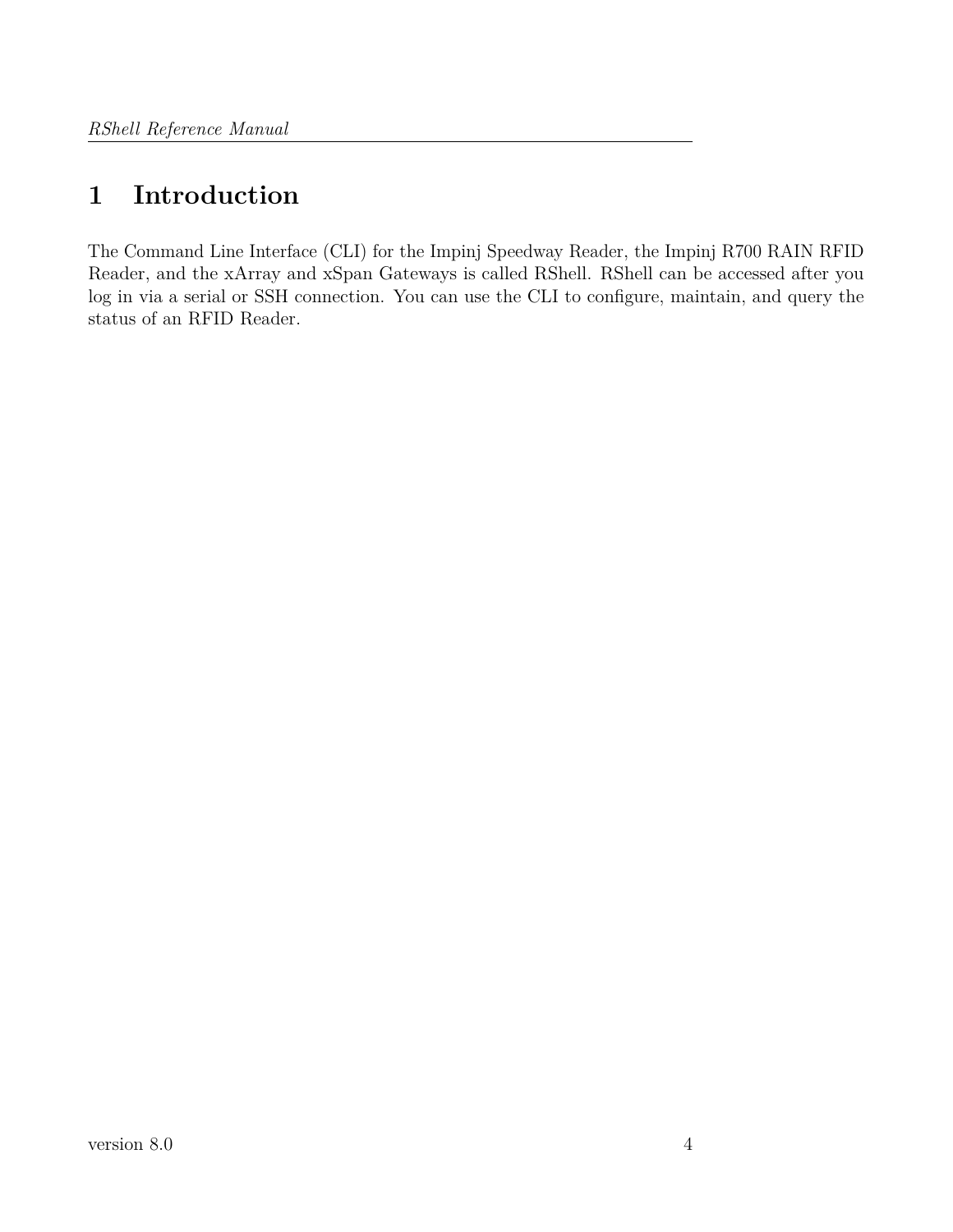# <span id="page-3-0"></span>**1 Introduction**

The Command Line Interface (CLI) for the Impinj Speedway Reader, the Impinj R700 RAIN RFID Reader, and the xArray and xSpan Gateways is called RShell. RShell can be accessed after you log in via a serial or SSH connection. You can use the CLI to configure, maintain, and query the status of an RFID Reader.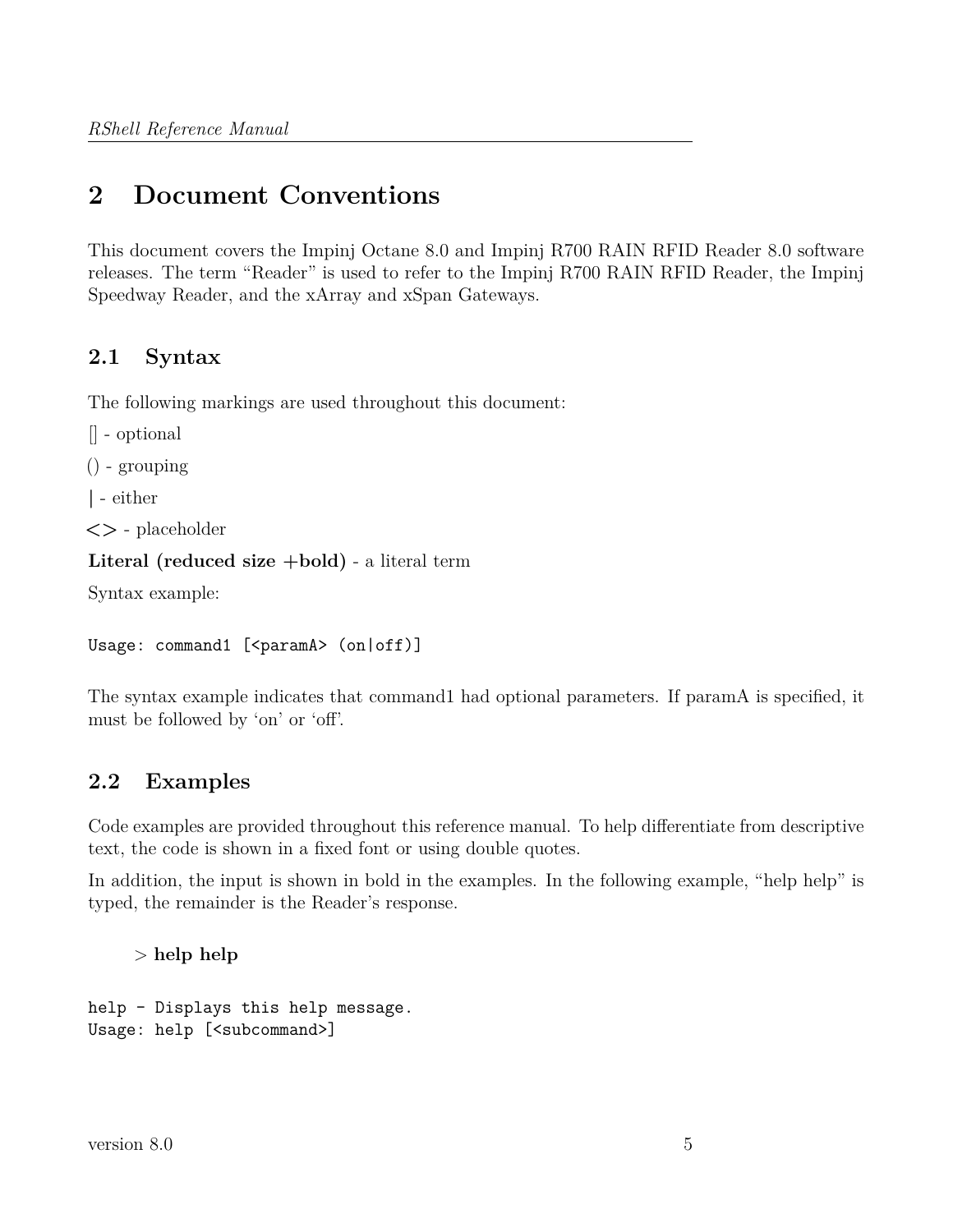# <span id="page-4-0"></span>**2 Document Conventions**

This document covers the Impinj Octane 8.0 and Impinj R700 RAIN RFID Reader 8.0 software releases. The term "Reader" is used to refer to the Impinj R700 RAIN RFID Reader, the Impinj Speedway Reader, and the xArray and xSpan Gateways.

# <span id="page-4-1"></span>**2.1 Syntax**

The following markings are used throughout this document:

```
[] - optional
```

```
() - grouping
```
**|** - either

**<>** - placeholder

```
Literal (reduced size +bold) - a literal term
```
Syntax example:

```
Usage: command1 [<paramA> (on|off)]
```
The syntax example indicates that command1 had optional parameters. If paramA is specified, it must be followed by 'on' or 'off'.

# <span id="page-4-2"></span>**2.2 Examples**

Code examples are provided throughout this reference manual. To help differentiate from descriptive text, the code is shown in a fixed font or using double quotes.

In addition, the input is shown in bold in the examples. In the following example, "help help" is typed, the remainder is the Reader's response.

> **help help**

```
help - Displays this help message.
Usage: help [<subcommand>]
```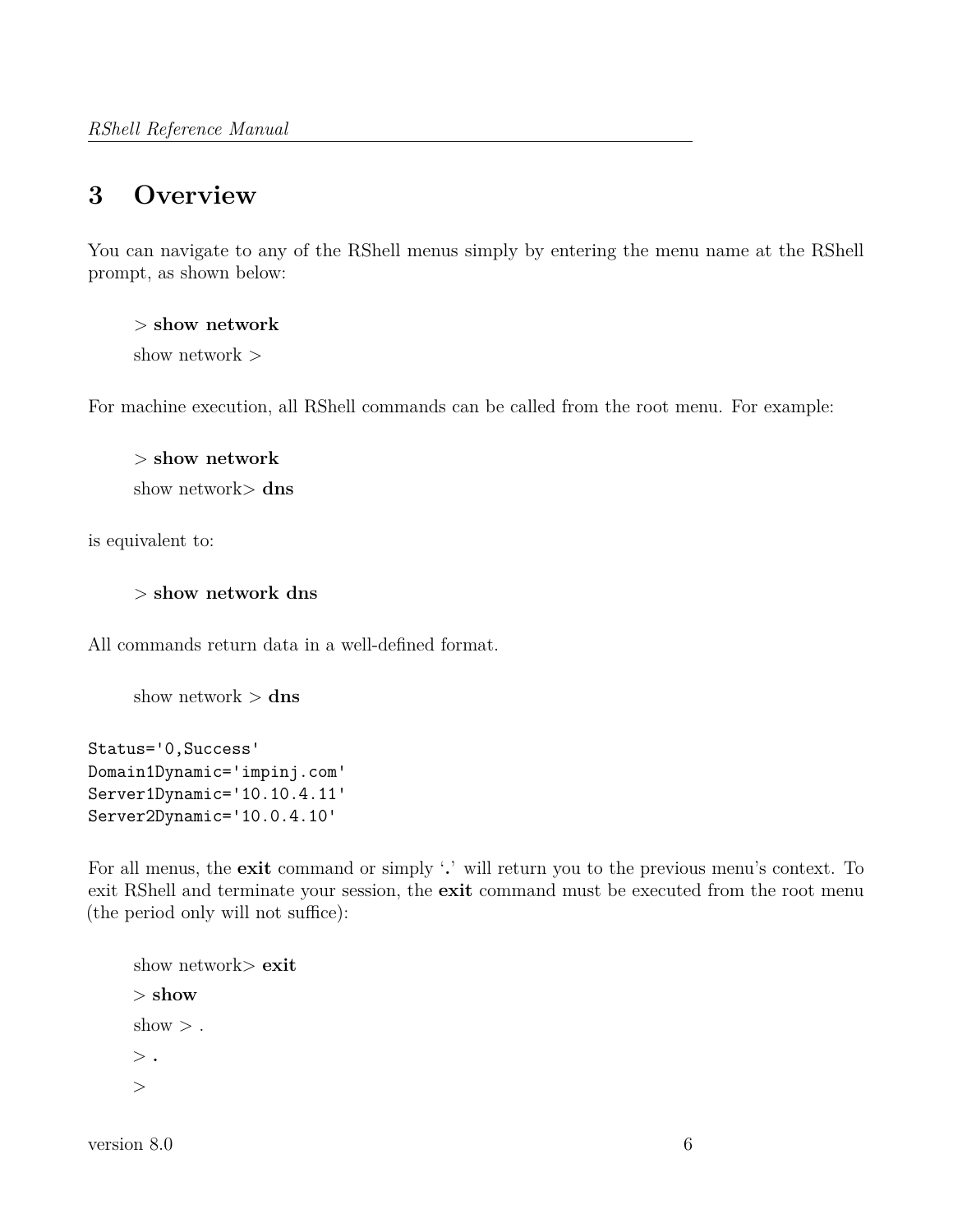# <span id="page-5-0"></span>**3 Overview**

You can navigate to any of the RShell menus simply by entering the menu name at the RShell prompt, as shown below:

> **show network** show network >

For machine execution, all RShell commands can be called from the root menu. For example:

> **show network** show network> **dns**

is equivalent to:

> **show network dns**

All commands return data in a well-defined format.

show network > **dns**

Status='0,Success' Domain1Dynamic='impinj.com' Server1Dynamic='10.10.4.11' Server2Dynamic='10.0.4.10'

For all menus, the **exit** command or simply '**.**' will return you to the previous menu's context. To exit RShell and terminate your session, the **exit** command must be executed from the root menu (the period only will not suffice):

```
show network> exit
> show
show >.
> .
>
```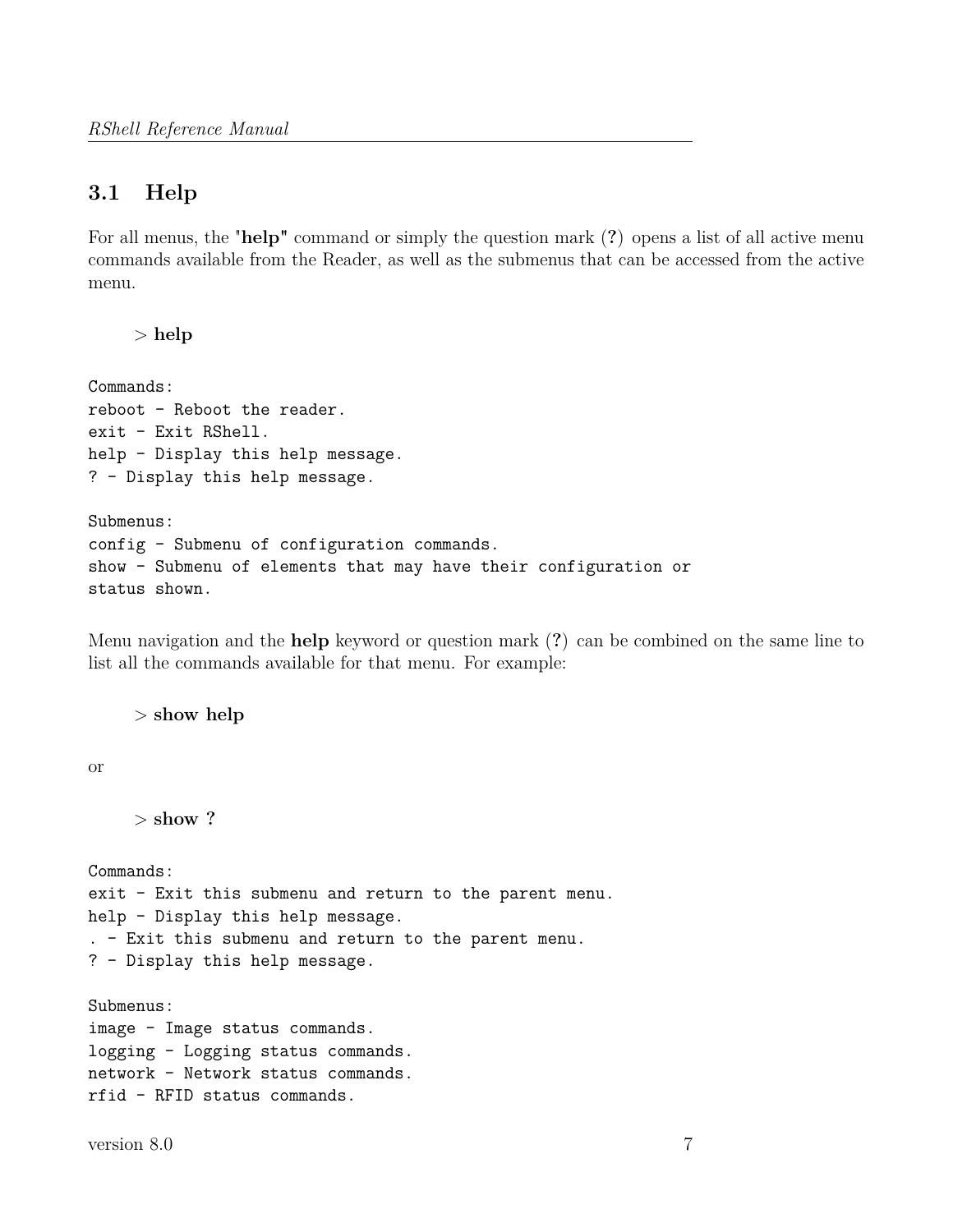# <span id="page-6-0"></span>**3.1 Help**

For all menus, the "**help"** command or simply the question mark (**?**) opens a list of all active menu commands available from the Reader, as well as the submenus that can be accessed from the active menu.

> **help**

```
Commands:
reboot - Reboot the reader.
exit - Exit RShell.
help - Display this help message.
? - Display this help message.
```
Submenus: config - Submenu of configuration commands. show - Submenu of elements that may have their configuration or status shown.

Menu navigation and the **help** keyword or question mark (**?**) can be combined on the same line to list all the commands available for that menu. For example:

> **show help**

or

> **show ?**

Commands: exit - Exit this submenu and return to the parent menu. help - Display this help message. . - Exit this submenu and return to the parent menu. ? - Display this help message.

Submenus: image - Image status commands. logging - Logging status commands. network - Network status commands. rfid - RFID status commands.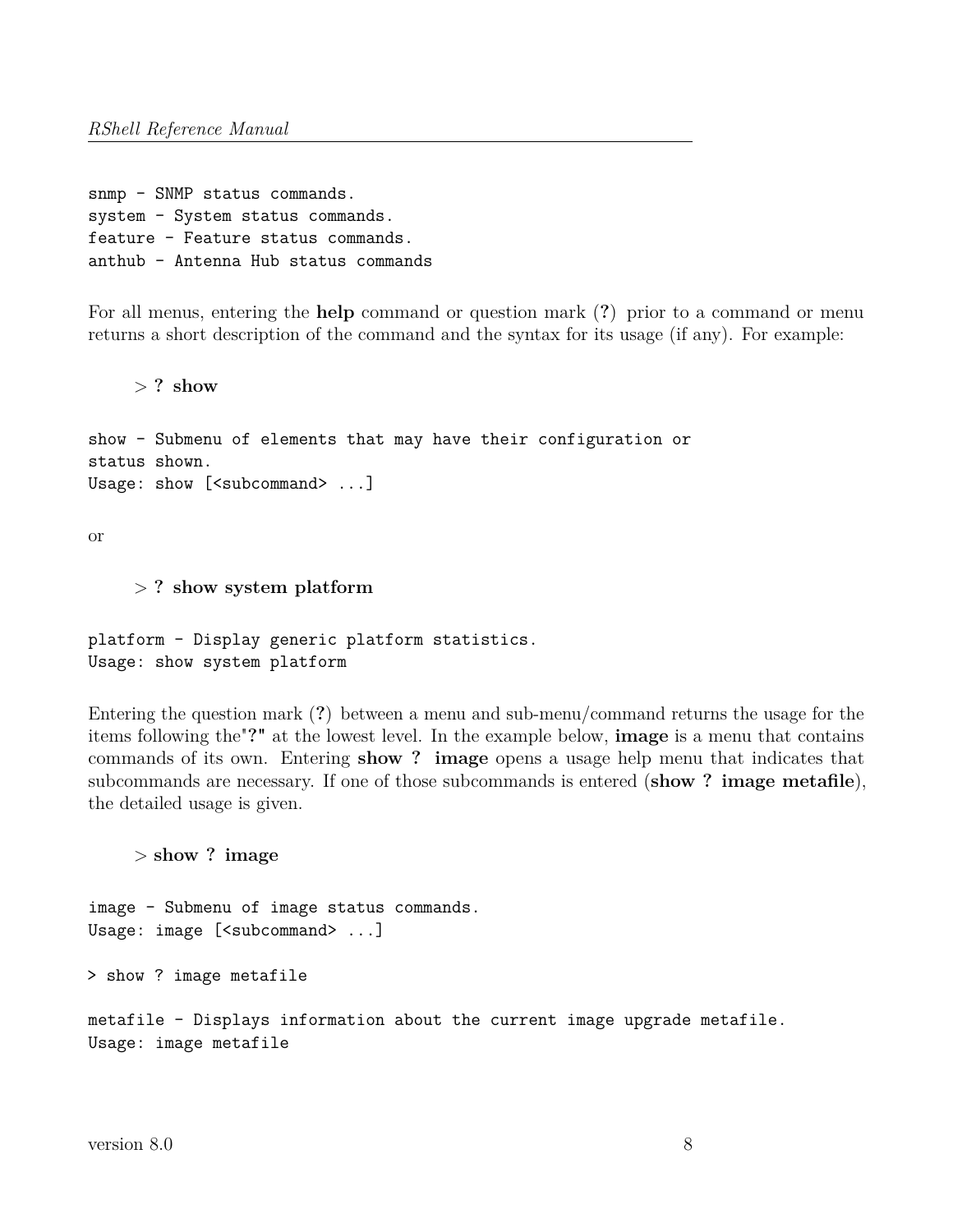snmp - SNMP status commands. system - System status commands. feature - Feature status commands. anthub - Antenna Hub status commands

For all menus, entering the **help** command or question mark (**?**) prior to a command or menu returns a short description of the command and the syntax for its usage (if any). For example:

> **? show**

show - Submenu of elements that may have their configuration or status shown. Usage: show [<subcommand> ...]

or

> **? show system platform**

platform - Display generic platform statistics. Usage: show system platform

Entering the question mark (**?**) between a menu and sub-menu/command returns the usage for the items following the"**?"** at the lowest level. In the example below, **image** is a menu that contains commands of its own. Entering **show ? image** opens a usage help menu that indicates that subcommands are necessary. If one of those subcommands is entered (**show ? image metafile**), the detailed usage is given.

> **show ? image**

image - Submenu of image status commands. Usage: image [<subcommand> ...]

> show ? image metafile

metafile - Displays information about the current image upgrade metafile. Usage: image metafile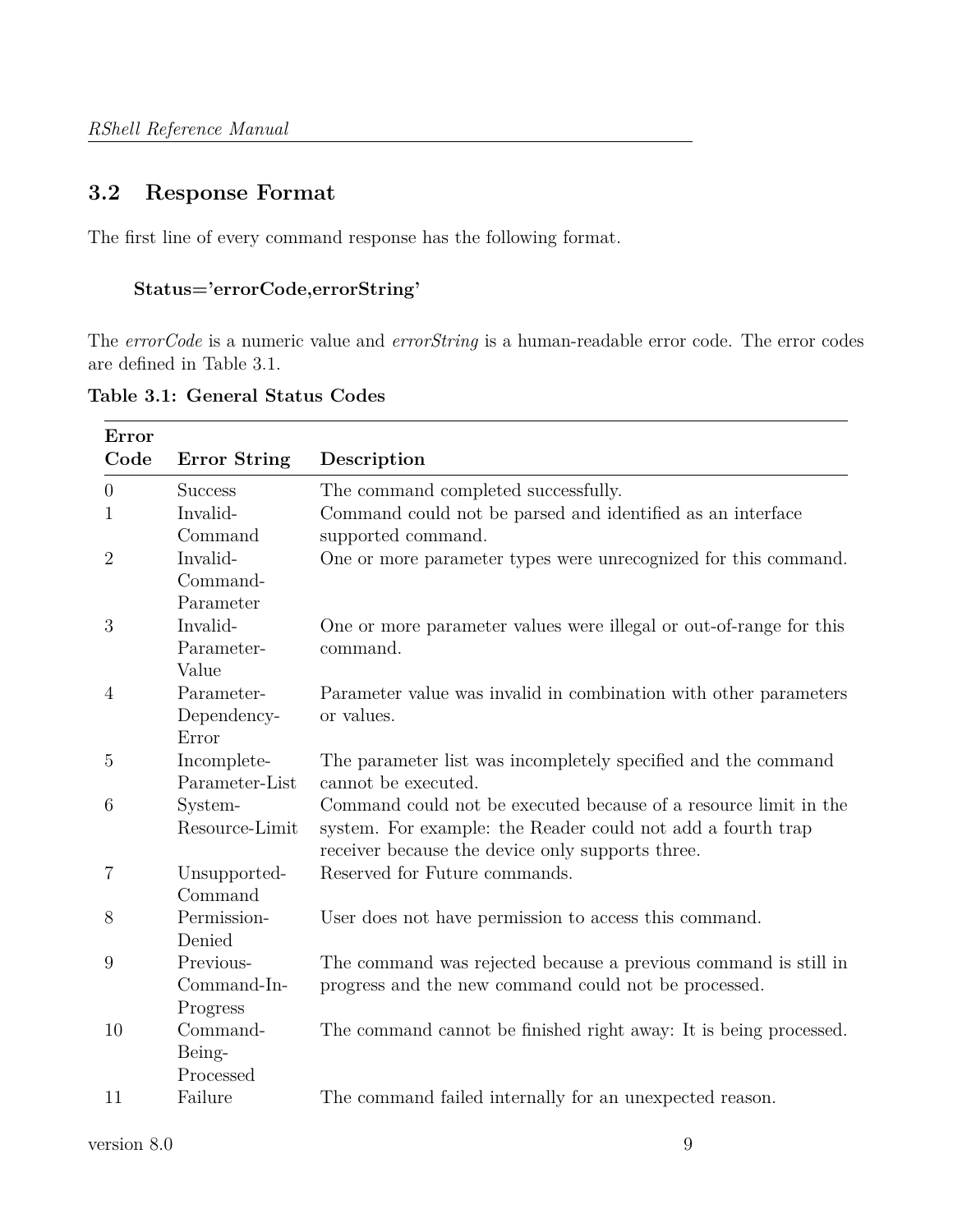# <span id="page-8-0"></span>**3.2 Response Format**

The first line of every command response has the following format.

## **Status='errorCode,errorString'**

The *errorCode* is a numeric value and *errorString* is a human-readable error code. The error codes are defined in Table 3.1.

| Error          |                                      |                                                                                                                                                                                     |
|----------------|--------------------------------------|-------------------------------------------------------------------------------------------------------------------------------------------------------------------------------------|
| Code           | <b>Error String</b>                  | Description                                                                                                                                                                         |
| $\overline{0}$ | <b>Success</b>                       | The command completed successfully.                                                                                                                                                 |
| 1              | Invalid-<br>Command                  | Command could not be parsed and identified as an interface<br>supported command.                                                                                                    |
| $\overline{2}$ | Invalid-<br>Command-<br>Parameter    | One or more parameter types were unrecognized for this command.                                                                                                                     |
| 3              | Invalid-<br>Parameter-<br>Value      | One or more parameter values were illegal or out-of-range for this<br>command.                                                                                                      |
| $\overline{4}$ | Parameter-<br>Dependency-<br>Error   | Parameter value was invalid in combination with other parameters<br>or values.                                                                                                      |
| $\overline{5}$ | Incomplete-<br>Parameter-List        | The parameter list was incompletely specified and the command<br>cannot be executed.                                                                                                |
| 6              | System-<br>Resource-Limit            | Command could not be executed because of a resource limit in the<br>system. For example: the Reader could not add a fourth trap<br>receiver because the device only supports three. |
| $\,7$          | Unsupported-<br>Command              | Reserved for Future commands.                                                                                                                                                       |
| 8              | Permission-<br>Denied                | User does not have permission to access this command.                                                                                                                               |
| 9              | Previous-<br>Command-In-<br>Progress | The command was rejected because a previous command is still in<br>progress and the new command could not be processed.                                                             |
| 10             | Command-<br>Being-<br>Processed      | The command cannot be finished right away: It is being processed.                                                                                                                   |
| 11             | Failure                              | The command failed internally for an unexpected reason.                                                                                                                             |

**Table 3.1: General Status Codes**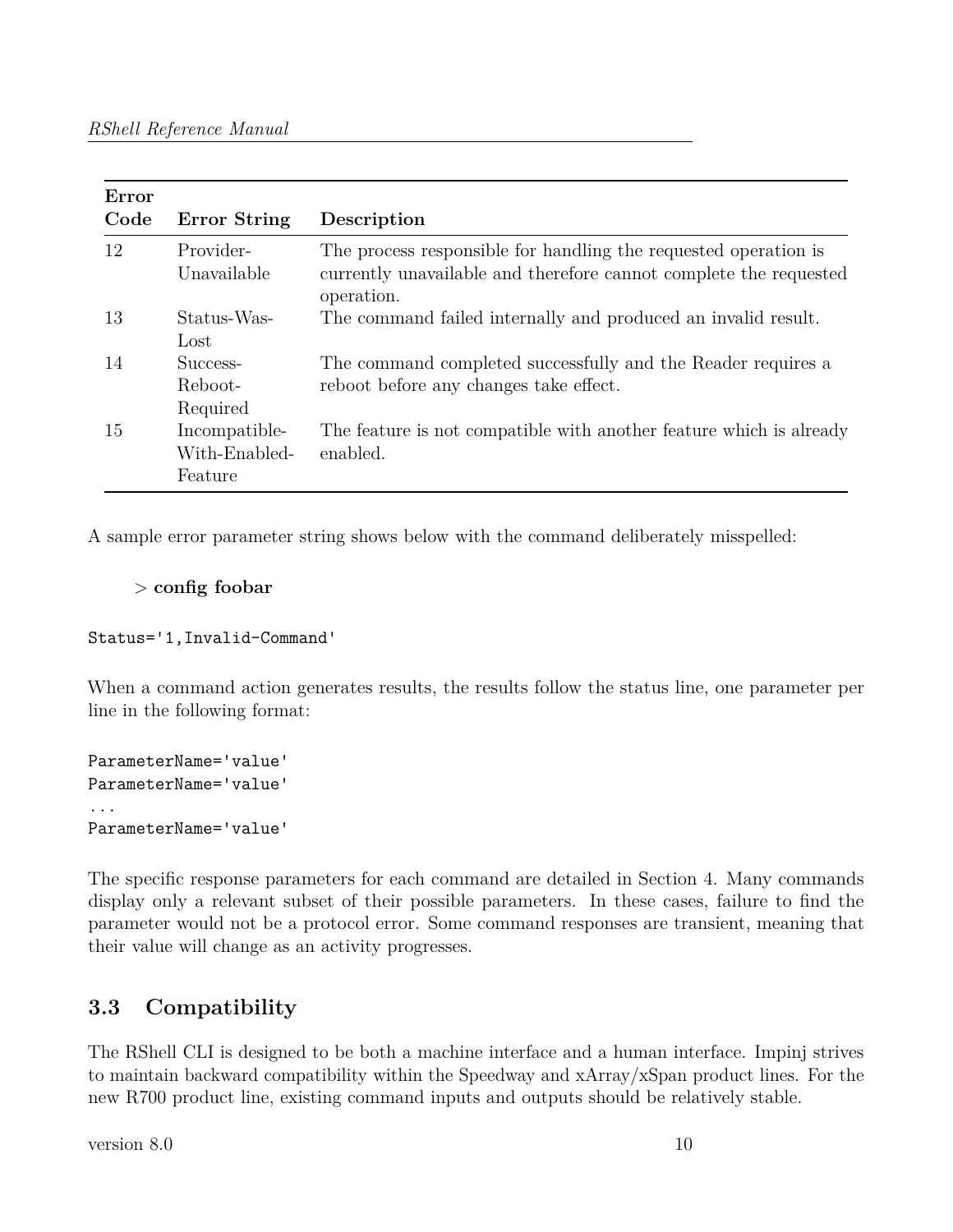| Error |                                           |                                                                                                                                                    |
|-------|-------------------------------------------|----------------------------------------------------------------------------------------------------------------------------------------------------|
| Code  | <b>Error String</b>                       | Description                                                                                                                                        |
| 12    | Provider-<br>Unavailable                  | The process responsible for handling the requested operation is<br>currently unavailable and therefore cannot complete the requested<br>operation. |
| 13    | Status-Was-<br>Lost                       | The command failed internally and produced an invalid result.                                                                                      |
| 14    | Success-<br>Reboot-<br>Required           | The command completed successfully and the Reader requires a<br>reboot before any changes take effect.                                             |
| 15    | Incompatible-<br>With-Enabled-<br>Feature | The feature is not compatible with another feature which is already<br>enabled.                                                                    |

A sample error parameter string shows below with the command deliberately misspelled:

#### > **config foobar**

Status='1,Invalid-Command'

When a command action generates results, the results follow the status line, one parameter per line in the following format:

```
ParameterName='value'
ParameterName='value'
...
ParameterName='value'
```
The specific response parameters for each command are detailed in Section 4. Many commands display only a relevant subset of their possible parameters. In these cases, failure to find the parameter would not be a protocol error. Some command responses are transient, meaning that their value will change as an activity progresses.

# <span id="page-9-0"></span>**3.3 Compatibility**

The RShell CLI is designed to be both a machine interface and a human interface. Impinj strives to maintain backward compatibility within the Speedway and xArray/xSpan product lines. For the new R700 product line, existing command inputs and outputs should be relatively stable.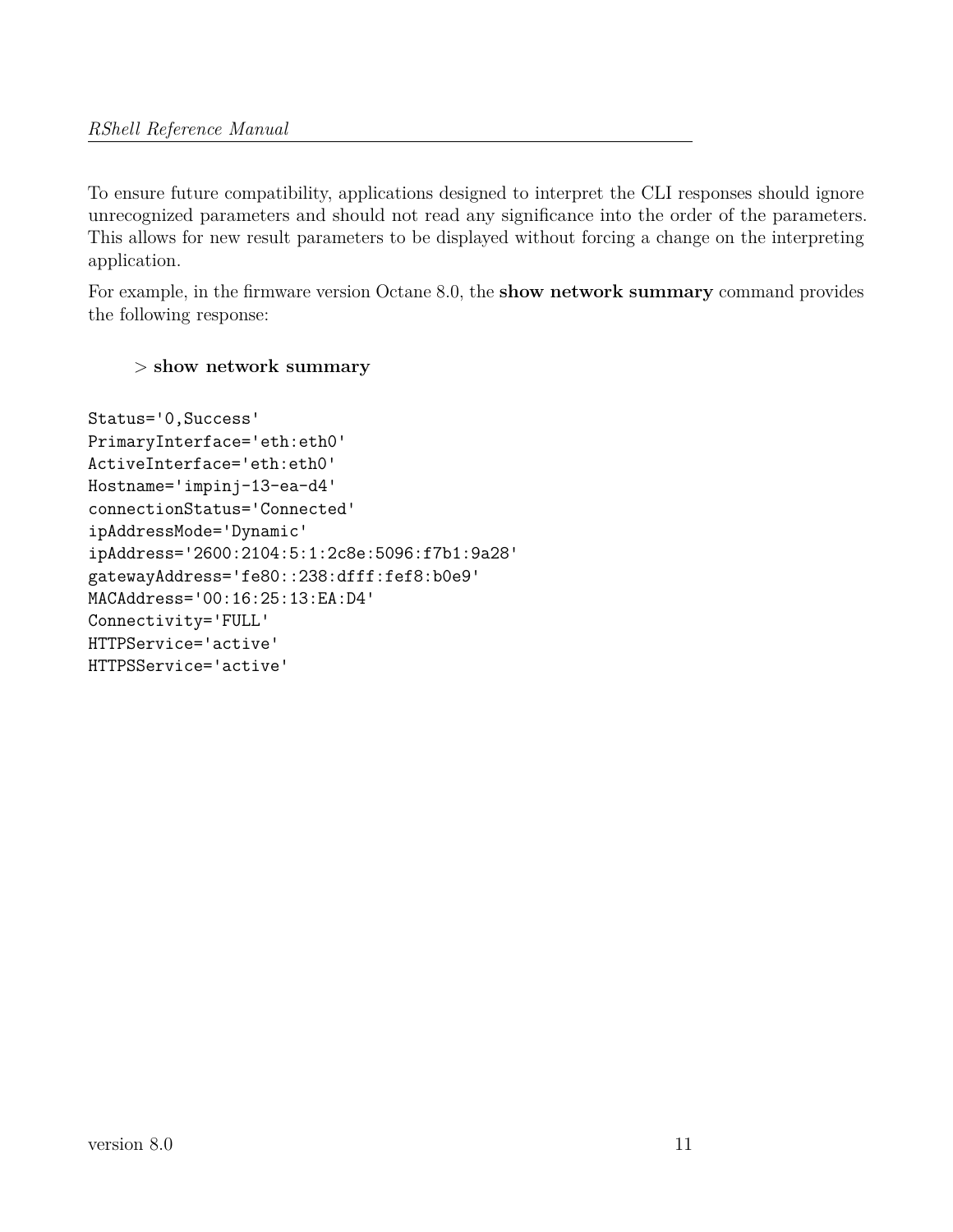To ensure future compatibility, applications designed to interpret the CLI responses should ignore unrecognized parameters and should not read any significance into the order of the parameters. This allows for new result parameters to be displayed without forcing a change on the interpreting application.

For example, in the firmware version Octane 8.0, the **show network summary** command provides the following response:

## > **show network summary**

Status='0,Success' PrimaryInterface='eth:eth0' ActiveInterface='eth:eth0' Hostname='impinj-13-ea-d4' connectionStatus='Connected' ipAddressMode='Dynamic' ipAddress='2600:2104:5:1:2c8e:5096:f7b1:9a28' gatewayAddress='fe80::238:dfff:fef8:b0e9' MACAddress='00:16:25:13:EA:D4' Connectivity='FULL' HTTPService='active' HTTPSService='active'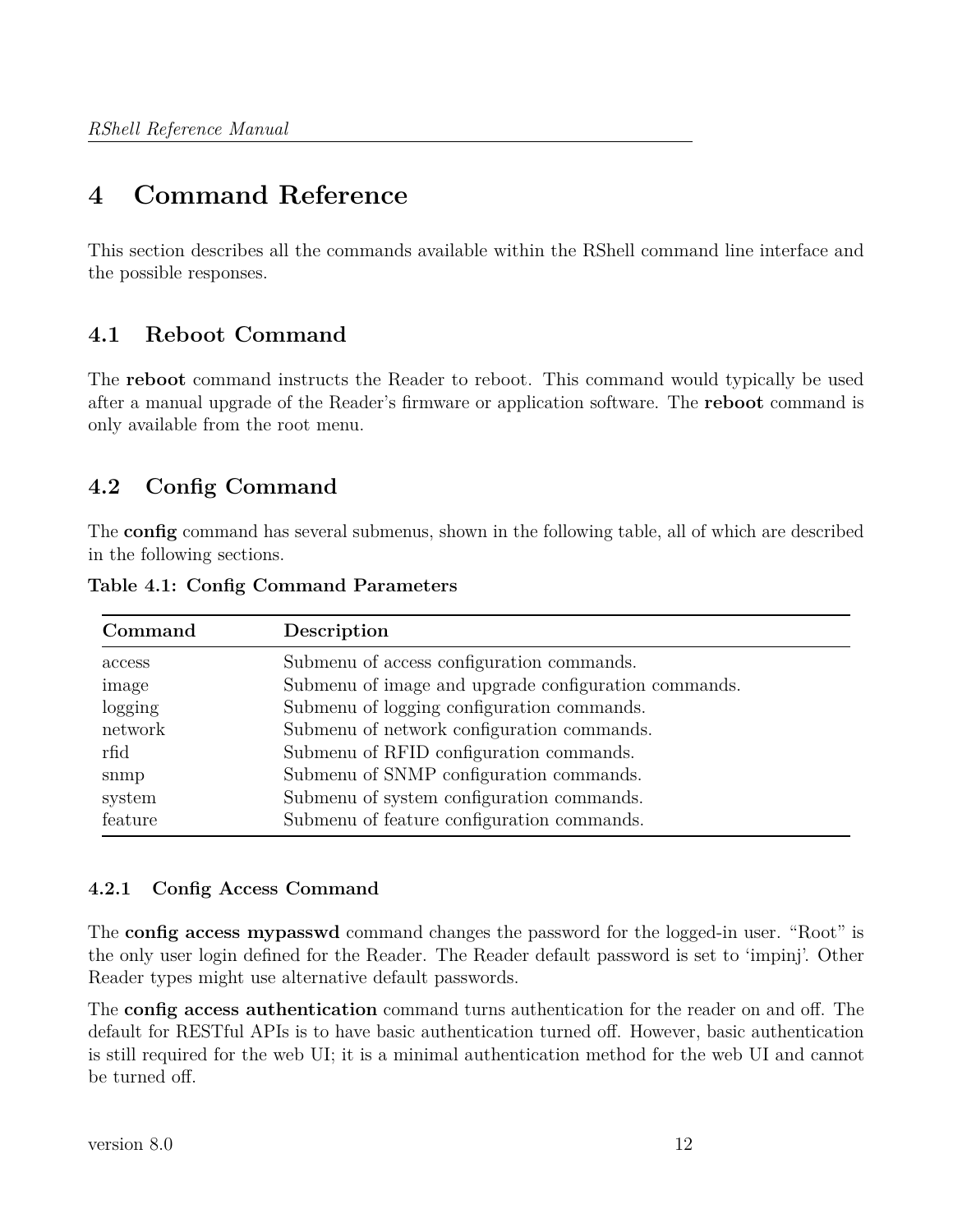# <span id="page-11-0"></span>**4 Command Reference**

This section describes all the commands available within the RShell command line interface and the possible responses.

# <span id="page-11-1"></span>**4.1 Reboot Command**

The **reboot** command instructs the Reader to reboot. This command would typically be used after a manual upgrade of the Reader's firmware or application software. The **reboot** command is only available from the root menu.

# <span id="page-11-2"></span>**4.2 Config Command**

The **config** command has several submenus, shown in the following table, all of which are described in the following sections.

| Command | Description                                          |  |  |  |
|---------|------------------------------------------------------|--|--|--|
| access  | Submenu of access configuration commands.            |  |  |  |
| image   | Submenu of image and upgrade configuration commands. |  |  |  |
| logging | Submenu of logging configuration commands.           |  |  |  |
| network | Submenu of network configuration commands.           |  |  |  |
| rfid    | Submenu of RFID configuration commands.              |  |  |  |
| snmp    | Submenu of SNMP configuration commands.              |  |  |  |
| system  | Submenu of system configuration commands.            |  |  |  |
| feature | Submenu of feature configuration commands.           |  |  |  |

**Table 4.1: Config Command Parameters**

## <span id="page-11-3"></span>**4.2.1 Config Access Command**

The **config access mypasswd** command changes the password for the logged-in user. "Root" is the only user login defined for the Reader. The Reader default password is set to 'impinj'. Other Reader types might use alternative default passwords.

The **config access authentication** command turns authentication for the reader on and off. The default for RESTful APIs is to have basic authentication turned off. However, basic authentication is still required for the web UI; it is a minimal authentication method for the web UI and cannot be turned off.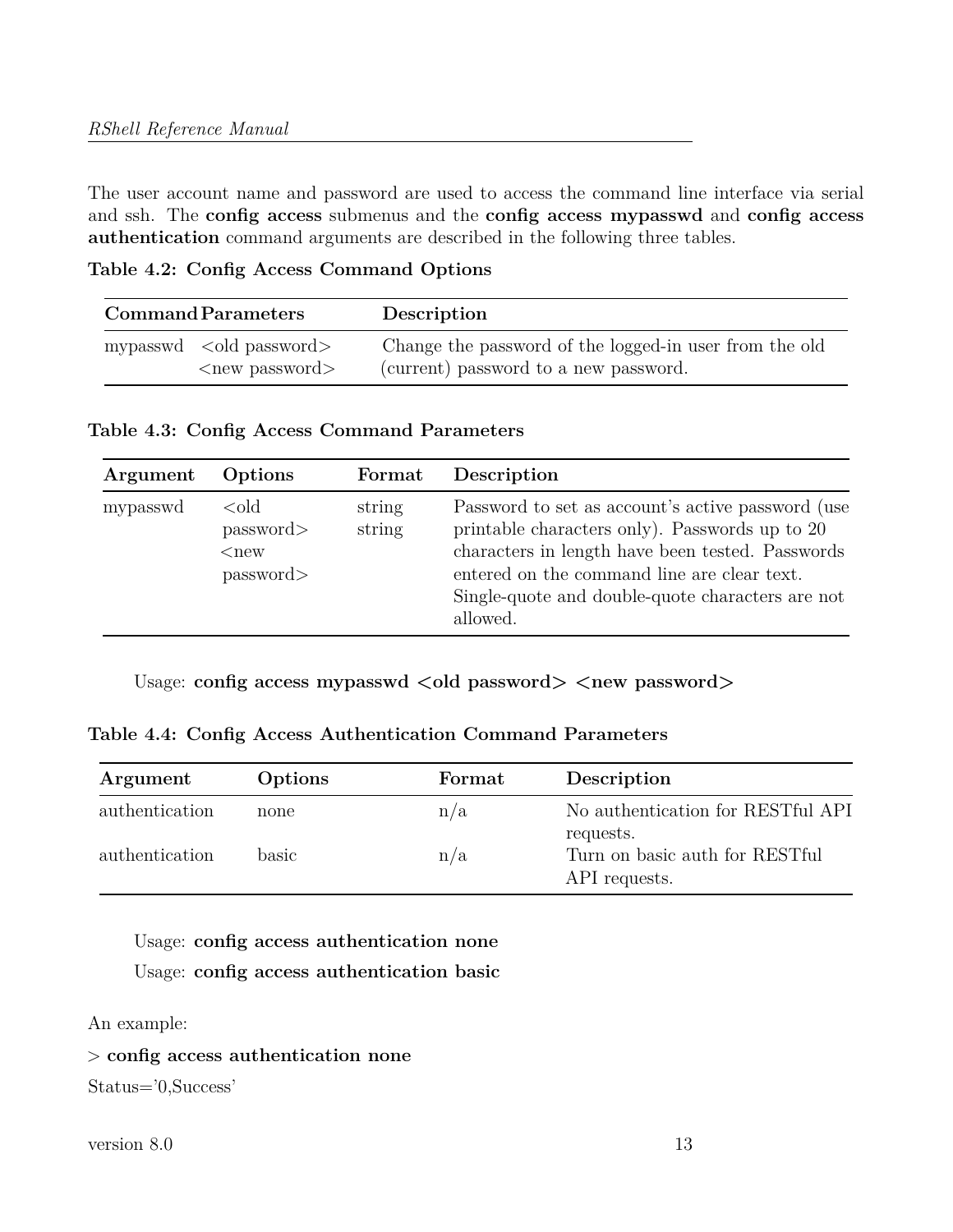The user account name and password are used to access the command line interface via serial and ssh. The **config access** submenus and the **config access mypasswd** and **config access authentication** command arguments are described in the following three tables.

**Table 4.2: Config Access Command Options**

|                                   | <b>Command Parameters</b> | Description                                            |
|-----------------------------------|---------------------------|--------------------------------------------------------|
| mypasswd $\alpha$ dd password $>$ |                           | Change the password of the logged-in user from the old |
| $\langle$ new password $\rangle$  |                           | (current) password to a new password.                  |

**Table 4.3: Config Access Command Parameters**

| Argument | Options                                          | Format           | Description                                                                                                                                                                                                                                                            |
|----------|--------------------------------------------------|------------------|------------------------------------------------------------------------------------------------------------------------------------------------------------------------------------------------------------------------------------------------------------------------|
| mypasswd | $\text{cold}$<br>password<br>$<$ new<br>password | string<br>string | Password to set as account's active password (use<br>printable characters only). Passwords up to 20<br>characters in length have been tested. Passwords<br>entered on the command line are clear text.<br>Single-quote and double-quote characters are not<br>allowed. |

Usage: config access mypasswd  $\langle$ old password $\rangle$   $\langle$ new password $\rangle$ 

**Table 4.4: Config Access Authentication Command Parameters**

| Argument       | Options | Format | Description                                     |
|----------------|---------|--------|-------------------------------------------------|
| authentication | none    | n/a    | No authentication for RESTful API<br>requests.  |
| authentication | basic   | n/a    | Turn on basic auth for RESTful<br>API requests. |

Usage: **config access authentication none** Usage: **config access authentication basic**

An example:

> **config access authentication none**

Status='0,Success'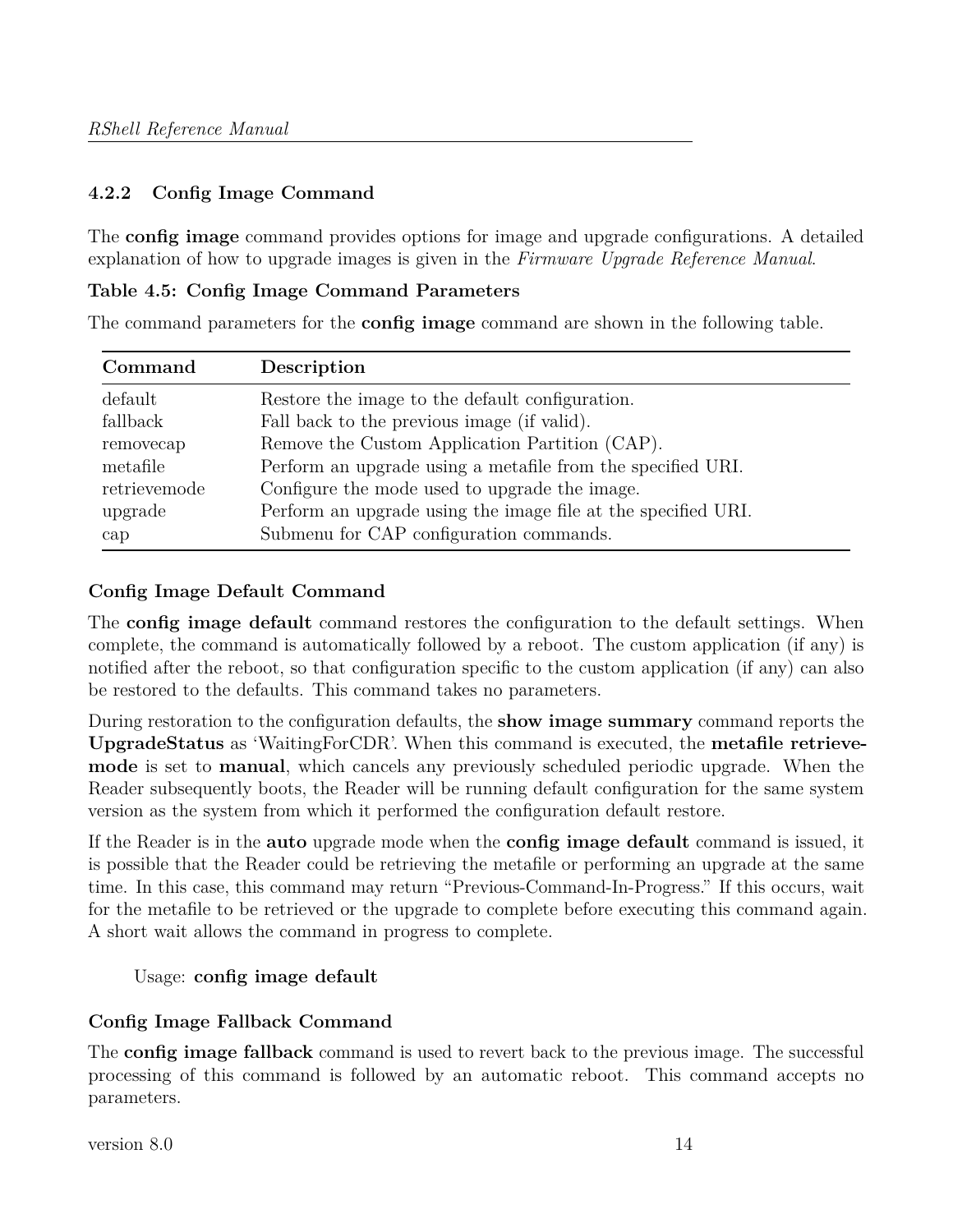## <span id="page-13-0"></span>**4.2.2 Config Image Command**

The **config image** command provides options for image and upgrade configurations. A detailed explanation of how to upgrade images is given in the *Firmware Upgrade Reference Manual*.

#### **Table 4.5: Config Image Command Parameters**

The command parameters for the **config image** command are shown in the following table.

| Command      | Description                                                   |
|--------------|---------------------------------------------------------------|
| default      | Restore the image to the default configuration.               |
| fallback     | Fall back to the previous image (if valid).                   |
| removecap    | Remove the Custom Application Partition (CAP).                |
| metafile     | Perform an upgrade using a metafile from the specified URI.   |
| retrievemode | Configure the mode used to upgrade the image.                 |
| upgrade      | Perform an upgrade using the image file at the specified URI. |
| cap          | Submenu for CAP configuration commands.                       |

## **Config Image Default Command**

The **config image default** command restores the configuration to the default settings. When complete, the command is automatically followed by a reboot. The custom application (if any) is notified after the reboot, so that configuration specific to the custom application (if any) can also be restored to the defaults. This command takes no parameters.

During restoration to the configuration defaults, the **show image summary** command reports the **UpgradeStatus** as 'WaitingForCDR'. When this command is executed, the **metafile retrievemode** is set to **manual**, which cancels any previously scheduled periodic upgrade. When the Reader subsequently boots, the Reader will be running default configuration for the same system version as the system from which it performed the configuration default restore.

If the Reader is in the **auto** upgrade mode when the **config image default** command is issued, it is possible that the Reader could be retrieving the metafile or performing an upgrade at the same time. In this case, this command may return "Previous-Command-In-Progress." If this occurs, wait for the metafile to be retrieved or the upgrade to complete before executing this command again. A short wait allows the command in progress to complete.

## Usage: **config image default**

## **Config Image Fallback Command**

The **config image fallback** command is used to revert back to the previous image. The successful processing of this command is followed by an automatic reboot. This command accepts no parameters.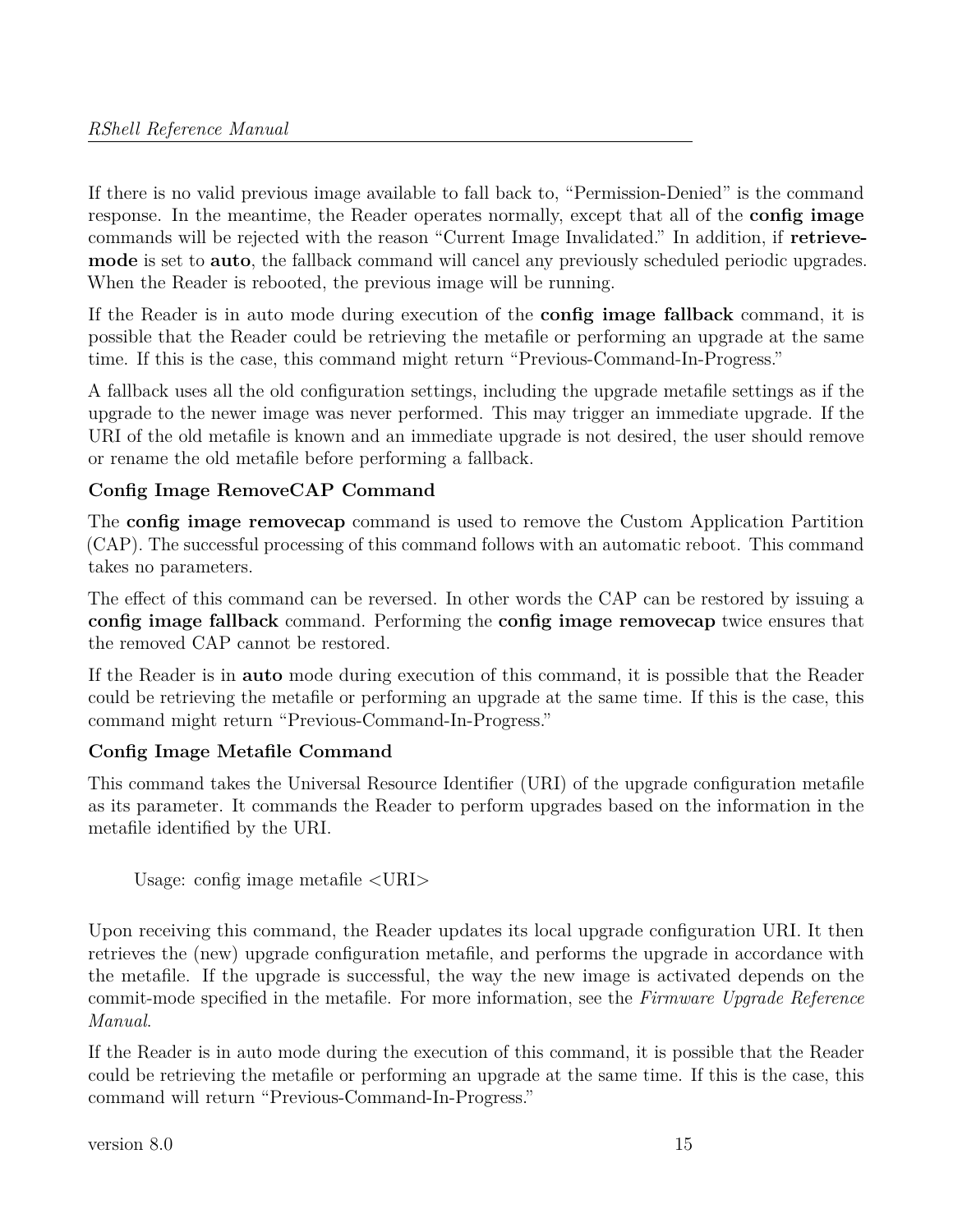If there is no valid previous image available to fall back to, "Permission-Denied" is the command response. In the meantime, the Reader operates normally, except that all of the **config image** commands will be rejected with the reason "Current Image Invalidated." In addition, if **retrievemode** is set to **auto**, the fallback command will cancel any previously scheduled periodic upgrades. When the Reader is rebooted, the previous image will be running.

If the Reader is in auto mode during execution of the **config image fallback** command, it is possible that the Reader could be retrieving the metafile or performing an upgrade at the same time. If this is the case, this command might return "Previous-Command-In-Progress."

A fallback uses all the old configuration settings, including the upgrade metafile settings as if the upgrade to the newer image was never performed. This may trigger an immediate upgrade. If the URI of the old metafile is known and an immediate upgrade is not desired, the user should remove or rename the old metafile before performing a fallback.

# **Config Image RemoveCAP Command**

The **config image removecap** command is used to remove the Custom Application Partition (CAP). The successful processing of this command follows with an automatic reboot. This command takes no parameters.

The effect of this command can be reversed. In other words the CAP can be restored by issuing a **config image fallback** command. Performing the **config image removecap** twice ensures that the removed CAP cannot be restored.

If the Reader is in **auto** mode during execution of this command, it is possible that the Reader could be retrieving the metafile or performing an upgrade at the same time. If this is the case, this command might return "Previous-Command-In-Progress."

## **Config Image Metafile Command**

This command takes the Universal Resource Identifier (URI) of the upgrade configuration metafile as its parameter. It commands the Reader to perform upgrades based on the information in the metafile identified by the URI.

Usage: config image metafile <URI>

Upon receiving this command, the Reader updates its local upgrade configuration URI. It then retrieves the (new) upgrade configuration metafile, and performs the upgrade in accordance with the metafile. If the upgrade is successful, the way the new image is activated depends on the commit-mode specified in the metafile. For more information, see the *Firmware Upgrade Reference Manual*.

If the Reader is in auto mode during the execution of this command, it is possible that the Reader could be retrieving the metafile or performing an upgrade at the same time. If this is the case, this command will return "Previous-Command-In-Progress."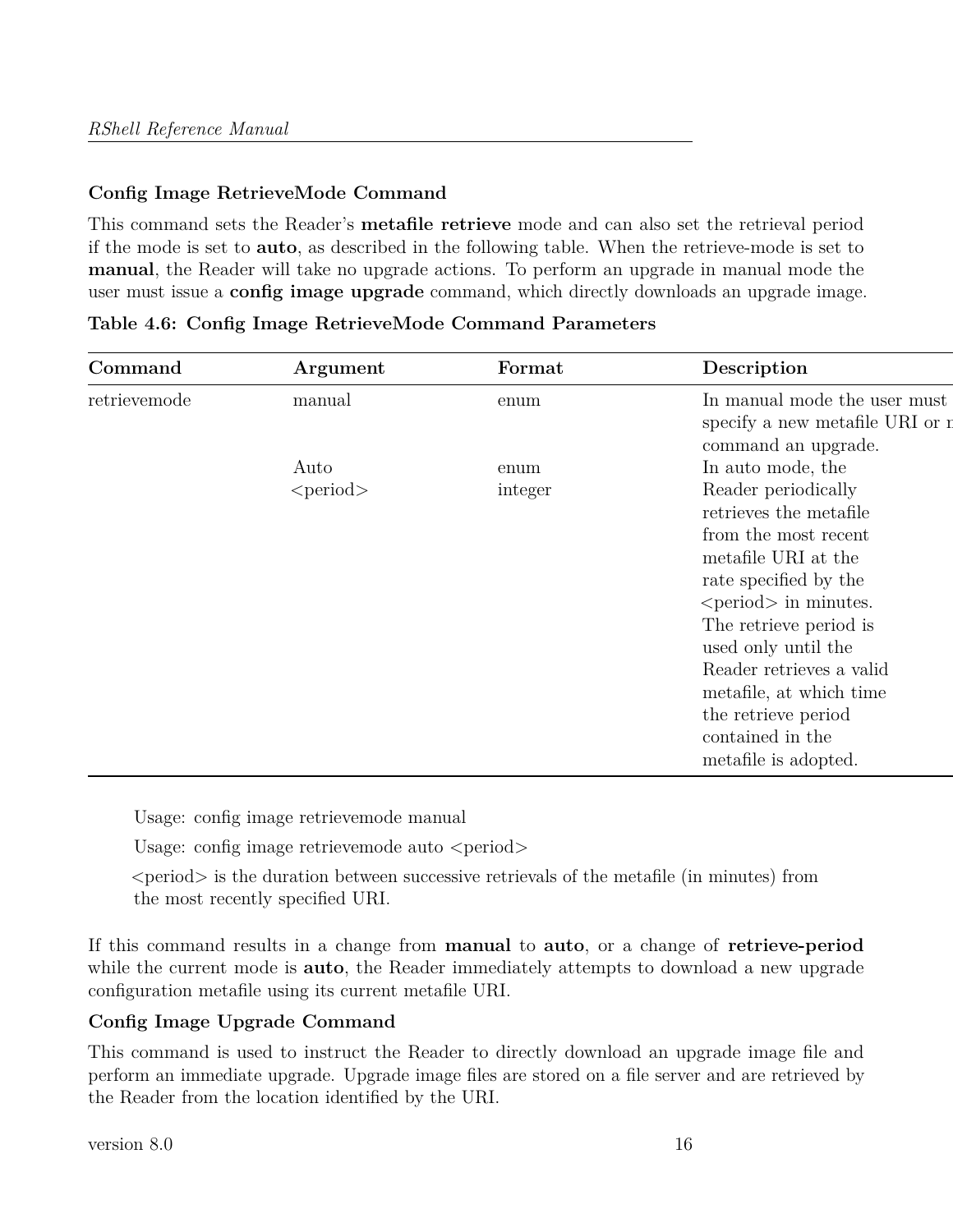## **Config Image RetrieveMode Command**

This command sets the Reader's **metafile retrieve** mode and can also set the retrieval period if the mode is set to **auto**, as described in the following table. When the retrieve-mode is set to **manual**, the Reader will take no upgrade actions. To perform an upgrade in manual mode the user must issue a **config image upgrade** command, which directly downloads an upgrade image.

| Command      | Argument       | Format  | Description                                                                            |
|--------------|----------------|---------|----------------------------------------------------------------------------------------|
| retrievemode | manual         | enum    | In manual mode the user must<br>specify a new metafile URI or n<br>command an upgrade. |
|              | Auto           | enum    | In auto mode, the                                                                      |
|              | $<$ period $>$ | integer | Reader periodically                                                                    |
|              |                |         | retrieves the metafile                                                                 |
|              |                |         | from the most recent                                                                   |
|              |                |         | metafile URI at the                                                                    |
|              |                |         | rate specified by the                                                                  |
|              |                |         | $\le$ period $>$ in minutes.                                                           |
|              |                |         | The retrieve period is                                                                 |
|              |                |         | used only until the                                                                    |
|              |                |         | Reader retrieves a valid                                                               |
|              |                |         | metafile, at which time                                                                |
|              |                |         | the retrieve period                                                                    |
|              |                |         | contained in the                                                                       |
|              |                |         | metafile is adopted.                                                                   |

|  |  |  | Table 4.6: Config Image RetrieveMode Command Parameters |  |  |
|--|--|--|---------------------------------------------------------|--|--|
|--|--|--|---------------------------------------------------------|--|--|

Usage: config image retrievemode manual

Usage: config image retrievemode auto  $\le$ period $>$ 

 $\le$  period $\ge$  is the duration between successive retrievals of the metafile (in minutes) from the most recently specified URI.

If this command results in a change from **manual** to **auto**, or a change of **retrieve-period** while the current mode is **auto**, the Reader immediately attempts to download a new upgrade configuration metafile using its current metafile URI.

## **Config Image Upgrade Command**

This command is used to instruct the Reader to directly download an upgrade image file and perform an immediate upgrade. Upgrade image files are stored on a file server and are retrieved by the Reader from the location identified by the URI.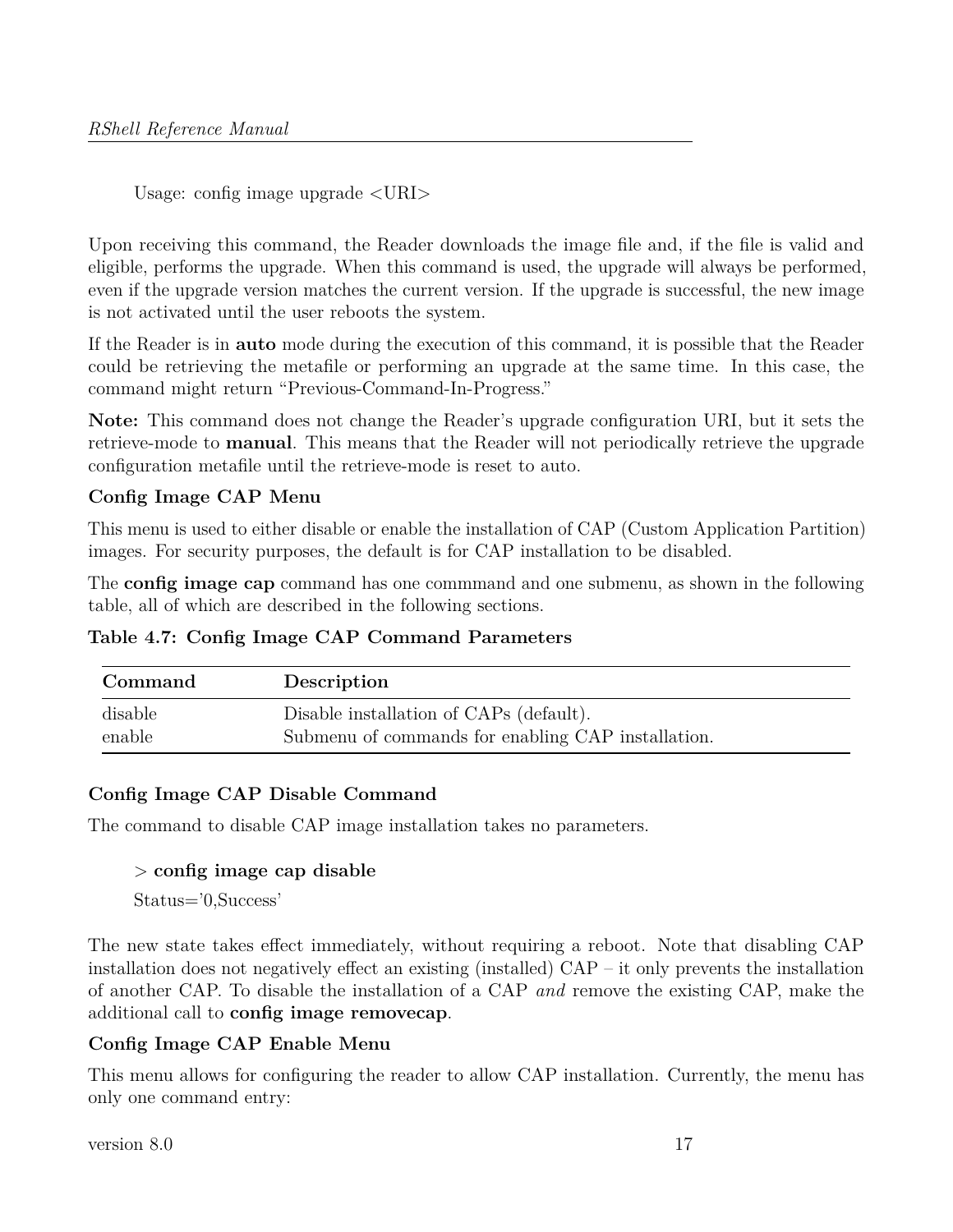Usage: config image upgrade <URI>

Upon receiving this command, the Reader downloads the image file and, if the file is valid and eligible, performs the upgrade. When this command is used, the upgrade will always be performed, even if the upgrade version matches the current version. If the upgrade is successful, the new image is not activated until the user reboots the system.

If the Reader is in **auto** mode during the execution of this command, it is possible that the Reader could be retrieving the metafile or performing an upgrade at the same time. In this case, the command might return "Previous-Command-In-Progress."

**Note:** This command does not change the Reader's upgrade configuration URI, but it sets the retrieve-mode to **manual**. This means that the Reader will not periodically retrieve the upgrade configuration metafile until the retrieve-mode is reset to auto.

## **Config Image CAP Menu**

This menu is used to either disable or enable the installation of CAP (Custom Application Partition) images. For security purposes, the default is for CAP installation to be disabled.

The **config image cap** command has one commmand and one submenu, as shown in the following table, all of which are described in the following sections.

**Table 4.7: Config Image CAP Command Parameters**

| Command | Description                                        |
|---------|----------------------------------------------------|
| disable | Disable installation of CAPs (default).            |
| enable  | Submenu of commands for enabling CAP installation. |

## **Config Image CAP Disable Command**

The command to disable CAP image installation takes no parameters.

#### > **config image cap disable**

Status='0,Success'

The new state takes effect immediately, without requiring a reboot. Note that disabling CAP installation does not negatively effect an existing (installed) CAP – it only prevents the installation of another CAP. To disable the installation of a CAP *and* remove the existing CAP, make the additional call to **config image removecap**.

## **Config Image CAP Enable Menu**

This menu allows for configuring the reader to allow CAP installation. Currently, the menu has only one command entry: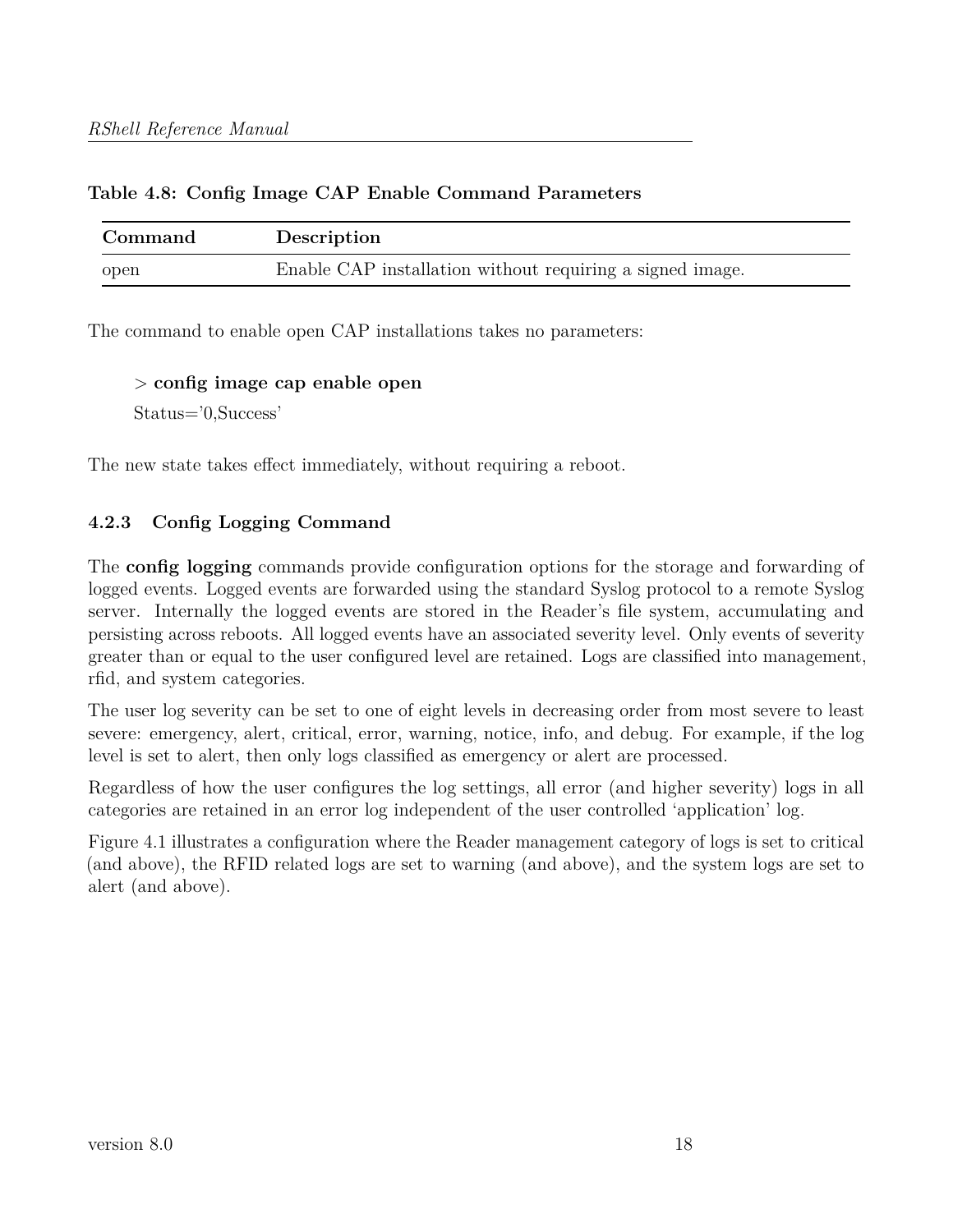## **Table 4.8: Config Image CAP Enable Command Parameters**

| Command | Description                                               |
|---------|-----------------------------------------------------------|
| open    | Enable CAP installation without requiring a signed image. |

The command to enable open CAP installations takes no parameters:

> **config image cap enable open** Status='0,Success'

The new state takes effect immediately, without requiring a reboot.

## <span id="page-17-0"></span>**4.2.3 Config Logging Command**

The **config logging** commands provide configuration options for the storage and forwarding of logged events. Logged events are forwarded using the standard Syslog protocol to a remote Syslog server. Internally the logged events are stored in the Reader's file system, accumulating and persisting across reboots. All logged events have an associated severity level. Only events of severity greater than or equal to the user configured level are retained. Logs are classified into management, rfid, and system categories.

The user log severity can be set to one of eight levels in decreasing order from most severe to least severe: emergency, alert, critical, error, warning, notice, info, and debug. For example, if the log level is set to alert, then only logs classified as emergency or alert are processed.

Regardless of how the user configures the log settings, all error (and higher severity) logs in all categories are retained in an error log independent of the user controlled 'application' log.

Figure 4.1 illustrates a configuration where the Reader management category of logs is set to critical (and above), the RFID related logs are set to warning (and above), and the system logs are set to alert (and above).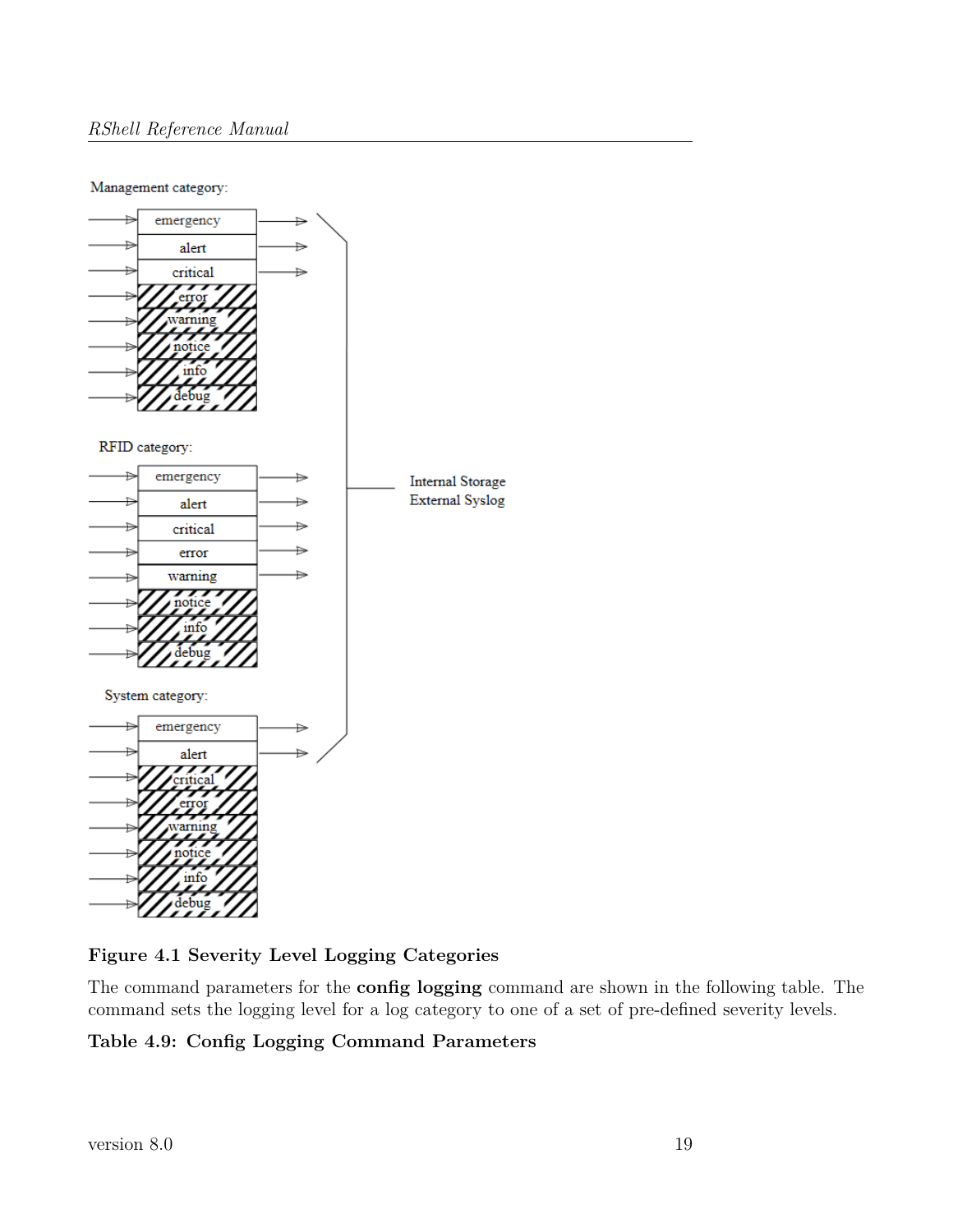#### Management category:



**Figure 4.1 Severity Level Logging Categories**

The command parameters for the **config logging** command are shown in the following table. The command sets the logging level for a log category to one of a set of pre-defined severity levels.

## **Table 4.9: Config Logging Command Parameters**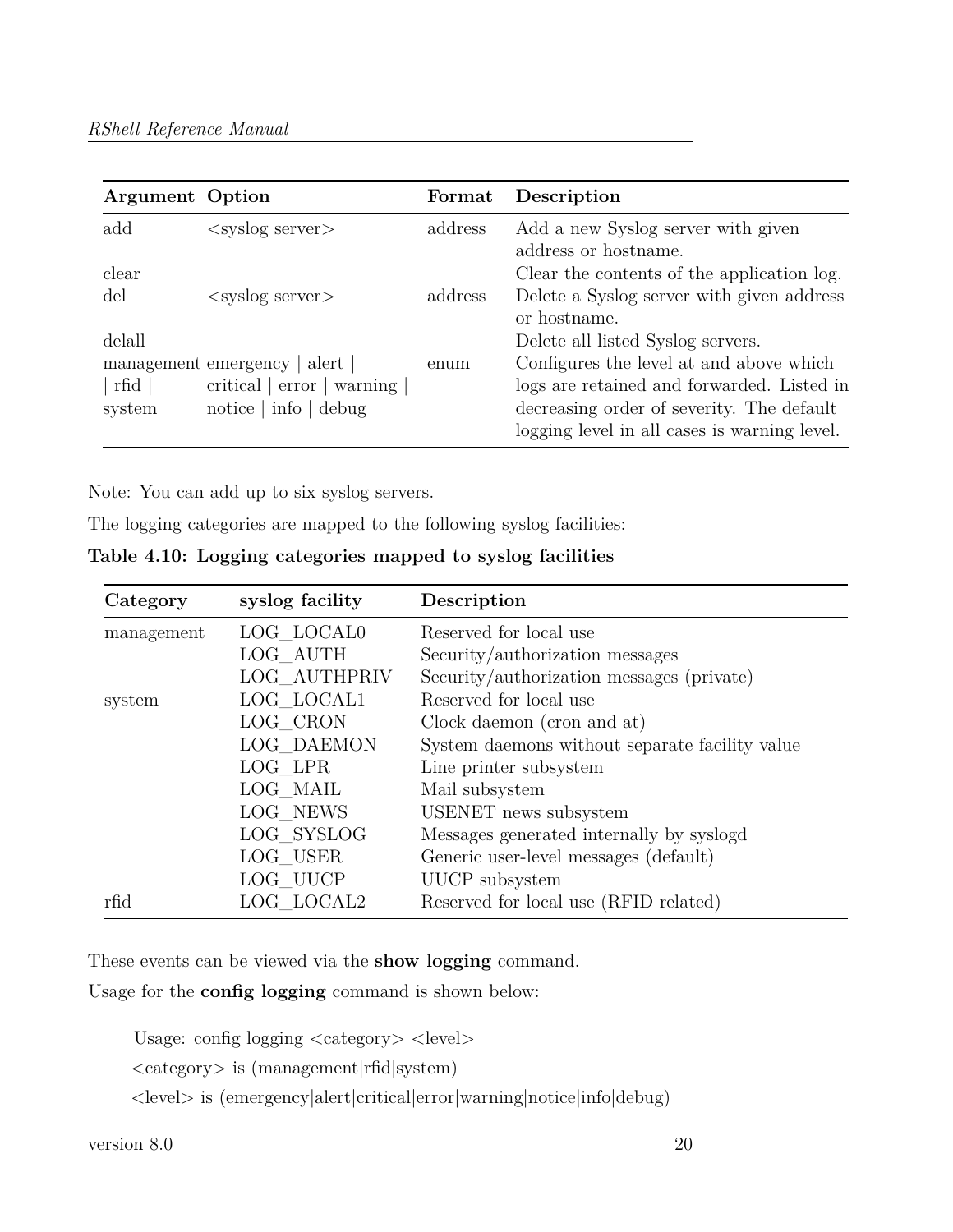| <b>Argument</b> Option |                                   | Format  | Description                                  |
|------------------------|-----------------------------------|---------|----------------------------------------------|
| add                    | $\langle$ syslog server $\rangle$ | address | Add a new Syslog server with given           |
|                        |                                   |         | address or hostname.                         |
| clear                  |                                   |         | Clear the contents of the application log.   |
| del                    | $\langle$ syslog server $\rangle$ | address | Delete a Syslog server with given address    |
|                        |                                   |         | or hostname.                                 |
| delall                 |                                   |         | Delete all listed Syslog servers.            |
|                        | management emergency   alert      | enum    | Configures the level at and above which      |
| rfd                    | critical $ error $<br>warning     |         | logs are retained and forwarded. Listed in   |
| system                 | $\text{notice}$   info   debug    |         | decreasing order of severity. The default    |
|                        |                                   |         | logging level in all cases is warning level. |

Note: You can add up to six syslog servers.

The logging categories are mapped to the following syslog facilities:

| Table 4.10: Logging categories mapped to syslog facilities |  |  |  |  |  |  |  |
|------------------------------------------------------------|--|--|--|--|--|--|--|
|------------------------------------------------------------|--|--|--|--|--|--|--|

| Category   | syslog facility | Description                                    |
|------------|-----------------|------------------------------------------------|
| management | LOG LOCAL0      | Reserved for local use                         |
|            | LOG AUTH        | Security/authorization messages                |
|            | LOG AUTHPRIV    | Security/authorization messages (private)      |
| system     | LOG LOCAL1      | Reserved for local use                         |
|            | $LOG_C$ RON     | Clock daemon (cron and at)                     |
|            | LOG DAEMON      | System daemons without separate facility value |
|            | LOG LPR         | Line printer subsystem                         |
|            | LOG MAIL        | Mail subsystem                                 |
|            | LOG NEWS        | USENET news subsystem                          |
|            | LOG SYSLOG      | Messages generated internally by syslogd       |
|            | LOG USER        | Generic user-level messages (default)          |
|            | LOG UUCP        | UUCP subsystem                                 |
| rfid       | LOG LOCAL2      | Reserved for local use (RFID related)          |

These events can be viewed via the **show logging** command.

Usage for the **config logging** command is shown below:

Usage: config logging  $\langle \text{category} \rangle$   $\langle \text{level} \rangle$ 

<category> is (management|rfid|system)

<level> is (emergency|alert|critical|error|warning|notice|info|debug)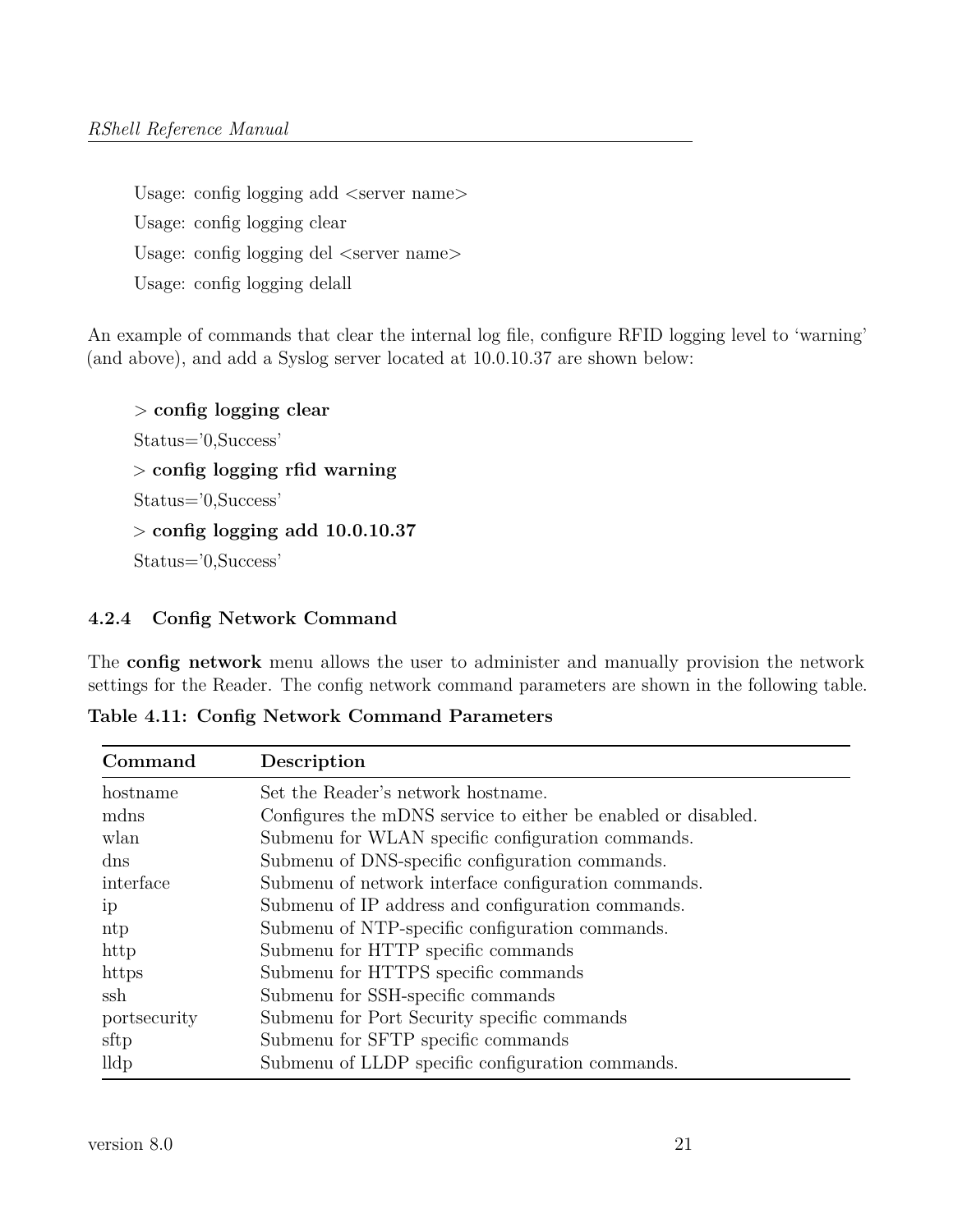Usage: config logging add  $\langle$ server name $\rangle$ Usage: config logging clear Usage: config logging del  $\leq$ server name $>$ Usage: config logging delall

An example of commands that clear the internal log file, configure RFID logging level to 'warning' (and above), and add a Syslog server located at 10.0.10.37 are shown below:

```
> config logging clear
Status='0,Success'
> config logging rfid warning
Status='0,Success'
> config logging add 10.0.10.37
Status='0,Success'
```
#### <span id="page-20-0"></span>**4.2.4 Config Network Command**

The **config network** menu allows the user to administer and manually provision the network settings for the Reader. The config network command parameters are shown in the following table.

**Table 4.11: Config Network Command Parameters**

| Command        | Description                                                   |
|----------------|---------------------------------------------------------------|
| hostname       | Set the Reader's network hostname.                            |
| mdns           | Configures the mDNS service to either be enabled or disabled. |
| wlan           | Submenu for WLAN specific configuration commands.             |
| dns            | Submenu of DNS-specific configuration commands.               |
| interface      | Submenu of network interface configuration commands.          |
| 1 <sub>D</sub> | Submenu of IP address and configuration commands.             |
| ntp            | Submenu of NTP-specific configuration commands.               |
| http           | Submenu for HTTP specific commands                            |
| https          | Submenu for HTTPS specific commands                           |
| ssh            | Submenu for SSH-specific commands                             |
| portsecurity   | Submenu for Port Security specific commands                   |
| sftp           | Submenu for SFTP specific commands                            |
| lldp           | Submenu of LLDP specific configuration commands.              |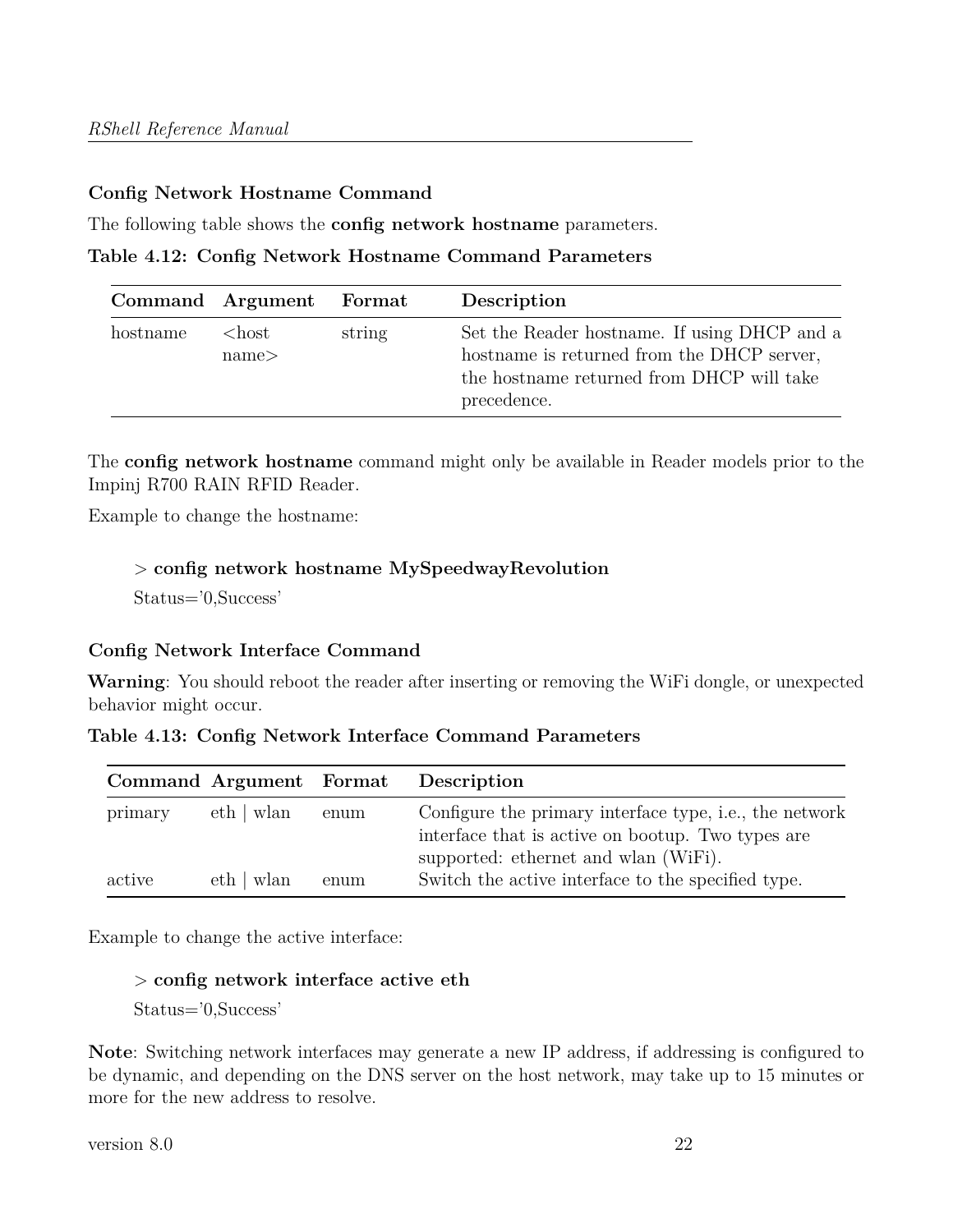#### **Config Network Hostname Command**

The following table shows the **config network hostname** parameters.

**Table 4.12: Config Network Hostname Command Parameters**

|          | Command Argument Format |        | Description                                                                                                                                            |
|----------|-------------------------|--------|--------------------------------------------------------------------------------------------------------------------------------------------------------|
| hostname | $<$ host<br>name<       | string | Set the Reader hostname. If using DHCP and a<br>hostname is returned from the DHCP server,<br>the hostname returned from DHCP will take<br>precedence. |

The **config network hostname** command might only be available in Reader models prior to the Impinj R700 RAIN RFID Reader.

Example to change the hostname:

#### > **config network hostname MySpeedwayRevolution**

Status='0,Success'

#### **Config Network Interface Command**

**Warning**: You should reboot the reader after inserting or removing the WiFi dongle, or unexpected behavior might occur.

| Table 4.13: Config Network Interface Command Parameters |  |
|---------------------------------------------------------|--|
|---------------------------------------------------------|--|

|         | Command Argument Format |      | Description                                             |
|---------|-------------------------|------|---------------------------------------------------------|
| primary | eth   wlan              | enum | Configure the primary interface type, i.e., the network |
|         |                         |      | interface that is active on bootup. Two types are       |
|         |                         |      | supported: ethernet and wlan (WiFi).                    |
| active  | eth   wlan              | enum | Switch the active interface to the specified type.      |

Example to change the active interface:

#### > **config network interface active eth**

Status='0,Success'

**Note**: Switching network interfaces may generate a new IP address, if addressing is configured to be dynamic, and depending on the DNS server on the host network, may take up to 15 minutes or more for the new address to resolve.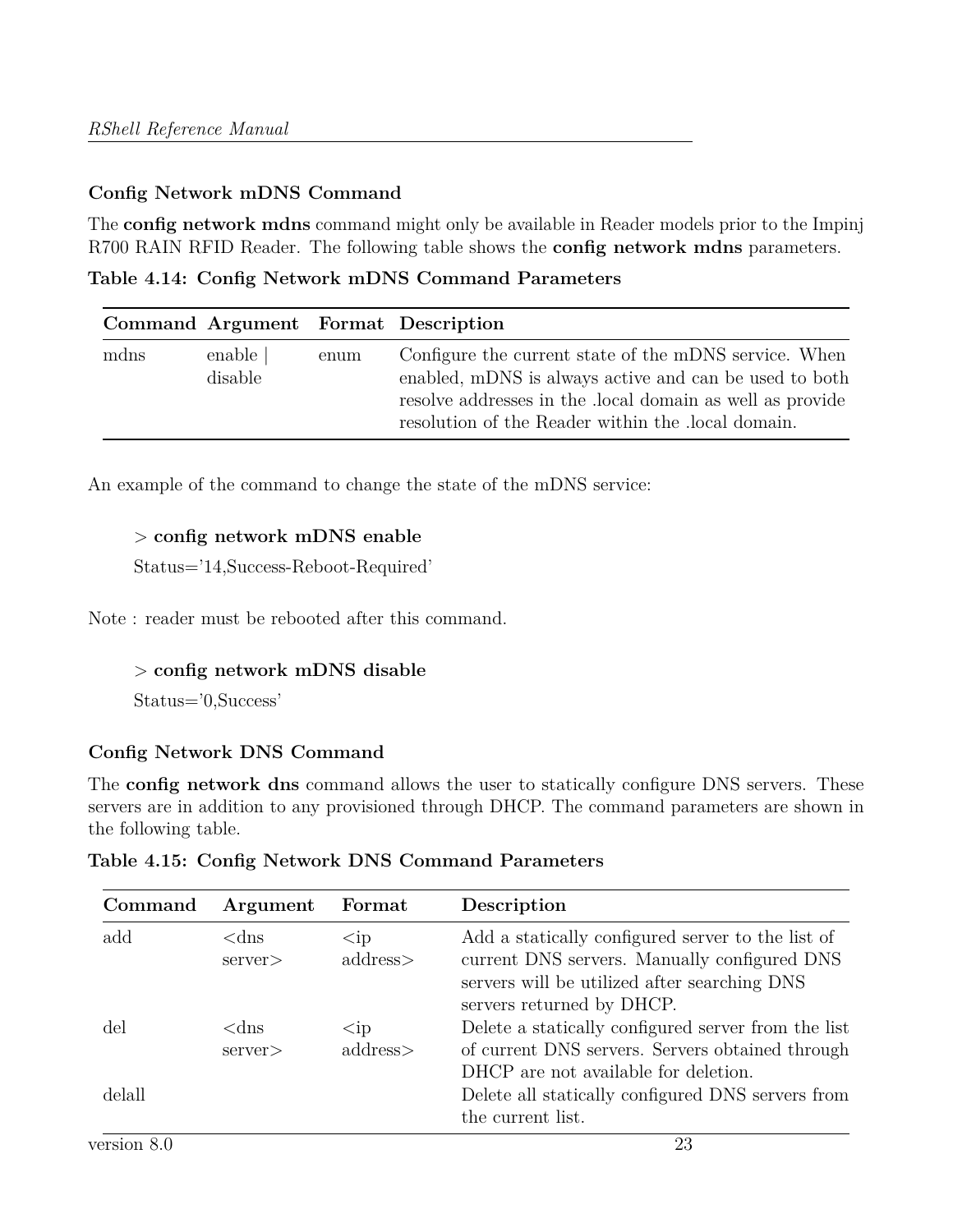## **Config Network mDNS Command**

The **config network mdns** command might only be available in Reader models prior to the Impinj R700 RAIN RFID Reader. The following table shows the **config network mdns** parameters.

**Table 4.14: Config Network mDNS Command Parameters**

|      |                     |      | Command Argument Format Description                                                                                                                                                                                              |
|------|---------------------|------|----------------------------------------------------------------------------------------------------------------------------------------------------------------------------------------------------------------------------------|
| mdns | enable  <br>disable | enum | Configure the current state of the mDNS service. When<br>enabled, mDNS is always active and can be used to both<br>resolve addresses in the local domain as well as provide<br>resolution of the Reader within the local domain. |

An example of the command to change the state of the mDNS service:

## > **config network mDNS enable**

Status='14,Success-Reboot-Required'

Note : reader must be rebooted after this command.

## > **config network mDNS disable**

Status='0,Success'

## **Config Network DNS Command**

The **config network dns** command allows the user to statically configure DNS servers. These servers are in addition to any provisioned through DHCP. The command parameters are shown in the following table.

| Command | Argument                 | Format                              | Description                                                                                                                                                                    |
|---------|--------------------------|-------------------------------------|--------------------------------------------------------------------------------------------------------------------------------------------------------------------------------|
| add     | $<$ dns<br>$s$ erver $>$ | $<$ ip<br>address>                  | Add a statically configured server to the list of<br>current DNS servers. Manually configured DNS<br>servers will be utilized after searching DNS<br>servers returned by DHCP. |
| del     | $<$ dns<br>$s$ erver $>$ | $\mathop{<}\mathrm{ip}$<br>address> | Delete a statically configured server from the list<br>of current DNS servers. Servers obtained through<br>DHCP are not available for deletion.                                |
| delall  |                          |                                     | Delete all statically configured DNS servers from<br>the current list.                                                                                                         |

**Table 4.15: Config Network DNS Command Parameters**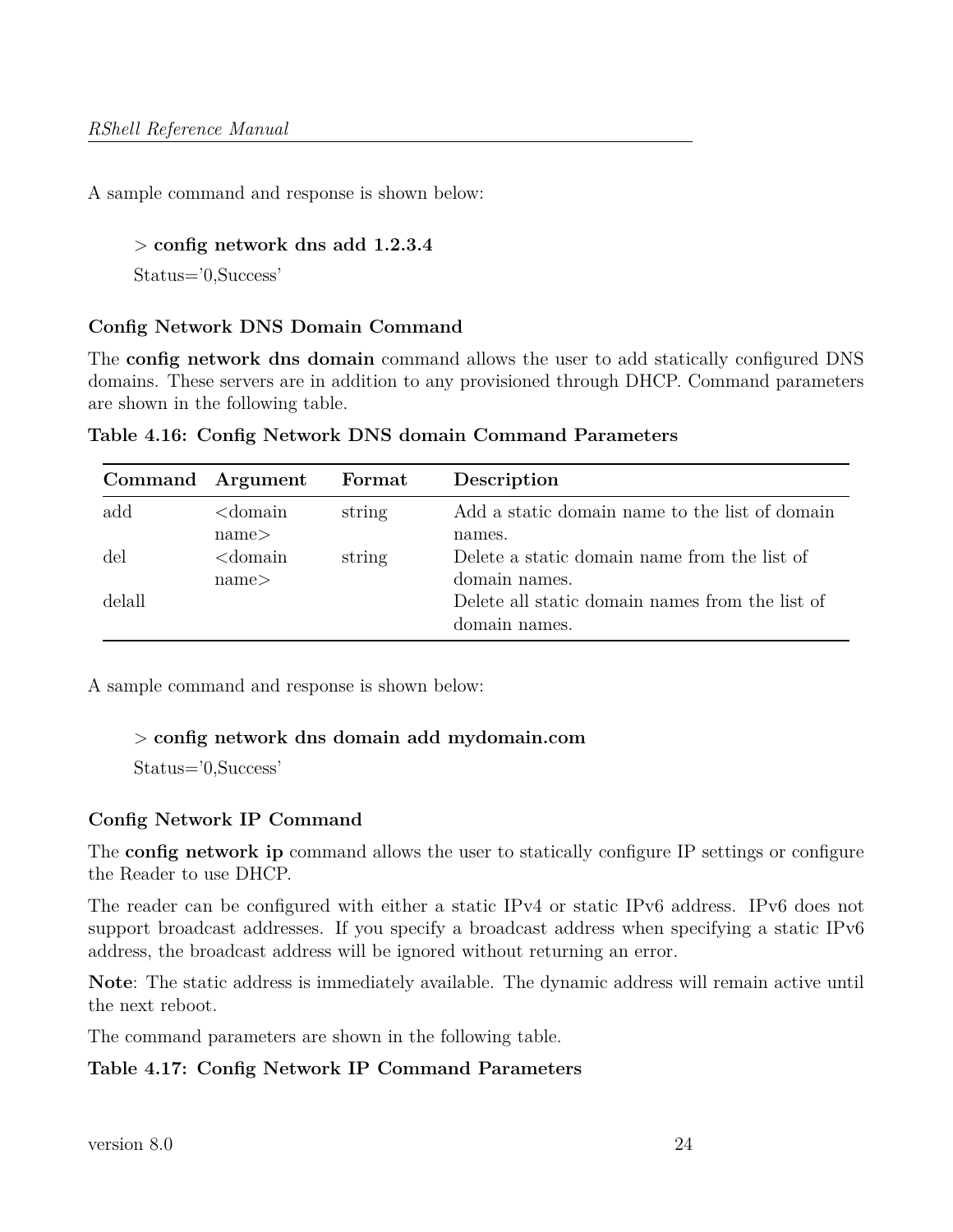A sample command and response is shown below:

#### > **config network dns add 1.2.3.4**

Status='0,Success'

#### **Config Network DNS Domain Command**

The **config network dns domain** command allows the user to add statically configured DNS domains. These servers are in addition to any provisioned through DHCP. Command parameters are shown in the following table.

|        | Command Argument    | Format | Description                                                      |
|--------|---------------------|--------|------------------------------------------------------------------|
| add    | $<$ domain<br>name< | string | Add a static domain name to the list of domain<br>names.         |
| del    | $<$ domain<br>name< | string | Delete a static domain name from the list of<br>domain names.    |
| delall |                     |        | Delete all static domain names from the list of<br>domain names. |

**Table 4.16: Config Network DNS domain Command Parameters**

A sample command and response is shown below:

#### > **config network dns domain add mydomain.com**

Status='0,Success'

#### **Config Network IP Command**

The **config network ip** command allows the user to statically configure IP settings or configure the Reader to use DHCP.

The reader can be configured with either a static IPv4 or static IPv6 address. IPv6 does not support broadcast addresses. If you specify a broadcast address when specifying a static IPv6 address, the broadcast address will be ignored without returning an error.

**Note**: The static address is immediately available. The dynamic address will remain active until the next reboot.

The command parameters are shown in the following table.

#### **Table 4.17: Config Network IP Command Parameters**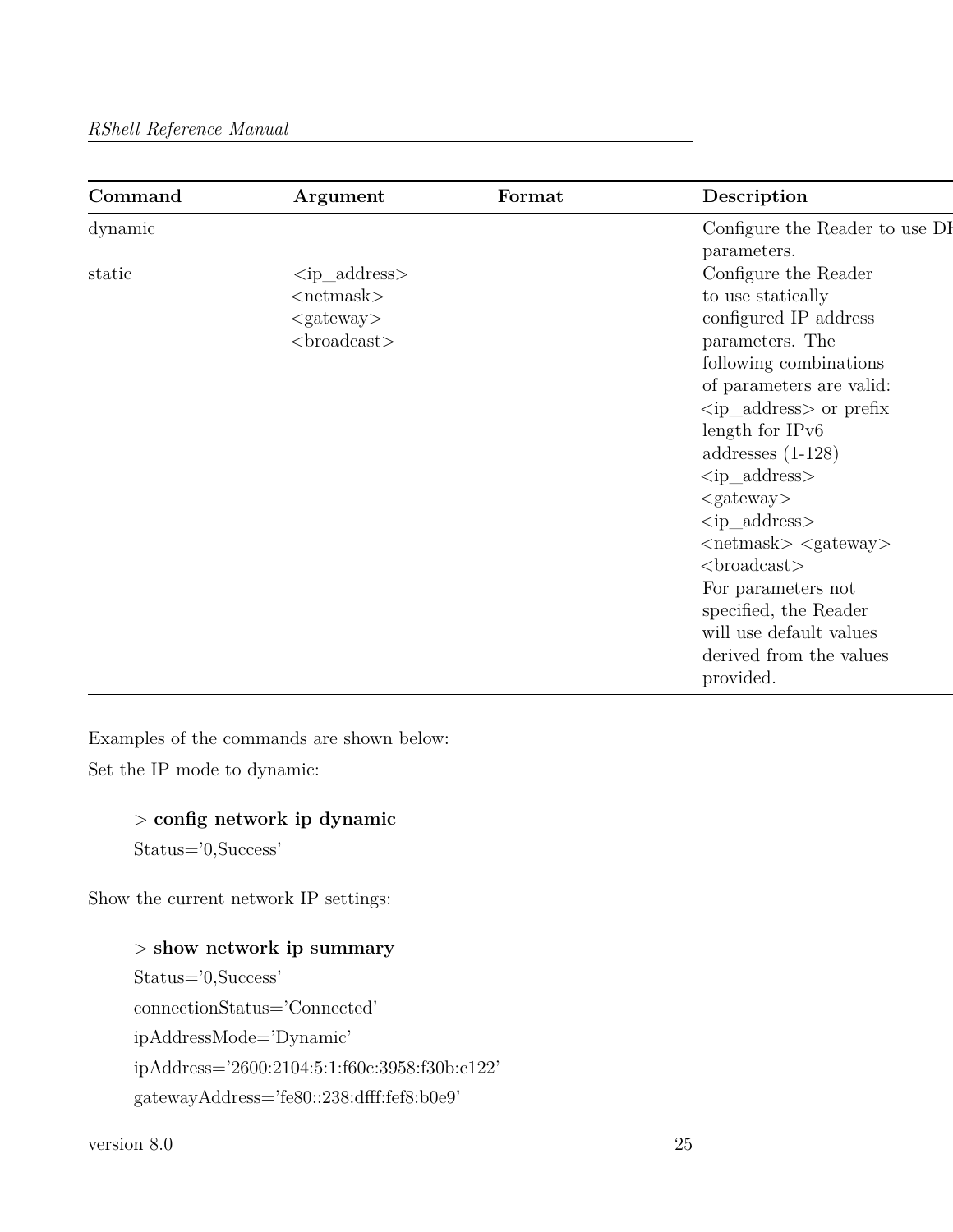| Command | Argument                             | Format | Description                                    |
|---------|--------------------------------------|--------|------------------------------------------------|
| dynamic |                                      |        | Configure the Reader to use DI                 |
|         |                                      |        | parameters.                                    |
| static  | $\langle \text{ip\_address} \rangle$ |        | Configure the Reader                           |
|         | $<$ netmask $>$                      |        | to use statically                              |
|         | $<$ gateway $>$                      |        | configured IP address                          |
|         | $<$ broadcast $>$                    |        | parameters. The                                |
|         |                                      |        | following combinations                         |
|         |                                      |        | of parameters are valid:                       |
|         |                                      |        | $\langle \text{ip\_address} \rangle$ or prefix |
|         |                                      |        | length for IPv6                                |
|         |                                      |        | addresses $(1-128)$                            |
|         |                                      |        | $<$ ip_address $>$                             |
|         |                                      |        | $<$ gateway $>$                                |
|         |                                      |        | $<$ ip_address $>$                             |
|         |                                      |        | $\langle$ netmask $>$ $\langle$ gateway $>$    |
|         |                                      |        | $<$ broadcast $>$                              |
|         |                                      |        | For parameters not                             |
|         |                                      |        | specified, the Reader                          |
|         |                                      |        | will use default values                        |
|         |                                      |        | derived from the values                        |
|         |                                      |        | provided.                                      |

Examples of the commands are shown below:

Set the IP mode to dynamic:

> **config network ip dynamic**

Status='0,Success'

Show the current network IP settings:

## > **show network ip summary**

Status='0,Success' connectionStatus='Connected' ipAddressMode='Dynamic' ipAddress='2600:2104:5:1:f60c:3958:f30b:c122' gatewayAddress='fe80::238:dfff:fef8:b0e9'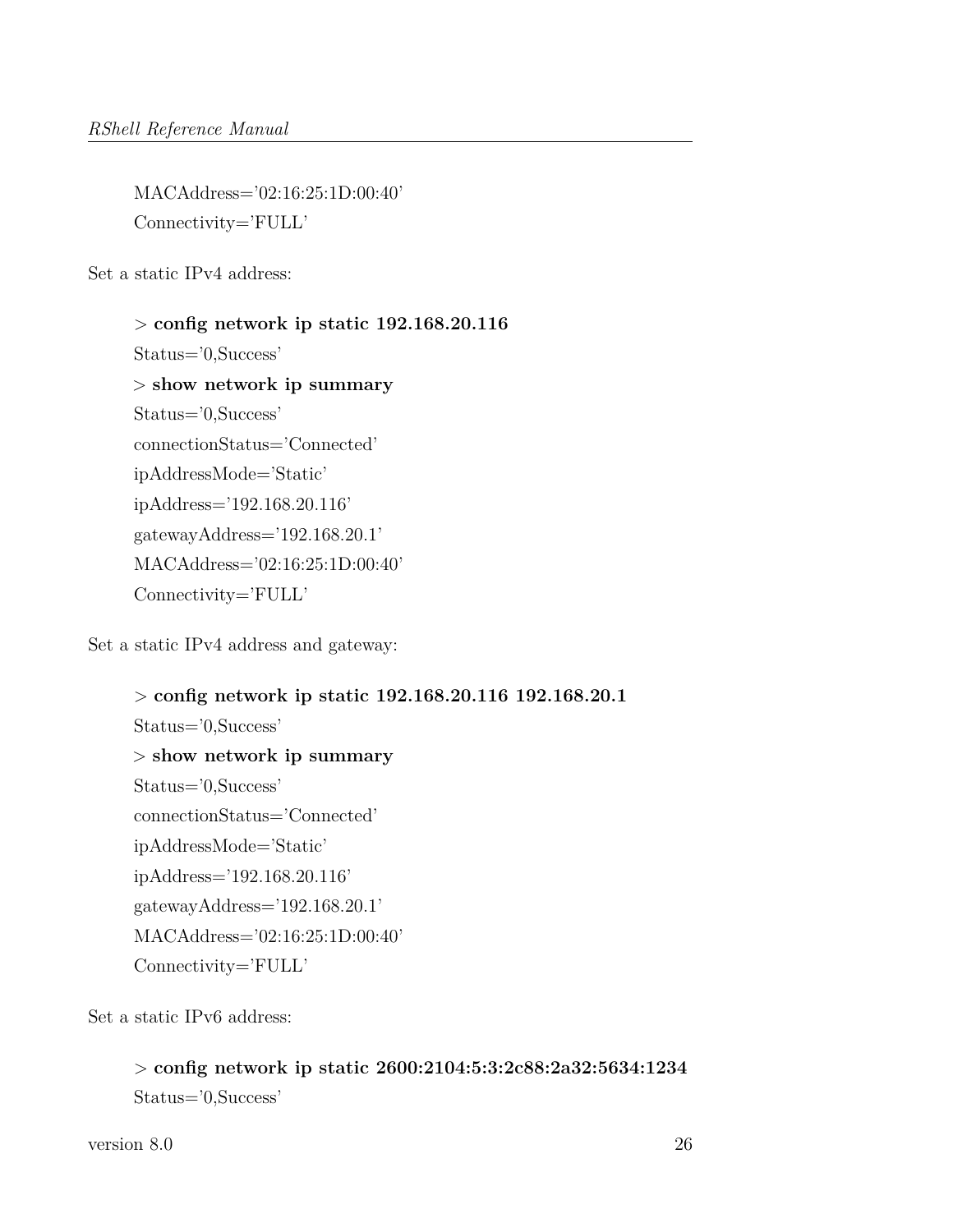MACAddress='02:16:25:1D:00:40' Connectivity='FULL'

Set a static IPv4 address:

> **config network ip static 192.168.20.116** Status='0,Success' > **show network ip summary** Status='0,Success' connectionStatus='Connected' ipAddressMode='Static' ipAddress='192.168.20.116' gatewayAddress='192.168.20.1' MACAddress='02:16:25:1D:00:40' Connectivity='FULL'

Set a static IPv4 address and gateway:

> **config network ip static 192.168.20.116 192.168.20.1** Status='0,Success' > **show network ip summary** Status='0,Success' connectionStatus='Connected' ipAddressMode='Static' ipAddress='192.168.20.116' gatewayAddress='192.168.20.1' MACAddress='02:16:25:1D:00:40' Connectivity='FULL'

Set a static IPv6 address:

> **config network ip static 2600:2104:5:3:2c88:2a32:5634:1234** Status='0,Success'

version 8.0 26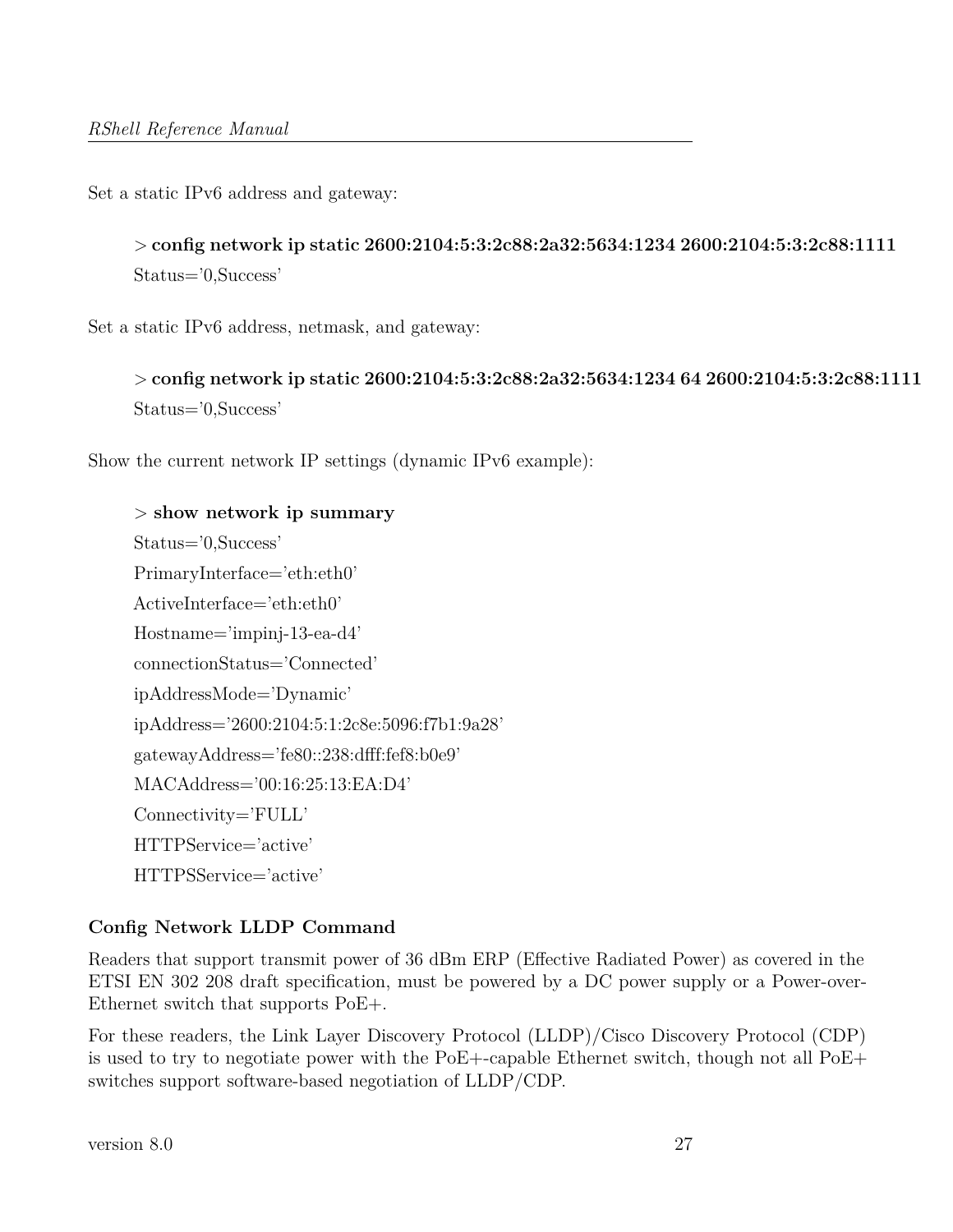Set a static IPv6 address and gateway:

> **config network ip static 2600:2104:5:3:2c88:2a32:5634:1234 2600:2104:5:3:2c88:1111** Status='0,Success'

Set a static IPv6 address, netmask, and gateway:

```
> config network ip static 2600:2104:5:3:2c88:2a32:5634:1234 64 2600:2104:5:3:2c88:1111
Status='0,Success'
```
Show the current network IP settings (dynamic IPv6 example):

```
> show network ip summary
Status='0,Success'
PrimaryInterface='eth:eth0'
ActiveInterface='eth:eth0'
Hostname='impinj-13-ea-d4'
connectionStatus='Connected'
ipAddressMode='Dynamic'
ipAddress='2600:2104:5:1:2c8e:5096:f7b1:9a28'
gatewayAddress='fe80::238:dfff:fef8:b0e9'
MACAddress='00:16:25:13:EA:D4'
Connectivity='FULL'
HTTPService='active'
HTTPSService='active'
```
#### **Config Network LLDP Command**

Readers that support transmit power of 36 dBm ERP (Effective Radiated Power) as covered in the ETSI EN 302 208 draft specification, must be powered by a DC power supply or a Power-over-Ethernet switch that supports PoE+.

For these readers, the Link Layer Discovery Protocol (LLDP)/Cisco Discovery Protocol (CDP) is used to try to negotiate power with the PoE+-capable Ethernet switch, though not all PoE+ switches support software-based negotiation of LLDP/CDP.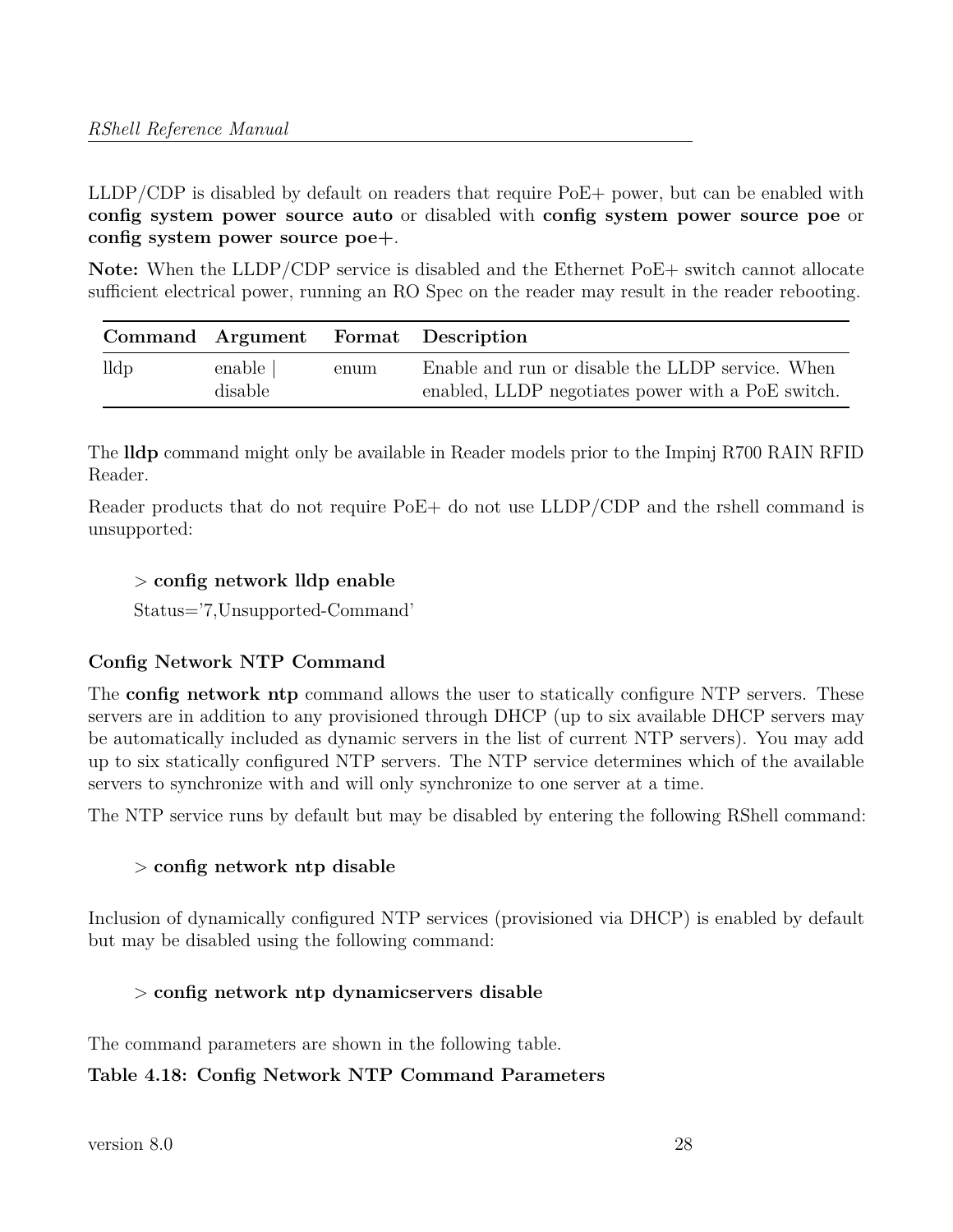LLDP/CDP is disabled by default on readers that require PoE+ power, but can be enabled with **config system power source auto** or disabled with **config system power source poe** or **config system power source poe+**.

Note: When the LLDP/CDP service is disabled and the Ethernet PoE+ switch cannot allocate sufficient electrical power, running an RO Spec on the reader may result in the reader rebooting.

|      |                     |      | Command Argument Format Description                                                                   |
|------|---------------------|------|-------------------------------------------------------------------------------------------------------|
| lldp | enable  <br>disable | enum | Enable and run or disable the LLDP service. When<br>enabled, LLDP negotiates power with a PoE switch. |

The **lldp** command might only be available in Reader models prior to the Impinj R700 RAIN RFID Reader.

Reader products that do not require PoE+ do not use LLDP/CDP and the rshell command is unsupported:

## > **config network lldp enable**

Status='7,Unsupported-Command'

## **Config Network NTP Command**

The **config network ntp** command allows the user to statically configure NTP servers. These servers are in addition to any provisioned through DHCP (up to six available DHCP servers may be automatically included as dynamic servers in the list of current NTP servers). You may add up to six statically configured NTP servers. The NTP service determines which of the available servers to synchronize with and will only synchronize to one server at a time.

The NTP service runs by default but may be disabled by entering the following RShell command:

## > **config network ntp disable**

Inclusion of dynamically configured NTP services (provisioned via DHCP) is enabled by default but may be disabled using the following command:

# > **config network ntp dynamicservers disable**

The command parameters are shown in the following table.

## **Table 4.18: Config Network NTP Command Parameters**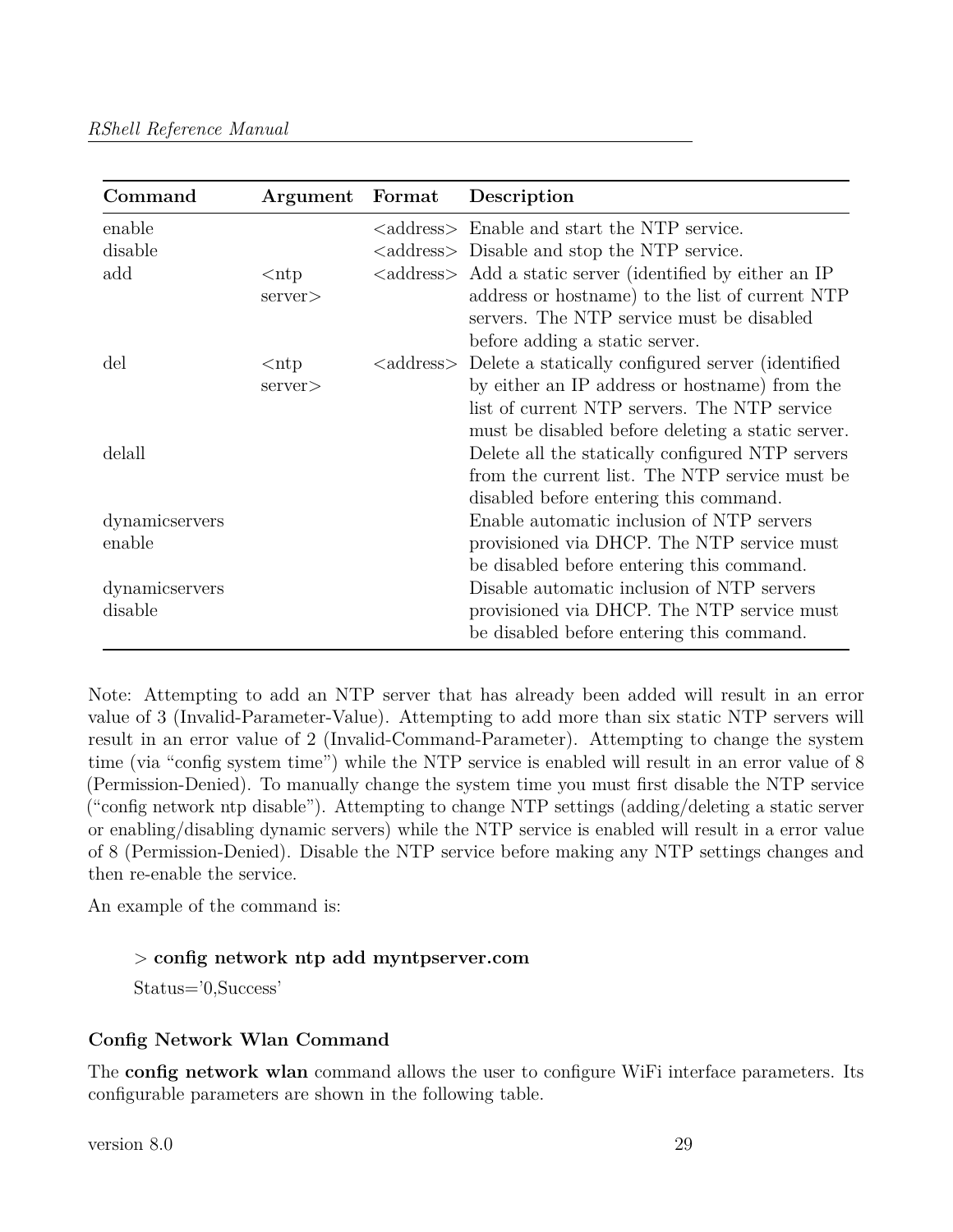| Command                   | Argument                 | Format | Description                                                                                                                                                                                                                    |
|---------------------------|--------------------------|--------|--------------------------------------------------------------------------------------------------------------------------------------------------------------------------------------------------------------------------------|
| enable<br>disable         |                          |        | <address> Enable and start the NTP service.<br/><address> Disable and stop the NTP service.</address></address>                                                                                                                |
| add                       | $<$ ntp<br>$s$ erver $>$ |        | <address> Add a static server (identified by either an IP<br/>address or hostname) to the list of current NTP<br/>servers. The NTP service must be disabled<br/>before adding a static server.</address>                       |
| del                       | $<$ ntp<br>server>       |        | <address> Delete a statically configured server (identified<br/>by either an IP address or hostname) from the<br/>list of current NTP servers. The NTP service<br/>must be disabled before deleting a static server.</address> |
| delall                    |                          |        | Delete all the statically configured NTP servers<br>from the current list. The NTP service must be<br>disabled before entering this command.                                                                                   |
| dynamicservers<br>enable  |                          |        | Enable automatic inclusion of NTP servers<br>provisioned via DHCP. The NTP service must<br>be disabled before entering this command.                                                                                           |
| dynamicservers<br>disable |                          |        | Disable automatic inclusion of NTP servers<br>provisioned via DHCP. The NTP service must<br>be disabled before entering this command.                                                                                          |

Note: Attempting to add an NTP server that has already been added will result in an error value of 3 (Invalid-Parameter-Value). Attempting to add more than six static NTP servers will result in an error value of 2 (Invalid-Command-Parameter). Attempting to change the system time (via "config system time") while the NTP service is enabled will result in an error value of 8 (Permission-Denied). To manually change the system time you must first disable the NTP service ("config network ntp disable"). Attempting to change NTP settings (adding/deleting a static server or enabling/disabling dynamic servers) while the NTP service is enabled will result in a error value of 8 (Permission-Denied). Disable the NTP service before making any NTP settings changes and then re-enable the service.

An example of the command is:

## > **config network ntp add myntpserver.com**

Status='0,Success'

## **Config Network Wlan Command**

The **config network wlan** command allows the user to configure WiFi interface parameters. Its configurable parameters are shown in the following table.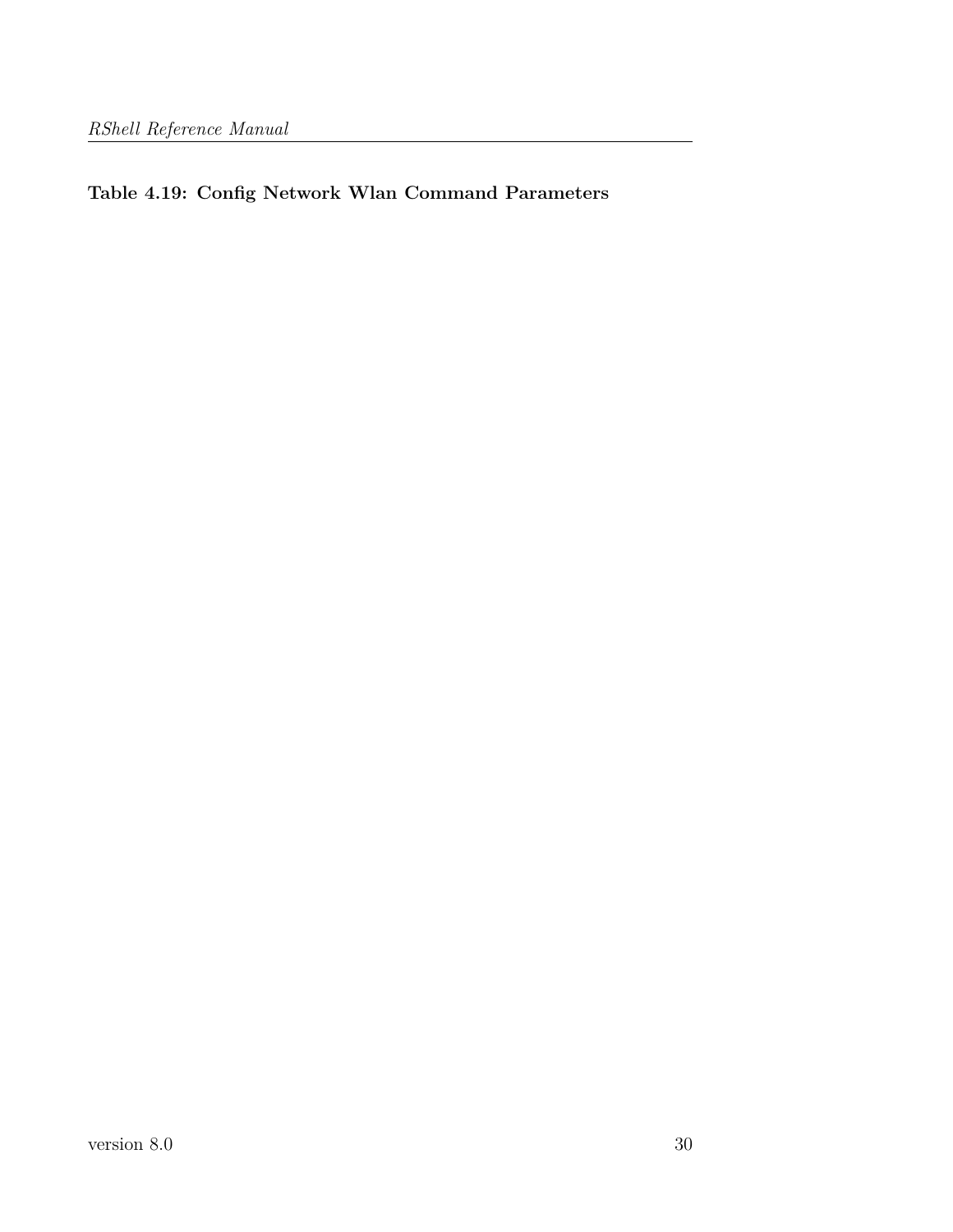# **Table 4.19: Config Network Wlan Command Parameters**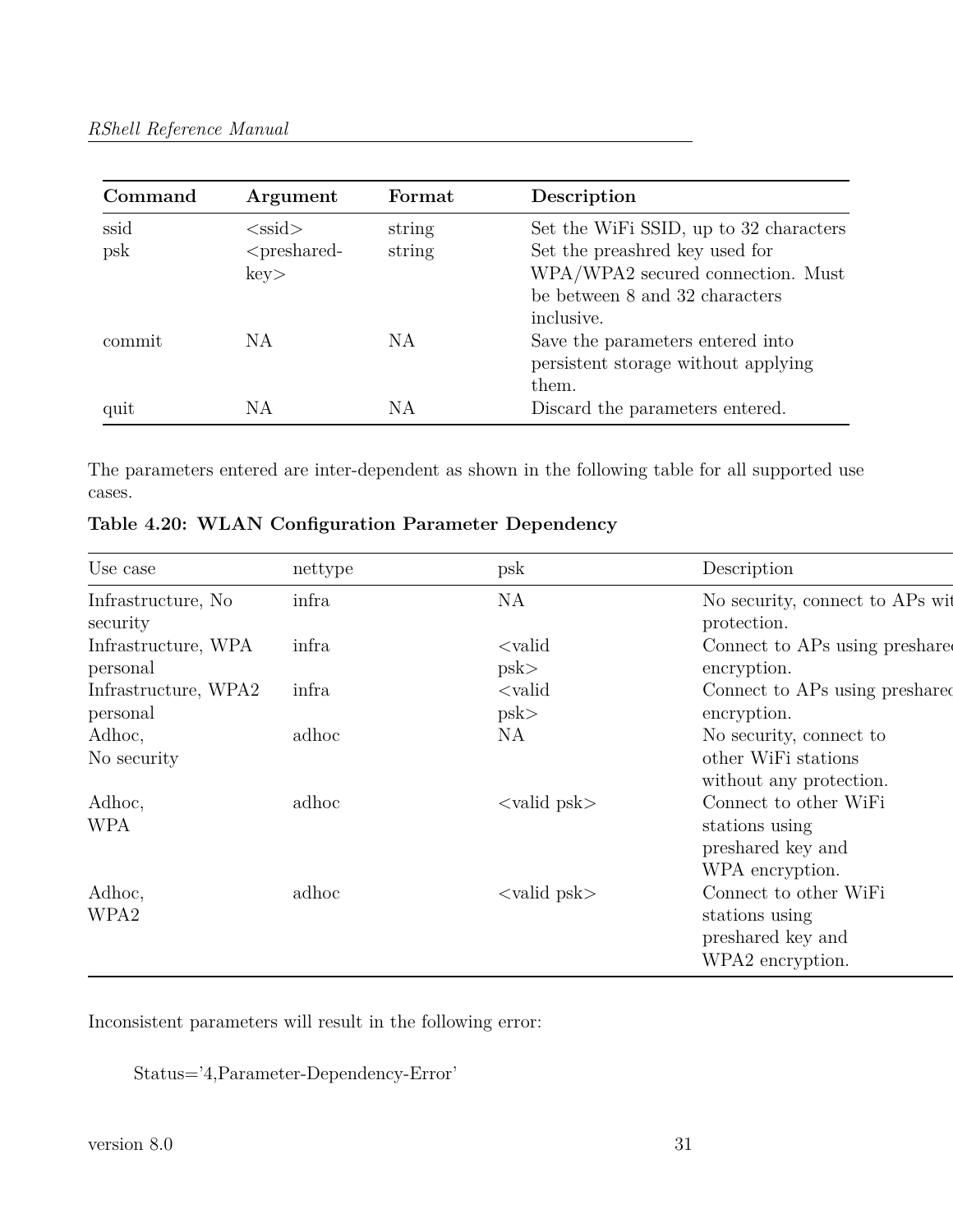| Command | Argument       | Format | Description                            |
|---------|----------------|--------|----------------------------------------|
| ssid    | $<$ ssid $>$   | string | Set the WiFi SSID, up to 32 characters |
| psk     | $<$ preshared- | string | Set the preashred key used for         |
|         | key            |        | WPA/WPA2 secured connection. Must      |
|         |                |        | be between 8 and 32 characters         |
|         |                |        | inclusive.                             |
| commit  | NA             | NA     | Save the parameters entered into       |
|         |                |        | persistent storage without applying    |
|         |                |        | them.                                  |
| quit    | NА             | ΝA     | Discard the parameters entered.        |

The parameters entered are inter-dependent as shown in the following table for all supported use cases.

| Use case                         | nettype | psk                           | Description                                                                      |
|----------------------------------|---------|-------------------------------|----------------------------------------------------------------------------------|
| Infrastructure, No.<br>security  | infra   | <b>NA</b>                     | No security, connect to APs wit<br>protection.                                   |
| Infrastructure, WPA<br>personal  | infra   | $\langle$ valid<br>psk        | Connect to APs using preshare<br>encryption.                                     |
| Infrastructure, WPA2<br>personal | infra   | $\langle$ valid<br>psk        | Connect to APs using preshared<br>encryption.                                    |
| Adhoc,                           | adhoc   | NA                            | No security, connect to                                                          |
| No security                      |         |                               | other WiFi stations<br>without any protection.                                   |
| Adhoc,<br><b>WPA</b>             | adhoc   | $\langle$ valid psk $\rangle$ | Connect to other WiFi<br>stations using<br>preshared key and<br>WPA encryption.  |
| Adhoc,<br>WPA2                   | adhoc   | $\langle$ valid psk $\rangle$ | Connect to other WiFi<br>stations using<br>preshared key and<br>WPA2 encryption. |

|  |  | Table 4.20: WLAN Configuration Parameter Dependency |  |  |
|--|--|-----------------------------------------------------|--|--|
|--|--|-----------------------------------------------------|--|--|

Inconsistent parameters will result in the following error:

Status='4,Parameter-Dependency-Error'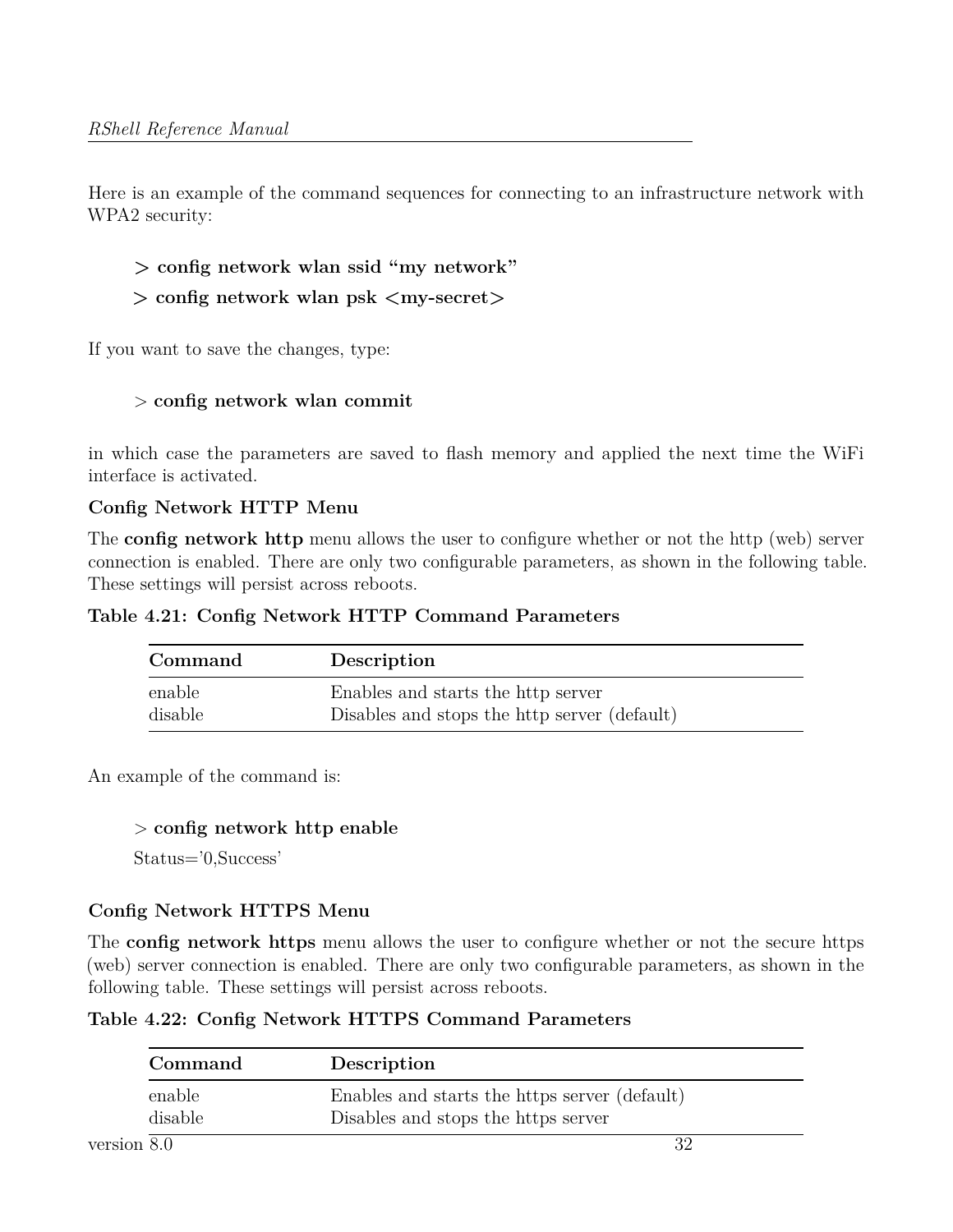Here is an example of the command sequences for connecting to an infrastructure network with WPA2 security:

```
> config network wlan ssid "my network"
```

```
> config network wlan psk <my-secret>
```
If you want to save the changes, type:

## > **config network wlan commit**

in which case the parameters are saved to flash memory and applied the next time the WiFi interface is activated.

#### **Config Network HTTP Menu**

The **config network http** menu allows the user to configure whether or not the http (web) server connection is enabled. There are only two configurable parameters, as shown in the following table. These settings will persist across reboots.

**Table 4.21: Config Network HTTP Command Parameters**

| Command | Description                                  |
|---------|----------------------------------------------|
| enable  | Enables and starts the http server           |
| disable | Disables and stops the http server (default) |

An example of the command is:

#### > **config network http enable**

Status='0,Success'

# **Config Network HTTPS Menu**

The **config network https** menu allows the user to configure whether or not the secure https (web) server connection is enabled. There are only two configurable parameters, as shown in the following table. These settings will persist across reboots.

**Table 4.22: Config Network HTTPS Command Parameters**

| Command | Description                                   |
|---------|-----------------------------------------------|
| enable  | Enables and starts the https server (default) |
| disable | Disables and stops the https server           |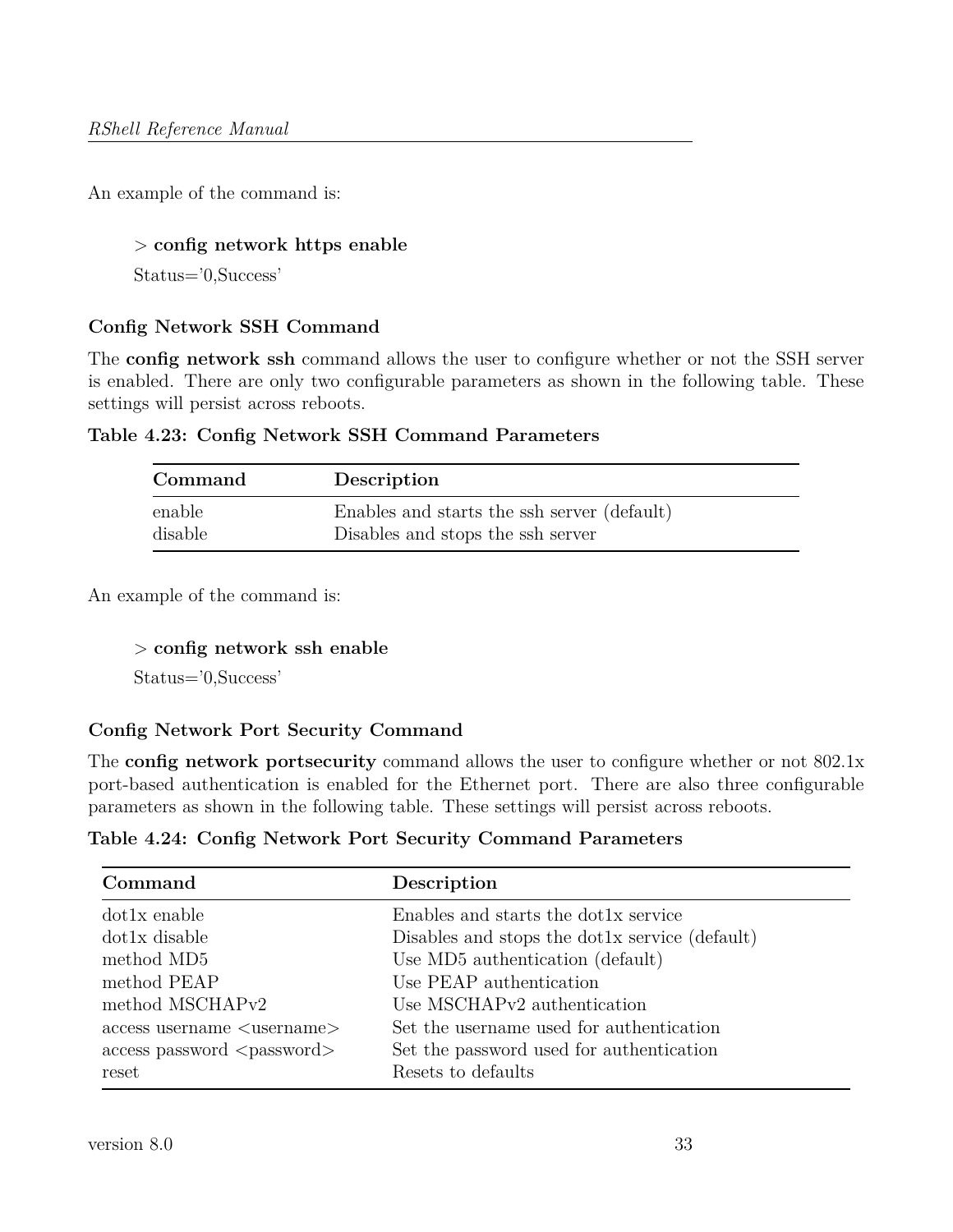An example of the command is:

#### > **config network https enable**

Status='0,Success'

#### **Config Network SSH Command**

The **config network ssh** command allows the user to configure whether or not the SSH server is enabled. There are only two configurable parameters as shown in the following table. These settings will persist across reboots.

|  |  |  |  |  | Table 4.23: Config Network SSH Command Parameters |
|--|--|--|--|--|---------------------------------------------------|
|--|--|--|--|--|---------------------------------------------------|

| Command | Description                                 |
|---------|---------------------------------------------|
| enable  | Enables and starts the ssh server (default) |
| disable | Disables and stops the ssh server           |

An example of the command is:

#### > **config network ssh enable**

Status='0,Success'

## **Config Network Port Security Command**

The **config network portsecurity** command allows the user to configure whether or not 802.1x port-based authentication is enabled for the Ethernet port. There are also three configurable parameters as shown in the following table. These settings will persist across reboots.

**Table 4.24: Config Network Port Security Command Parameters**

| Command                               | Description                                    |
|---------------------------------------|------------------------------------------------|
| $dot1x$ enable                        | Enables and starts the dot1x service           |
| dot1x disable                         | Disables and stops the dot1x service (default) |
| method MD5                            | Use MD5 authentication (default)               |
| method PEAP                           | Use PEAP authentication                        |
| method MSCHAP <sub>v2</sub>           | Use MSCHAPv2 authentication                    |
| $access$ username $\leq$ username $>$ | Set the username used for authentication       |
| $access$ password $<$ password $>$    | Set the password used for authentication       |
| reset                                 | Resets to defaults                             |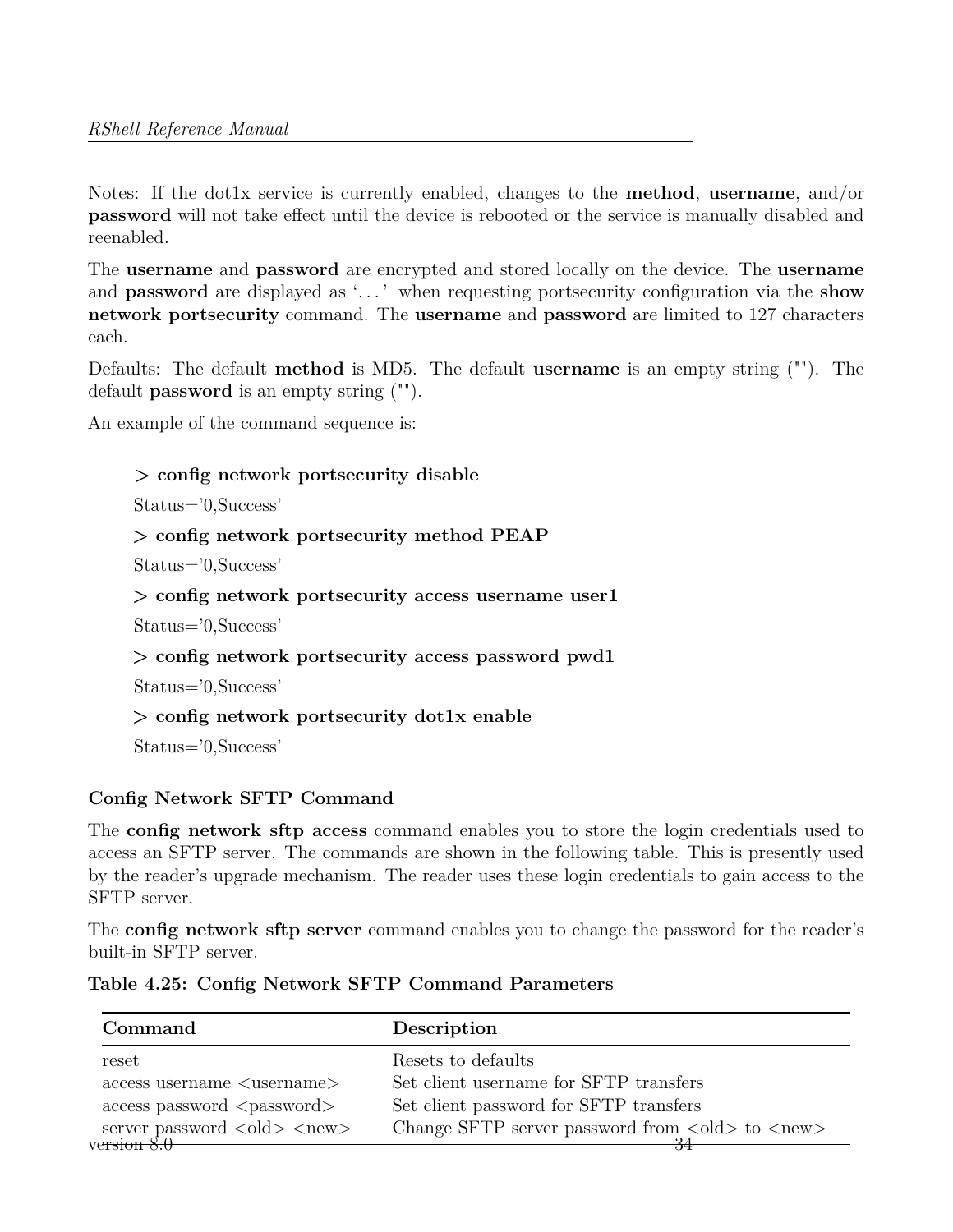Notes: If the dot1x service is currently enabled, changes to the **method**, **username**, and/or **password** will not take effect until the device is rebooted or the service is manually disabled and reenabled.

The **username** and **password** are encrypted and stored locally on the device. The **username** and **password** are displayed as '. . . ' when requesting portsecurity configuration via the **show network portsecurity** command. The **username** and **password** are limited to 127 characters each.

Defaults: The default **method** is MD5. The default **username** is an empty string (""). The default **password** is an empty string ("").

An example of the command sequence is:

#### **> config network portsecurity disable**

Status='0,Success'

```
> config network portsecurity method PEAP
```
Status='0,Success'

```
> config network portsecurity access username user1
```
Status='0,Success'

```
> config network portsecurity access password pwd1
```
Status='0,Success'

```
> config network portsecurity dot1x enable
```
Status='0,Success'

## **Config Network SFTP Command**

The **config network sftp access** command enables you to store the login credentials used to access an SFTP server. The commands are shown in the following table. This is presently used by the reader's upgrade mechanism. The reader uses these login credentials to gain access to the SFTP server.

The **config network sftp server** command enables you to change the password for the reader's built-in SFTP server.

| Table 4.25: Config Network SFTP Command Parameters |  |
|----------------------------------------------------|--|
|                                                    |  |
|                                                    |  |

| Command                                                                   | Description                                                                                   |
|---------------------------------------------------------------------------|-----------------------------------------------------------------------------------------------|
| reset                                                                     | Resets to defaults                                                                            |
| $access$ username $\leq$ username $>$                                     | Set client username for SFTP transfers                                                        |
| $access$ password $<$ password $>$                                        | Set client password for SFTP transfers                                                        |
| server password $\langle \text{old} \rangle$ $\langle \text{new} \rangle$ | Change SFTP server password from $\langle \text{old} \rangle$ to $\langle \text{new} \rangle$ |
| version $8.0$                                                             |                                                                                               |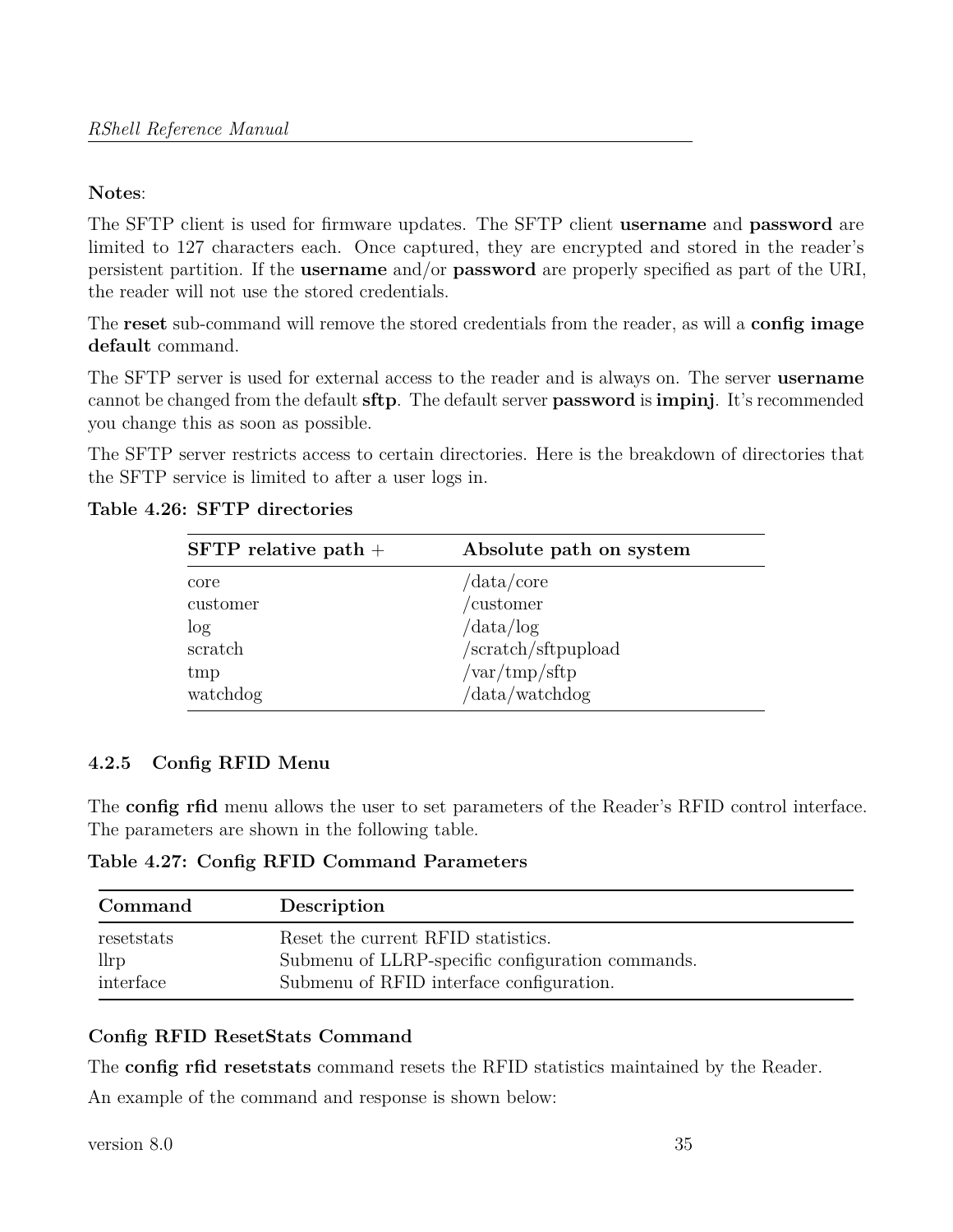#### **Notes**:

The SFTP client is used for firmware updates. The SFTP client **username** and **password** are limited to 127 characters each. Once captured, they are encrypted and stored in the reader's persistent partition. If the **username** and/or **password** are properly specified as part of the URI, the reader will not use the stored credentials.

The **reset** sub-command will remove the stored credentials from the reader, as will a **config image default** command.

The SFTP server is used for external access to the reader and is always on. The server **username** cannot be changed from the default **sftp**. The default server **password** is **impinj**. It's recommended you change this as soon as possible.

The SFTP server restricts access to certain directories. Here is the breakdown of directories that the SFTP service is limited to after a user logs in.

| $SFTP$ relative path + | Absolute path on system                    |
|------------------------|--------------------------------------------|
| core                   | $\frac{\text{data}}{\text{core}}$          |
| customer               | /customer                                  |
| $\log$                 | $\frac{\text{data}}{\log}$                 |
| scratch                | /scratch/sftpupload                        |
| tmp                    | $\sqrt{\text{var}/\text{tmp}}/\text{sftp}$ |
| watchdog               | /data/watchdog                             |

#### **Table 4.26: SFTP directories**

## <span id="page-34-0"></span>**4.2.5 Config RFID Menu**

The **config rfid** menu allows the user to set parameters of the Reader's RFID control interface. The parameters are shown in the following table.

**Table 4.27: Config RFID Command Parameters**

| Command            | Description                                                                            |
|--------------------|----------------------------------------------------------------------------------------|
| resetstats<br>llrp | Reset the current RFID statistics.<br>Submenu of LLRP-specific configuration commands. |
| interface          | Submenu of RFID interface configuration.                                               |

## **Config RFID ResetStats Command**

The **config rfid resetstats** command resets the RFID statistics maintained by the Reader.

An example of the command and response is shown below: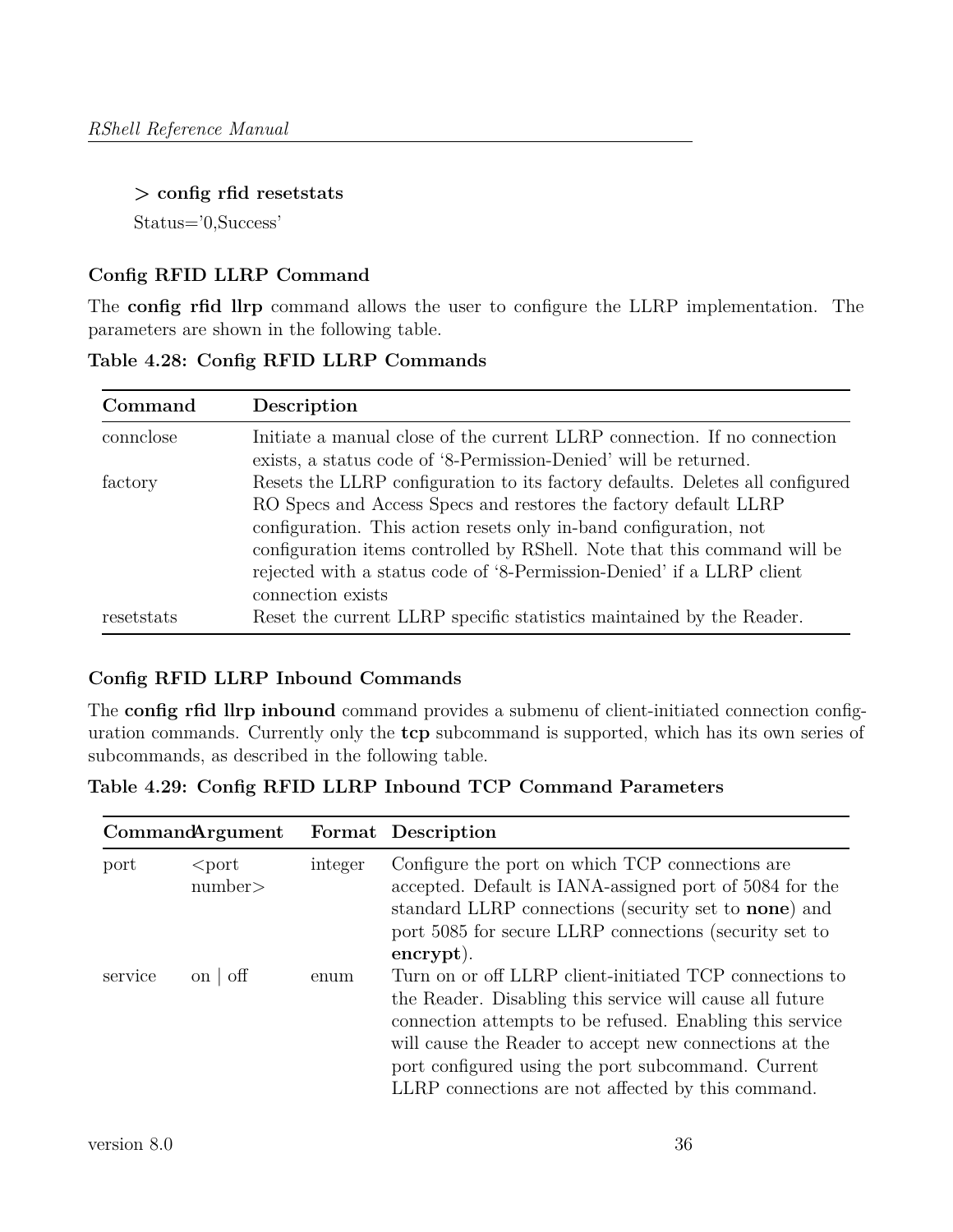#### **> config rfid resetstats**

Status='0,Success'

# **Config RFID LLRP Command**

The **config rfid llrp** command allows the user to configure the LLRP implementation. The parameters are shown in the following table.

**Table 4.28: Config RFID LLRP Commands**

| Command    | Description                                                                   |
|------------|-------------------------------------------------------------------------------|
| connclose  | Initiate a manual close of the current LLRP connection. If no connection      |
|            | exists, a status code of '8-Permission-Denied' will be returned.              |
| factory    | Resets the LLRP configuration to its factory defaults. Deletes all configured |
|            | RO Specs and Access Specs and restores the factory default LLRP               |
|            | configuration. This action resets only in-band configuration, not             |
|            | configuration items controlled by RShell. Note that this command will be      |
|            | rejected with a status code of '8-Permission-Denied' if a LLRP client         |
|            | connection exists                                                             |
| resetstats | Reset the current LLRP specific statistics maintained by the Reader.          |

# **Config RFID LLRP Inbound Commands**

The **config rfid llrp inbound** command provides a submenu of client-initiated connection configuration commands. Currently only the **tcp** subcommand is supported, which has its own series of subcommands, as described in the following table.

**Table 4.29: Config RFID LLRP Inbound TCP Command Parameters**

| CommandArgument |                    |         | Format Description                                                                                                                                                                                                                                                                                                                                                               |
|-----------------|--------------------|---------|----------------------------------------------------------------------------------------------------------------------------------------------------------------------------------------------------------------------------------------------------------------------------------------------------------------------------------------------------------------------------------|
| port            | $<$ port<br>number | integer | Configure the port on which TCP connections are<br>accepted. Default is IANA-assigned port of 5084 for the<br>standard LLRP connections (security set to none) and<br>port 5085 for secure LLRP connections (security set to                                                                                                                                                     |
| service         | on $\sigma$        | enum    | $\frac{1}{2}$ encrypt).<br>Turn on or off LLRP client-initiated TCP connections to<br>the Reader. Disabling this service will cause all future<br>connection attempts to be refused. Enabling this service<br>will cause the Reader to accept new connections at the<br>port configured using the port subcommand. Current<br>LLRP connections are not affected by this command. |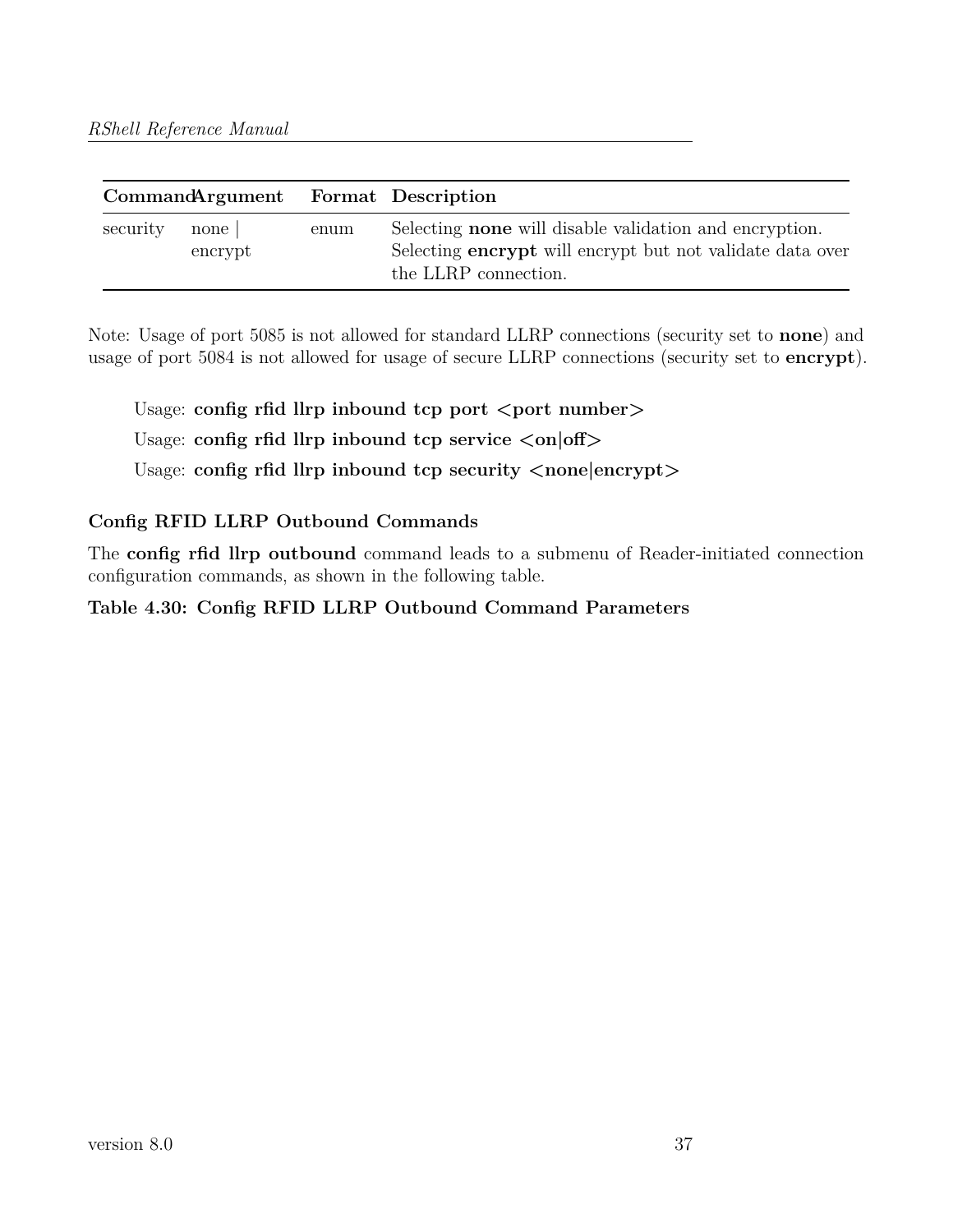| CommandArgument Format Description |                   |      |                                                                                                                                                           |
|------------------------------------|-------------------|------|-----------------------------------------------------------------------------------------------------------------------------------------------------------|
| security                           | none  <br>encrypt | enum | Selecting <b>none</b> will disable validation and encryption.<br>Selecting <b>encrypt</b> will encrypt but not validate data over<br>the LLRP connection. |

Note: Usage of port 5085 is not allowed for standard LLRP connections (security set to **none**) and usage of port 5084 is not allowed for usage of secure LLRP connections (security set to **encrypt**).

Usage: config rfid llrp inbound tcp port <port number> Usage: **config rfid llrp inbound tcp service <on|off>** Usage: **config rfid llrp inbound tcp security**  $\langle$  **none encrypt** $\rangle$ 

## **Config RFID LLRP Outbound Commands**

The **config rfid llrp outbound** command leads to a submenu of Reader-initiated connection configuration commands, as shown in the following table.

## **Table 4.30: Config RFID LLRP Outbound Command Parameters**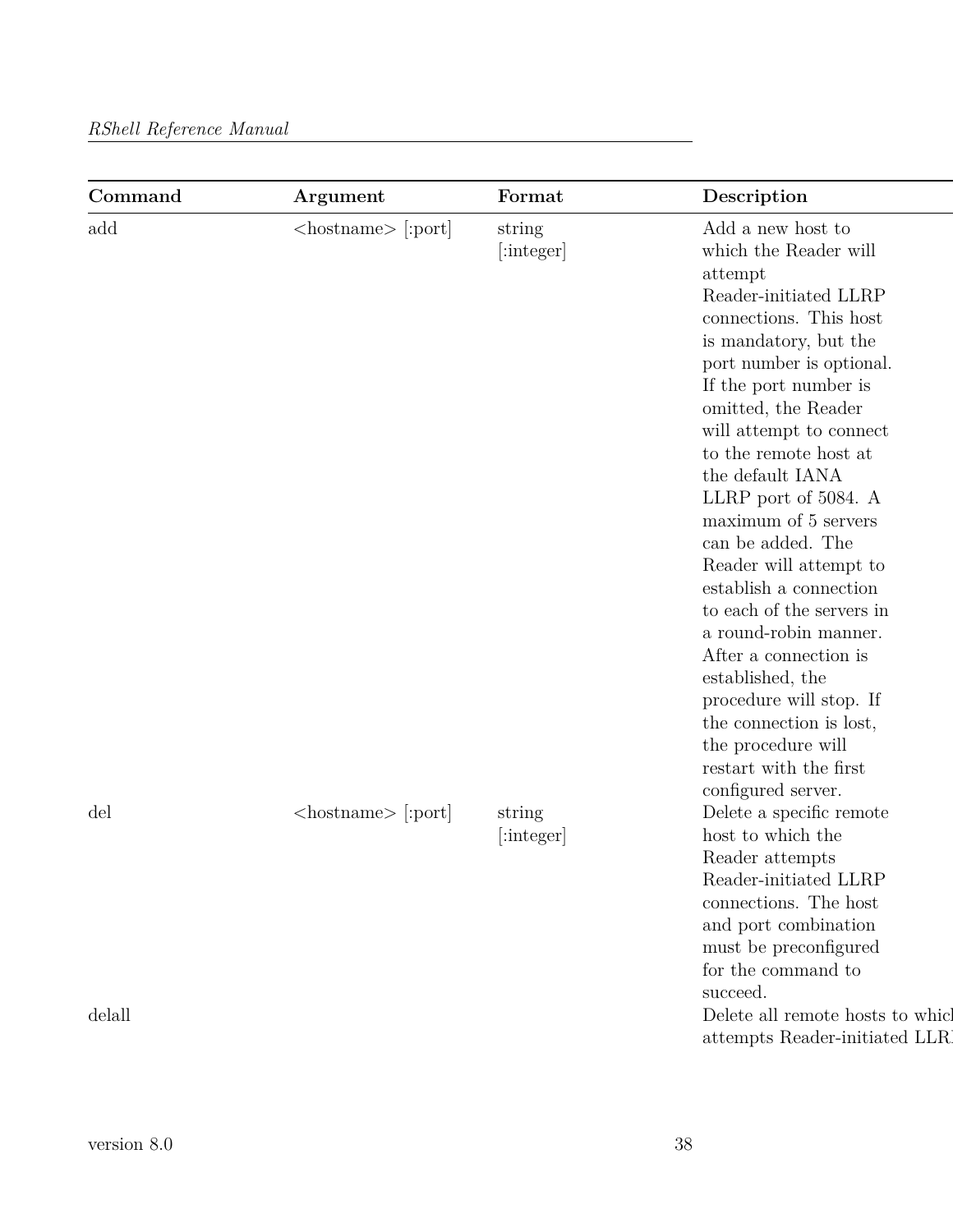| add    | $\langle$ hostname $\rangle$ [:port] | string               | Add a new host to                                                                                                                                                                                                                                                                                                                                                                                                                                                                                                                                                                                             |
|--------|--------------------------------------|----------------------|---------------------------------------------------------------------------------------------------------------------------------------------------------------------------------------------------------------------------------------------------------------------------------------------------------------------------------------------------------------------------------------------------------------------------------------------------------------------------------------------------------------------------------------------------------------------------------------------------------------|
|        |                                      | [:integer]           | which the Reader will<br>attempt<br>Reader-initiated LLRP<br>connections. This host<br>is mandatory, but the<br>port number is optional.<br>If the port number is<br>omitted, the Reader<br>will attempt to connect<br>to the remote host at $% \alpha$<br>the default IANA<br>LLRP port of 5084. A<br>maximum of 5 servers<br>can be added. The<br>Reader will attempt to<br>establish a connection<br>to each of the servers in<br>a round-robin manner.<br>After a connection is<br>established, the<br>procedure will stop. If<br>the connection is lost,<br>the procedure will<br>restart with the first |
| del    | $\langle$ hostname $\rangle$ [:port] | string<br>[:integer] | configured server.<br>Delete a specific remote<br>host to which the<br>Reader attempts<br>Reader-initiated LLRP<br>connections. The host<br>and port combination<br>must be preconfigured<br>for the command to                                                                                                                                                                                                                                                                                                                                                                                               |
| delall |                                      |                      | succeed.<br>Delete all remote hosts to which<br>attempts Reader-initiated LLR                                                                                                                                                                                                                                                                                                                                                                                                                                                                                                                                 |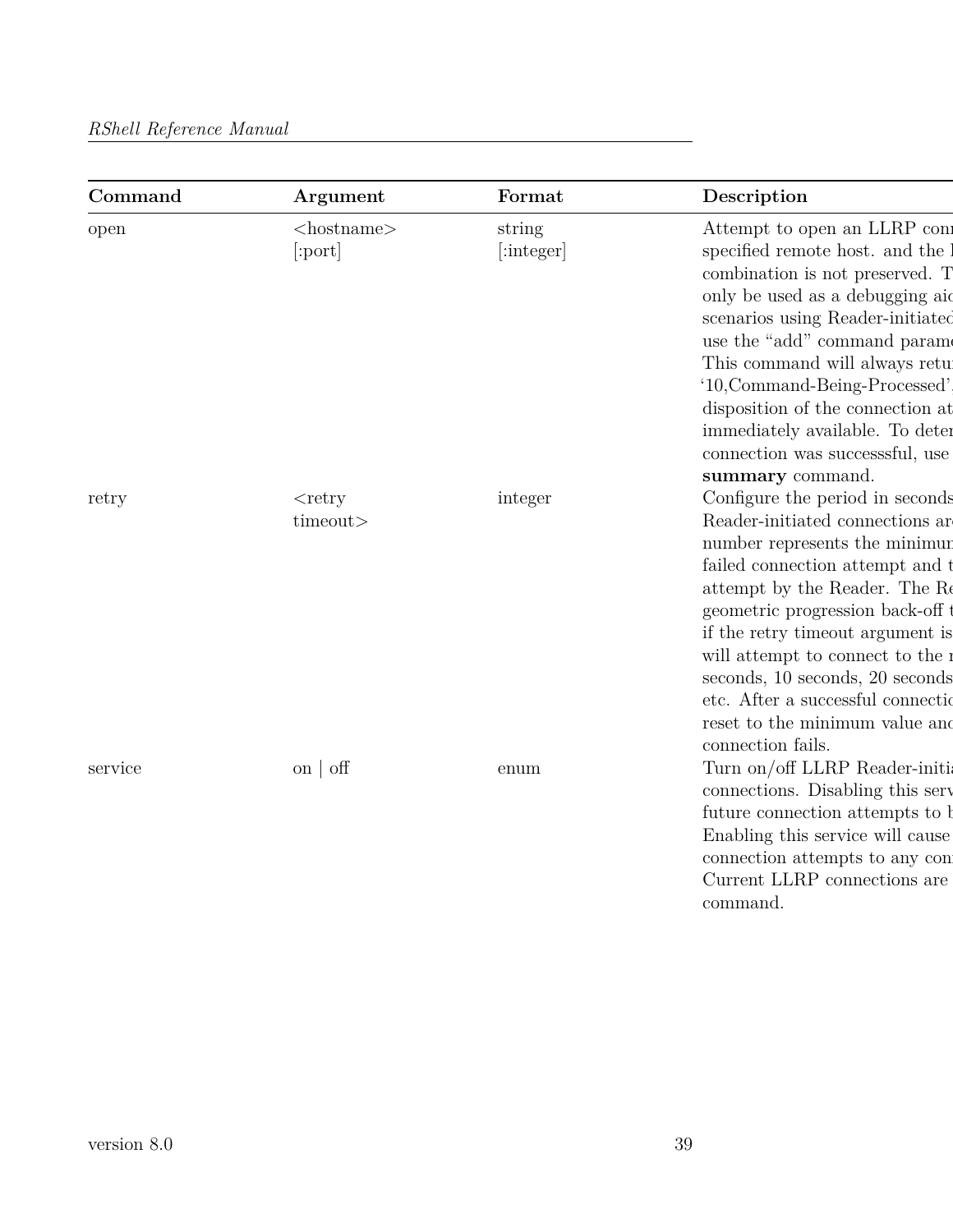| Command | Argument                    | Format               | Description                                                                                                                                                                                                                                                                                                                                                                                                        |
|---------|-----------------------------|----------------------|--------------------------------------------------------------------------------------------------------------------------------------------------------------------------------------------------------------------------------------------------------------------------------------------------------------------------------------------------------------------------------------------------------------------|
| open    | $<$ hostname $>$<br>[:port] | string<br>[:integer] | Attempt to open an LLRP con<br>specified remote host. and the<br>combination is not preserved. T<br>only be used as a debugging aid<br>scenarios using Reader-initiated<br>use the "add" command parameters"<br>This command will always retu<br>'10, Command-Being-Processed'<br>disposition of the connection at<br>immediately available. To deter<br>connection was successsful, use<br>summary command.       |
| retry   | $<$ retry<br>timeout>       | integer              | Configure the period in seconds<br>Reader-initiated connections are<br>number represents the minimur<br>failed connection attempt and t<br>attempt by the Reader. The Re<br>geometric progression back-off<br>if the retry timeout argument is<br>will attempt to connect to the :<br>seconds, 10 seconds, 20 seconds<br>etc. After a successful connection<br>reset to the minimum value and<br>connection fails. |
| service | on $\sigma$                 | enum                 | Turn on/off LLRP Reader-initia<br>connections. Disabling this serv<br>future connection attempts to b<br>Enabling this service will cause<br>connection attempts to any con<br>Current LLRP connections are<br>command.                                                                                                                                                                                            |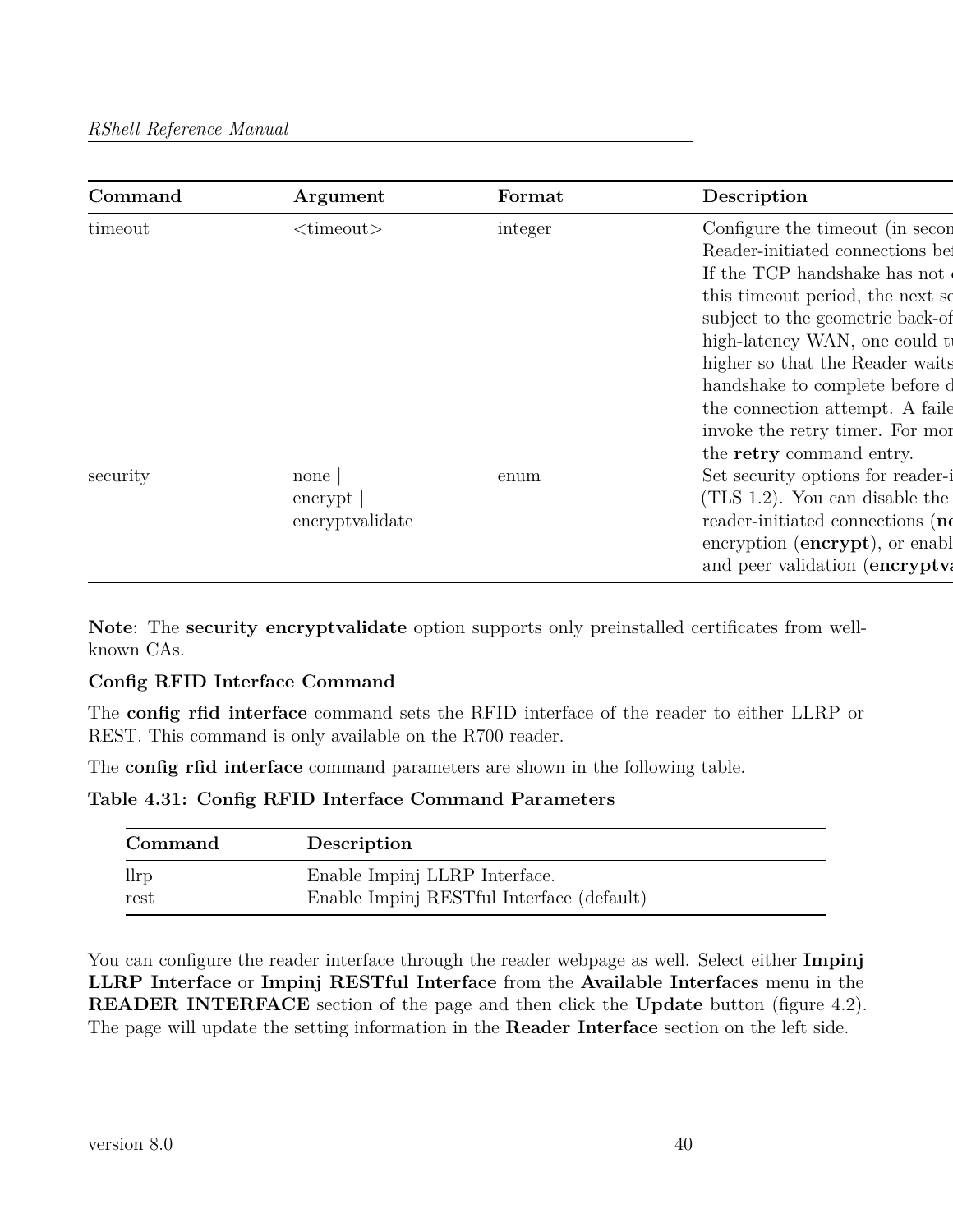| Command  | Argument                             | Format  | Description                                                                                                                                                                                                                                                                                                                                                                                |
|----------|--------------------------------------|---------|--------------------------------------------------------------------------------------------------------------------------------------------------------------------------------------------------------------------------------------------------------------------------------------------------------------------------------------------------------------------------------------------|
| timeout  | $\langle$ timeout $\rangle$          | integer | Configure the timeout (in secon<br>Reader-initiated connections be<br>If the TCP handshake has not<br>this timeout period, the next se<br>subject to the geometric back-of<br>high-latency WAN, one could t<br>higher so that the Reader waits<br>handshake to complete before d<br>the connection attempt. A faile<br>invoke the retry timer. For more<br>the <b>retry</b> command entry. |
| security | none<br>encrypt  <br>encryptvalidate | enum    | Set security options for reader-i<br>$(TLS 1.2)$ . You can disable the<br>reader-initiated connections (no<br>encryption (encrypt), or enable<br>and peer validation (encryptva                                                                                                                                                                                                            |

**Note**: The **security encryptvalidate** option supports only preinstalled certificates from wellknown CAs.

## **Config RFID Interface Command**

The **config rfid interface** command sets the RFID interface of the reader to either LLRP or REST. This command is only available on the R700 reader.

The **config rfid interface** command parameters are shown in the following table.

**Table 4.31: Config RFID Interface Command Parameters**

| Command       | Description                               |
|---------------|-------------------------------------------|
| $_{\rm llrp}$ | Enable Impinj LLRP Interface.             |
| rest          | Enable Impinj RESTful Interface (default) |

You can configure the reader interface through the reader webpage as well. Select either **Impinj LLRP Interface** or **Impinj RESTful Interface** from the **Available Interfaces** menu in the **READER INTERFACE** section of the page and then click the **Update** button (figure 4.2). The page will update the setting information in the **Reader Interface** section on the left side.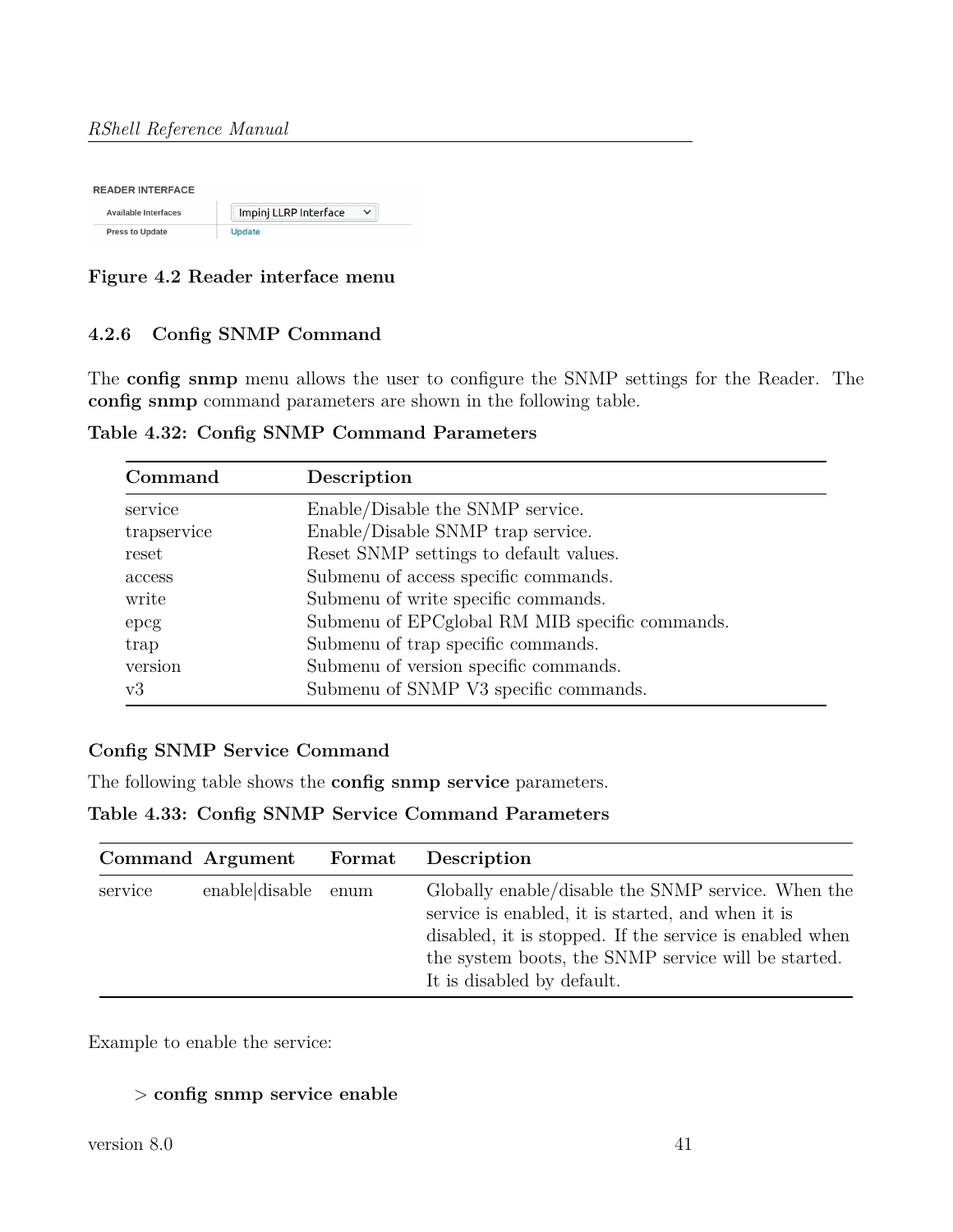| <b>READER INTERFACE</b>     |                       |  |  |  |
|-----------------------------|-----------------------|--|--|--|
| <b>Available Interfaces</b> | Impinj LLRP Interface |  |  |  |
| <b>Press to Update</b>      | <b>Update</b>         |  |  |  |

**Figure 4.2 Reader interface menu**

## **4.2.6 Config SNMP Command**

The **config snmp** menu allows the user to configure the SNMP settings for the Reader. The **config snmp** command parameters are shown in the following table.

| Table 4.32: Config SNMP Command Parameters |  |  |
|--------------------------------------------|--|--|
|                                            |  |  |

| Command     | Description                                    |
|-------------|------------------------------------------------|
| service     | Enable/Disable the SNMP service.               |
| trapservice | Enable/Disable SNMP trap service.              |
| reset       | Reset SNMP settings to default values.         |
| access      | Submenu of access specific commands.           |
| write       | Submenu of write specific commands.            |
| epcg        | Submenu of EPCglobal RM MIB specific commands. |
| trap        | Submenu of trap specific commands.             |
| version     | Submenu of version specific commands.          |
| v3          | Submenu of SNMP V3 specific commands.          |

## **Config SNMP Service Command**

The following table shows the **config snmp service** parameters.

## **Table 4.33: Config SNMP Service Command Parameters**

|         | Command Argument Format | Description                                                                                                                                                                                                                                             |
|---------|-------------------------|---------------------------------------------------------------------------------------------------------------------------------------------------------------------------------------------------------------------------------------------------------|
| service | enable disable enum     | Globally enable/disable the SNMP service. When the<br>service is enabled, it is started, and when it is<br>disabled, it is stopped. If the service is enabled when<br>the system boots, the SNMP service will be started.<br>It is disabled by default. |

Example to enable the service:

## > **config snmp service enable**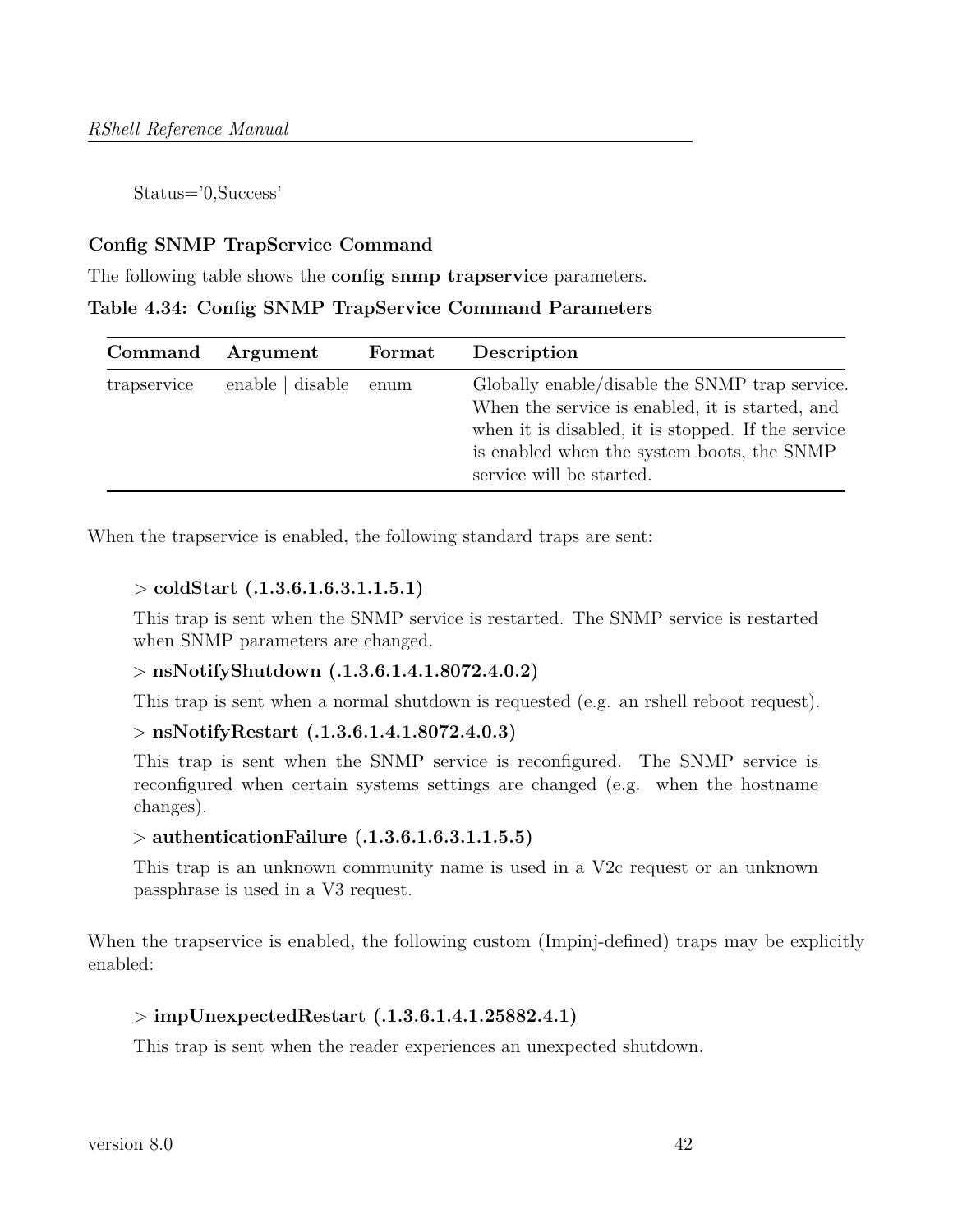Status='0,Success'

#### **Config SNMP TrapService Command**

The following table shows the **config snmp trapservice** parameters.

### **Table 4.34: Config SNMP TrapService Command Parameters**

| Command     | Argument         | Format | Description                                                                                                                                                                                                                       |
|-------------|------------------|--------|-----------------------------------------------------------------------------------------------------------------------------------------------------------------------------------------------------------------------------------|
| trapservice | enable   disable | enum   | Globally enable/disable the SNMP trap service.<br>When the service is enabled, it is started, and<br>when it is disabled, it is stopped. If the service<br>is enabled when the system boots, the SNMP<br>service will be started. |

When the trapservice is enabled, the following standard traps are sent:

#### > **coldStart (.1.3.6.1.6.3.1.1.5.1)**

This trap is sent when the SNMP service is restarted. The SNMP service is restarted when SNMP parameters are changed.

#### > **nsNotifyShutdown (.1.3.6.1.4.1.8072.4.0.2)**

This trap is sent when a normal shutdown is requested (e.g. an rshell reboot request).

#### > **nsNotifyRestart (.1.3.6.1.4.1.8072.4.0.3)**

This trap is sent when the SNMP service is reconfigured. The SNMP service is reconfigured when certain systems settings are changed (e.g. when the hostname changes).

#### > **authenticationFailure (.1.3.6.1.6.3.1.1.5.5)**

This trap is an unknown community name is used in a V2c request or an unknown passphrase is used in a V3 request.

When the trapservice is enabled, the following custom (Impinj-defined) traps may be explicitly enabled:

#### > **impUnexpectedRestart (.1.3.6.1.4.1.25882.4.1)**

This trap is sent when the reader experiences an unexpected shutdown.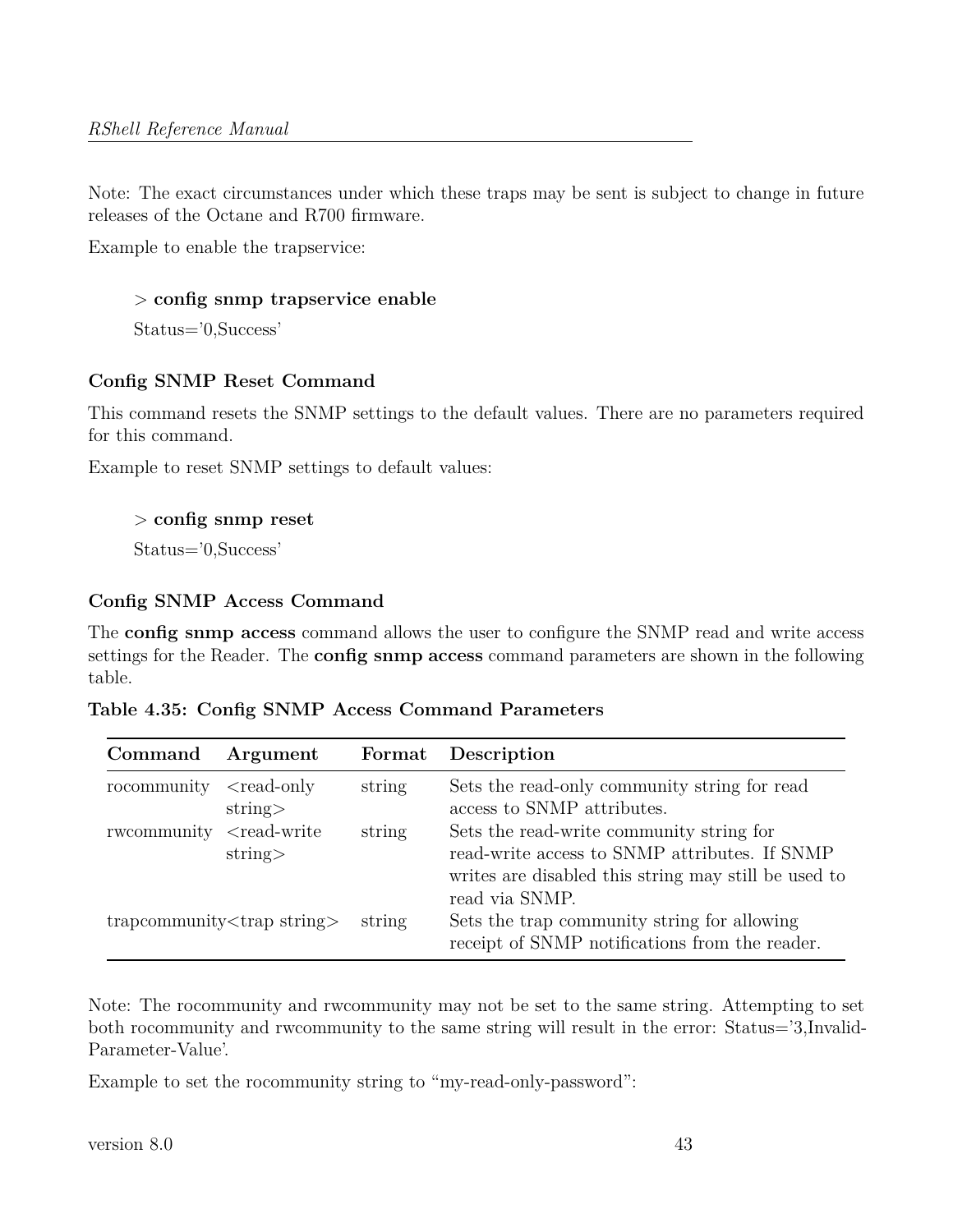Note: The exact circumstances under which these traps may be sent is subject to change in future releases of the Octane and R700 firmware.

Example to enable the trapservice:

```
> config snmp trapservice enable
```
Status='0,Success'

## **Config SNMP Reset Command**

This command resets the SNMP settings to the default values. There are no parameters required for this command.

Example to reset SNMP settings to default values:

#### > **config snmp reset**

Status='0,Success'

## **Config SNMP Access Command**

The **config snmp access** command allows the user to configure the SNMP read and write access settings for the Reader. The **config snmp access** command parameters are shown in the following table.

|  | Table 4.35: Config SNMP Access Command Parameters |  |  |  |
|--|---------------------------------------------------|--|--|--|
|--|---------------------------------------------------|--|--|--|

| Command                               | Argument                 |        | Format Description                                                                                                                                                  |
|---------------------------------------|--------------------------|--------|---------------------------------------------------------------------------------------------------------------------------------------------------------------------|
| rocommunity                           | $<$ read-only<br>string  | string | Sets the read-only community string for read<br>access to SNMP attributes.                                                                                          |
| rwcommunity                           | $<$ read-write<br>string | string | Sets the read-write community string for<br>read-write access to SNMP attributes. If SNMP<br>writes are disabled this string may still be used to<br>read via SNMP. |
| trapcommunity <trap string=""></trap> |                          | string | Sets the trap community string for allowing<br>receipt of SNMP notifications from the reader.                                                                       |

Note: The rocommunity and rwcommunity may not be set to the same string. Attempting to set both rocommunity and rwcommunity to the same string will result in the error: Status='3,Invalid-Parameter-Value'.

Example to set the rocommunity string to "my-read-only-password":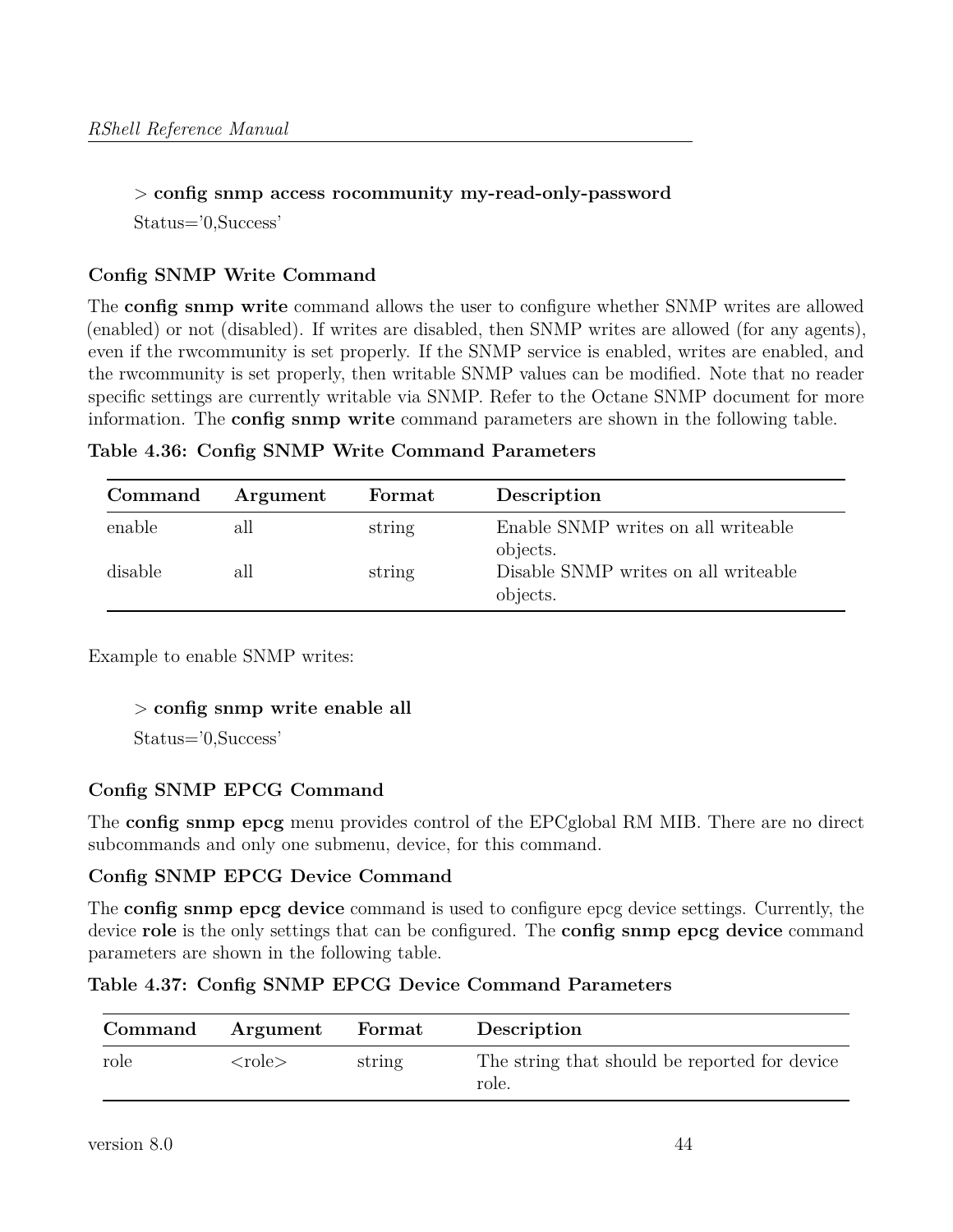## > **config snmp access rocommunity my-read-only-password**

Status='0,Success'

## **Config SNMP Write Command**

The **config snmp write** command allows the user to configure whether SNMP writes are allowed (enabled) or not (disabled). If writes are disabled, then SNMP writes are allowed (for any agents), even if the rwcommunity is set properly. If the SNMP service is enabled, writes are enabled, and the rwcommunity is set properly, then writable SNMP values can be modified. Note that no reader specific settings are currently writable via SNMP. Refer to the Octane SNMP document for more information. The **config snmp write** command parameters are shown in the following table.

|  |  |  |  |  | Table 4.36: Config SNMP Write Command Parameters |
|--|--|--|--|--|--------------------------------------------------|
|--|--|--|--|--|--------------------------------------------------|

| Command | Argument | Format | Description                                      |
|---------|----------|--------|--------------------------------------------------|
| enable  | all      | string | Enable SNMP writes on all writeable<br>objects.  |
| disable | all      | string | Disable SNMP writes on all writeable<br>objects. |

Example to enable SNMP writes:

#### > **config snmp write enable all**

Status='0,Success'

## **Config SNMP EPCG Command**

The **config snmp epcg** menu provides control of the EPCglobal RM MIB. There are no direct subcommands and only one submenu, device, for this command.

#### **Config SNMP EPCG Device Command**

The **config snmp epcg device** command is used to configure epcg device settings. Currently, the device **role** is the only settings that can be configured. The **config snmp epcg device** command parameters are shown in the following table.

**Table 4.37: Config SNMP EPCG Device Command Parameters**

| Command | Argument | ${\bf Format}$ | Description                                            |
|---------|----------|----------------|--------------------------------------------------------|
| role    | $role$   | string         | The string that should be reported for device<br>role. |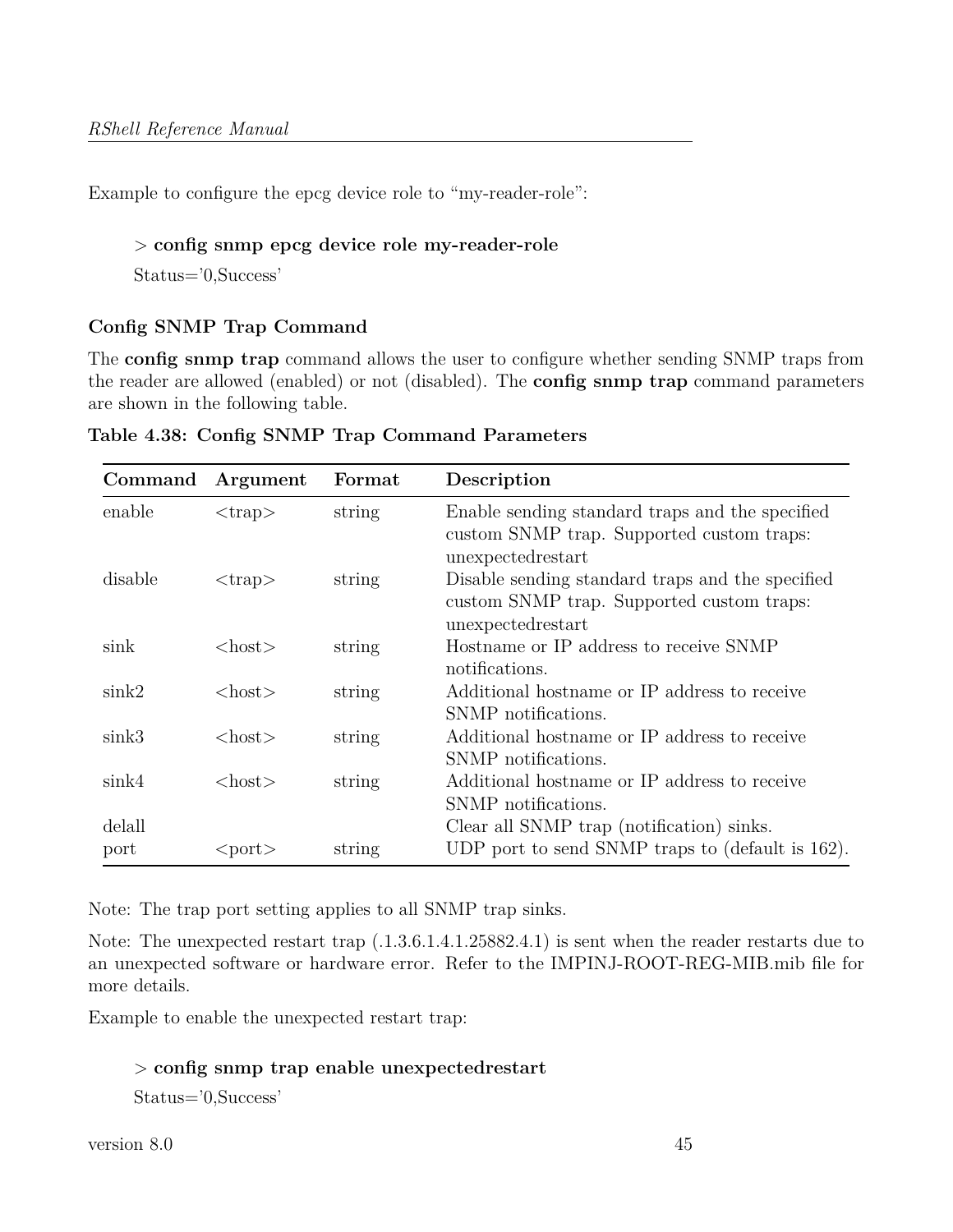Example to configure the epcg device role to "my-reader-role":

### > **config snmp epcg device role my-reader-role**

Status='0,Success'

## **Config SNMP Trap Command**

The **config snmp trap** command allows the user to configure whether sending SNMP traps from the reader are allowed (enabled) or not (disabled). The **config snmp trap** command parameters are shown in the following table.

| Command   | Argument      | Format | Description                                                                                                         |
|-----------|---------------|--------|---------------------------------------------------------------------------------------------------------------------|
| enable    | $<$ trap $>$  | string | Enable sending standard traps and the specified<br>custom SNMP trap. Supported custom traps:<br>unexpected restart  |
| disable   | $<$ trap $>$  | string | Disable sending standard traps and the specified<br>custom SNMP trap. Supported custom traps:<br>unexpected restart |
| sink      | $<$ host $>$  | string | Hostname or IP address to receive SNMP<br>notifications.                                                            |
| $\sin k2$ | $<$ host $>$  | string | Additional hostname or IP address to receive<br>SNMP notifications.                                                 |
| $\sin k3$ | $<$ host $>$  | string | Additional hostname or IP address to receive<br>SNMP notifications.                                                 |
| $\sin k4$ | <host></host> | string | Additional hostname or IP address to receive<br>SNMP notifications.                                                 |
| delall    |               |        | Clear all SNMP trap (notification) sinks.                                                                           |
| port      | <port></port> | string | UDP port to send SNMP traps to (default is 162).                                                                    |

**Table 4.38: Config SNMP Trap Command Parameters**

Note: The trap port setting applies to all SNMP trap sinks.

Note: The unexpected restart trap (.1.3.6.1.4.1.25882.4.1) is sent when the reader restarts due to an unexpected software or hardware error. Refer to the IMPINJ-ROOT-REG-MIB.mib file for more details.

Example to enable the unexpected restart trap:

#### > **config snmp trap enable unexpectedrestart**

Status='0,Success'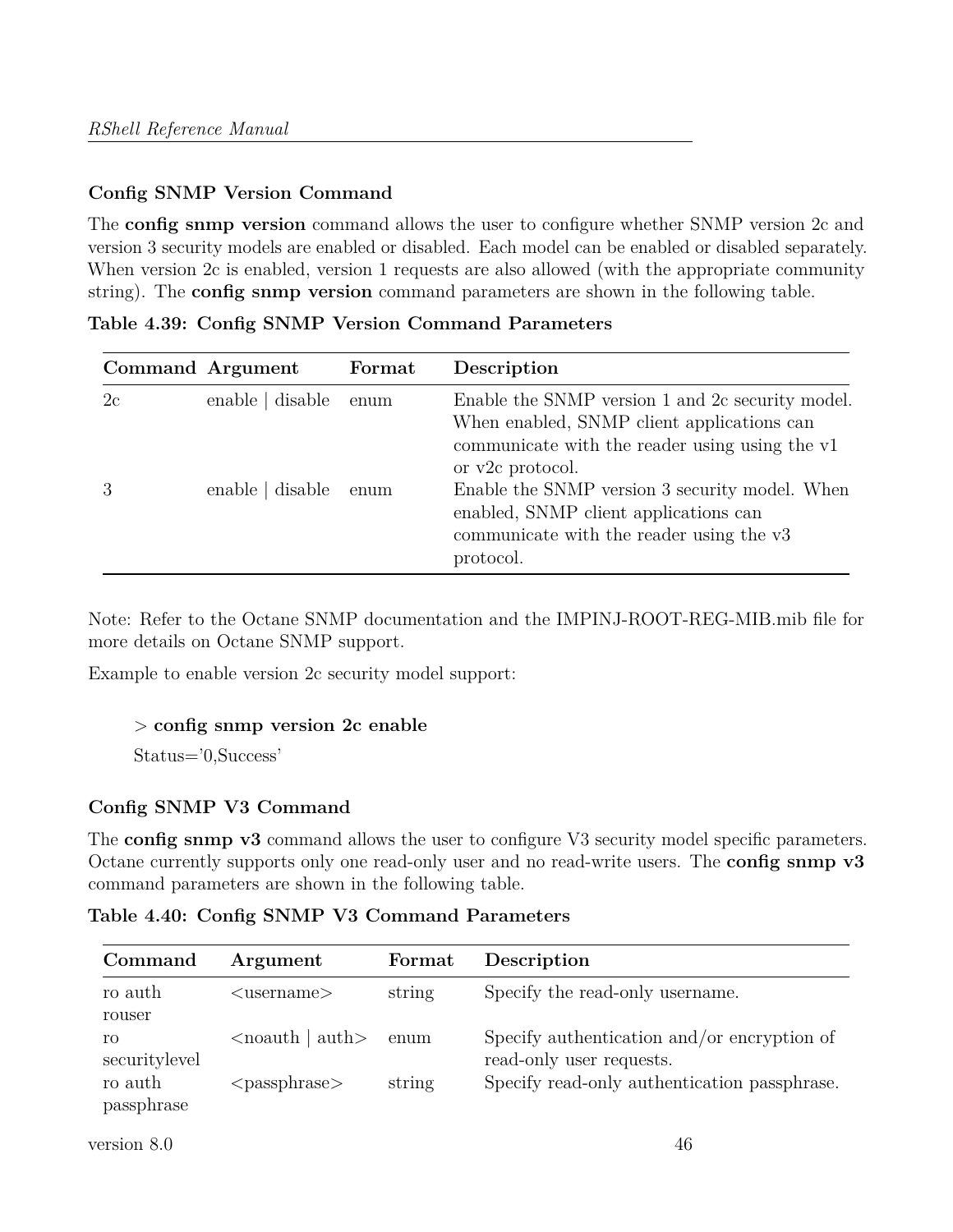## **Config SNMP Version Command**

The **config snmp version** command allows the user to configure whether SNMP version 2c and version 3 security models are enabled or disabled. Each model can be enabled or disabled separately. When version 2c is enabled, version 1 requests are also allowed (with the appropriate community string). The **config snmp version** command parameters are shown in the following table.

|    | Command Argument | Format | Description                                                                                                                                                          |
|----|------------------|--------|----------------------------------------------------------------------------------------------------------------------------------------------------------------------|
| 2c | enable   disable | enum   | Enable the SNMP version 1 and 2c security model.<br>When enabled, SNMP client applications can<br>communicate with the reader using using the v1<br>or v2c protocol. |
| 3  | enable   disable | enum   | Enable the SNMP version 3 security model. When<br>enabled, SNMP client applications can<br>communicate with the reader using the v3<br>protocol.                     |

**Table 4.39: Config SNMP Version Command Parameters**

Note: Refer to the Octane SNMP documentation and the IMPINJ-ROOT-REG-MIB.mib file for more details on Octane SNMP support.

Example to enable version 2c security model support:

#### > **config snmp version 2c enable**

Status='0,Success'

## **Config SNMP V3 Command**

The **config snmp v3** command allows the user to configure V3 security model specific parameters. Octane currently supports only one read-only user and no read-write users. The **config snmp v3** command parameters are shown in the following table.

**Table 4.40: Config SNMP V3 Command Parameters**

| Command               | Argument                             | Format | Description                                                             |
|-----------------------|--------------------------------------|--------|-------------------------------------------------------------------------|
| ro auth<br>rouser     | $username$                           | string | Specify the read-only username.                                         |
| ro<br>securitylevel   | $\alpha$ auth $\alpha$ auth $\alpha$ | enum   | Specify authentication and/or encryption of<br>read-only user requests. |
| ro auth<br>passphrase | $<$ passphrase $>$                   | string | Specify read-only authentication passphrase.                            |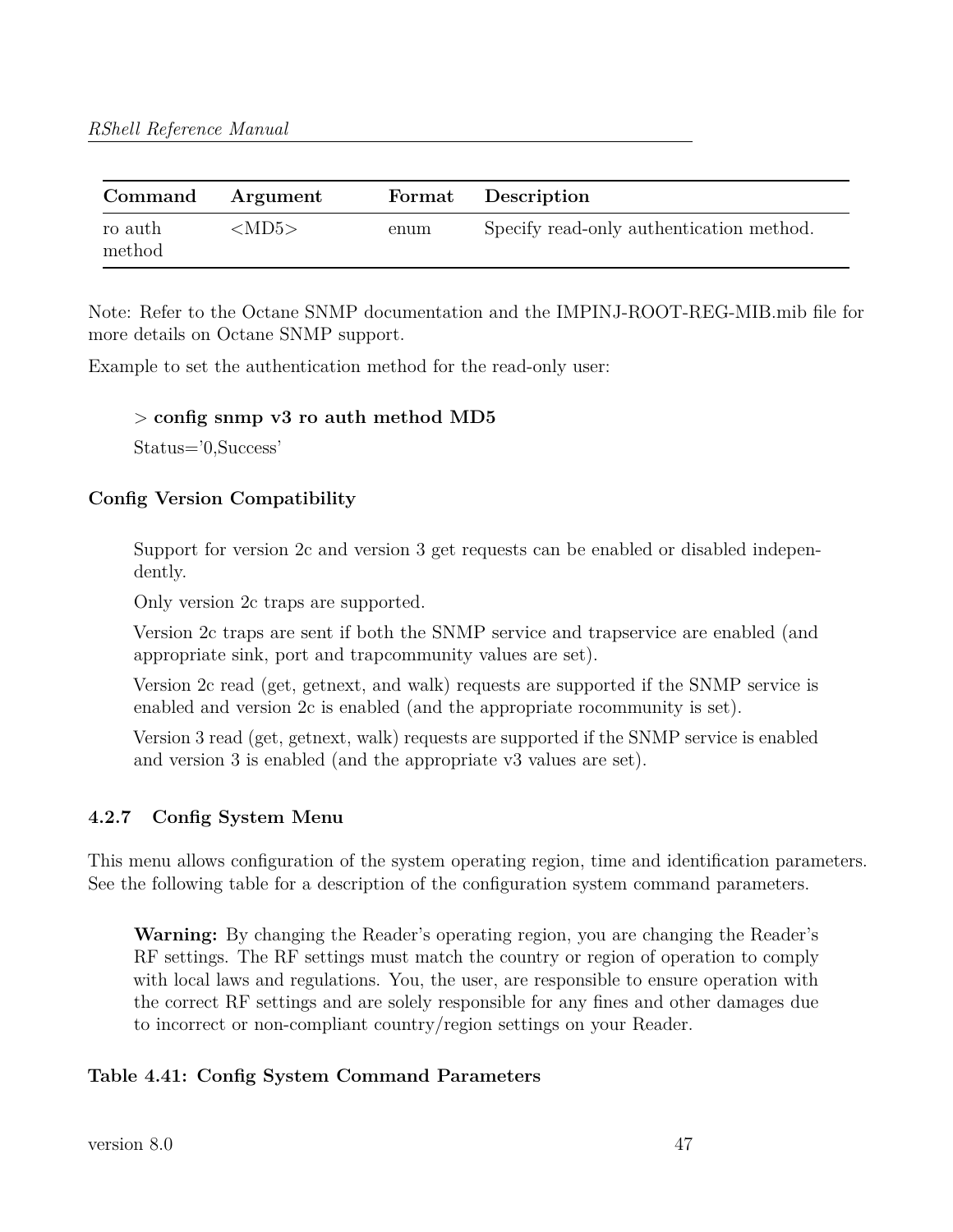| Command           | Argument    |      | Format Description                       |
|-------------------|-------------|------|------------------------------------------|
| ro auth<br>method | $<$ MD5 $>$ | enum | Specify read-only authentication method. |

Note: Refer to the Octane SNMP documentation and the IMPINJ-ROOT-REG-MIB.mib file for more details on Octane SNMP support.

Example to set the authentication method for the read-only user:

#### > **config snmp v3 ro auth method MD5**

Status='0,Success'

## **Config Version Compatibility**

Support for version 2c and version 3 get requests can be enabled or disabled independently.

Only version 2c traps are supported.

Version 2c traps are sent if both the SNMP service and trapservice are enabled (and appropriate sink, port and trapcommunity values are set).

Version 2c read (get, getnext, and walk) requests are supported if the SNMP service is enabled and version 2c is enabled (and the appropriate rocommunity is set).

Version 3 read (get, getnext, walk) requests are supported if the SNMP service is enabled and version 3 is enabled (and the appropriate v3 values are set).

## **4.2.7 Config System Menu**

This menu allows configuration of the system operating region, time and identification parameters. See the following table for a description of the configuration system command parameters.

**Warning:** By changing the Reader's operating region, you are changing the Reader's RF settings. The RF settings must match the country or region of operation to comply with local laws and regulations. You, the user, are responsible to ensure operation with the correct RF settings and are solely responsible for any fines and other damages due to incorrect or non-compliant country/region settings on your Reader.

## **Table 4.41: Config System Command Parameters**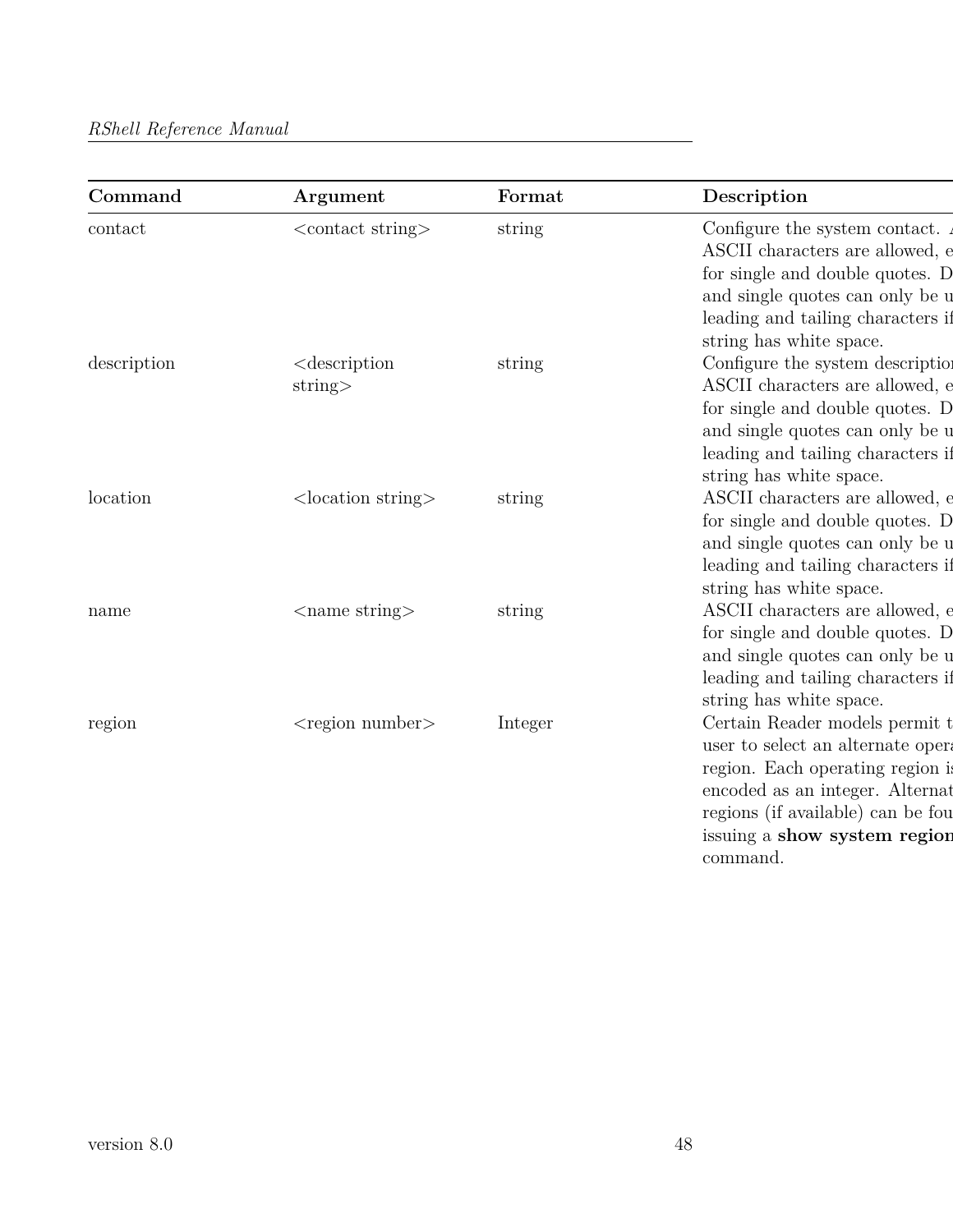| Command     | Argument                                 | Format  | Description                                                                                                                                                                                                                 |
|-------------|------------------------------------------|---------|-----------------------------------------------------------------------------------------------------------------------------------------------------------------------------------------------------------------------------|
| contact     | $\alpha$ < contact string $>$            | string  | Configure the system contact.<br>ASCII characters are allowed, e<br>for single and double quotes. D<br>and single quotes can only be u<br>leading and tailing characters if<br>string has white space.                      |
| description | $<$ description<br>string                | string  | Configure the system description<br>ASCII characters are allowed, e<br>for single and double quotes. D<br>and single quotes can only be u<br>leading and tailing characters if<br>string has white space.                   |
| location    | $\alpha$ <location string=""></location> | string  | ASCII characters are allowed, e<br>for single and double quotes. D<br>and single quotes can only be u<br>leading and tailing characters if<br>string has white space.                                                       |
| name        | $\langle$ ame string $\rangle$           | string  | ASCII characters are allowed, e<br>for single and double quotes. D<br>and single quotes can only be u<br>leading and tailing characters if<br>string has white space.                                                       |
| region      | $<$ region number $>$                    | Integer | Certain Reader models permit t<br>user to select an alternate opera<br>region. Each operating region is<br>encoded as an integer. Alternat<br>regions (if available) can be fou<br>issuing a show system region<br>command. |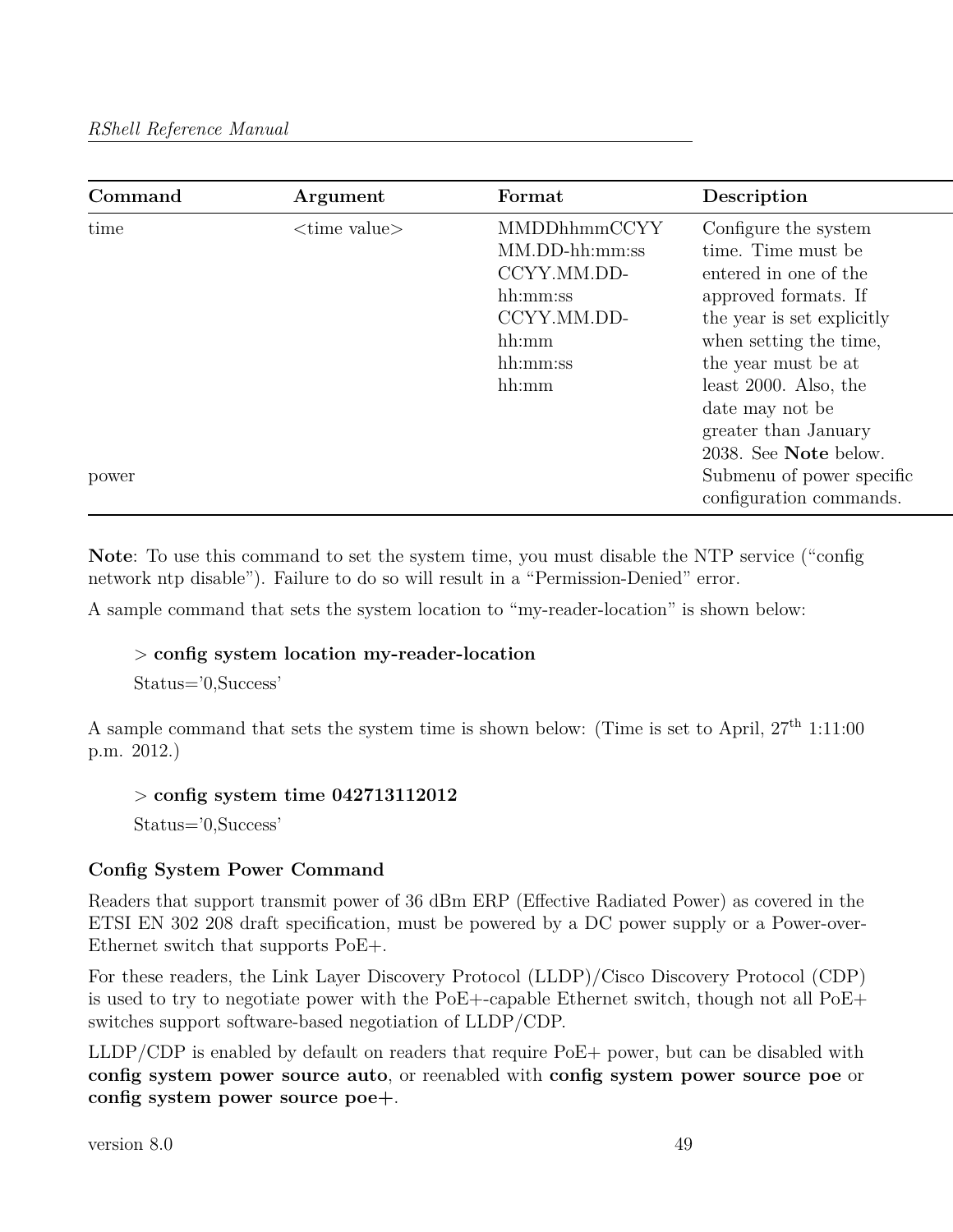| Command | Argument                       | Format                                                                                                   | Description                                                                                                                                                                                                                                                                |
|---------|--------------------------------|----------------------------------------------------------------------------------------------------------|----------------------------------------------------------------------------------------------------------------------------------------------------------------------------------------------------------------------------------------------------------------------------|
| time    | $\langle$ time value $\rangle$ | MMDDhhmmCCYY<br>$MM.DD-hh:mm:ss$<br>CCYY.MM.DD-<br>hh:mm:ss<br>CCYY.MM.DD-<br>hh:mm<br>hh:mm:ss<br>hh:mm | Configure the system<br>time. Time must be<br>entered in one of the<br>approved formats. If<br>the year is set explicitly<br>when setting the time,<br>the year must be at<br>least $2000$ . Also, the<br>date may not be<br>greater than January<br>2038. See Note below. |
| power   |                                |                                                                                                          | Submenu of power specific<br>configuration commands.                                                                                                                                                                                                                       |

**Note**: To use this command to set the system time, you must disable the NTP service ("config network ntp disable"). Failure to do so will result in a "Permission-Denied" error.

A sample command that sets the system location to "my-reader-location" is shown below:

## > **config system location my-reader-location**

Status='0,Success'

A sample command that sets the system time is shown below: (Time is set to April,  $27<sup>th</sup> 1:11:00$ ) p.m. 2012.)

> **config system time 042713112012**

Status='0,Success'

## **Config System Power Command**

Readers that support transmit power of 36 dBm ERP (Effective Radiated Power) as covered in the ETSI EN 302 208 draft specification, must be powered by a DC power supply or a Power-over-Ethernet switch that supports PoE+.

For these readers, the Link Layer Discovery Protocol (LLDP)/Cisco Discovery Protocol (CDP) is used to try to negotiate power with the PoE+-capable Ethernet switch, though not all PoE+ switches support software-based negotiation of LLDP/CDP.

LLDP/CDP is enabled by default on readers that require PoE+ power, but can be disabled with **config system power source auto**, or reenabled with **config system power source poe** or **config system power source poe+**.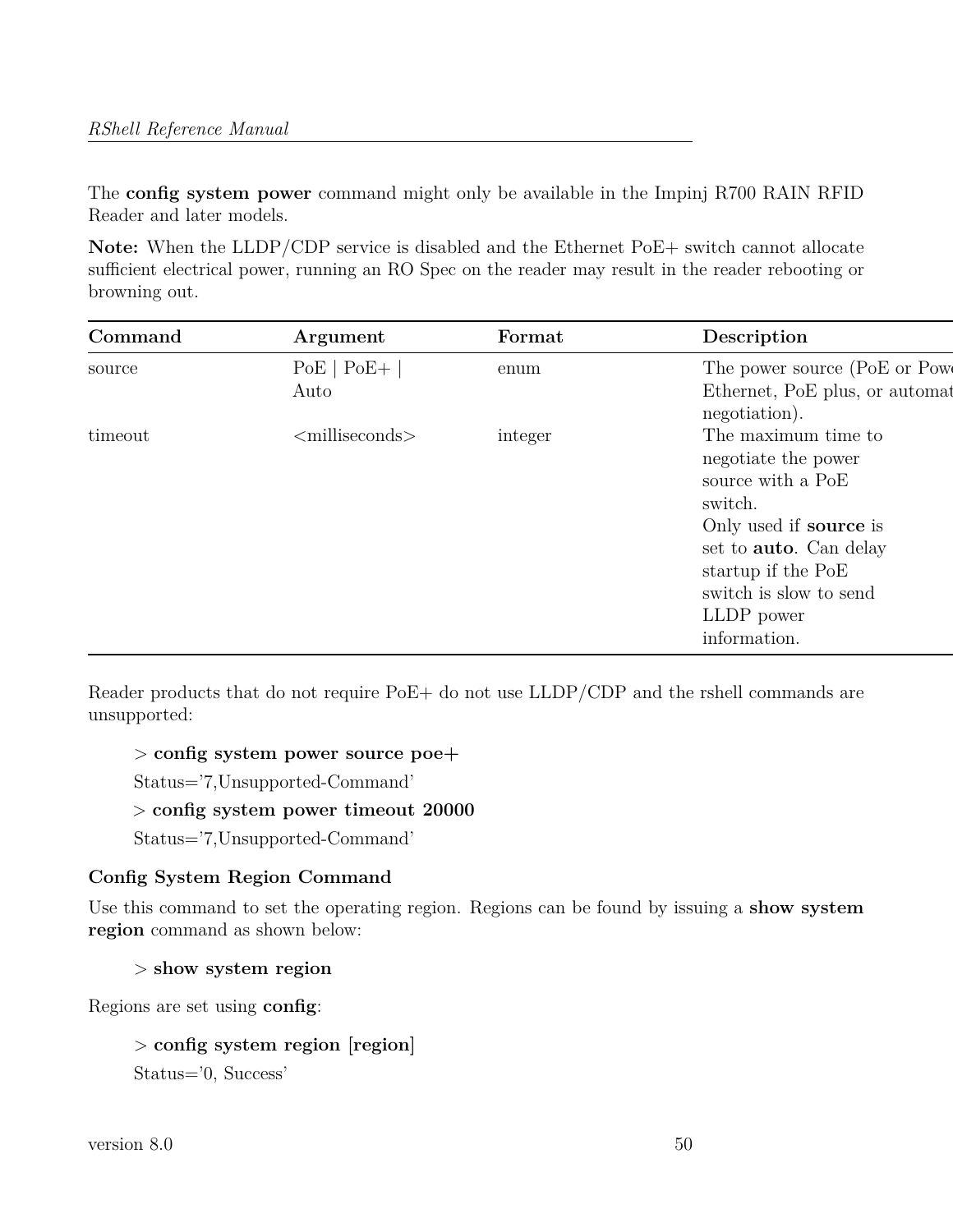The **config system power** command might only be available in the Impinj R700 RAIN RFID Reader and later models.

Note: When the LLDP/CDP service is disabled and the Ethernet PoE+ switch cannot allocate sufficient electrical power, running an RO Spec on the reader may result in the reader rebooting or browning out.

| Command | Argument                | Format  | Description                                                                                                                                                                                                                 |
|---------|-------------------------|---------|-----------------------------------------------------------------------------------------------------------------------------------------------------------------------------------------------------------------------------|
| source  | $PoE   PoE +  $<br>Auto | enum    | The power source (PoE or Power<br>Ethernet, PoE plus, or automat<br>negotiation).                                                                                                                                           |
| timeout | $\leq$ milliseconds $>$ | integer | The maximum time to<br>negotiate the power<br>source with a PoE<br>switch.<br>Only used if <b>source</b> is<br>set to <b>auto</b> . Can delay<br>startup if the PoE<br>switch is slow to send<br>LLDP power<br>information. |

Reader products that do not require PoE+ do not use LLDP/CDP and the rshell commands are unsupported:

> **config system power source poe+**

Status='7,Unsupported-Command'

#### > **config system power timeout 20000**

Status='7,Unsupported-Command'

## **Config System Region Command**

Use this command to set the operating region. Regions can be found by issuing a **show system region** command as shown below:

#### > **show system region**

Regions are set using **config**:

```
> config system region [region]
Status='0, Success'
```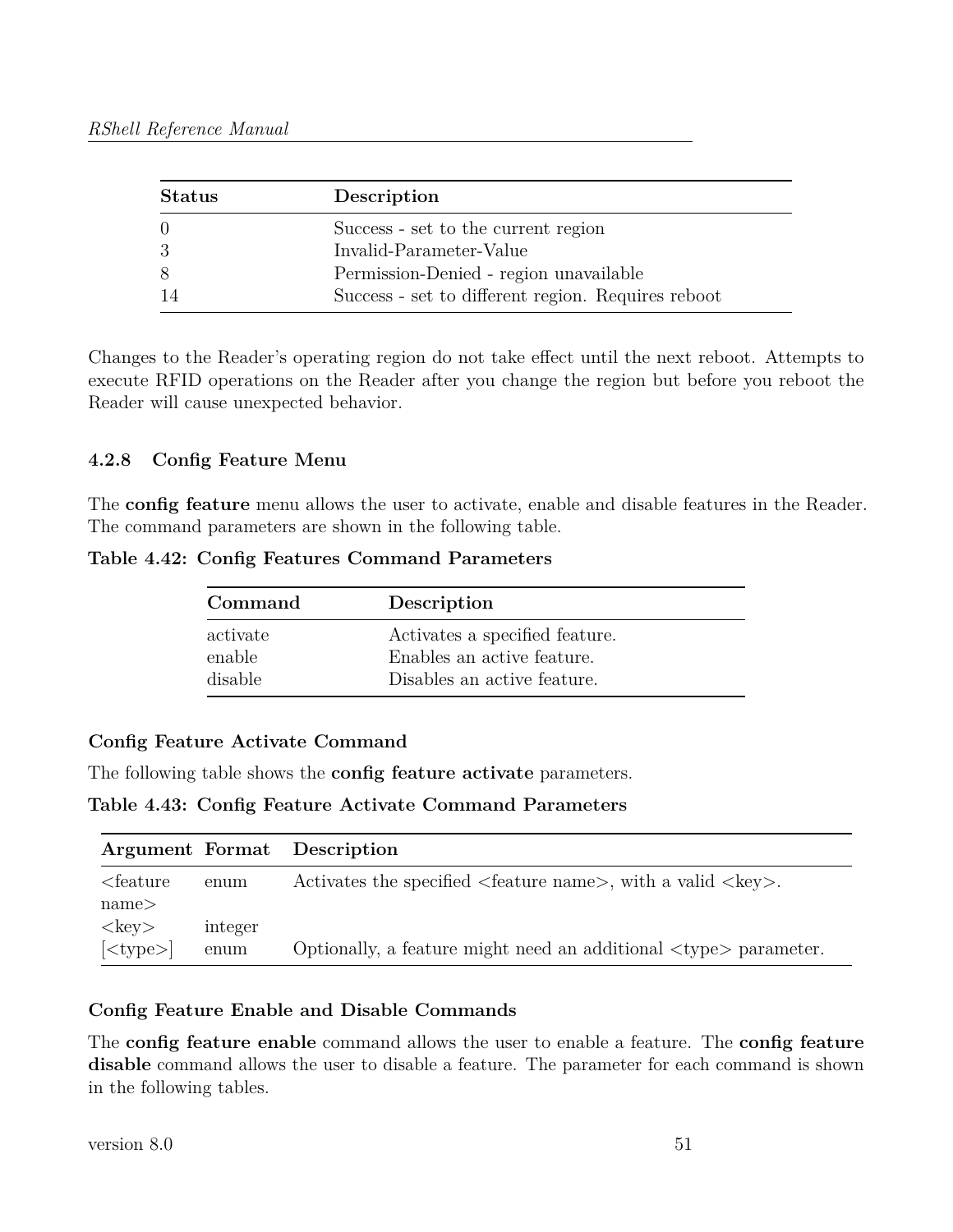| <b>Status</b> | Description                                        |
|---------------|----------------------------------------------------|
| ()            | Success - set to the current region                |
| -3            | Invalid-Parameter-Value                            |
| -8            | Permission-Denied - region unavailable             |
|               | Success - set to different region. Requires reboot |

Changes to the Reader's operating region do not take effect until the next reboot. Attempts to execute RFID operations on the Reader after you change the region but before you reboot the Reader will cause unexpected behavior.

## **4.2.8 Config Feature Menu**

The **config feature** menu allows the user to activate, enable and disable features in the Reader. The command parameters are shown in the following table.

**Table 4.42: Config Features Command Parameters**

| Command  | Description                    |
|----------|--------------------------------|
| activate | Activates a specified feature. |
| enable   | Enables an active feature.     |
| disable  | Disables an active feature.    |

## **Config Feature Activate Command**

The following table shows the **config feature activate** parameters.

**Table 4.43: Config Feature Activate Command Parameters**

|                                      |         | Argument Format Description                                                             |
|--------------------------------------|---------|-----------------------------------------------------------------------------------------|
| $\epsilon$ = $\epsilon$ = $\epsilon$ | enum    | Activates the specified $\langle$ feature name>, with a valid $\langle$ key>.           |
| name>                                |         |                                                                                         |
| $\langle \text{key} \rangle$         | integer |                                                                                         |
| $ $ < type > $ $                     | enum    | Optionally, a feature might need an additional $\langle \text{type} \rangle$ parameter. |

## **Config Feature Enable and Disable Commands**

The **config feature enable** command allows the user to enable a feature. The **config feature disable** command allows the user to disable a feature. The parameter for each command is shown in the following tables.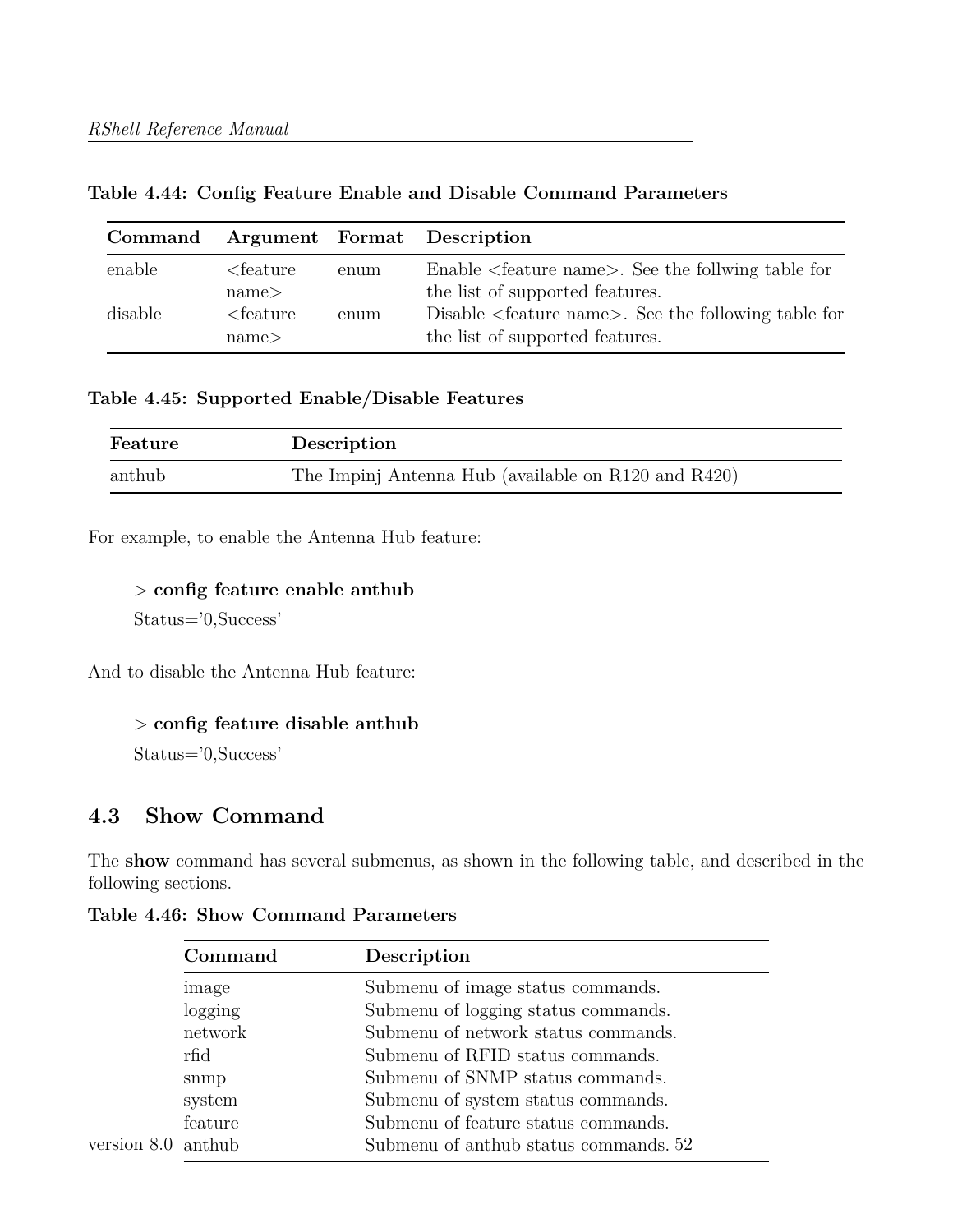#### **Table 4.44: Config Feature Enable and Disable Command Parameters**

| Command |                                      |      | Argument Format Description                                                                          |
|---------|--------------------------------------|------|------------------------------------------------------------------------------------------------------|
| enable  | $\epsilon$ = $\epsilon$ = $\epsilon$ | enum | Enable $\leq$ feature name $\geq$ . See the follwing table for                                       |
|         | name>                                |      | the list of supported features.                                                                      |
| disable | $\epsilon$ = feature<br>name<        | enum | Disable <feature name="">. See the following table for<br/>the list of supported features.</feature> |

#### **Table 4.45: Supported Enable/Disable Features**

| Feature | Description                                         |
|---------|-----------------------------------------------------|
| anthub  | The Impinj Antenna Hub (available on R120 and R420) |

For example, to enable the Antenna Hub feature:

> **config feature enable anthub**

Status='0,Success'

And to disable the Antenna Hub feature:

#### > **config feature disable anthub**

Status='0,Success'

## **4.3 Show Command**

The **show** command has several submenus, as shown in the following table, and described in the following sections.

|                    | Command | Description                           |
|--------------------|---------|---------------------------------------|
|                    | image   | Submenu of image status commands.     |
|                    | logging | Submenu of logging status commands.   |
|                    | network | Submenu of network status commands.   |
|                    | rfid    | Submenu of RFID status commands.      |
|                    | snmp    | Submenu of SNMP status commands.      |
|                    | system  | Submenu of system status commands.    |
|                    | feature | Submenu of feature status commands.   |
| version 8.0 anthub |         | Submenu of anthub status commands. 52 |
|                    |         |                                       |

**Table 4.46: Show Command Parameters**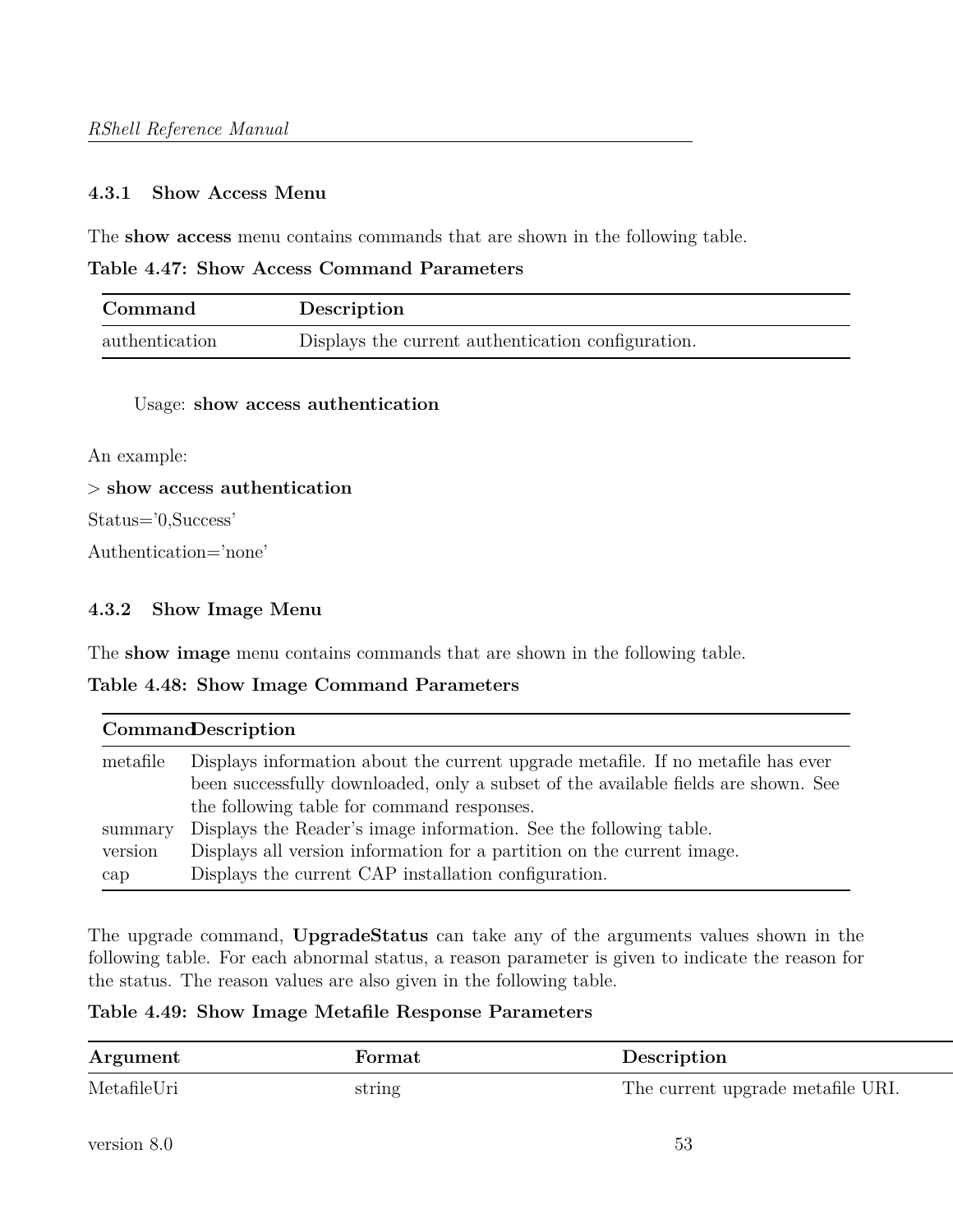#### **4.3.1 Show Access Menu**

The **show access** menu contains commands that are shown in the following table.

**Table 4.47: Show Access Command Parameters**

| Command        | Description                                        |
|----------------|----------------------------------------------------|
| authentication | Displays the current authentication configuration. |

#### Usage: **show access authentication**

An example:

> **show access authentication**

Status='0,Success'

Authentication='none'

#### **4.3.2 Show Image Menu**

The **show image** menu contains commands that are shown in the following table.

#### **Table 4.48: Show Image Command Parameters**

| <b>CommandDescription</b> |                                                                                                                                                                        |  |  |
|---------------------------|------------------------------------------------------------------------------------------------------------------------------------------------------------------------|--|--|
| metafile                  | Displays information about the current upgrade metafile. If no metafile has ever<br>been successfully downloaded, only a subset of the available fields are shown. See |  |  |
|                           | the following table for command responses.                                                                                                                             |  |  |
| summary                   | Displays the Reader's image information. See the following table.                                                                                                      |  |  |
| version                   | Displays all version information for a partition on the current image.                                                                                                 |  |  |
| cap                       | Displays the current CAP installation configuration.                                                                                                                   |  |  |

The upgrade command, **UpgradeStatus** can take any of the arguments values shown in the following table. For each abnormal status, a reason parameter is given to indicate the reason for the status. The reason values are also given in the following table.

#### **Table 4.49: Show Image Metafile Response Parameters**

| Argument    | Format | Description                       |
|-------------|--------|-----------------------------------|
| MetafileUri | string | The current upgrade metafile URI. |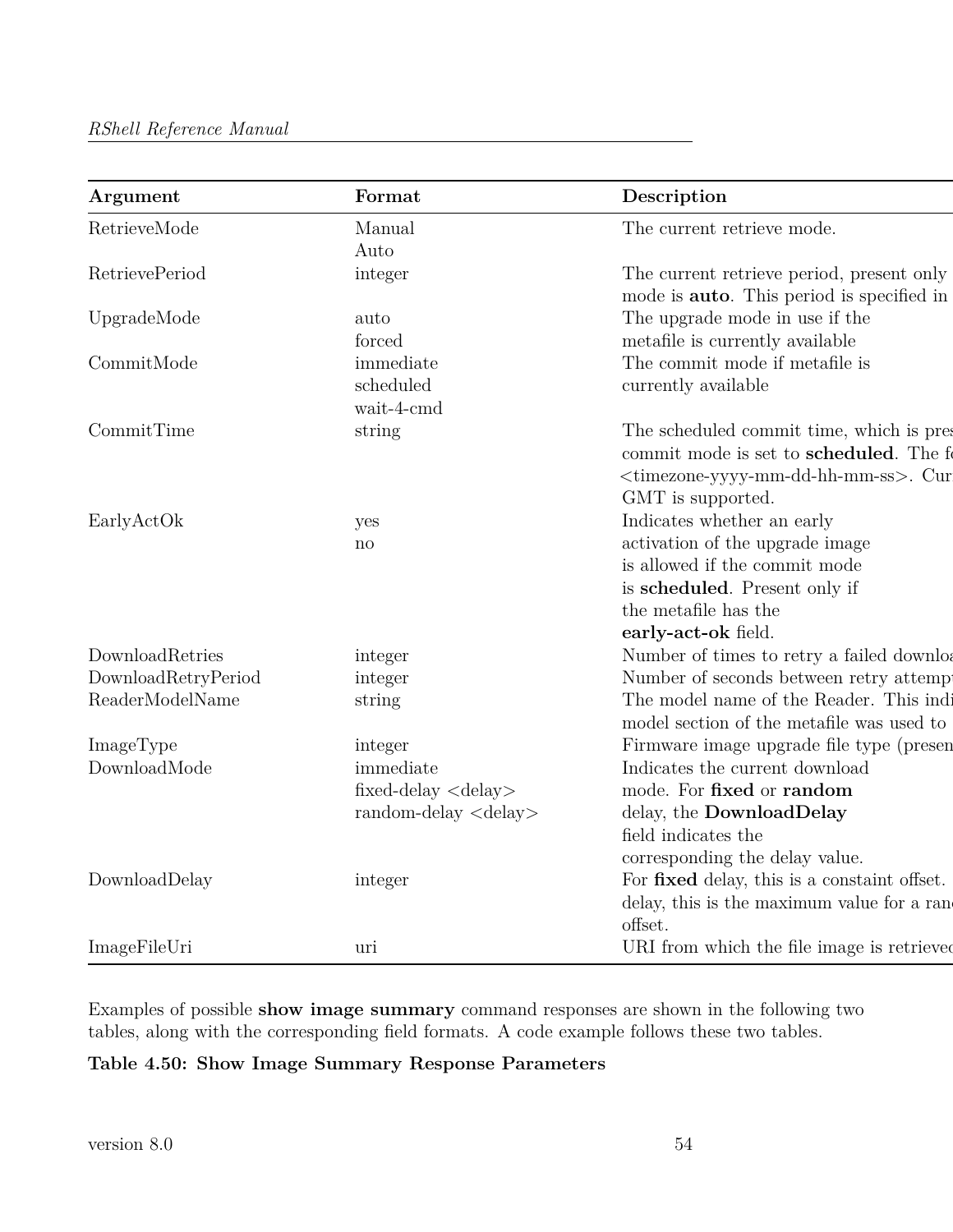| Argument              | Format                                | Description                                                                                                                                                                    |
|-----------------------|---------------------------------------|--------------------------------------------------------------------------------------------------------------------------------------------------------------------------------|
| RetrieveMode          | Manual                                | The current retrieve mode.                                                                                                                                                     |
|                       | Auto                                  |                                                                                                                                                                                |
| <b>RetrievePeriod</b> | integer                               | The current retrieve period, present only<br>mode is <b>auto</b> . This period is specified in                                                                                 |
| UpgradeMode           | auto                                  | The upgrade mode in use if the                                                                                                                                                 |
|                       | forced                                | metafile is currently available                                                                                                                                                |
| CommitMode            | immediate                             | The commit mode if metafile is                                                                                                                                                 |
|                       | scheduled                             | currently available                                                                                                                                                            |
|                       | wait-4-cmd                            |                                                                                                                                                                                |
| CommitTime            | string                                | The scheduled commit time, which is pres<br>commit mode is set to scheduled. The f<br><timezone-yyyy-mm-dd-hh-mm-ss>. Cur<br/>GMT is supported.</timezone-yyyy-mm-dd-hh-mm-ss> |
|                       |                                       |                                                                                                                                                                                |
| EarlyActOk            | yes                                   | Indicates whether an early                                                                                                                                                     |
|                       | $\mathbf{n}$                          | activation of the upgrade image<br>is allowed if the commit mode                                                                                                               |
|                       |                                       | is scheduled. Present only if                                                                                                                                                  |
|                       |                                       | the metafile has the                                                                                                                                                           |
|                       |                                       |                                                                                                                                                                                |
| DownloadRetries       |                                       | early-act-ok field.                                                                                                                                                            |
| DownloadRetryPeriod   | integer                               | Number of times to retry a failed downloa<br>Number of seconds between retry attemp                                                                                            |
| ReaderModelName       | integer                               | The model name of the Reader. This indi-                                                                                                                                       |
|                       | string                                | model section of the metafile was used to                                                                                                                                      |
| ImageType             | integer                               | Firmware image upgrade file type (presen                                                                                                                                       |
| DownloadMode          | immediate                             | Indicates the current download                                                                                                                                                 |
|                       | fixed-delay $\langle$ delay $\rangle$ | mode. For fixed or random                                                                                                                                                      |
|                       | random-delay <delay></delay>          | delay, the DownloadDelay                                                                                                                                                       |
|                       |                                       | field indicates the                                                                                                                                                            |
|                       |                                       |                                                                                                                                                                                |
|                       |                                       | corresponding the delay value.                                                                                                                                                 |
| DownloadDelay         | integer                               | For fixed delay, this is a constaint offset.                                                                                                                                   |
|                       |                                       | delay, this is the maximum value for a ran-                                                                                                                                    |
|                       |                                       | offset.                                                                                                                                                                        |
| ImageFileUri          | uri                                   | URI from which the file image is retrieved                                                                                                                                     |

Examples of possible **show image summary** command responses are shown in the following two tables, along with the corresponding field formats. A code example follows these two tables.

## **Table 4.50: Show Image Summary Response Parameters**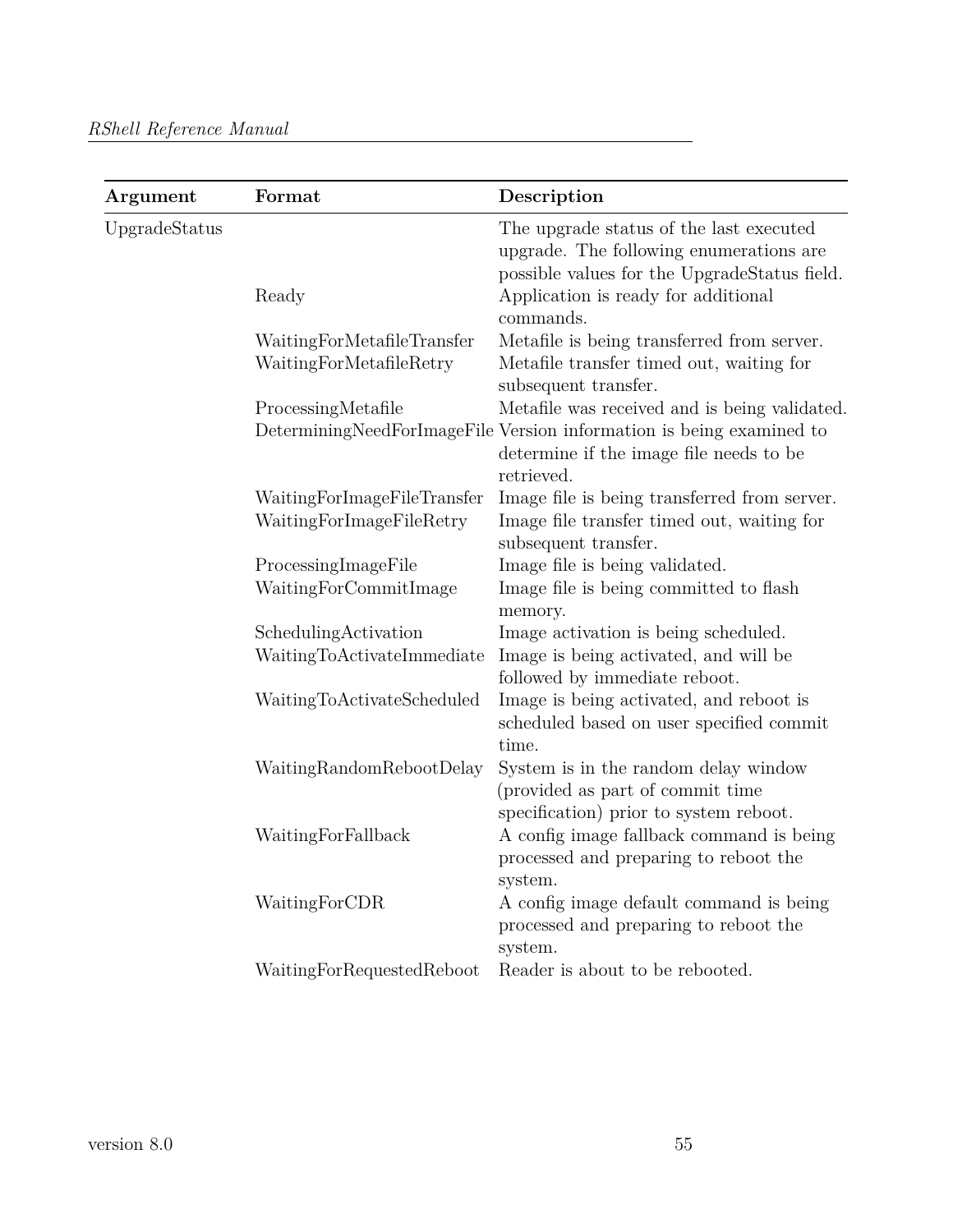| Argument      | Format                                                | Description                                                                                                                        |
|---------------|-------------------------------------------------------|------------------------------------------------------------------------------------------------------------------------------------|
| UpgradeStatus |                                                       | The upgrade status of the last executed<br>upgrade. The following enumerations are<br>possible values for the UpgradeStatus field. |
|               | Ready                                                 | Application is ready for additional<br>commands.                                                                                   |
|               |                                                       |                                                                                                                                    |
|               | WaitingForMetafileTransfer<br>WaitingForMetafileRetry | Metafile is being transferred from server.<br>Metafile transfer timed out, waiting for<br>subsequent transfer.                     |
|               | ProcessingMetafile                                    | Metafile was received and is being validated.                                                                                      |
|               |                                                       | DeterminingNeedForImageFile Version information is being examined to<br>determine if the image file needs to be<br>retrieved.      |
|               | WaitingForImageFileTransfer                           | Image file is being transferred from server.                                                                                       |
|               | WaitingForImageFileRetry                              | Image file transfer timed out, waiting for<br>subsequent transfer.                                                                 |
|               | ProcessingImageFile                                   | Image file is being validated.                                                                                                     |
|               | WaitingForCommitImage                                 | Image file is being committed to flash<br>memory.                                                                                  |
|               | SchedulingActivation                                  | Image activation is being scheduled.                                                                                               |
|               | WaitingToActivateImmediate                            | Image is being activated, and will be<br>followed by immediate reboot.                                                             |
|               | WaitingToActivateScheduled                            | Image is being activated, and reboot is<br>scheduled based on user specified commit<br>time.                                       |
|               | WaitingRandomRebootDelay                              | System is in the random delay window<br>(provided as part of commit time<br>specification) prior to system reboot.                 |
|               | WaitingForFallback                                    | A config image fallback command is being<br>processed and preparing to reboot the<br>system.                                       |
|               | WaitingForCDR                                         | A config image default command is being<br>processed and preparing to reboot the<br>system.                                        |
|               | WaitingForRequestedReboot                             | Reader is about to be rebooted.                                                                                                    |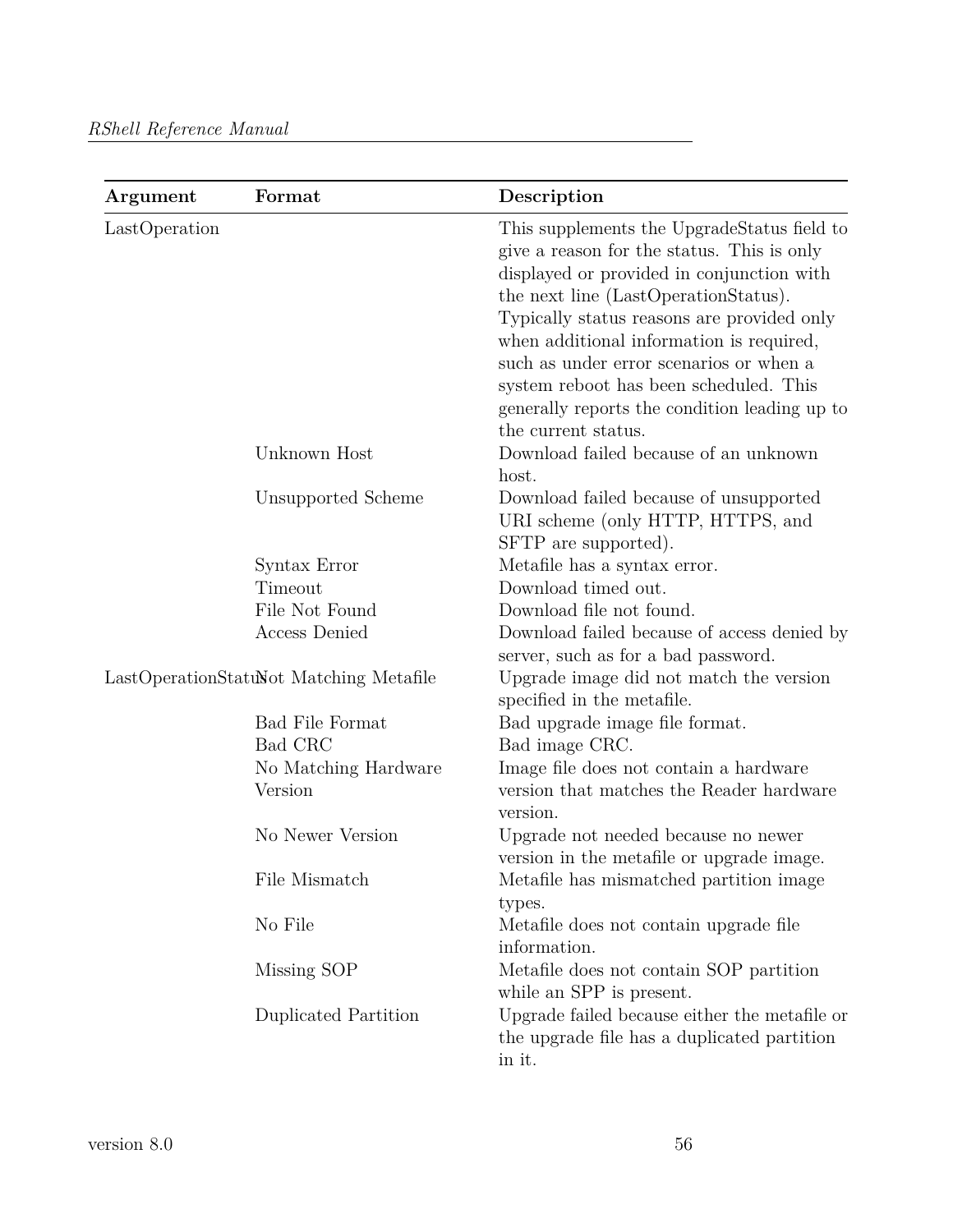| Argument      | Format                                  | Description                                                                                                                                                                                                                                                                                                                                                                                                    |
|---------------|-----------------------------------------|----------------------------------------------------------------------------------------------------------------------------------------------------------------------------------------------------------------------------------------------------------------------------------------------------------------------------------------------------------------------------------------------------------------|
| LastOperation |                                         | This supplements the UpgradeStatus field to<br>give a reason for the status. This is only<br>displayed or provided in conjunction with<br>the next line (LastOperationStatus).<br>Typically status reasons are provided only<br>when additional information is required,<br>such as under error scenarios or when a<br>system reboot has been scheduled. This<br>generally reports the condition leading up to |
|               | Unknown Host                            | the current status.<br>Download failed because of an unknown<br>host.                                                                                                                                                                                                                                                                                                                                          |
|               | Unsupported Scheme                      | Download failed because of unsupported<br>URI scheme (only HTTP, HTTPS, and<br>SFTP are supported).                                                                                                                                                                                                                                                                                                            |
|               | Syntax Error                            | Metafile has a syntax error.                                                                                                                                                                                                                                                                                                                                                                                   |
|               | Timeout                                 | Download timed out.                                                                                                                                                                                                                                                                                                                                                                                            |
|               | File Not Found                          | Download file not found.                                                                                                                                                                                                                                                                                                                                                                                       |
|               | <b>Access Denied</b>                    | Download failed because of access denied by<br>server, such as for a bad password.                                                                                                                                                                                                                                                                                                                             |
|               | LastOperationStatuNot Matching Metafile | Upgrade image did not match the version<br>specified in the metafile.                                                                                                                                                                                                                                                                                                                                          |
|               | <b>Bad File Format</b>                  | Bad upgrade image file format.                                                                                                                                                                                                                                                                                                                                                                                 |
|               | Bad CRC                                 | Bad image CRC.                                                                                                                                                                                                                                                                                                                                                                                                 |
|               | No Matching Hardware                    | Image file does not contain a hardware                                                                                                                                                                                                                                                                                                                                                                         |
|               | Version                                 | version that matches the Reader hardware<br>version.                                                                                                                                                                                                                                                                                                                                                           |
|               | No Newer Version                        | Upgrade not needed because no newer<br>version in the metafile or upgrade image.                                                                                                                                                                                                                                                                                                                               |
|               | File Mismatch                           | Metafile has mismatched partition image<br>types.                                                                                                                                                                                                                                                                                                                                                              |
|               | No File                                 | Metafile does not contain upgrade file<br>information.                                                                                                                                                                                                                                                                                                                                                         |
|               | Missing SOP                             | Metafile does not contain SOP partition<br>while an SPP is present.                                                                                                                                                                                                                                                                                                                                            |
|               | Duplicated Partition                    | Upgrade failed because either the metafile or<br>the upgrade file has a duplicated partition<br>in it.                                                                                                                                                                                                                                                                                                         |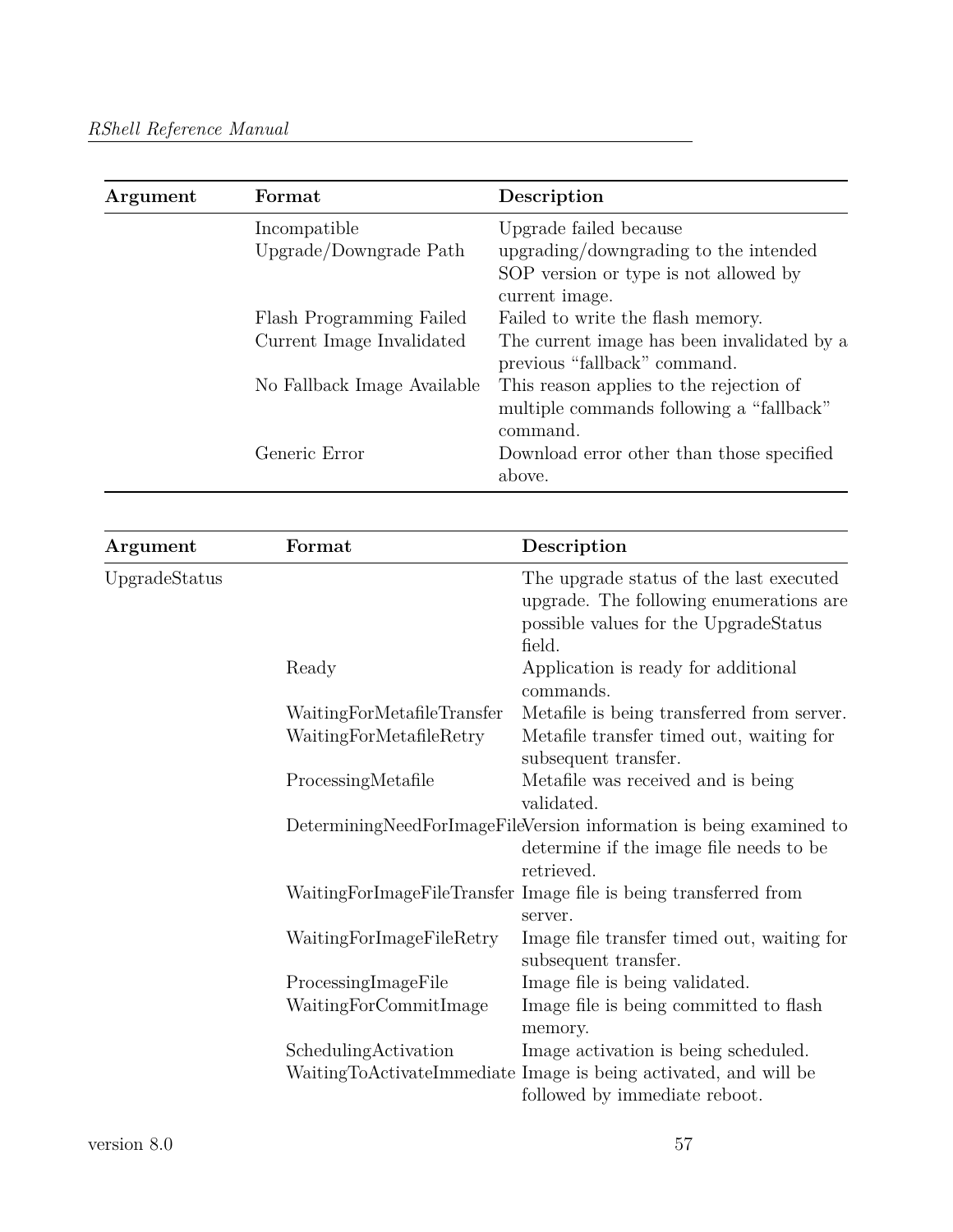| Argument | Format                      | Description                                 |
|----------|-----------------------------|---------------------------------------------|
|          | Incompatible                | Upgrade failed because                      |
|          | Upgrade/Downgrade Path      | upgrading/downgrading to the intended       |
|          |                             | SOP version or type is not allowed by       |
|          |                             | current image.                              |
|          | Flash Programming Failed    | Failed to write the flash memory.           |
|          | Current Image Invalidated   | The current image has been invalidated by a |
|          |                             | previous "fallback" command.                |
|          | No Fallback Image Available | This reason applies to the rejection of     |
|          |                             | multiple commands following a "fallback"    |
|          |                             | command.                                    |
|          | Generic Error               | Download error other than those specified   |
|          |                             | above.                                      |

| Argument      | Format                     | Description                                                                                                                               |
|---------------|----------------------------|-------------------------------------------------------------------------------------------------------------------------------------------|
| UpgradeStatus |                            | The upgrade status of the last executed<br>upgrade. The following enumerations are<br>possible values for the UpgradeStatus<br>field.     |
|               | Ready                      | Application is ready for additional<br>commands.                                                                                          |
|               | WaitingForMetafileTransfer | Metafile is being transferred from server.                                                                                                |
|               | WaitingForMetafileRetry    | Metafile transfer timed out, waiting for<br>subsequent transfer.                                                                          |
|               | ProcessingMetafile         | Metafile was received and is being<br>validated.                                                                                          |
|               |                            | DeterminingNeedForImageFileVersion information is being examined to<br>determine if the image file needs to be<br>retrieved.              |
|               |                            | WaitingForImageFileTransfer Image file is being transferred from<br>server.                                                               |
|               | WaitingForImageFileRetry   | Image file transfer timed out, waiting for<br>subsequent transfer.                                                                        |
|               | ProcessingImageFile        | Image file is being validated.                                                                                                            |
|               | WaitingForCommitImage      | Image file is being committed to flash<br>memory.                                                                                         |
|               | SchedulingActivation       | Image activation is being scheduled.<br>WaitingToActivateImmediate Image is being activated, and will be<br>followed by immediate reboot. |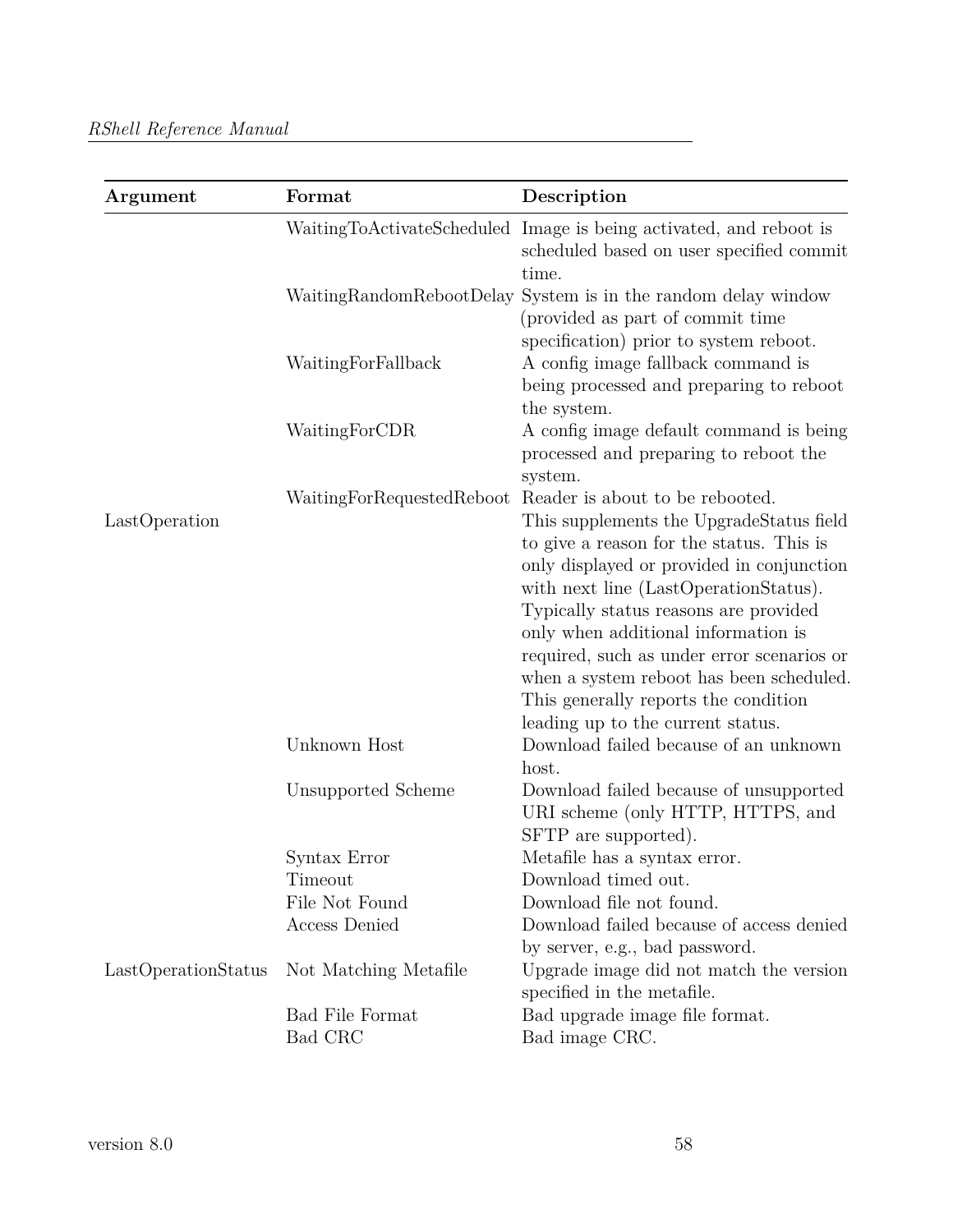| Argument            | Format                                                          | Description                                                                                                                                                                                                                                                                                                                                                                                                                                                                                                                                                      |
|---------------------|-----------------------------------------------------------------|------------------------------------------------------------------------------------------------------------------------------------------------------------------------------------------------------------------------------------------------------------------------------------------------------------------------------------------------------------------------------------------------------------------------------------------------------------------------------------------------------------------------------------------------------------------|
|                     |                                                                 | WaitingToActivateScheduled Image is being activated, and reboot is<br>scheduled based on user specified commit<br>time.                                                                                                                                                                                                                                                                                                                                                                                                                                          |
|                     |                                                                 | WaitingRandomRebootDelay System is in the random delay window<br>(provided as part of commit time)<br>specification) prior to system reboot.                                                                                                                                                                                                                                                                                                                                                                                                                     |
|                     | WaitingForFallback                                              | A config image fallback command is<br>being processed and preparing to reboot<br>the system.                                                                                                                                                                                                                                                                                                                                                                                                                                                                     |
|                     | WaitingForCDR                                                   | A config image default command is being<br>processed and preparing to reboot the<br>system.                                                                                                                                                                                                                                                                                                                                                                                                                                                                      |
| LastOperation       | WaitingForRequestedReboot<br>Unknown Host<br>Unsupported Scheme | Reader is about to be rebooted.<br>This supplements the UpgradeStatus field<br>to give a reason for the status. This is<br>only displayed or provided in conjunction<br>with next line (LastOperationStatus).<br>Typically status reasons are provided<br>only when additional information is<br>required, such as under error scenarios or<br>when a system reboot has been scheduled.<br>This generally reports the condition<br>leading up to the current status.<br>Download failed because of an unknown<br>host.<br>Download failed because of unsupported |
|                     |                                                                 | URI scheme (only HTTP, HTTPS, and<br>SFTP are supported).                                                                                                                                                                                                                                                                                                                                                                                                                                                                                                        |
|                     | Syntax Error                                                    | Metafile has a syntax error.                                                                                                                                                                                                                                                                                                                                                                                                                                                                                                                                     |
|                     | Timeout                                                         | Download timed out.                                                                                                                                                                                                                                                                                                                                                                                                                                                                                                                                              |
|                     | File Not Found                                                  | Download file not found.                                                                                                                                                                                                                                                                                                                                                                                                                                                                                                                                         |
|                     | Access Denied                                                   | Download failed because of access denied<br>by server, e.g., bad password.                                                                                                                                                                                                                                                                                                                                                                                                                                                                                       |
| LastOperationStatus | Not Matching Metafile                                           | Upgrade image did not match the version<br>specified in the metafile.                                                                                                                                                                                                                                                                                                                                                                                                                                                                                            |
|                     | <b>Bad File Format</b>                                          | Bad upgrade image file format.                                                                                                                                                                                                                                                                                                                                                                                                                                                                                                                                   |
|                     | Bad CRC                                                         | Bad image CRC.                                                                                                                                                                                                                                                                                                                                                                                                                                                                                                                                                   |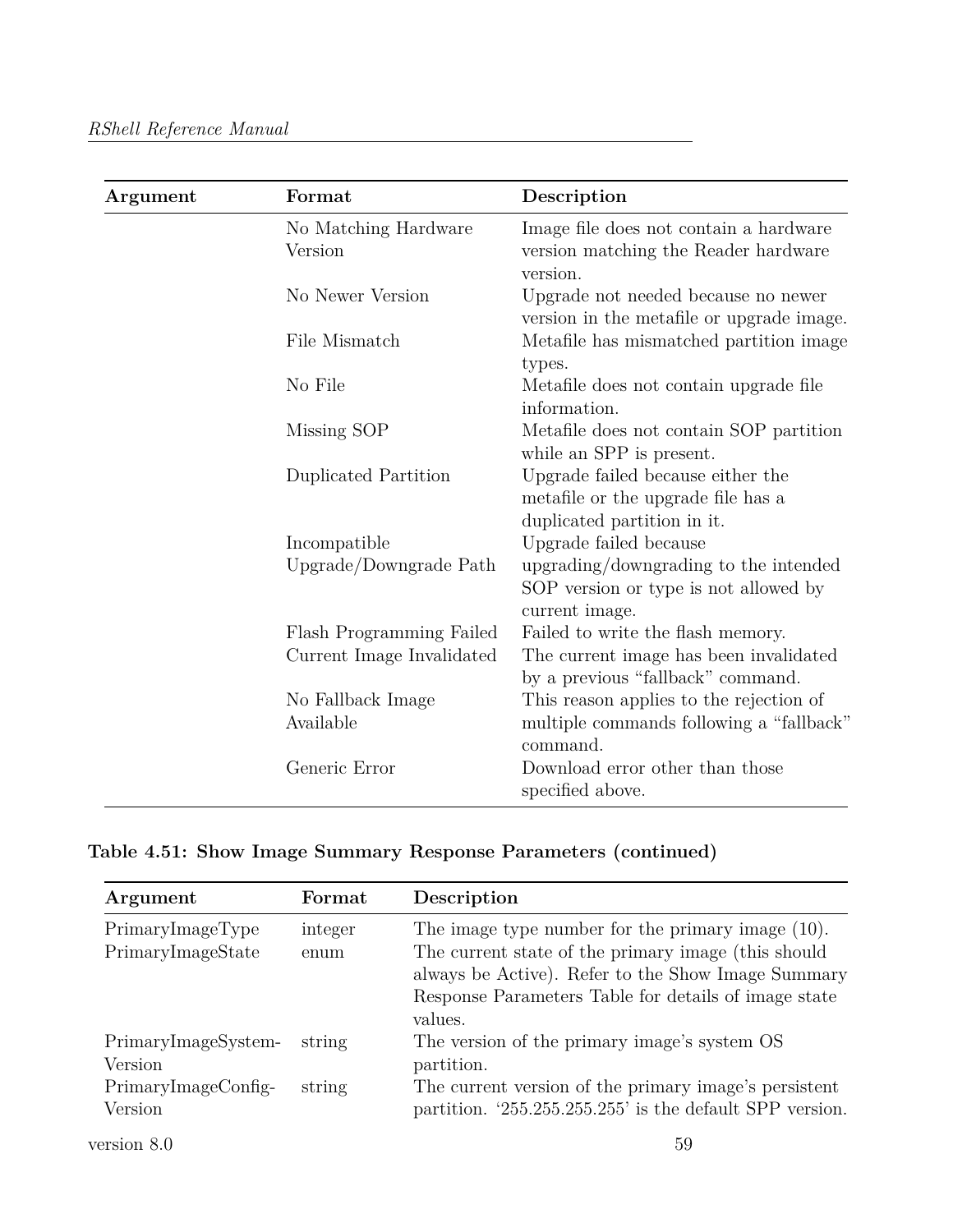| Argument | Format                          | Description                                                                                            |
|----------|---------------------------------|--------------------------------------------------------------------------------------------------------|
|          | No Matching Hardware<br>Version | Image file does not contain a hardware<br>version matching the Reader hardware                         |
|          | No Newer Version                | version.<br>Upgrade not needed because no newer<br>version in the metafile or upgrade image.           |
|          | File Mismatch                   | Metafile has mismatched partition image<br>types.                                                      |
|          | No File                         | Metafile does not contain upgrade file<br>information.                                                 |
|          | Missing SOP                     | Metafile does not contain SOP partition<br>while an SPP is present.                                    |
|          | Duplicated Partition            | Upgrade failed because either the<br>metafile or the upgrade file has a<br>duplicated partition in it. |
|          | Incompatible                    | Upgrade failed because                                                                                 |
|          | Upgrade/Downgrade Path          | upgrading/downgrading to the intended<br>SOP version or type is not allowed by<br>current image.       |
|          | Flash Programming Failed        | Failed to write the flash memory.                                                                      |
|          | Current Image Invalidated       | The current image has been invalidated<br>by a previous "fallback" command.                            |
|          | No Fallback Image<br>Available  | This reason applies to the rejection of<br>multiple commands following a "fallback"<br>command.        |
|          | Generic Error                   | Download error other than those<br>specified above.                                                    |

**Table 4.51: Show Image Summary Response Parameters (continued)**

| Argument            | Format  | Description                                              |
|---------------------|---------|----------------------------------------------------------|
| PrimaryImageType    | integer | The image type number for the primary image $(10)$ .     |
| PrimaryImageState   | enum    | The current state of the primary image (this should      |
|                     |         | always be Active). Refer to the Show Image Summary       |
|                     |         | Response Parameters Table for details of image state     |
|                     |         | values.                                                  |
| PrimaryImageSystem- | string  | The version of the primary image's system OS             |
| Version             |         | partition.                                               |
| PrimaryImageConfig- | string  | The current version of the primary image's persistent    |
| Version             |         | partition. '255.255.255.255' is the default SPP version. |
| version 8.0         |         | 59                                                       |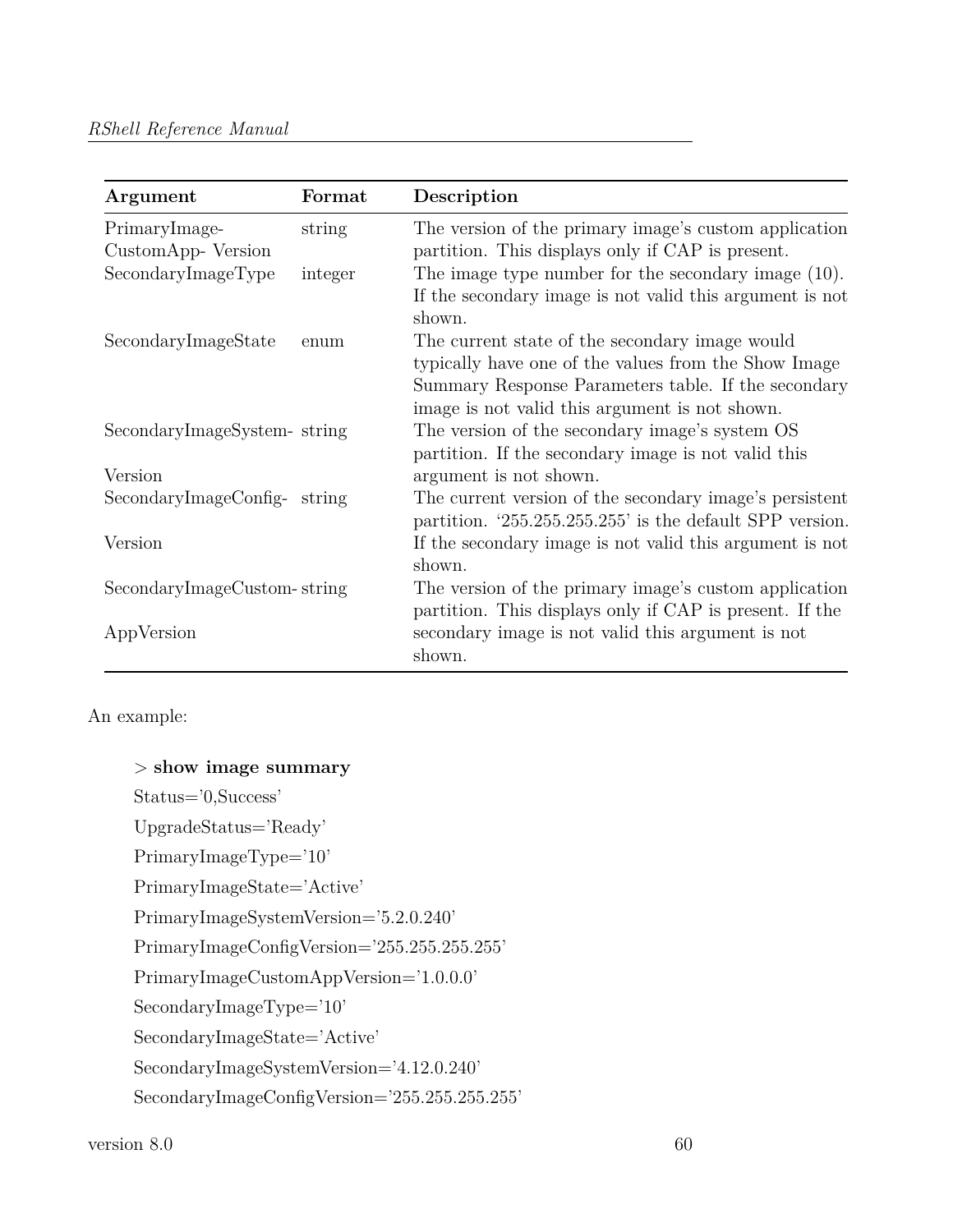#### *RShell Reference Manual*

| Argument                           | Format  | Description                                                                                                                                                                                                     |
|------------------------------------|---------|-----------------------------------------------------------------------------------------------------------------------------------------------------------------------------------------------------------------|
| PrimaryImage-<br>CustomApp-Version | string  | The version of the primary image's custom application<br>partition. This displays only if CAP is present.                                                                                                       |
| SecondaryImageType                 | integer | The image type number for the secondary image $(10)$ .<br>If the secondary image is not valid this argument is not<br>shown.                                                                                    |
| SecondaryImageState                | enum    | The current state of the secondary image would<br>typically have one of the values from the Show Image<br>Summary Response Parameters table. If the secondary<br>image is not valid this argument is not shown. |
| SecondaryImageSystem-string        |         | The version of the secondary image's system OS<br>partition. If the secondary image is not valid this                                                                                                           |
| Version                            |         | argument is not shown.                                                                                                                                                                                          |
| SecondaryImageConfig-              | string  | The current version of the secondary image's persistent<br>partition. '255.255.255.255' is the default SPP version.                                                                                             |
| Version                            |         | If the secondary image is not valid this argument is not<br>shown.                                                                                                                                              |
| SecondaryImageCustom-string        |         | The version of the primary image's custom application<br>partition. This displays only if CAP is present. If the                                                                                                |
| AppVersion                         |         | secondary image is not valid this argument is not<br>shown.                                                                                                                                                     |

An example:

```
> show image summary
Status='0,Success'
UpgradeStatus='Ready'
PrimaryImageType='10'
PrimaryImageState='Active'
PrimaryImageSystemVersion='5.2.0.240'
PrimaryImageConfigVersion='255.255.255.255'
PrimaryImageCustomAppVersion='1.0.0.0'
SecondaryImageType='10'
SecondaryImageState='Active'
SecondaryImageSystemVersion='4.12.0.240'
SecondaryImageConfigVersion='255.255.255.255'
```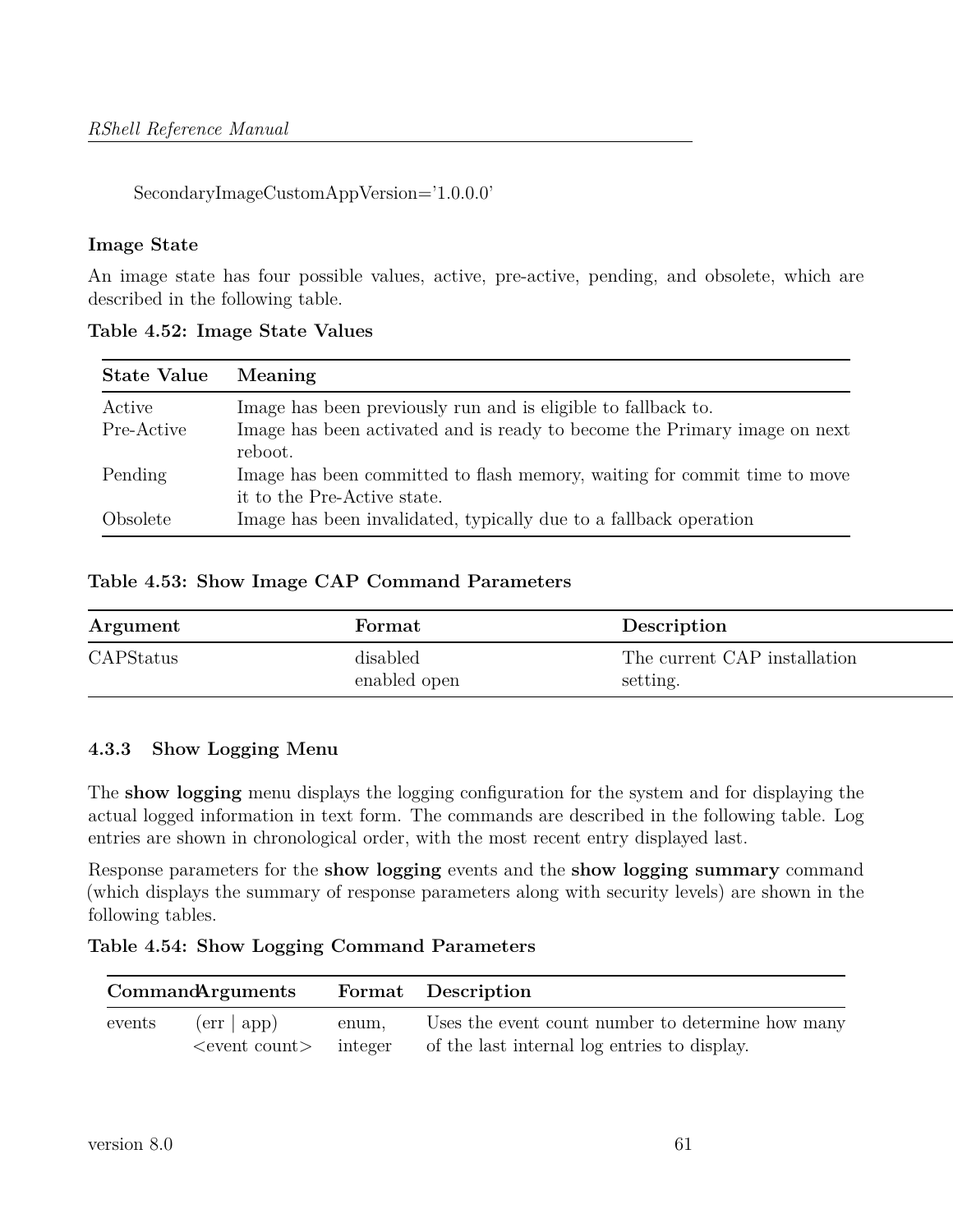SecondaryImageCustomAppVersion='1.0.0.0'

### **Image State**

An image state has four possible values, active, pre-active, pending, and obsolete, which are described in the following table.

| <b>State Value</b> | Meaning                                                                                                  |
|--------------------|----------------------------------------------------------------------------------------------------------|
| Active             | Image has been previously run and is eligible to fallback to.                                            |
| Pre-Active         | Image has been activated and is ready to become the Primary image on next<br>reboot.                     |
| Pending            | Image has been committed to flash memory, waiting for commit time to move<br>it to the Pre-Active state. |
| Obsolete           | Image has been invalidated, typically due to a fallback operation                                        |

**Table 4.52: Image State Values**

## **Table 4.53: Show Image CAP Command Parameters**

| Argument  | Format                   | Description                              |
|-----------|--------------------------|------------------------------------------|
| CAPStatus | disabled<br>enabled open | The current CAP installation<br>setting. |

## **4.3.3 Show Logging Menu**

The **show logging** menu displays the logging configuration for the system and for displaying the actual logged information in text form. The commands are described in the following table. Log entries are shown in chronological order, with the most recent entry displayed last.

Response parameters for the **show logging** events and the **show logging summary** command (which displays the summary of response parameters along with security levels) are shown in the following tables.

**Table 4.54: Show Logging Command Parameters**

|        | <b>CommandArguments</b>     |         | Format Description                                |
|--------|-----------------------------|---------|---------------------------------------------------|
| events | $(\text{err}   \text{app})$ | enum,   | Uses the event count number to determine how many |
|        |                             | integer | of the last internal log entries to display.      |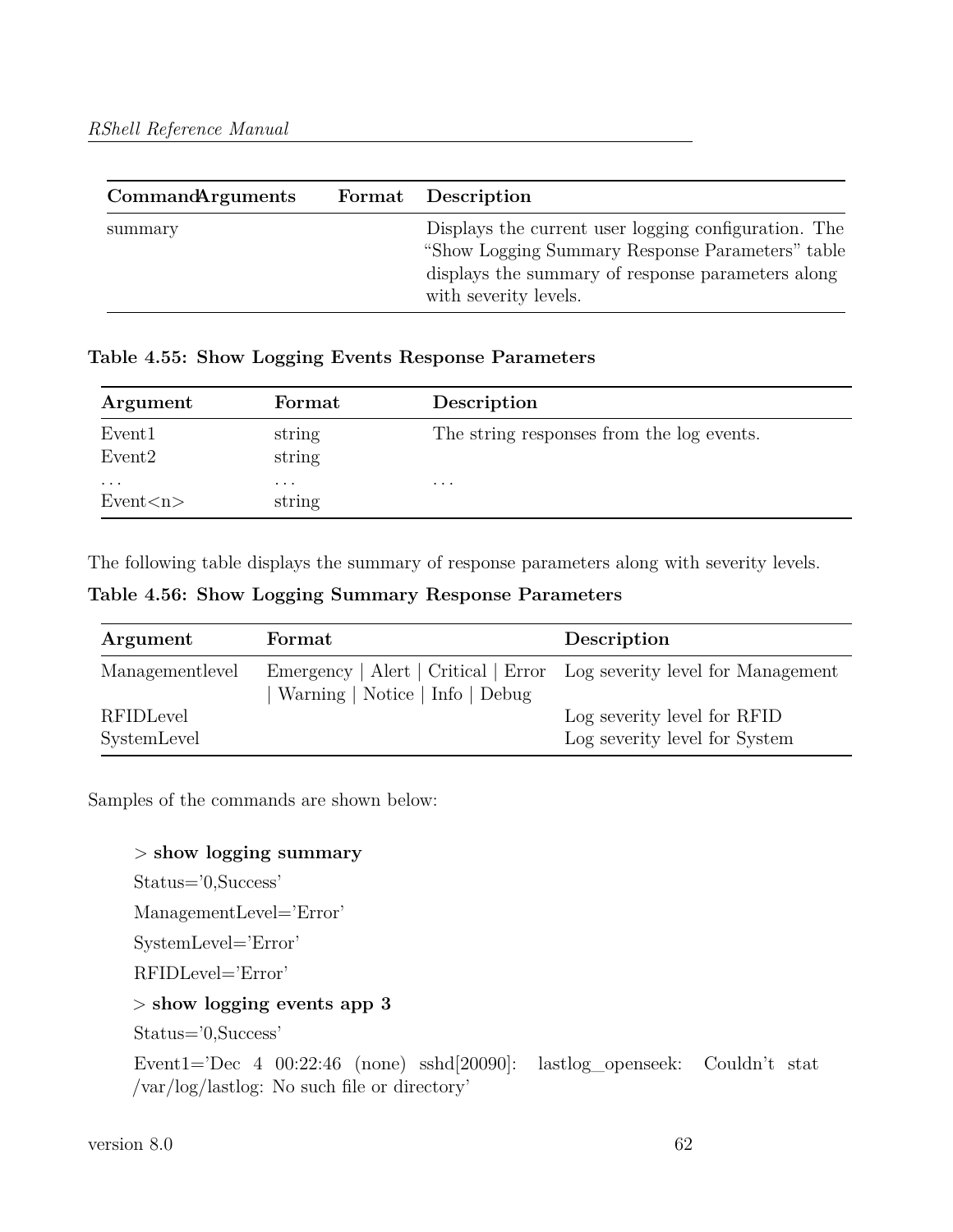| <b>CommandArguments</b> | Format Description                                                                                                                                                                     |
|-------------------------|----------------------------------------------------------------------------------------------------------------------------------------------------------------------------------------|
| summary                 | Displays the current user logging configuration. The<br>"Show Logging Summary Response Parameters" table<br>displays the summary of response parameters along<br>with severity levels. |

**Table 4.55: Show Logging Events Response Parameters**

| Argument                                 | Format                            | Description                               |
|------------------------------------------|-----------------------------------|-------------------------------------------|
| Event <sub>1</sub><br>Event <sub>2</sub> | string<br>string                  | The string responses from the log events. |
| $\cdot$ $\cdot$ $\cdot$<br>Event < n     | $\cdot$ $\cdot$ $\cdot$<br>string | $\cdot$ $\cdot$ $\cdot$                   |

The following table displays the summary of response parameters along with severity levels.

**Table 4.56: Show Logging Summary Response Parameters**

| Argument        | Format                                                                 | Description                   |
|-----------------|------------------------------------------------------------------------|-------------------------------|
| Managementlevel | Emergency   Alert   Critical   Error Log severity level for Management |                               |
| RFIDLevel       | Warning   Notice   Info   Debug                                        | Log severity level for RFID   |
| SystemLevel     |                                                                        | Log severity level for System |

Samples of the commands are shown below:

> **show logging summary**

Status='0,Success'

ManagementLevel='Error'

SystemLevel='Error'

RFIDLevel='Error'

## > **show logging events app 3**

Status='0,Success'

Event1='Dec 4 00:22:46 (none) sshd[20090]: lastlog\_openseek: Couldn't stat /var/log/lastlog: No such file or directory'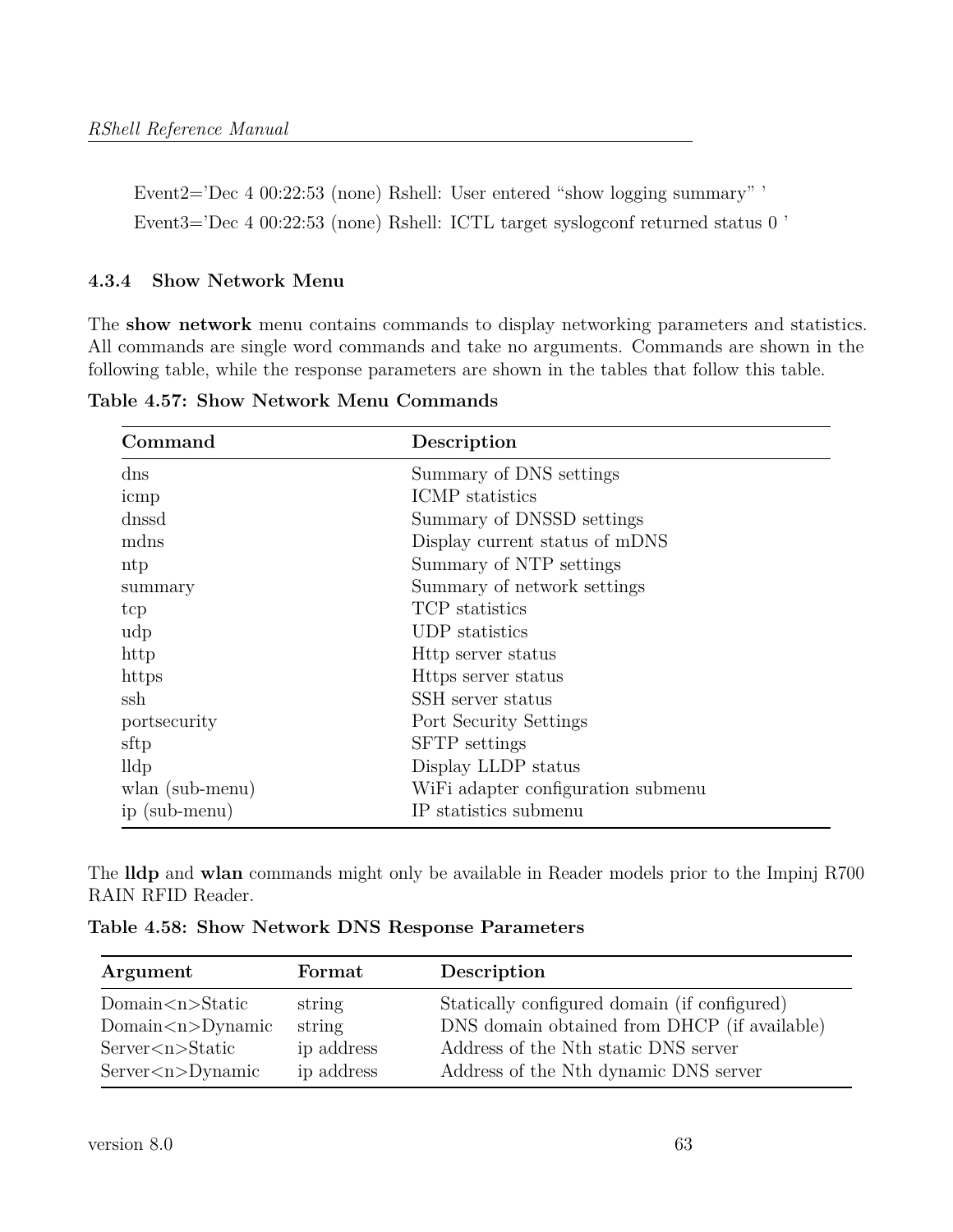Event2='Dec 4 00:22:53 (none) Rshell: User entered "show logging summary" ' Event3='Dec 4 00:22:53 (none) Rshell: ICTL target syslogconf returned status 0 '

#### **4.3.4 Show Network Menu**

The **show network** menu contains commands to display networking parameters and statistics. All commands are single word commands and take no arguments. Commands are shown in the following table, while the response parameters are shown in the tables that follow this table.

| Command         | Description                        |
|-----------------|------------------------------------|
| $\mathrm{dns}$  | Summary of DNS settings            |
| icmp            | ICMP statistics                    |
| dnssd           | Summary of DNSSD settings          |
| mdns            | Display current status of mDNS     |
| ntp             | Summary of NTP settings            |
| summary         | Summary of network settings        |
| tcp             | TCP statistics                     |
| udp             | UDP statistics                     |
| http            | Http server status                 |
| https           | Https server status                |
| ssh             | SSH server status                  |
| portsecurity    | Port Security Settings             |
| sftp            | <b>SFTP</b> settings               |
| lldp            | Display LLDP status                |
| wlan (sub-menu) | WiFi adapter configuration submenu |
| ip (sub-menu)   | IP statistics submenu              |

**Table 4.57: Show Network Menu Commands**

The **lldp** and **wlan** commands might only be available in Reader models prior to the Impinj R700 RAIN RFID Reader.

**Table 4.58: Show Network DNS Response Parameters**

| Argument                          | Format     | Description                                  |
|-----------------------------------|------------|----------------------------------------------|
| Domain $\langle n \rangle$ Static | string     | Statically configured domain (if configured) |
| $Domain < n>$ Dynamic             | string     | DNS domain obtained from DHCP (if available) |
| Server < n > Static               | ip address | Address of the Nth static DNS server         |
| $Server \langle n\rangle$ Dynamic | ip address | Address of the Nth dynamic DNS server        |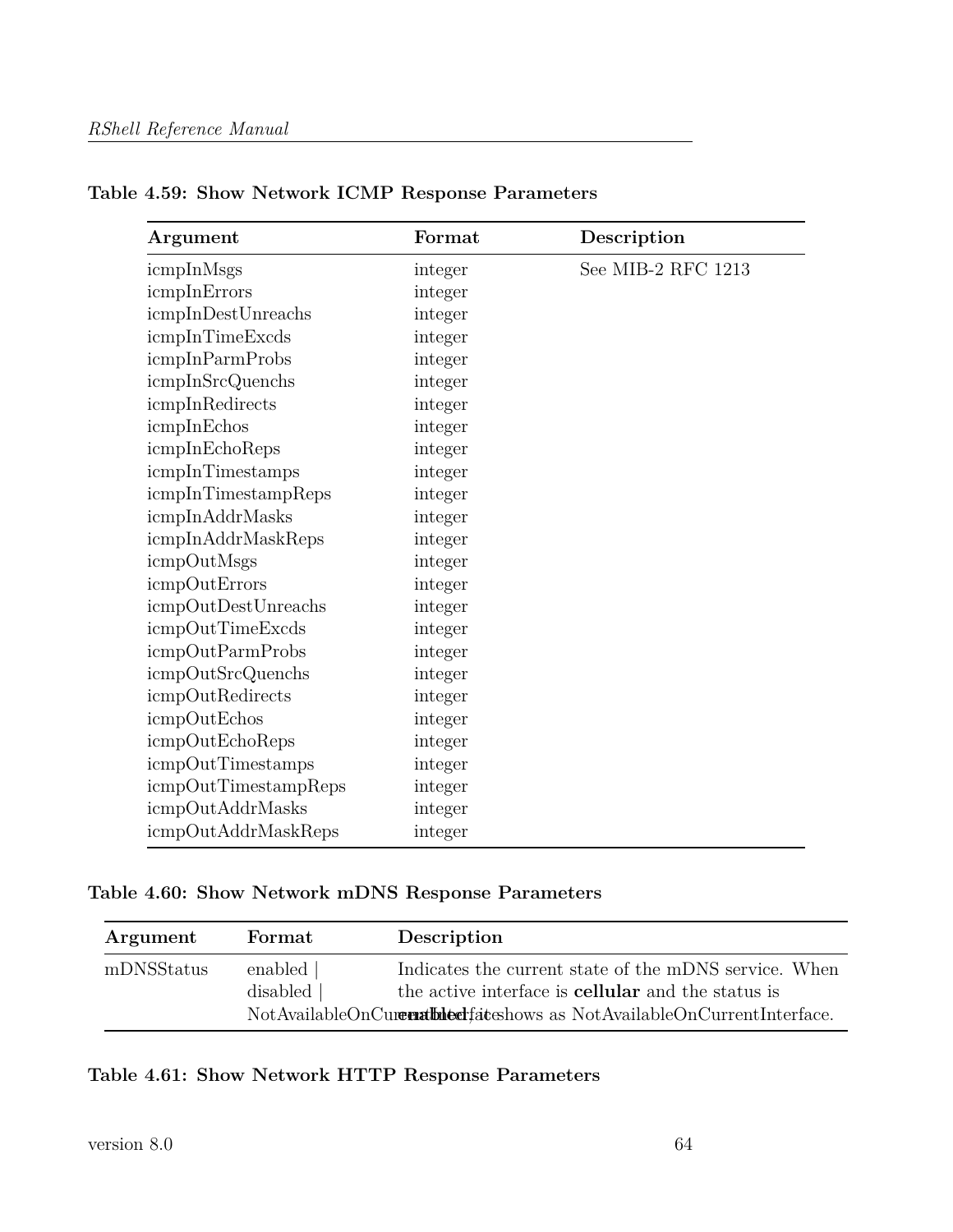| Argument                | Format  | Description        |
|-------------------------|---------|--------------------|
| icmpInMsgs              | integer | See MIB-2 RFC 1213 |
| icmpInErrors            | integer |                    |
| icmpInDestUnreachs      | integer |                    |
| icmpInTimeExcds         | integer |                    |
| icmpInParmProbs         | integer |                    |
| icmpInSrcQuenchs        | integer |                    |
| icmpInRedirects         | integer |                    |
| icmpInEchos             | integer |                    |
| icmpInEchoReps          | integer |                    |
| icmpInTimestamps        | integer |                    |
| icmpInTimestampReps     | integer |                    |
| icmpInAddrMasks         | integer |                    |
| icmpInAddrMaskReps      | integer |                    |
| icmpOutMsgs             | integer |                    |
| icmpOutErrors           | integer |                    |
| icmpOutDestUnreachs     | integer |                    |
| icmpOutTimeExcds        | integer |                    |
| <i>icmpOutParmProbs</i> | integer |                    |
| icmpOutSrcQuenchs       | integer |                    |
| icmpOutRedirects        | integer |                    |
| icmpOutEchos            | integer |                    |
| icmpOutEchoReps         | integer |                    |
| icmpOutTimestamps       | integer |                    |
| icmpOutTimestampReps    | integer |                    |
| icmpOutAddrMasks        | integer |                    |
| icmpOutAddrMaskReps     | integer |                    |

# **Table 4.59: Show Network ICMP Response Parameters**

## **Table 4.60: Show Network mDNS Response Parameters**

| Argument   | Format                | Description                                                                                                                                           |
|------------|-----------------------|-------------------------------------------------------------------------------------------------------------------------------------------------------|
| mDNSStatus | enabled  <br>disabled | Indicates the current state of the mDNS service. When<br>the active interface is <b>cellular</b> and the status is<br>NotAvailableOnCurrentInterface. |

## **Table 4.61: Show Network HTTP Response Parameters**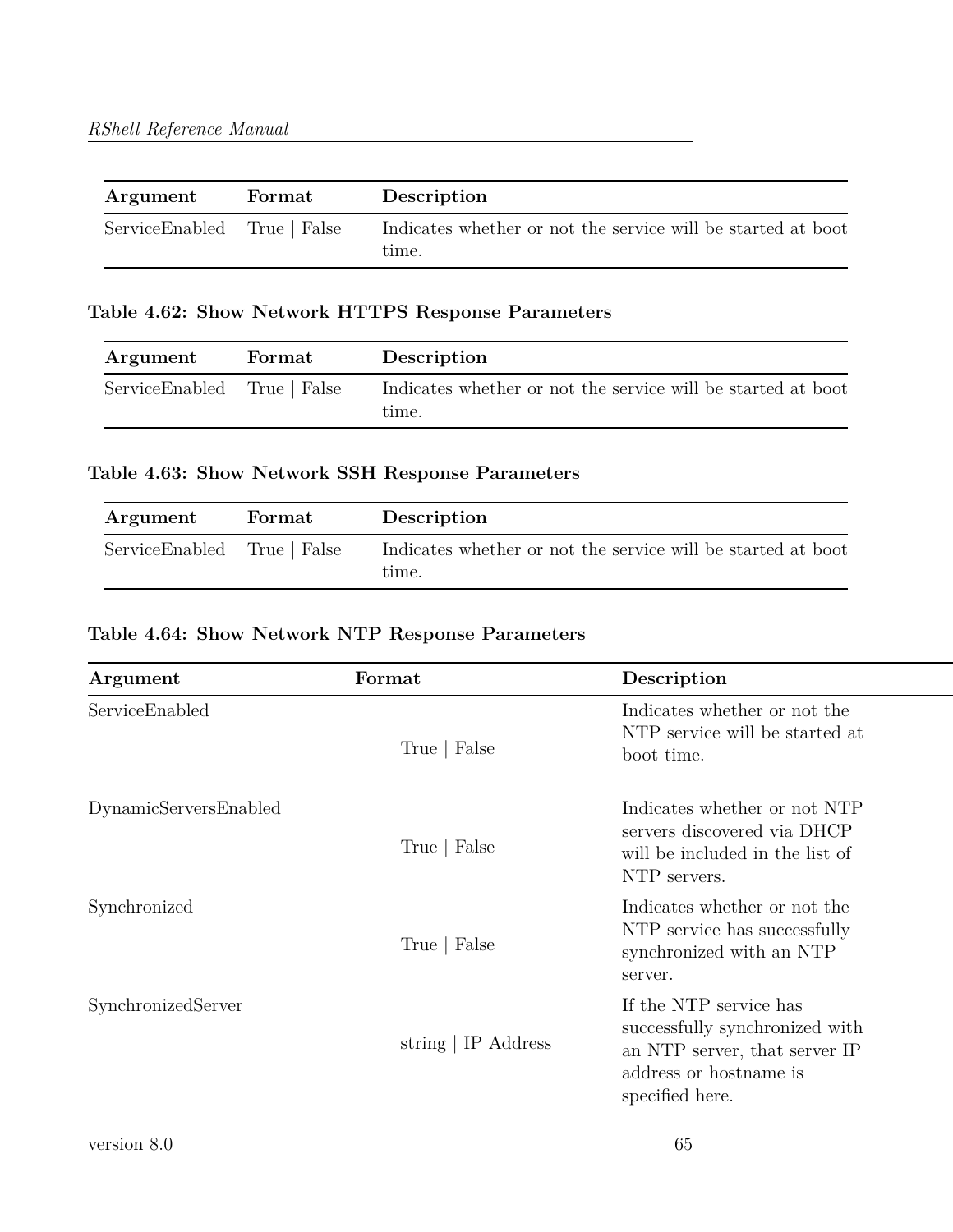| Argument                    | Format | Description                                                           |
|-----------------------------|--------|-----------------------------------------------------------------------|
| ServiceEnabled True   False |        | Indicates whether or not the service will be started at boot<br>time. |

## **Table 4.62: Show Network HTTPS Response Parameters**

| Argument                    | Format | Description                                                           |
|-----------------------------|--------|-----------------------------------------------------------------------|
| ServiceEnabled True   False |        | Indicates whether or not the service will be started at boot<br>time. |

## **Table 4.63: Show Network SSH Response Parameters**

| Argument                    | ${\rm \bf Format}$ | Description                                                           |
|-----------------------------|--------------------|-----------------------------------------------------------------------|
| ServiceEnabled True   False |                    | Indicates whether or not the service will be started at boot<br>time. |

## **Table 4.64: Show Network NTP Response Parameters**

| Argument              | Format              | Description                                                                                                                            |
|-----------------------|---------------------|----------------------------------------------------------------------------------------------------------------------------------------|
| ServiceEnabled        | True   False        | Indicates whether or not the<br>NTP service will be started at<br>boot time.                                                           |
| DynamicServersEnabled | True   False        | Indicates whether or not NTP<br>servers discovered via DHCP<br>will be included in the list of<br>NTP servers.                         |
| Synchronized          | True   False        | Indicates whether or not the<br>NTP service has successfully<br>synchronized with an NTP<br>server.                                    |
| SynchronizedServer    | string   IP Address | If the NTP service has<br>successfully synchronized with<br>an NTP server, that server IP<br>address or hostname is<br>specified here. |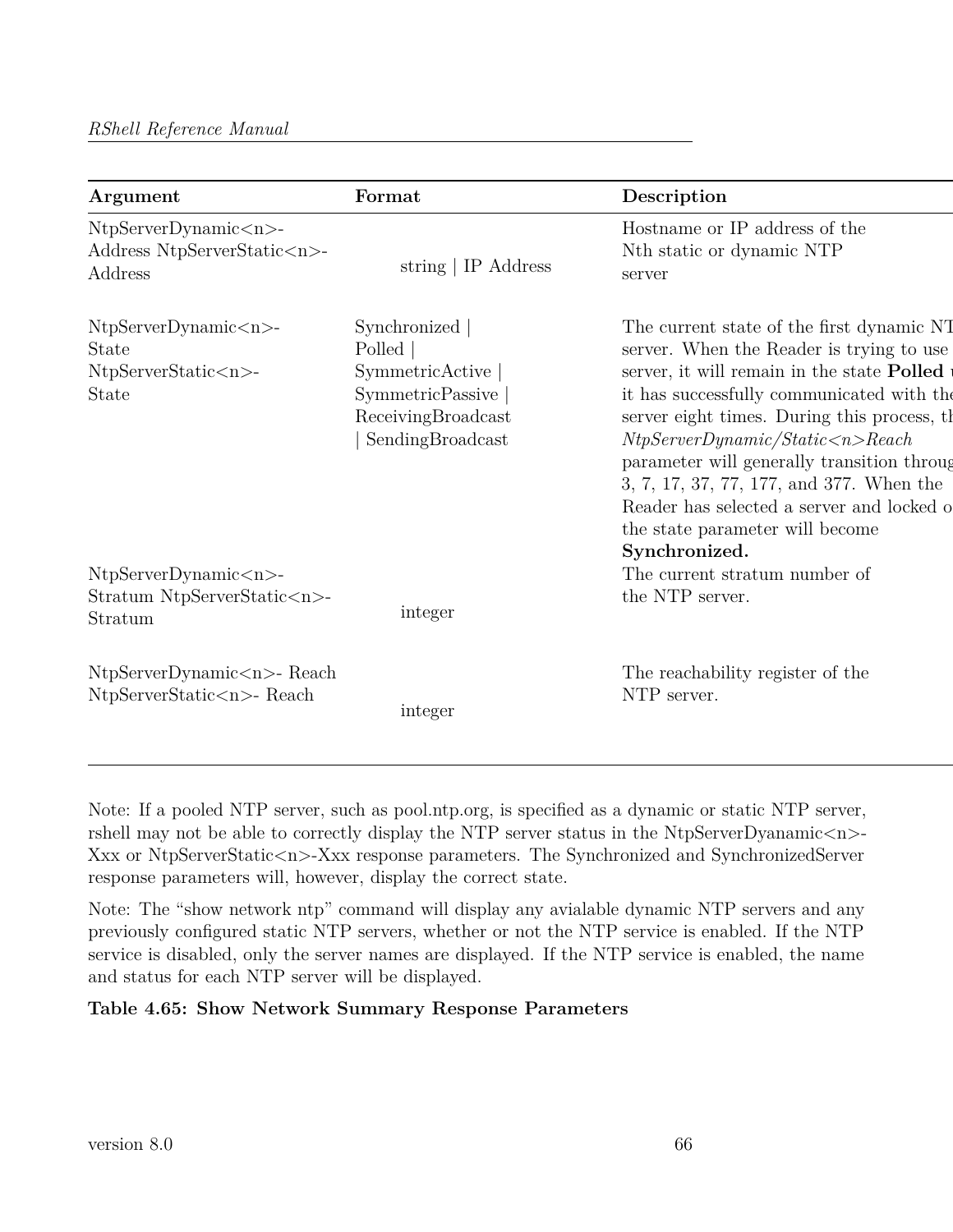| Argument                                                                    | Format                                                                                                           | Description                                                                                                                                                                                                                                                                                                                                                                                                                                                        |
|-----------------------------------------------------------------------------|------------------------------------------------------------------------------------------------------------------|--------------------------------------------------------------------------------------------------------------------------------------------------------------------------------------------------------------------------------------------------------------------------------------------------------------------------------------------------------------------------------------------------------------------------------------------------------------------|
| NtpServerDynamic < n><br>Address NtpServerStatic <n>-<br/>Address</n>       | string $\vert$ IP Address                                                                                        | Hostname or IP address of the<br>Nth static or dynamic NTP<br>server                                                                                                                                                                                                                                                                                                                                                                                               |
| NtpServerDynamic < n><br>State<br>NtpServerStatic <n>-<br/><b>State</b></n> | Synchronized<br>Polled  <br>SymmetricActive<br><b>SymmetricPassive</b><br>ReceivingBroadcast<br>SendingBroadcast | The current state of the first dynamic NT<br>server. When the Reader is trying to use<br>server, it will remain in the state Polled<br>it has successfully communicated with the<br>server eight times. During this process, the<br>NtpServerDynamic/Static < n >Reach<br>parameter will generally transition through<br>3, 7, 17, 37, 77, 177, and 377. When the<br>Reader has selected a server and locked o<br>the state parameter will become<br>Synchronized. |
| NtpServerDynamic < n><br>Stratum NtpServerStatic <n>-<br/>Stratum</n>       | integer                                                                                                          | The current stratum number of<br>the NTP server.                                                                                                                                                                                                                                                                                                                                                                                                                   |
| $NtpServerDynamic < n>$ - Reach<br>$NtpServerStatic < n$ - Reach            | integer                                                                                                          | The reachability register of the<br>NTP server.                                                                                                                                                                                                                                                                                                                                                                                                                    |

Note: If a pooled NTP server, such as pool.ntp.org, is specified as a dynamic or static NTP server, rshell may not be able to correctly display the NTP server status in the NtpServerDyanamic $\langle n \rangle$ -Xxx or NtpServerStatic<n>-Xxx response parameters. The Synchronized and SynchronizedServer response parameters will, however, display the correct state.

Note: The "show network ntp" command will display any avialable dynamic NTP servers and any previously configured static NTP servers, whether or not the NTP service is enabled. If the NTP service is disabled, only the server names are displayed. If the NTP service is enabled, the name and status for each NTP server will be displayed.

## **Table 4.65: Show Network Summary Response Parameters**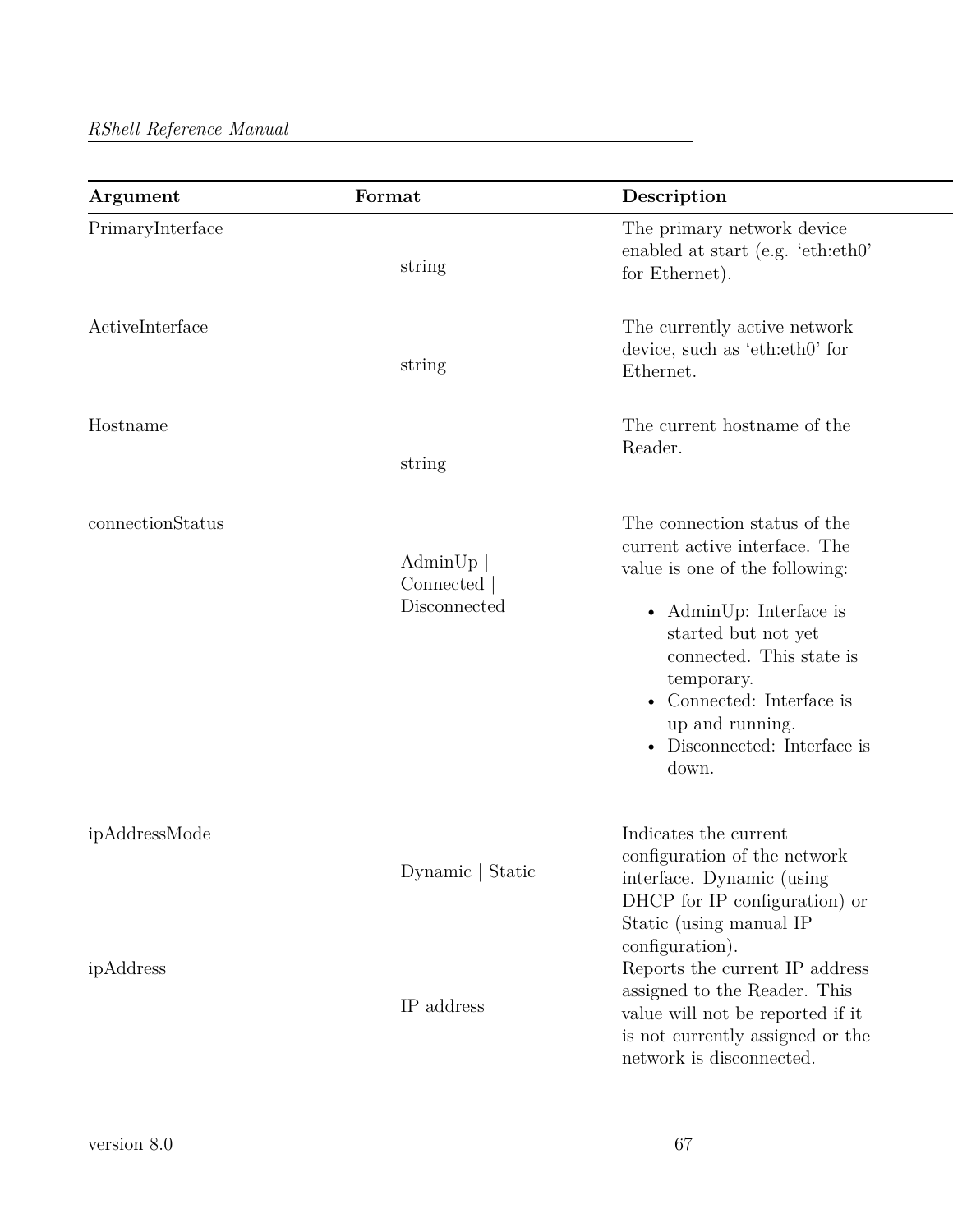| Argument         | Format                               | Description                                                                                                                                                                                                                                                                        |
|------------------|--------------------------------------|------------------------------------------------------------------------------------------------------------------------------------------------------------------------------------------------------------------------------------------------------------------------------------|
| PrimaryInterface | string                               | The primary network device<br>enabled at start (e.g. 'eth:eth0'<br>for Ethernet).                                                                                                                                                                                                  |
| ActiveInterface  | string                               | The currently active network<br>device, such as 'eth:eth0' for<br>Ethernet.                                                                                                                                                                                                        |
| Hostname         | string                               | The current hostname of the<br>Reader.                                                                                                                                                                                                                                             |
| connectionStatus | AdminUp<br>Connected<br>Disconnected | The connection status of the<br>current active interface. The<br>value is one of the following:<br>• AdminUp: Interface is<br>started but not yet<br>connected. This state is<br>temporary.<br>• Connected: Interface is<br>up and running.<br>Disconnected: Interface is<br>down. |
| ipAddressMode    | Dynamic   Static                     | Indicates the current<br>configuration of the network<br>interface. Dynamic (using<br>DHCP for IP configuration) or<br>Static (using manual IP                                                                                                                                     |
| ipAddress        | IP address                           | configuration).<br>Reports the current IP address<br>assigned to the Reader. This<br>value will not be reported if it<br>is not currently assigned or the<br>network is disconnected.                                                                                              |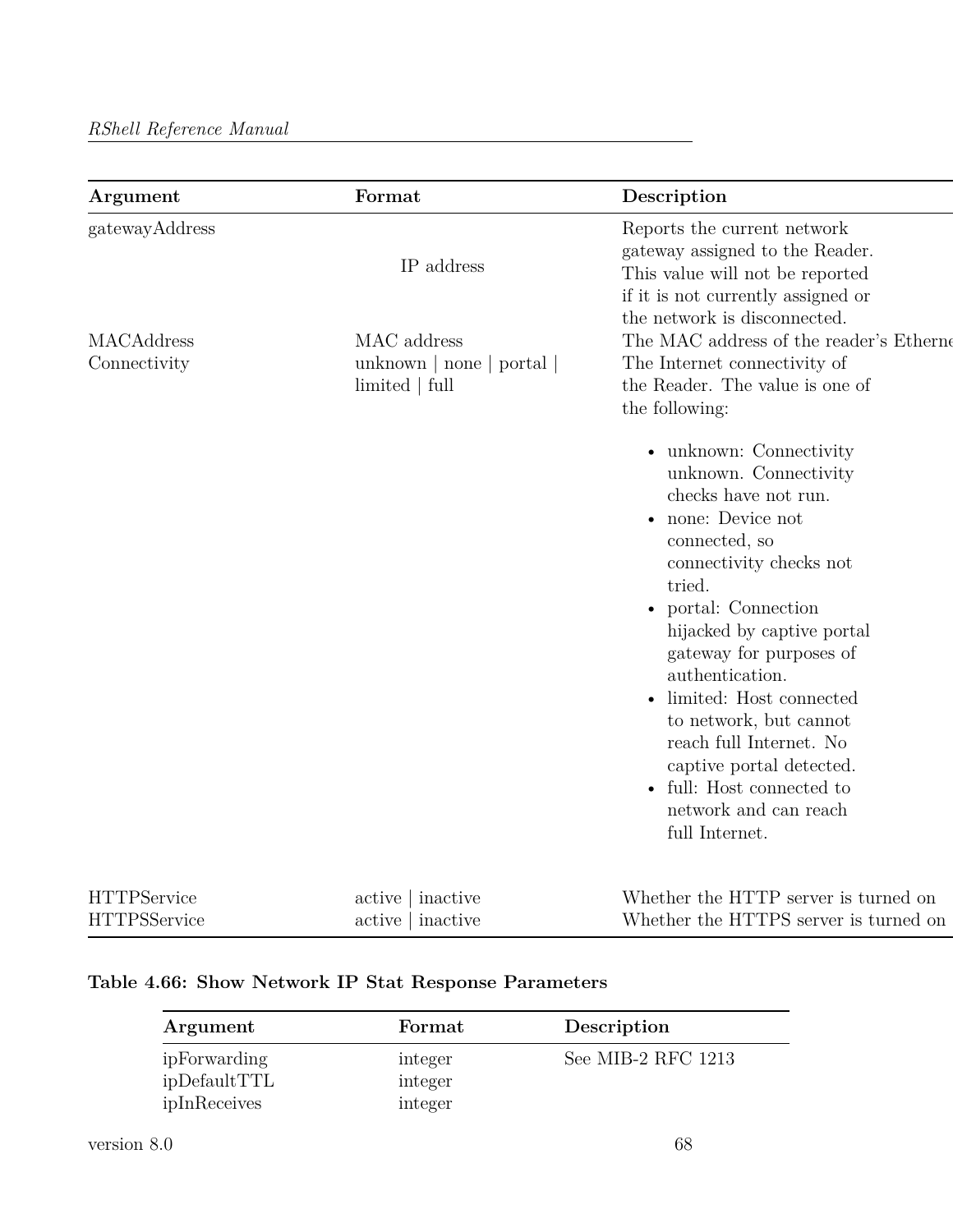| Argument                          | Format                                                                                                                                                                                                                         | Description                                                                                                                                                                                                                                                                                                                                                                                                                                  |
|-----------------------------------|--------------------------------------------------------------------------------------------------------------------------------------------------------------------------------------------------------------------------------|----------------------------------------------------------------------------------------------------------------------------------------------------------------------------------------------------------------------------------------------------------------------------------------------------------------------------------------------------------------------------------------------------------------------------------------------|
| gatewayAddress                    | IP address                                                                                                                                                                                                                     | Reports the current network<br>gateway assigned to the Reader.<br>This value will not be reported<br>if it is not currently assigned or                                                                                                                                                                                                                                                                                                      |
| <b>MACAddress</b><br>Connectivity | MAC address<br>unknown $ $ none $ $ portal $ $<br>limited   full                                                                                                                                                               | the network is disconnected.<br>The MAC address of the reader's Etherne<br>The Internet connectivity of<br>the Reader. The value is one of<br>the following:                                                                                                                                                                                                                                                                                 |
|                                   |                                                                                                                                                                                                                                | • unknown: Connectivity<br>unknown. Connectivity<br>checks have not run.<br>• none: Device not<br>connected, so<br>connectivity checks not<br>tried.<br>• portal: Connection<br>hijacked by captive portal<br>gateway for purposes of<br>authentication.<br>limited: Host connected<br>to network, but cannot<br>reach full Internet. No<br>captive portal detected.<br>• full: Host connected to<br>network and can reach<br>full Internet. |
| TTTTTTDA                          | the contract of the contract of the contract of the contract of the contract of the contract of the contract of the contract of the contract of the contract of the contract of the contract of the contract of the contract o | $\mathbf{H}$                                                                                                                                                                                                                                                                                                                                                                                                                                 |

| <b>HTTPService</b>  | $active \mid inactive$ | Whether the HTTP server is turned on  |
|---------------------|------------------------|---------------------------------------|
| <b>HTTPSService</b> | active   inactive      | Whether the HTTPS server is turned on |

## **Table 4.66: Show Network IP Stat Response Parameters**

| Argument                                     | Format                        | Description        |
|----------------------------------------------|-------------------------------|--------------------|
| ipForwarding<br>ipDefaultTTL<br>ipInReceives | integer<br>integer<br>integer | See MIB-2 RFC 1213 |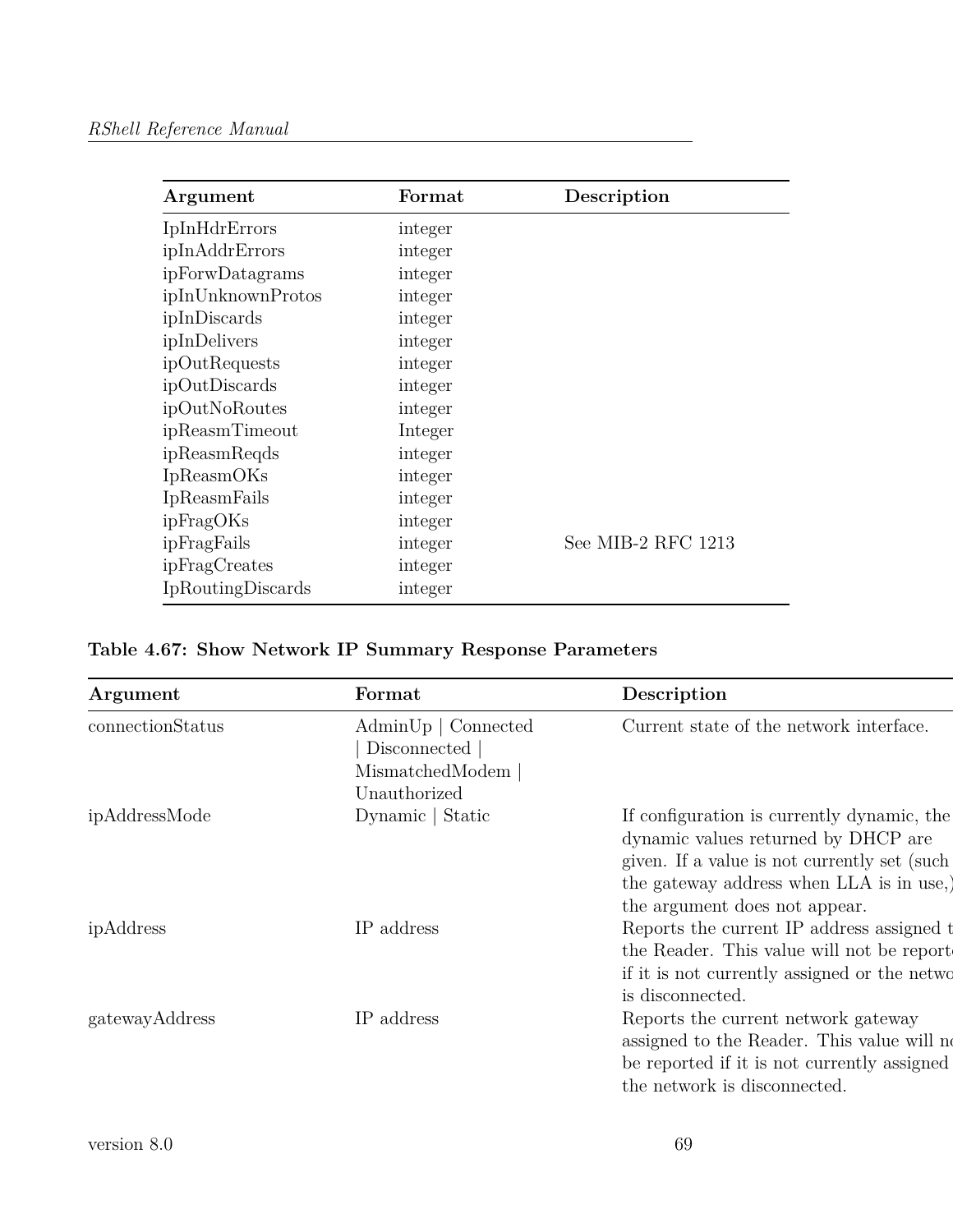| Argument             | Format  | Description        |
|----------------------|---------|--------------------|
| <b>IpInHdrErrors</b> | integer |                    |
| ipInAddrErrors       | integer |                    |
| ipForwDatagrams      | integer |                    |
| ipInUnknownProtos    | integer |                    |
| ipInDiscards         | integer |                    |
| ipInDelivers         | integer |                    |
| ipOutRequests        | integer |                    |
| ipOutDiscards        | integer |                    |
| ipOutNoRoutes        | integer |                    |
| ipReasmTimeout       | Integer |                    |
| ipReasmReqds         | integer |                    |
| <b>IpReasmOKs</b>    | integer |                    |
| IpReasmFails         | integer |                    |
| ipFragOKs            | integer |                    |
| ipFragFails          | integer | See MIB-2 RFC 1213 |
| ipFragCreates        | integer |                    |
| IpRoutingDiscards    | integer |                    |

|  |  |  |  |  |  | Table 4.67: Show Network IP Summary Response Parameters |
|--|--|--|--|--|--|---------------------------------------------------------|
|--|--|--|--|--|--|---------------------------------------------------------|

| Argument         | Format                                                                                    | Description                                                                                                                                                                                                    |
|------------------|-------------------------------------------------------------------------------------------|----------------------------------------------------------------------------------------------------------------------------------------------------------------------------------------------------------------|
| connectionStatus | $\text{AdminUp} \mid \text{Connected}$<br>Disconnected<br>MismatchedModem<br>Unauthorized | Current state of the network interface.                                                                                                                                                                        |
| ipAddressMode    | Dynamic   Static                                                                          | If configuration is currently dynamic, the<br>dynamic values returned by DHCP are<br>given. If a value is not currently set (such)<br>the gateway address when LLA is in use,<br>the argument does not appear. |
| ipAddress        | IP address                                                                                | Reports the current IP address assigned to<br>the Reader. This value will not be report<br>if it is not currently assigned or the netwo<br>is disconnected.                                                    |
| gatewayAddress   | IP address                                                                                | Reports the current network gateway<br>assigned to the Reader. This value will no<br>be reported if it is not currently assigned<br>the network is disconnected.                                               |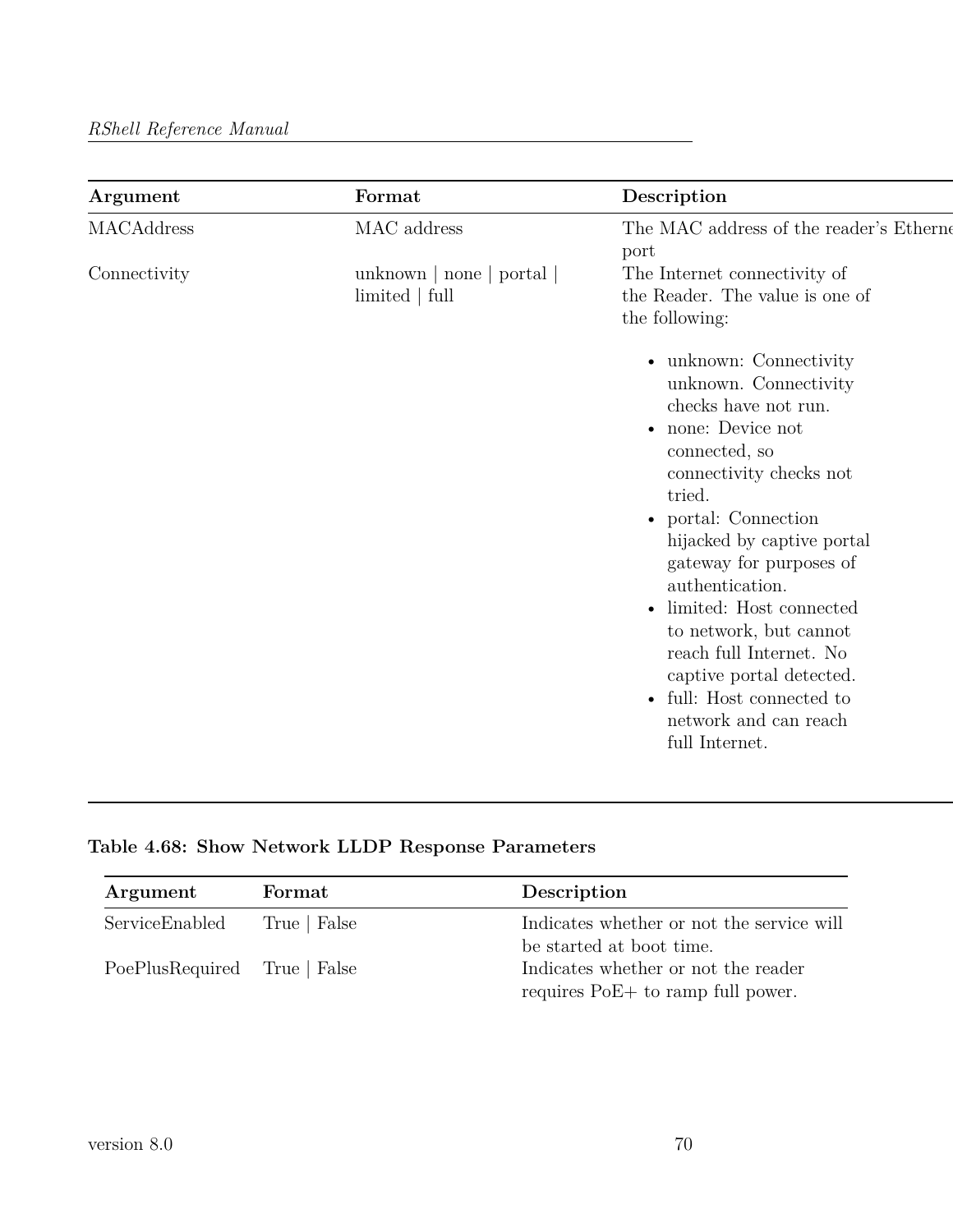| Argument     | Format                                      | Description                                                                                                                                                                                                                                                                                                                                                                                                                                             |
|--------------|---------------------------------------------|---------------------------------------------------------------------------------------------------------------------------------------------------------------------------------------------------------------------------------------------------------------------------------------------------------------------------------------------------------------------------------------------------------------------------------------------------------|
| MACAddress   | MAC address                                 | The MAC address of the reader's Etherne<br>port                                                                                                                                                                                                                                                                                                                                                                                                         |
| Connectivity | unknown   none   portal  <br>limited   full | The Internet connectivity of<br>the Reader. The value is one of<br>the following:                                                                                                                                                                                                                                                                                                                                                                       |
|              |                                             | • unknown: Connectivity<br>unknown. Connectivity<br>checks have not run.<br>• none: Device not<br>connected, so<br>connectivity checks not<br>tried.<br>• portal: Connection<br>hijacked by captive portal<br>gateway for purposes of<br>authentication.<br>limited: Host connected<br>to network, but cannot<br>reach full Internet. No<br>captive portal detected.<br>full: Host connected to<br>$\bullet$<br>network and can reach<br>full Internet. |

# **Table 4.68: Show Network LLDP Response Parameters**

| Argument                     | Format       | Description                               |
|------------------------------|--------------|-------------------------------------------|
| ServiceEnabled               | True   False | Indicates whether or not the service will |
|                              |              | be started at boot time.                  |
| PoePlusRequired True   False |              | Indicates whether or not the reader       |
|                              |              | requires PoE+ to ramp full power.         |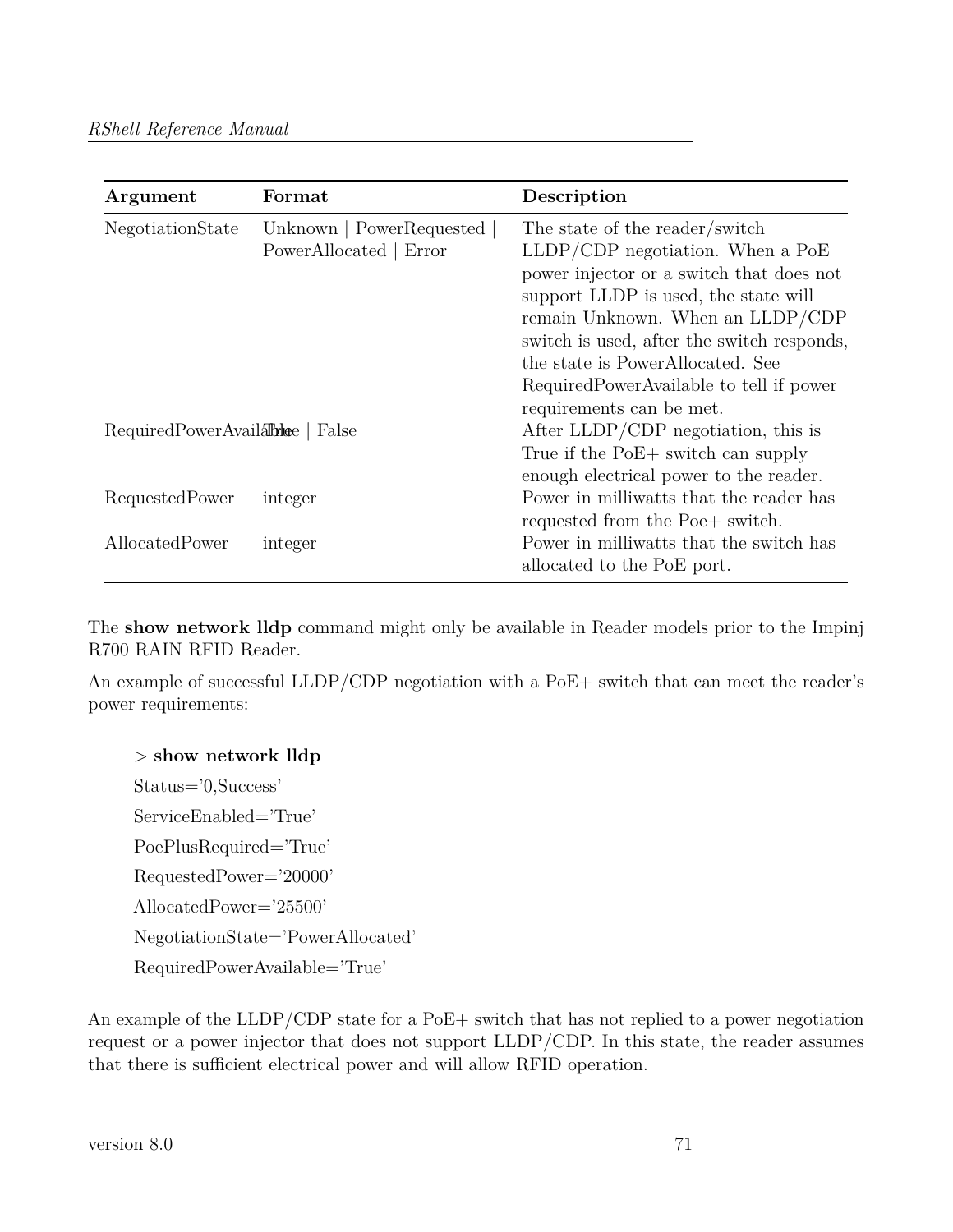| Argument                        | Format                                               | Description                                                                                                                                                                                                                                                                                                                   |
|---------------------------------|------------------------------------------------------|-------------------------------------------------------------------------------------------------------------------------------------------------------------------------------------------------------------------------------------------------------------------------------------------------------------------------------|
| NegotiationState                | Unknown   PowerRequested  <br>PowerAllocated   Error | The state of the reader/switch<br>$LLDP/CDP$ negotiation. When a $PoE$<br>power injector or a switch that does not<br>support LLDP is used, the state will<br>remain Unknown. When an LLDP/CDP<br>switch is used, after the switch responds,<br>the state is PowerAllocated. See<br>Required Power Available to tell if power |
| RequiredPowerAvailanche   False |                                                      | requirements can be met.<br>After LLDP/CDP negotiation, this is<br>True if the PoE+ switch can supply<br>enough electrical power to the reader.                                                                                                                                                                               |
| RequestedPower                  | integer                                              | Power in milliwatts that the reader has<br>requested from the Poe+ switch.                                                                                                                                                                                                                                                    |
| AllocatedPower                  | integer                                              | Power in milliwatts that the switch has<br>allocated to the PoE port.                                                                                                                                                                                                                                                         |

The **show network lldp** command might only be available in Reader models prior to the Impinj R700 RAIN RFID Reader.

An example of successful LLDP/CDP negotiation with a PoE+ switch that can meet the reader's power requirements:

## > **show network lldp**

Status='0,Success' ServiceEnabled='True' PoePlusRequired='True' RequestedPower='20000' AllocatedPower='25500' NegotiationState='PowerAllocated' RequiredPowerAvailable='True'

An example of the LLDP/CDP state for a PoE+ switch that has not replied to a power negotiation request or a power injector that does not support LLDP/CDP. In this state, the reader assumes that there is sufficient electrical power and will allow RFID operation.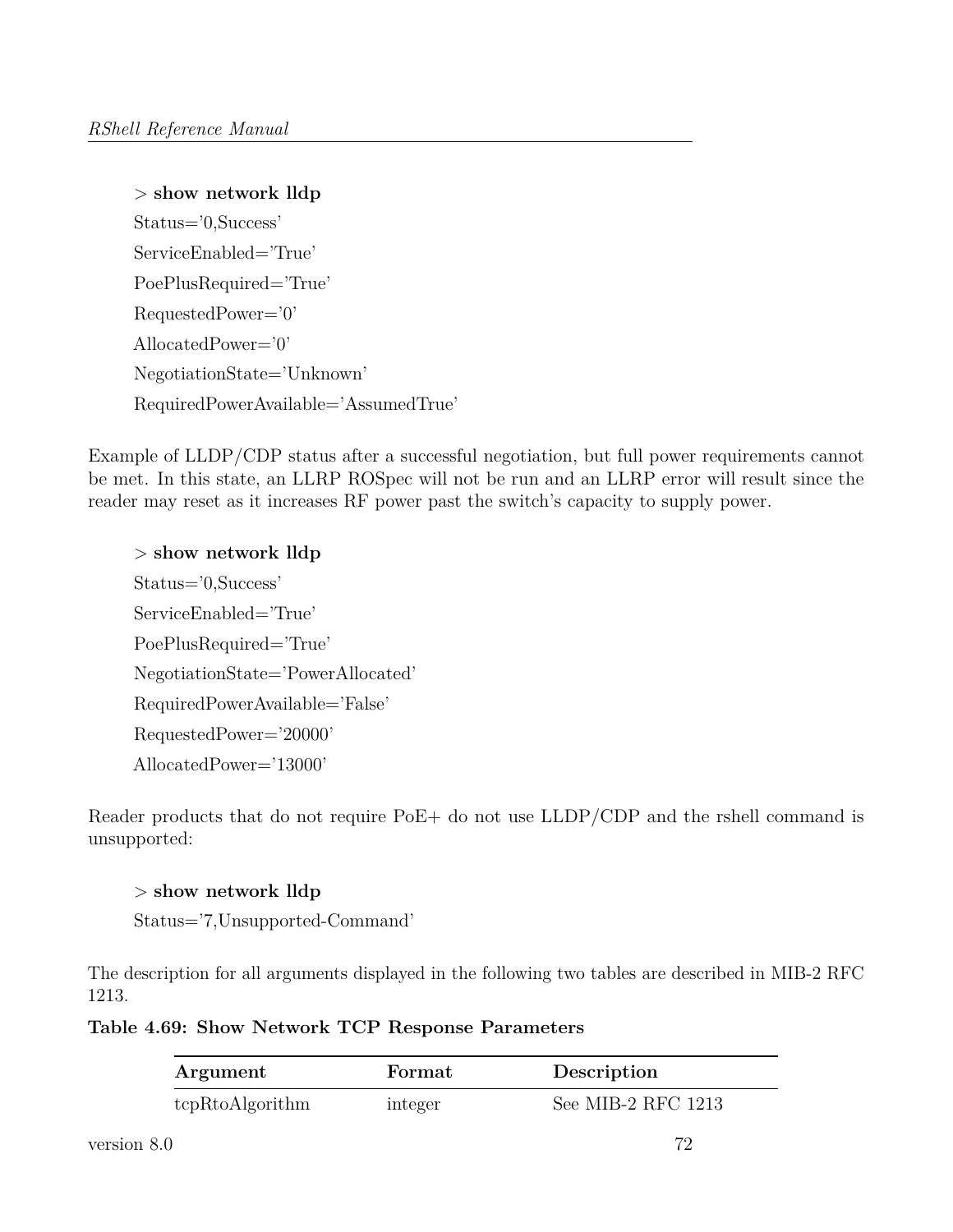```
> show network lldp
Status='0,Success'
ServiceEnabled='True'
PoePlusRequired='True'
RequestedPower='0'
AllocatedPower='0'
NegotiationState='Unknown'
RequiredPowerAvailable='AssumedTrue'
```
Example of LLDP/CDP status after a successful negotiation, but full power requirements cannot be met. In this state, an LLRP ROSpec will not be run and an LLRP error will result since the reader may reset as it increases RF power past the switch's capacity to supply power.

> **show network lldp** Status='0,Success' ServiceEnabled='True' PoePlusRequired='True' NegotiationState='PowerAllocated' RequiredPowerAvailable='False' RequestedPower='20000' AllocatedPower='13000'

Reader products that do not require PoE+ do not use LLDP/CDP and the rshell command is unsupported:

> **show network lldp** Status='7,Unsupported-Command'

The description for all arguments displayed in the following two tables are described in MIB-2 RFC 1213.

**Table 4.69: Show Network TCP Response Parameters**

| Argument        | Format  | Description        |
|-----------------|---------|--------------------|
| tcpRtoAlgorithm | integer | See MIB-2 RFC 1213 |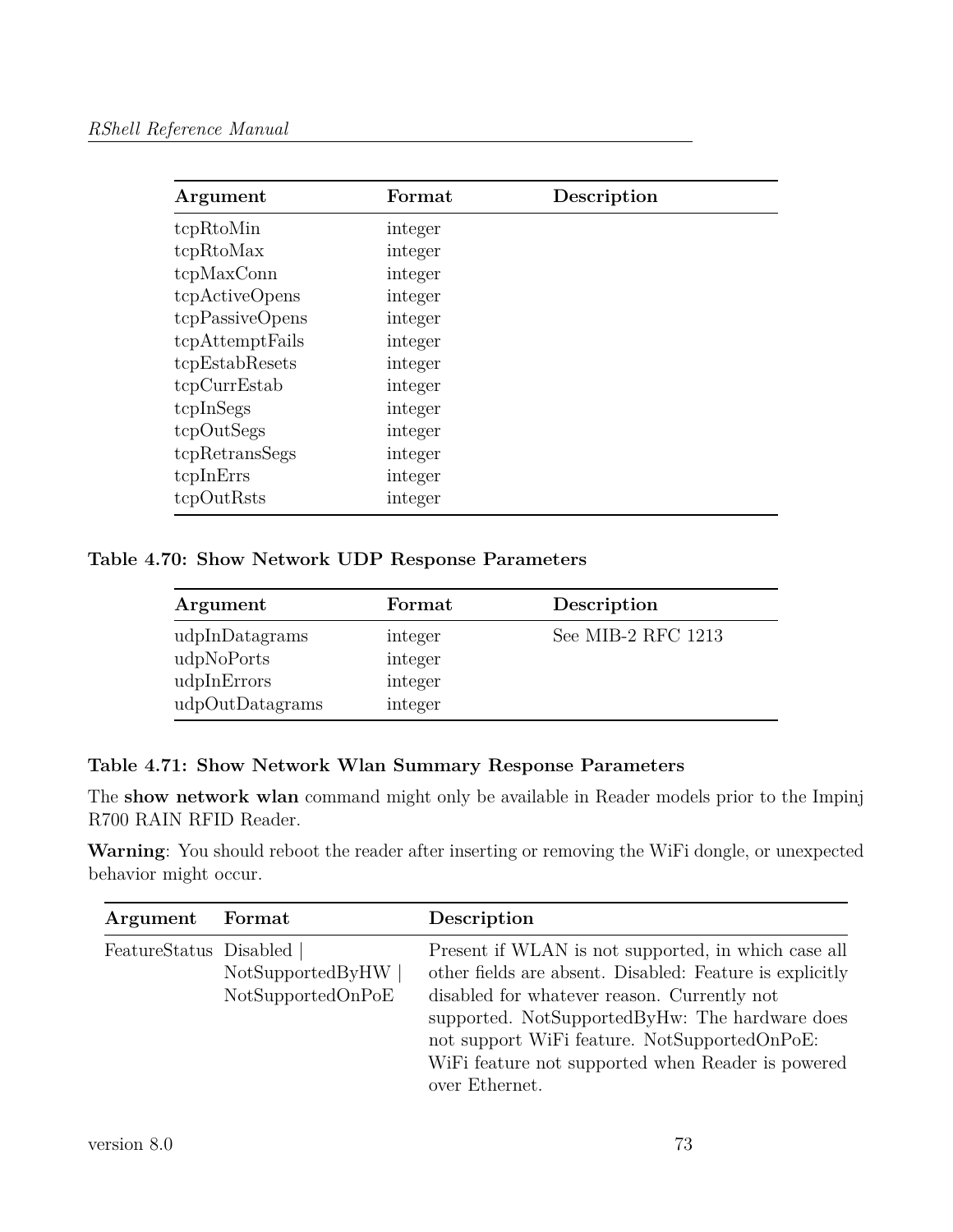| Argument        | Format  | Description |  |
|-----------------|---------|-------------|--|
| tcpRtoMin       | integer |             |  |
| tcpRtoMax       | integer |             |  |
| tcpMaxConn      | integer |             |  |
| tcpActiveOpens  | integer |             |  |
| tcpPassiveOpens | integer |             |  |
| tcpAttemptFails | integer |             |  |
| tcpEstabResets  | integer |             |  |
| tcpCurrEstab    | integer |             |  |
| tcpInSegs       | integer |             |  |
| tcpOutSegs      | integer |             |  |
| tcpRetransSegs  | integer |             |  |
| tcpInErrs       | integer |             |  |
| tcpOutRsts      | integer |             |  |

**Table 4.70: Show Network UDP Response Parameters**

| Argument        | Format  | Description        |
|-----------------|---------|--------------------|
| udpInDatagrams  | integer | See MIB-2 RFC 1213 |
| udpNoPorts      | integer |                    |
| udpInErrors     | integer |                    |
| udpOutDatagrams | integer |                    |

## **Table 4.71: Show Network Wlan Summary Response Parameters**

The **show network wlan** command might only be available in Reader models prior to the Impinj R700 RAIN RFID Reader.

**Warning**: You should reboot the reader after inserting or removing the WiFi dongle, or unexpected behavior might occur.

| Argument               | Format                                | Description                                                                                                                                                                                                                                                                                                                             |
|------------------------|---------------------------------------|-----------------------------------------------------------------------------------------------------------------------------------------------------------------------------------------------------------------------------------------------------------------------------------------------------------------------------------------|
| FeatureStatus Disabled | NotSupportedByHW<br>NotSupportedOnPoE | Present if WLAN is not supported, in which case all<br>other fields are absent. Disabled: Feature is explicitly<br>disabled for whatever reason. Currently not<br>supported. NotSupportedByHw: The hardware does<br>not support WiFi feature. NotSupportedOnPoE:<br>WiFi feature not supported when Reader is powered<br>over Ethernet. |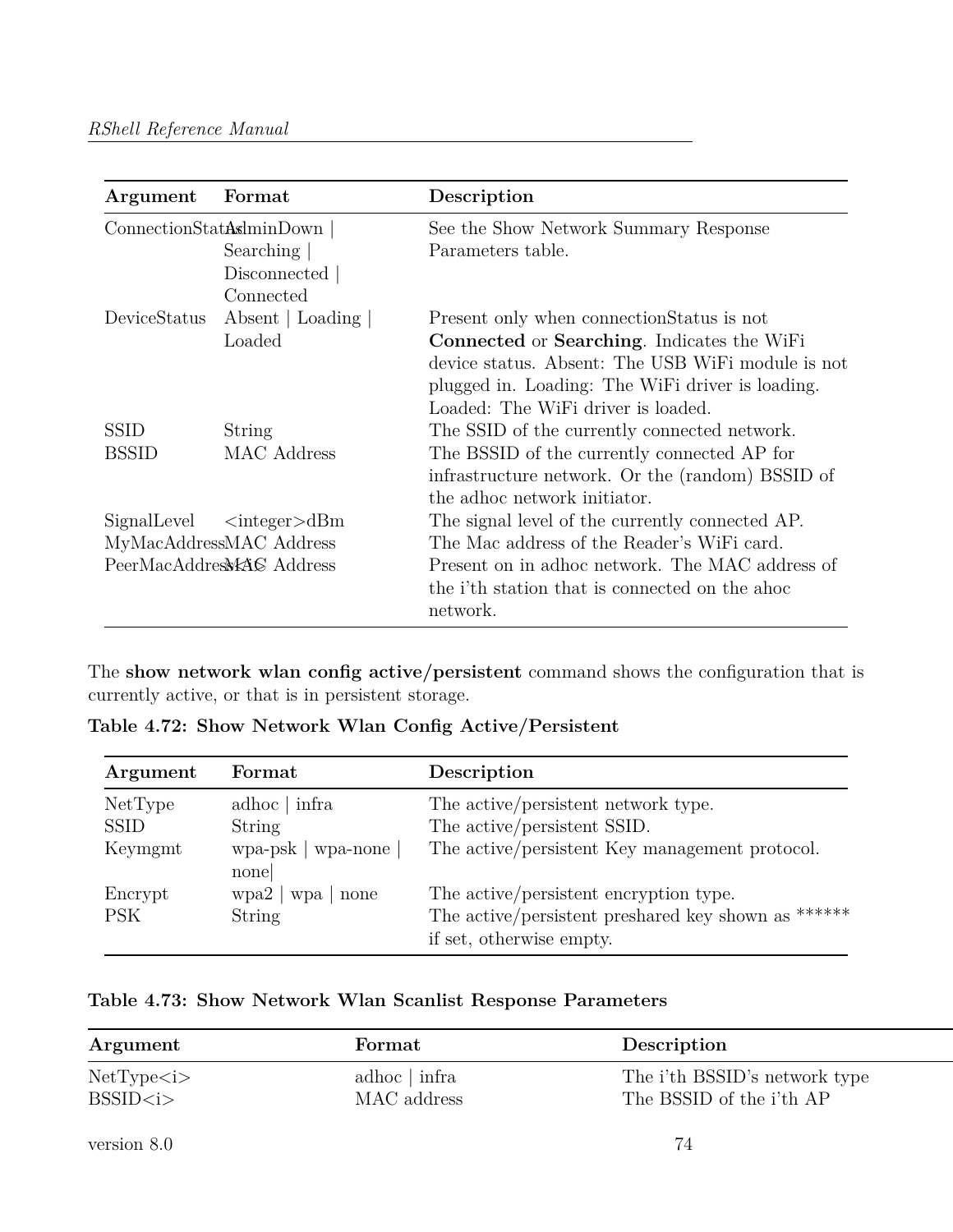| Argument     | Format                     | Description                                       |
|--------------|----------------------------|---------------------------------------------------|
|              | ConnectionStatAsminDown    | See the Show Network Summary Response             |
|              | Searching                  | Parameters table.                                 |
|              | Disconnected               |                                                   |
|              | Connected                  |                                                   |
| DeviceStatus | Absent   Loading           | Present only when connection Status is not        |
|              | Loaded                     | <b>Connected or Searching.</b> Indicates the WiFi |
|              |                            | device status. Absent: The USB WiFi module is not |
|              |                            | plugged in. Loading: The WiFi driver is loading.  |
|              |                            | Loaded: The WiFi driver is loaded.                |
| <b>SSID</b>  | String                     | The SSID of the currently connected network.      |
| <b>BSSID</b> | MAC Address                | The BSSID of the currently connected AP for       |
|              |                            | infrastructure network. Or the (random) BSSID of  |
|              |                            | the adhoc network initiator.                      |
| SignalLevel  | $\langle$ integer $>\,dBm$ | The signal level of the currently connected AP.   |
|              | MyMacAddressMAC Address    | The Mac address of the Reader's WiFi card.        |
|              | PeerMacAddresWAS Address   | Present on in adhoc network. The MAC address of   |
|              |                            | the i'th station that is connected on the above   |
|              |                            | network.                                          |

The **show network wlan config active/persistent** command shows the configuration that is currently active, or that is in persistent storage.

**Table 4.72: Show Network Wlan Config Active/Persistent**

| adhoc   infra                       | The active/persistent network type.                                                                                       |
|-------------------------------------|---------------------------------------------------------------------------------------------------------------------------|
| String                              | The active/persistent SSID.                                                                                               |
| $wpa-psk   wpa-none  $<br>none      | The active/persistent Key management protocol.                                                                            |
| wpa2   wpa<br>none<br><b>String</b> | The active/persistent encryption type.<br>The active/persistent preshared key shown as ******<br>if set, otherwise empty. |
|                                     |                                                                                                                           |

|  |  |  |  |  |  | Table 4.73: Show Network Wlan Scanlist Response Parameters |
|--|--|--|--|--|--|------------------------------------------------------------|
|--|--|--|--|--|--|------------------------------------------------------------|

| Argument     | Format          | Description                      |
|--------------|-----------------|----------------------------------|
| NetType < i> | adhoc $ $ infra | The i'th BSSID's network type    |
| BSSID < i>   | MAC address     | The BSSID of the <i>i</i> 'th AP |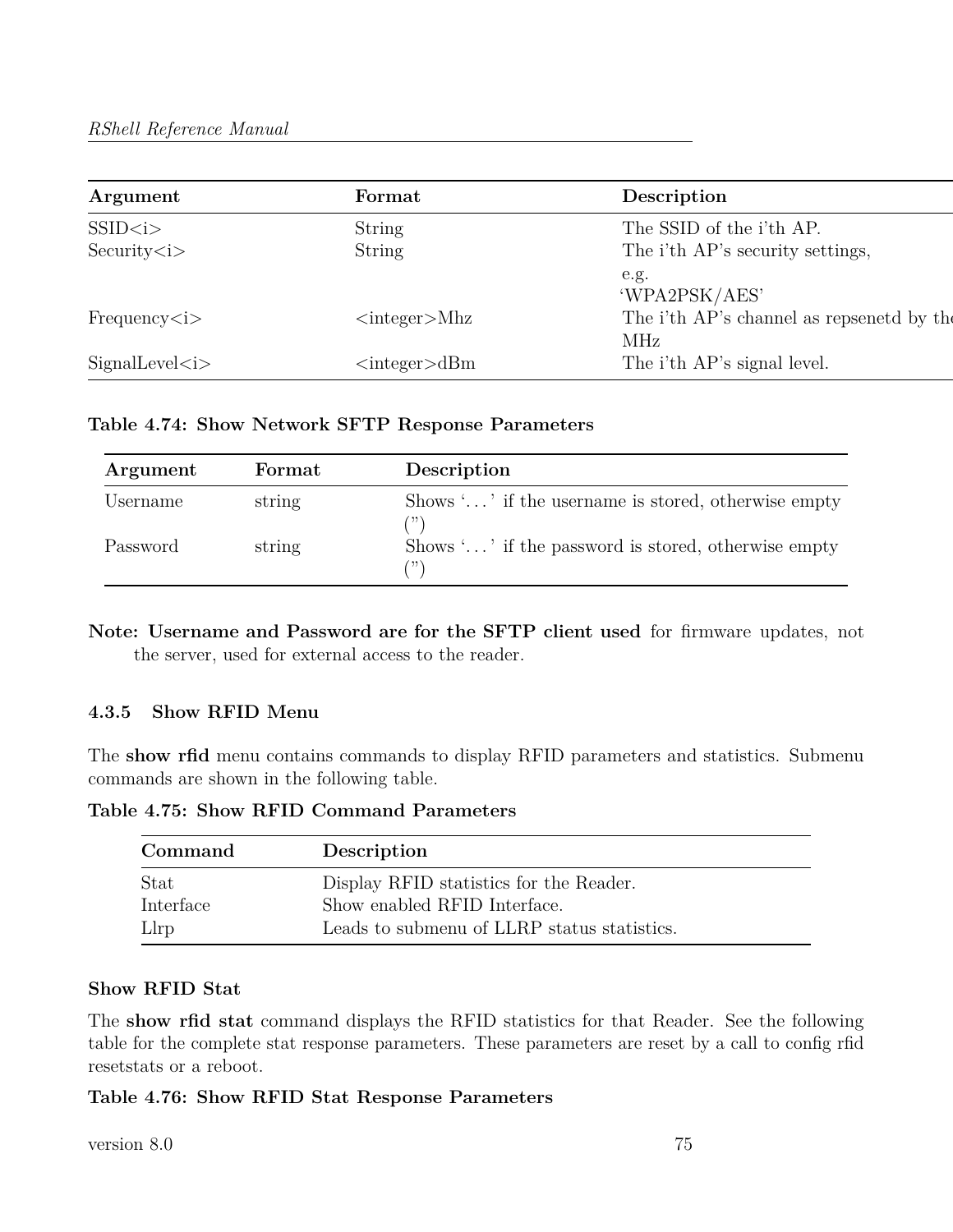| Argument              | Format                    | Description                                             |
|-----------------------|---------------------------|---------------------------------------------------------|
| SSID < i>             | <b>String</b>             | The SSID of the <i>i</i> 'th AP.                        |
| Security < i>         | <b>String</b>             | The i'th AP's security settings,                        |
|                       |                           | e.g.<br>'WPA2PSK/AES'                                   |
| Frequency < i         | $\langle$ integer $>$ Mhz | The i'th AP's channel as repsenetd by the<br><b>MHz</b> |
| SignalLevel <i>is</i> | $\langle$ integer $>$ dBm | The i'th AP's signal level.                             |

**Table 4.74: Show Network SFTP Response Parameters**

| Argument | Format | Description                                         |
|----------|--------|-----------------------------------------------------|
| Username | string | Shows '' if the username is stored, otherwise empty |
| Password | string | Shows '' if the password is stored, otherwise empty |

**Note: Username and Password are for the SFTP client used** for firmware updates, not the server, used for external access to the reader.

#### **4.3.5 Show RFID Menu**

The **show rfid** menu contains commands to display RFID parameters and statistics. Submenu commands are shown in the following table.

**Table 4.75: Show RFID Command Parameters**

| Command           | Description                                                             |
|-------------------|-------------------------------------------------------------------------|
| Stat<br>Interface | Display RFID statistics for the Reader.<br>Show enabled RFID Interface. |
| Llrp              | Leads to submenu of LLRP status statistics.                             |

#### **Show RFID Stat**

The **show rfid stat** command displays the RFID statistics for that Reader. See the following table for the complete stat response parameters. These parameters are reset by a call to config rfid resetstats or a reboot.

#### **Table 4.76: Show RFID Stat Response Parameters**

version 8.0 75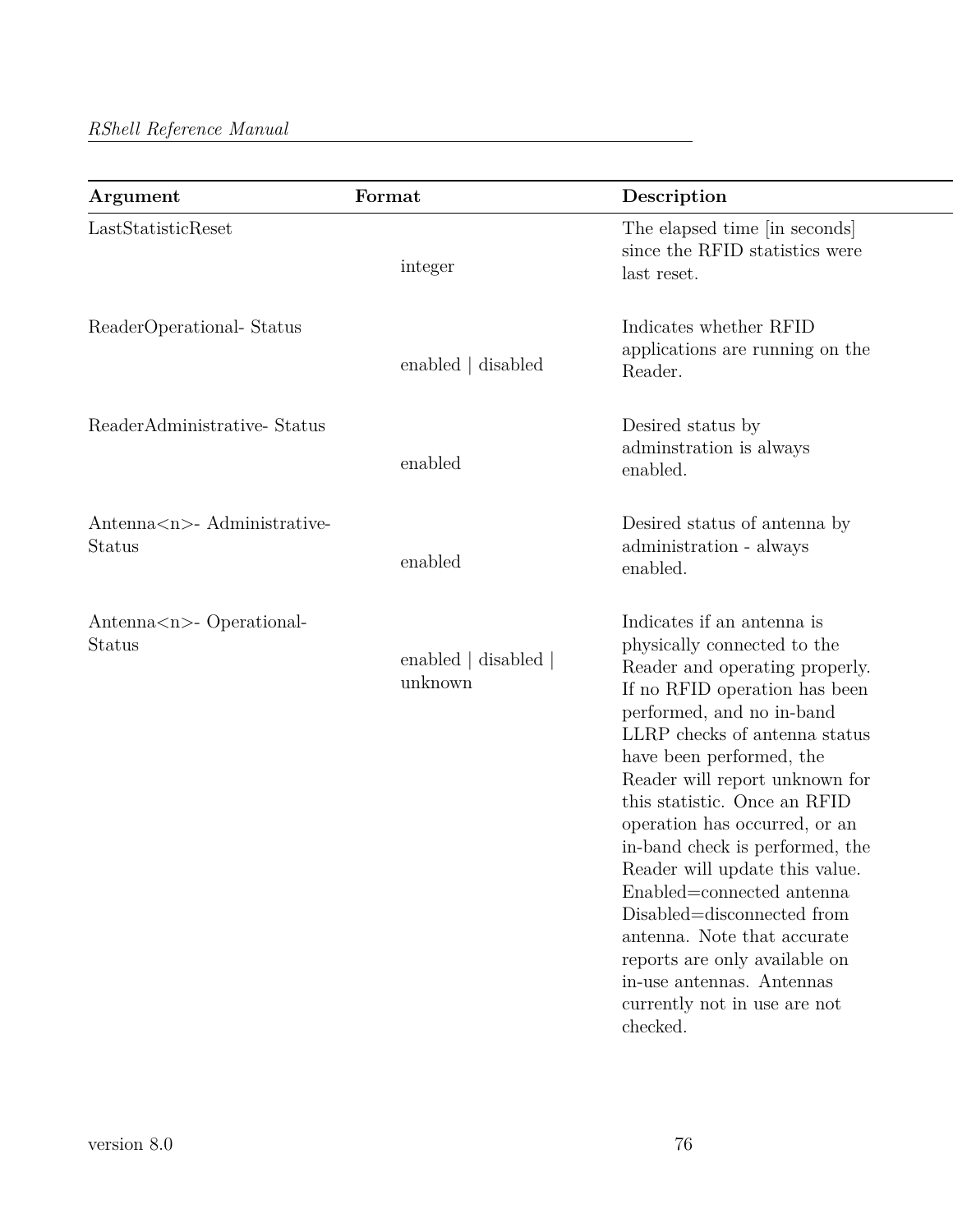| Argument                                    | Format                          | Description                                                                                                                                                                                                                                                                                                                                                                                                                                                                                                                                                                                       |
|---------------------------------------------|---------------------------------|---------------------------------------------------------------------------------------------------------------------------------------------------------------------------------------------------------------------------------------------------------------------------------------------------------------------------------------------------------------------------------------------------------------------------------------------------------------------------------------------------------------------------------------------------------------------------------------------------|
| LastStatisticReset                          | integer                         | The elapsed time [in seconds]<br>since the RFID statistics were<br>last reset.                                                                                                                                                                                                                                                                                                                                                                                                                                                                                                                    |
| ReaderOperational-Status                    | enabled   disabled              | Indicates whether RFID<br>applications are running on the<br>Reader.                                                                                                                                                                                                                                                                                                                                                                                                                                                                                                                              |
| ReaderAdministrative-Status                 | enabled                         | Desired status by<br>administration is always<br>enabled.                                                                                                                                                                                                                                                                                                                                                                                                                                                                                                                                         |
| Antenna <n>- Administrative-<br/>Status</n> | enabled                         | Desired status of antenna by<br>administration - always<br>enabled.                                                                                                                                                                                                                                                                                                                                                                                                                                                                                                                               |
| Antenna <n>- Operational-<br/>Status</n>    | enabled   disabled  <br>unknown | Indicates if an antenna is<br>physically connected to the<br>Reader and operating properly.<br>If no RFID operation has been<br>performed, and no in-band<br>LLRP checks of antenna status<br>have been performed, the<br>Reader will report unknown for<br>this statistic. Once an RFID<br>operation has occurred, or an<br>in-band check is performed, the<br>Reader will update this value<br>Enabled=connected antenna<br>Disabled=disconnected from<br>antenna. Note that accurate<br>reports are only available on<br>in-use antennas. Antennas<br>currently not in use are not<br>checked. |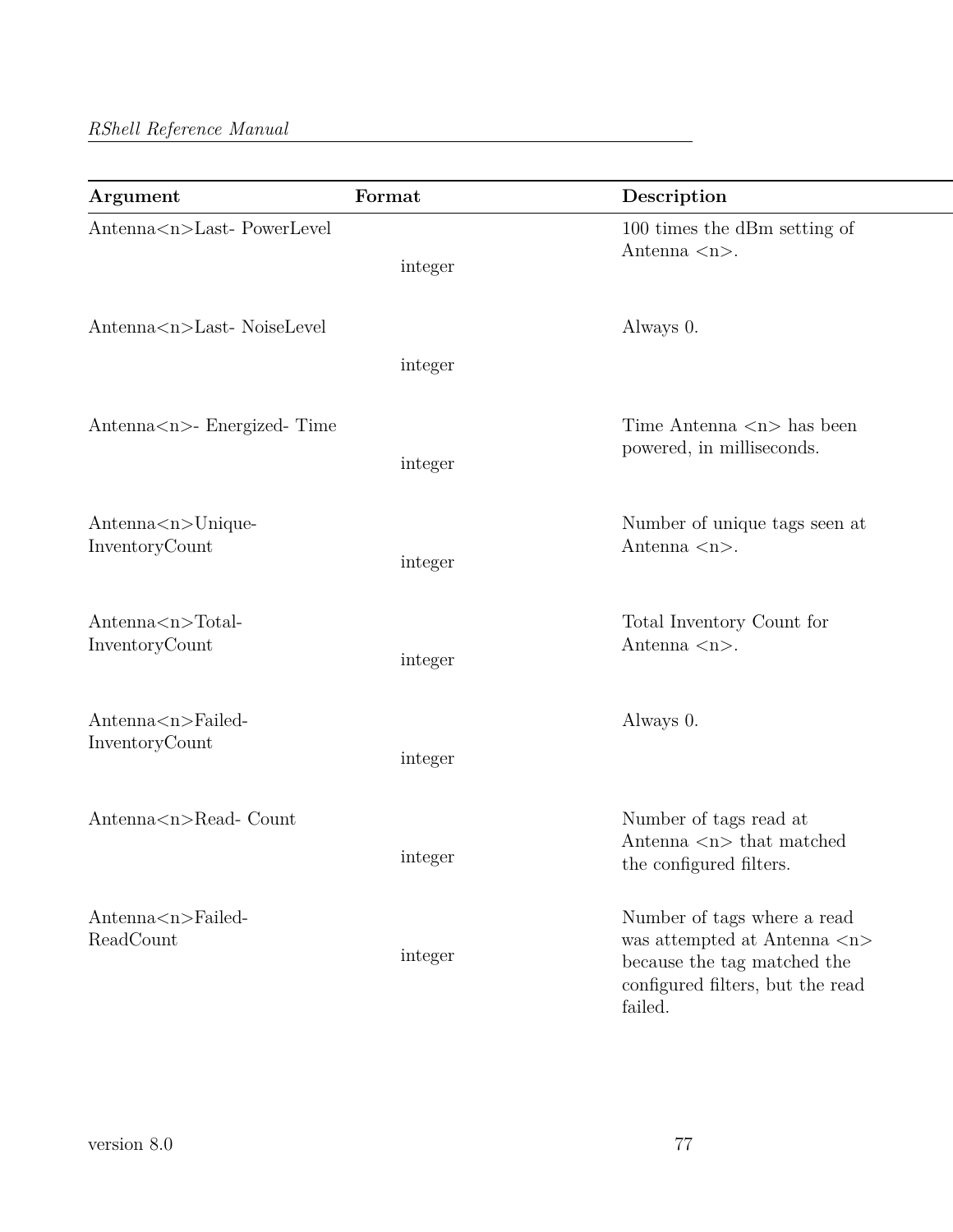| Argument                                  | Format  | Description                                                                                                                                               |
|-------------------------------------------|---------|-----------------------------------------------------------------------------------------------------------------------------------------------------------|
| Antenna <n>Last-PowerLevel</n>            | integer | 100 times the dBm setting of<br>Antenna $\langle n \rangle$ .                                                                                             |
| Antenna <n>Last-NoiseLevel</n>            | integer | Always 0.                                                                                                                                                 |
| Antenna <n>- Energized- Time</n>          | integer | Time Antenna $\langle n \rangle$ has been<br>powered, in milliseconds.                                                                                    |
| Antenna < n>Unique<br>InventoryCount      | integer | Number of unique tags seen at<br>Antenna $\langle n \rangle$ .                                                                                            |
| $Antenna < n > Total-$<br>InventoryCount  | integer | Total Inventory Count for<br>Antenna $\langle n \rangle$ .                                                                                                |
| Antenna <n>Failed-<br/>InventoryCount</n> | integer | Always 0.                                                                                                                                                 |
| Antenna <n>Read-Count</n>                 | integer | Number of tags read at<br>Antenna $\langle n \rangle$ that matched<br>the configured filters.                                                             |
| $Antenna < n > Failed-$<br>ReadCount      | integer | Number of tags where a read<br>was attempted at Antenna $\langle n \rangle$<br>because the tag matched the<br>configured filters, but the read<br>failed. |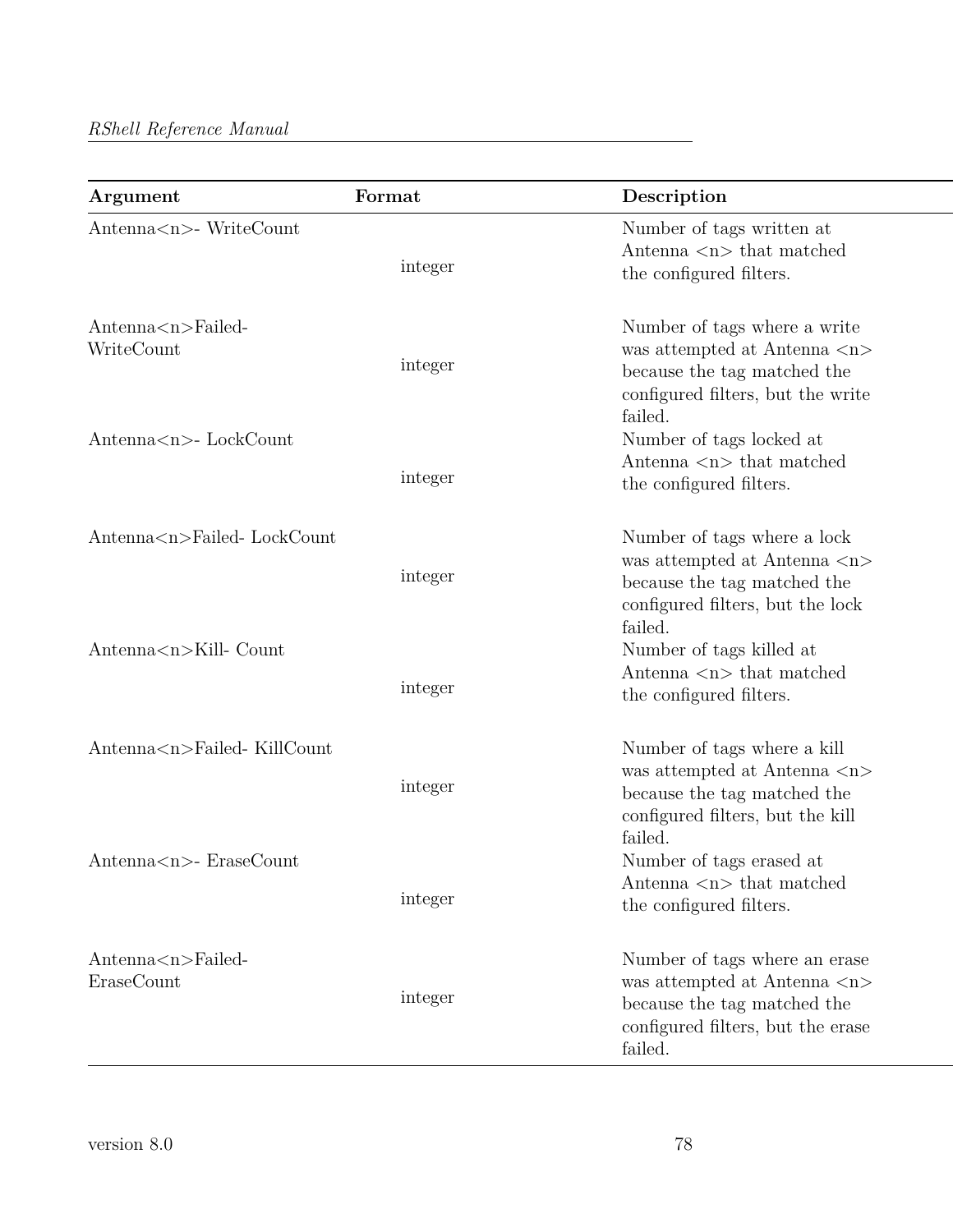| Argument                                | Format  | Description                                                                                                                                                 |
|-----------------------------------------|---------|-------------------------------------------------------------------------------------------------------------------------------------------------------------|
| Antenna <n>- WriteCount</n>             | integer | Number of tags written at<br>Antenna $\langle n \rangle$ that matched<br>the configured filters.                                                            |
| $Antenna < n > Failed-$<br>WriteCount   | integer | Number of tags where a write<br>was attempted at Antenna $\langle n \rangle$<br>because the tag matched the<br>configured filters, but the write<br>failed. |
| Antenna $\langle n \rangle$ - LockCount | integer | Number of tags locked at<br>Antenna $\langle n \rangle$ that matched<br>the configured filters.                                                             |
| Antenna <n>Failed-LockCount</n>         | integer | Number of tags where a lock<br>was attempted at Antenna $\langle n \rangle$<br>because the tag matched the<br>configured filters, but the lock<br>failed.   |
| Antenna <n>Kill- Count</n>              | integer | Number of tags killed at<br>Antenna $\langle n \rangle$ that matched<br>the configured filters.                                                             |
| Antenna <n>Failed-KillCount</n>         | integer | Number of tags where a kill<br>was attempted at Antenna $\langle n \rangle$<br>because the tag matched the<br>configured filters, but the kill<br>failed.   |
| Antenna <n>- EraseCount</n>             | integer | Number of tags erased at<br>Antenna $\langle n \rangle$ that matched<br>the configured filters.                                                             |
| $Antenna < n > Failed-$<br>EraseCount   | integer | Number of tags where an erase<br>was attempted at Antenna $<\!\!n\!\!>$<br>because the tag matched the<br>configured filters, but the erase<br>failed.      |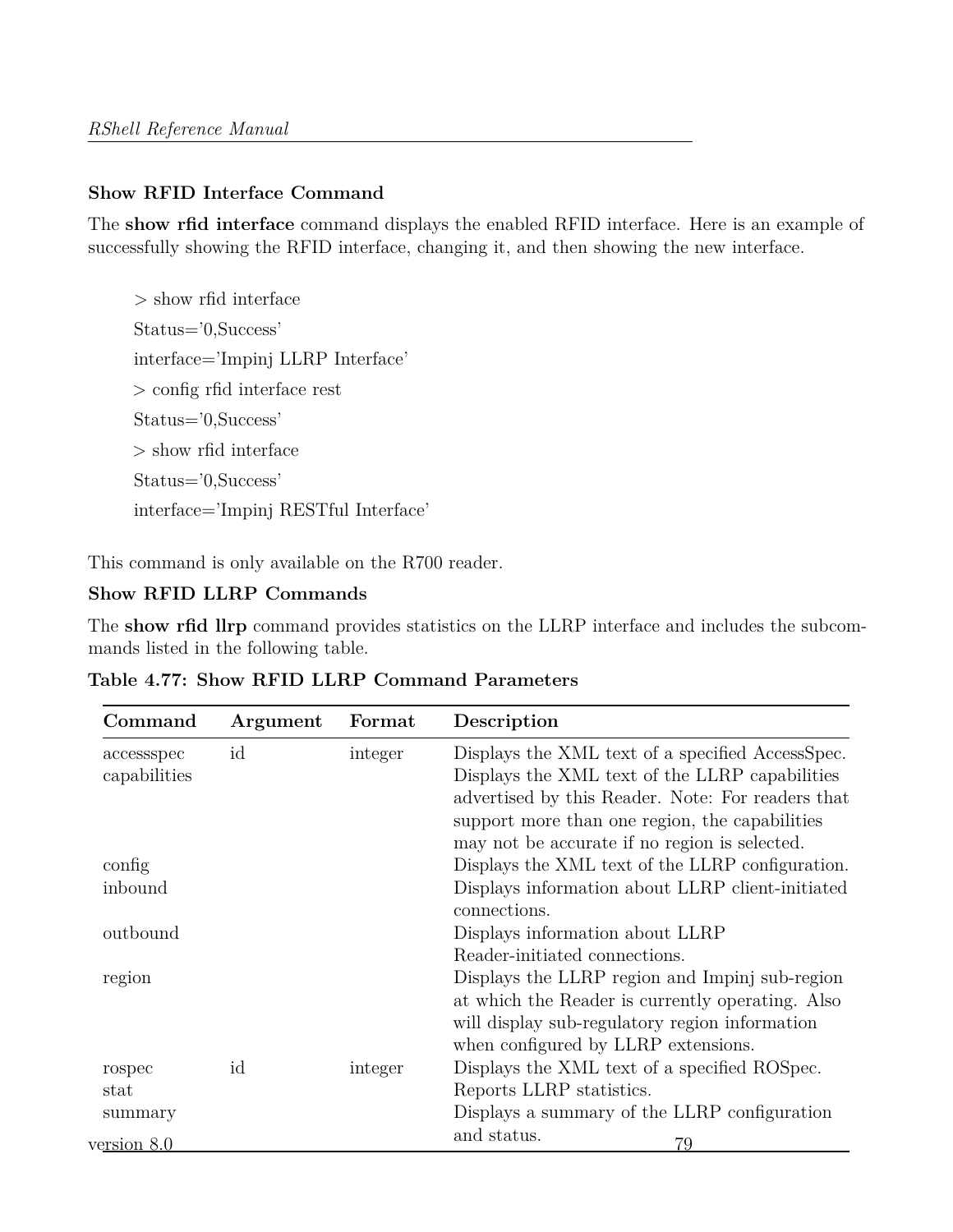# **Show RFID Interface Command**

The **show rfid interface** command displays the enabled RFID interface. Here is an example of successfully showing the RFID interface, changing it, and then showing the new interface.

> show rfid interface Status='0,Success' interface='Impinj LLRP Interface' > config rfid interface rest Status='0,Success' > show rfid interface Status='0,Success' interface='Impinj RESTful Interface'

This command is only available on the R700 reader.

## **Show RFID LLRP Commands**

The **show rfid llrp** command provides statistics on the LLRP interface and includes the subcommands listed in the following table.

| Command      | Argument | Format  | Description                                                      |
|--------------|----------|---------|------------------------------------------------------------------|
| accessspec   | id       | integer | Displays the XML text of a specified AccessSpec.                 |
| capabilities |          |         | Displays the XML text of the LLRP capabilities                   |
|              |          |         | advertised by this Reader. Note: For readers that                |
|              |          |         | support more than one region, the capabilities                   |
|              |          |         | may not be accurate if no region is selected.                    |
| config       |          |         | Displays the XML text of the LLRP configuration.                 |
| inbound      |          |         | Displays information about LLRP client-initiated<br>connections. |
| outbound     |          |         | Displays information about LLRP                                  |
|              |          |         | Reader-initiated connections.                                    |
| region       |          |         | Displays the LLRP region and Impinj sub-region                   |
|              |          |         | at which the Reader is currently operating. Also                 |
|              |          |         | will display sub-regulatory region information                   |
|              |          |         | when configured by LLRP extensions.                              |
| rospec       | id       | integer | Displays the XML text of a specified ROSpec.                     |
| stat         |          |         | Reports LLRP statistics.                                         |
| summary      |          |         | Displays a summary of the LLRP configuration                     |
| version 8.0  |          |         | and status.<br>79                                                |

**Table 4.77: Show RFID LLRP Command Parameters**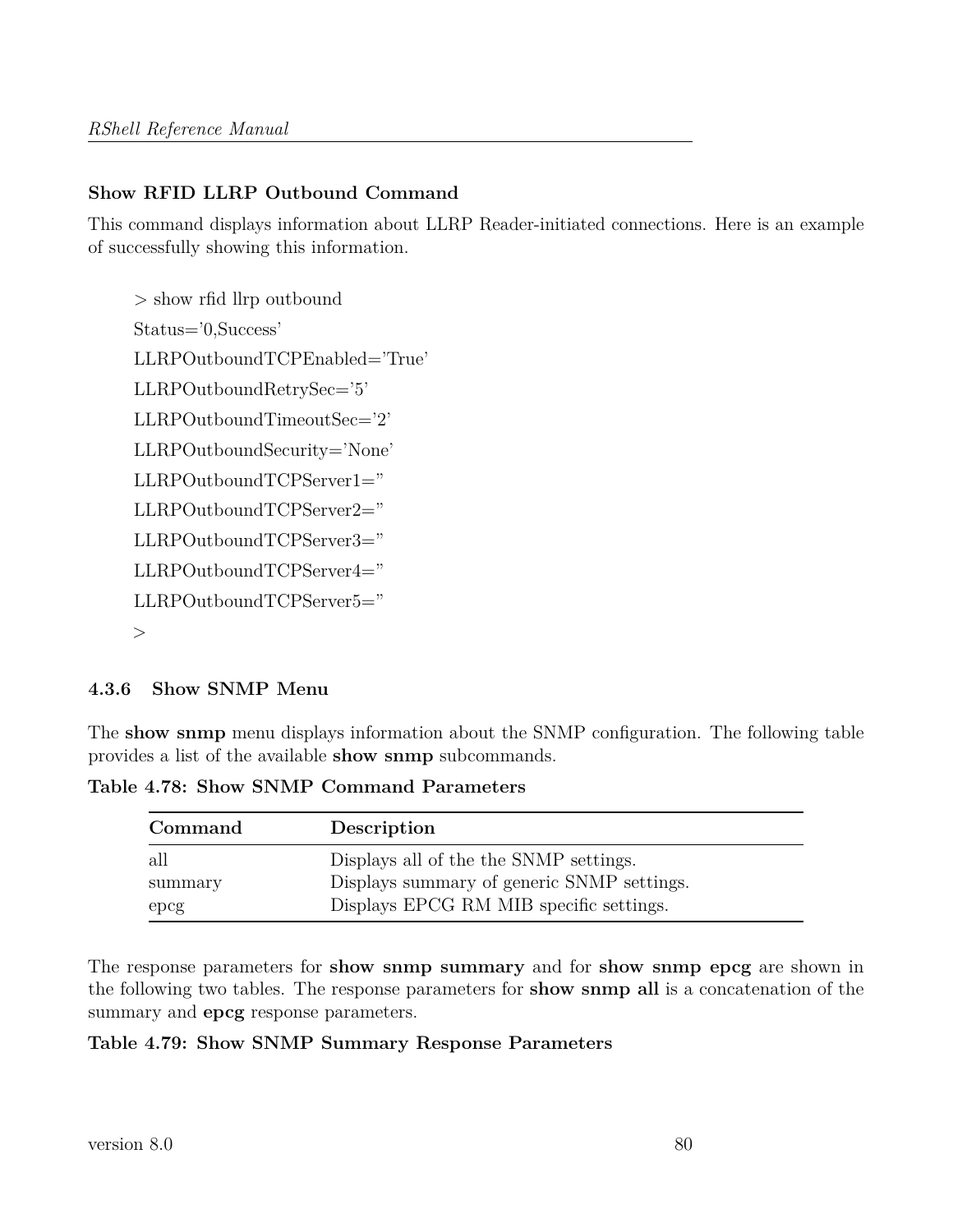# **Show RFID LLRP Outbound Command**

This command displays information about LLRP Reader-initiated connections. Here is an example of successfully showing this information.

```
> show rfid llrp outbound
Status='0,Success'
LLRPOutboundTCPEnabled='True'
LLRPOutboundRetrySec='5'
LLRPOutboundTimeoutSec='2'
LLRPOutboundSecurity='None'
LLRPOutboundTCPServer1="
LLRPOutboundTCPServer2="
LLRPOutboundTCPServer3="
LLRPOutboundTCPServer4="
LLRPOutboundTCPServer5="
>
```
## **4.3.6 Show SNMP Menu**

The **show snmp** menu displays information about the SNMP configuration. The following table provides a list of the available **show snmp** subcommands.

**Table 4.78: Show SNMP Command Parameters**

| Command | Description                                |
|---------|--------------------------------------------|
| all     | Displays all of the the SNMP settings.     |
| summary | Displays summary of generic SNMP settings. |
| epcg    | Displays EPCG RM MIB specific settings.    |

The response parameters for **show snmp summary** and for **show snmp epcg** are shown in the following two tables. The response parameters for **show snmp all** is a concatenation of the summary and **epcg** response parameters.

#### **Table 4.79: Show SNMP Summary Response Parameters**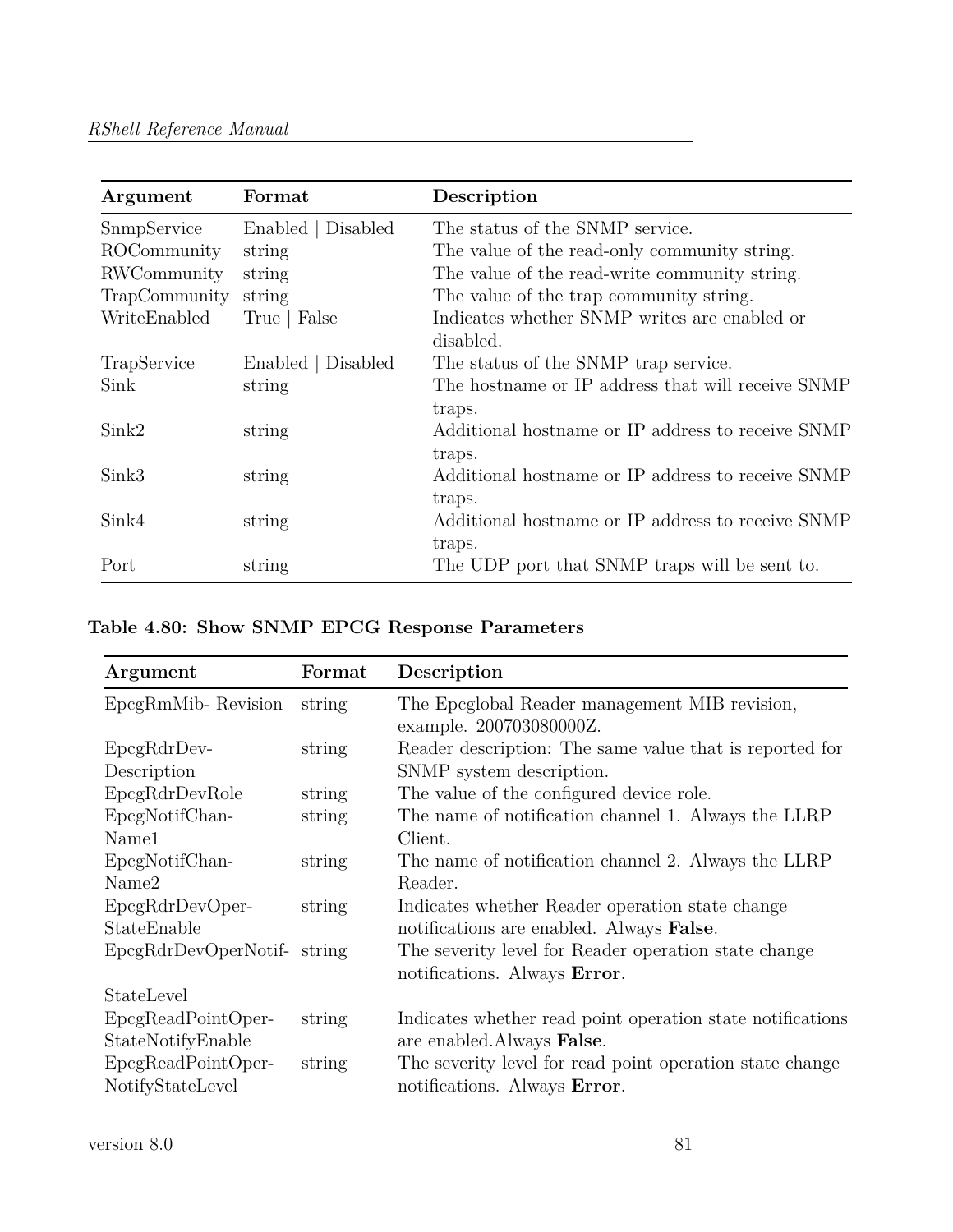| Argument      | Format             | Description                                       |
|---------------|--------------------|---------------------------------------------------|
| SnmpService   | Enabled   Disabled | The status of the SNMP service.                   |
| ROCommunity   | string             | The value of the read-only community string.      |
| RWCommunity   | string             | The value of the read-write community string.     |
| TrapCommunity | string             | The value of the trap community string.           |
| WriteEnabled  | True   False       | Indicates whether SNMP writes are enabled or      |
|               |                    | disabled.                                         |
| TrapService   | Enabled   Disabled | The status of the SNMP trap service.              |
| Sink          | string             | The hostname or IP address that will receive SNMP |
|               |                    | traps.                                            |
| Sink2         | string             | Additional hostname or IP address to receive SNMP |
|               |                    | traps.                                            |
| Sink3         | string             | Additional hostname or IP address to receive SNMP |
|               |                    | traps.                                            |
| Sink4         | string             | Additional hostname or IP address to receive SNMP |
|               |                    | traps.                                            |
| Port          | string             | The UDP port that SNMP traps will be sent to.     |

|  |  |  |  |  | Table 4.80: Show SNMP EPCG Response Parameters |
|--|--|--|--|--|------------------------------------------------|
|--|--|--|--|--|------------------------------------------------|

| Argument                                | Format | Description                                                                              |
|-----------------------------------------|--------|------------------------------------------------------------------------------------------|
| EpcgRmMib-Revision                      | string | The Epcglobal Reader management MIB revision,<br>example. 200703080000Z.                 |
| $EpcgRdrDev-$<br>Description            | string | Reader description: The same value that is reported for<br>SNMP system description.      |
| EpcgRdrDevRole                          | string | The value of the configured device role.                                                 |
| EpcgNotifChan-<br>Name1                 | string | The name of notification channel 1. Always the LLRP<br>Client.                           |
| EpcgNotifChan-                          | string | The name of notification channel 2. Always the LLRP                                      |
| Name2                                   |        | Reader.                                                                                  |
| EpcgRdrDevOper-                         | string | Indicates whether Reader operation state change                                          |
| StateEnable                             |        | notifications are enabled. Always False.                                                 |
| EpcgRdrDevOperNotif-string              |        | The severity level for Reader operation state change<br>notifications. Always Error.     |
| StateLevel                              |        |                                                                                          |
| EpcgReadPointOper-<br>StateNotifyEnable | string | Indicates whether read point operation state notifications<br>are enabled. Always False. |
| EpcgReadPointOper-<br>NotifyStateLevel  | string | The severity level for read point operation state change<br>notifications. Always Error. |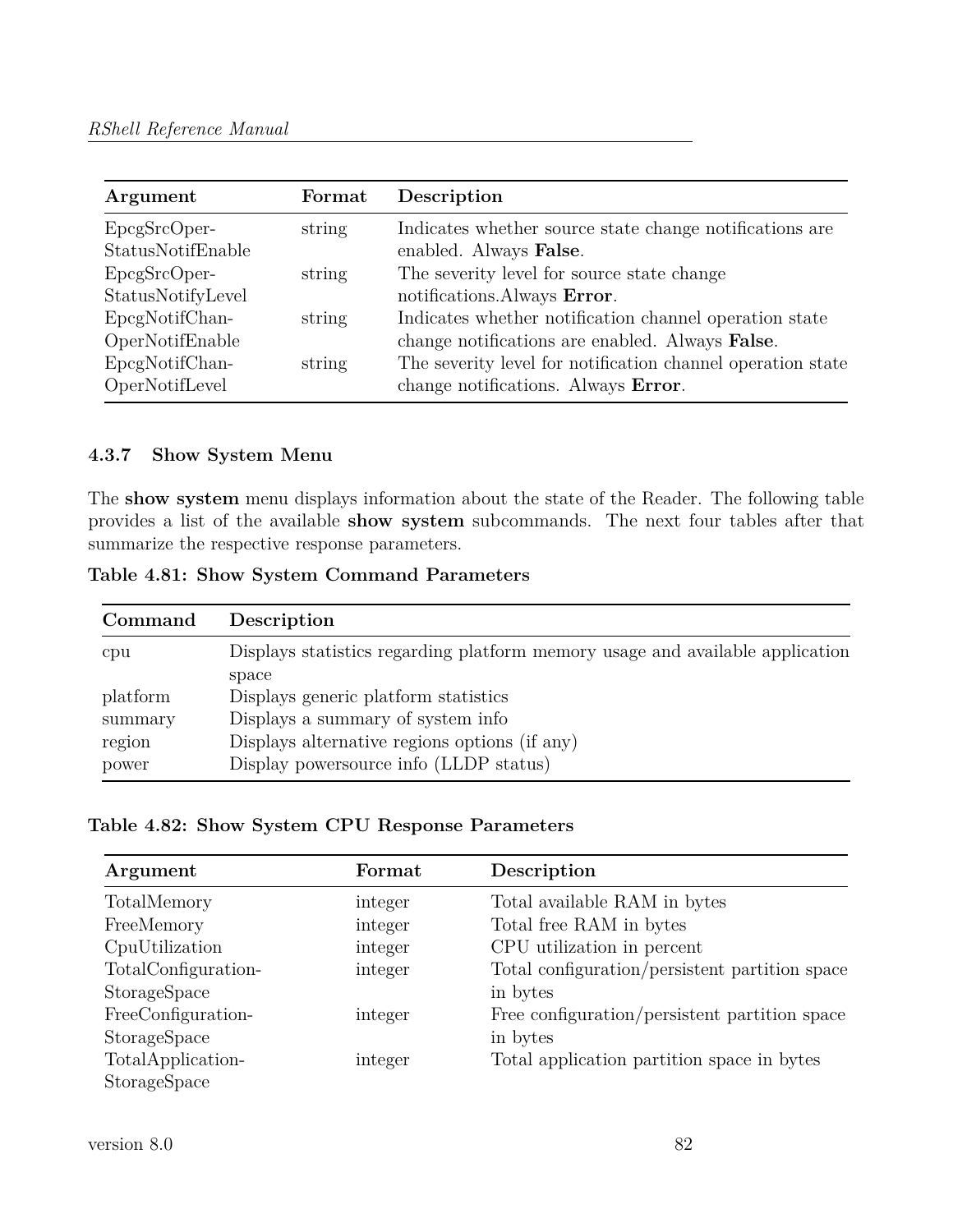| Argument                          | Format | Description                                                                                               |
|-----------------------------------|--------|-----------------------------------------------------------------------------------------------------------|
| EpcgSrcOper-<br>StatusNotifEnable | string | Indicates whether source state change notifications are<br>enabled. Always False.                         |
| EpcgSrcOper-<br>StatusNotifyLevel | string | The severity level for source state change<br>notifications. Always Error.                                |
| EpcgNotifChan-<br>OperNotifEnable | string | Indicates whether notification channel operation state<br>change notifications are enabled. Always False. |
| EpcgNotifChan-<br>OperNotifLevel  | string | The severity level for notification channel operation state<br>change notifications. Always Error.        |

# **4.3.7 Show System Menu**

The **show system** menu displays information about the state of the Reader. The following table provides a list of the available **show system** subcommands. The next four tables after that summarize the respective response parameters.

**Table 4.81: Show System Command Parameters**

| Command  | Description                                                                   |
|----------|-------------------------------------------------------------------------------|
| cpu      | Displays statistics regarding platform memory usage and available application |
|          | space                                                                         |
| platform | Displays generic platform statistics                                          |
| summary  | Displays a summary of system info                                             |
| region   | Displays alternative regions options (if any)                                 |
| power    | Display powersource info (LLDP status)                                        |

#### **Table 4.82: Show System CPU Response Parameters**

| Argument            | Format  | Description                                    |
|---------------------|---------|------------------------------------------------|
| TotalMemory         | integer | Total available RAM in bytes                   |
| FreeMemory          | integer | Total free RAM in bytes                        |
| CpuUtilization      | integer | CPU utilization in percent                     |
| TotalConfiguration- | integer | Total configuration/persistent partition space |
| StorageSpace        |         | in bytes                                       |
| FreeConfiguration-  | integer | Free configuration/persistent partition space  |
| StorageSpace        |         | in bytes                                       |
| TotalApplication-   | integer | Total application partition space in bytes     |
| StorageSpace        |         |                                                |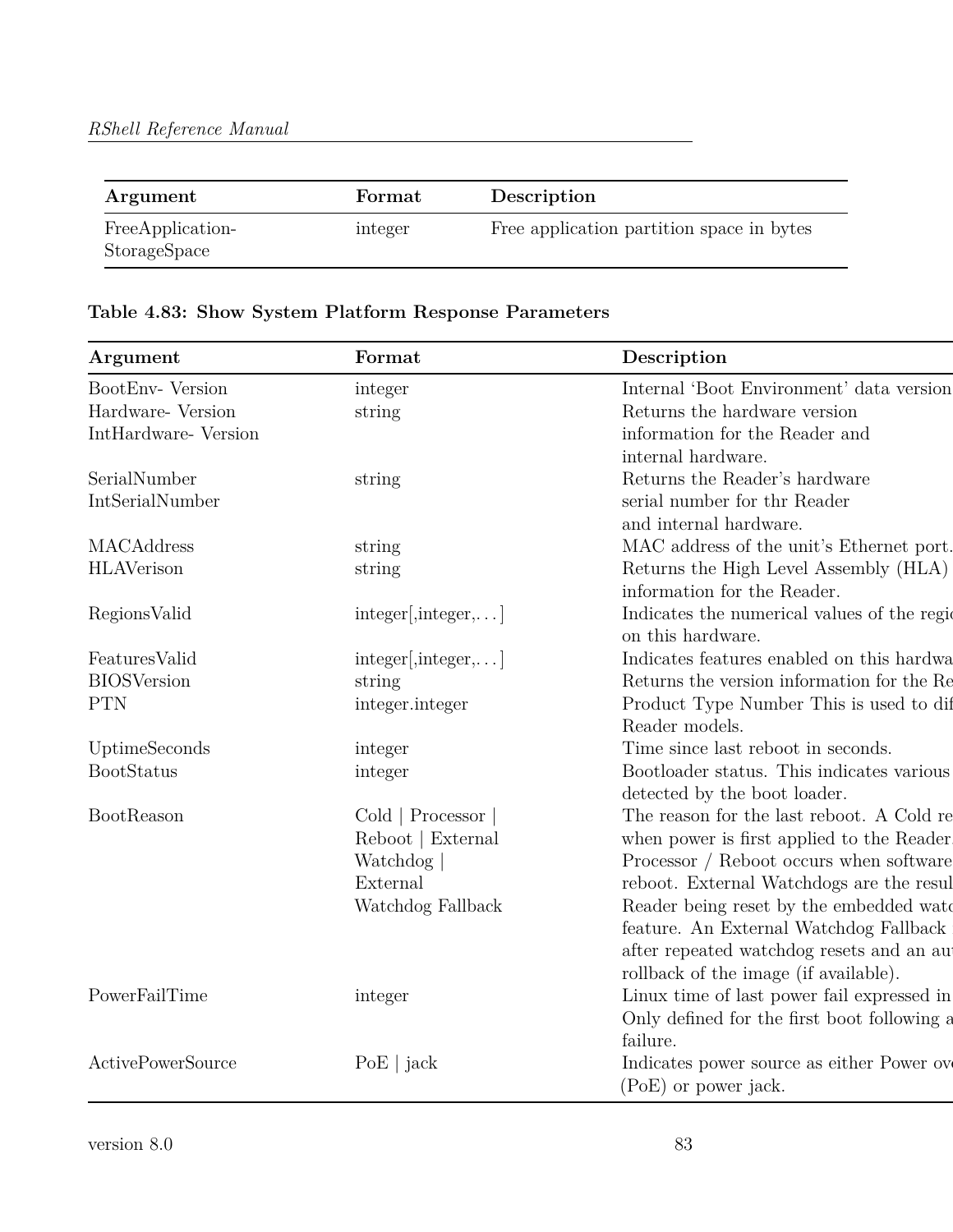| Argument                         | Format  | Description                               |
|----------------------------------|---------|-------------------------------------------|
| FreeApplication-<br>StorageSpace | integer | Free application partition space in bytes |

# **Table 4.83: Show System Platform Response Parameters**

| Argument                 | Format                              | Description                                  |
|--------------------------|-------------------------------------|----------------------------------------------|
| BootEnv- Version         | integer                             | Internal 'Boot Environment' data version     |
| Hardware- Version        | string                              | Returns the hardware version                 |
| IntHardware-Version      |                                     | information for the Reader and               |
|                          |                                     | internal hardware.                           |
| SerialNumber             | string                              | Returns the Reader's hardware                |
| IntSerialNumber          |                                     | serial number for thr Reader                 |
|                          |                                     | and internal hardware.                       |
| MACAddress               | string                              | MAC address of the unit's Ethernet port.     |
| <b>HLAVerison</b>        | string                              | Returns the High Level Assembly (HLA)        |
|                          |                                     | information for the Reader.                  |
| RegionsValid             | integer[integer,]                   | Indicates the numerical values of the region |
|                          |                                     | on this hardware.                            |
| FeaturesValid            | $integer[, integer, \ldots]$        | Indicates features enabled on this hardwa    |
| <b>BIOSVersion</b>       | string                              | Returns the version information for the Re   |
| <b>PTN</b>               | integer.integer                     | Product Type Number This is used to dif      |
|                          |                                     | Reader models.                               |
| UptimeSeconds            | integer                             | Time since last reboot in seconds.           |
| BootStatus               | integer                             | Bootloader status. This indicates various    |
|                          |                                     | detected by the boot loader.                 |
| BootReason               | $\text{Gold} \mid \text{Processor}$ | The reason for the last reboot. A Cold re    |
|                          | Reboot   External                   | when power is first applied to the Reader    |
|                          | Watchdog                            | Processor / Reboot occurs when software      |
|                          | External                            | reboot. External Watchdogs are the resul     |
|                          | Watchdog Fallback                   | Reader being reset by the embedded wate      |
|                          |                                     | feature. An External Watchdog Fallback       |
|                          |                                     | after repeated watchdog resets and an au-    |
|                          |                                     | rollback of the image (if available).        |
| PowerFailTime            | integer                             | Linux time of last power fail expressed in   |
|                          |                                     | Only defined for the first boot following a  |
|                          |                                     | failure.                                     |
| <b>ActivePowerSource</b> | $PoE$   jack                        | Indicates power source as either Power over  |
|                          |                                     | (PoE) or power jack.                         |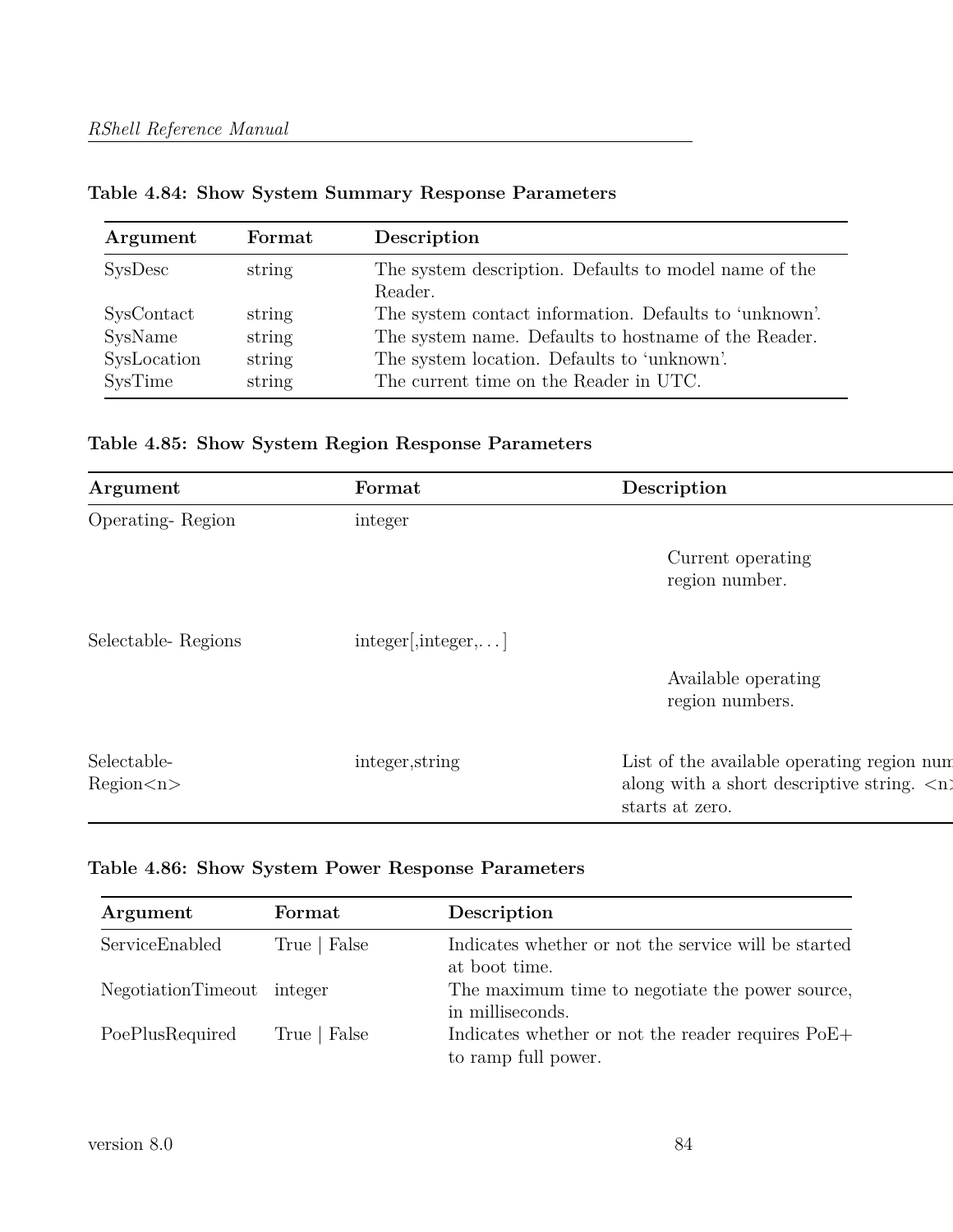| Argument                                        | Format                               | Description                                                                                                                                                                                             |
|-------------------------------------------------|--------------------------------------|---------------------------------------------------------------------------------------------------------------------------------------------------------------------------------------------------------|
| SysDesc                                         | string                               | The system description. Defaults to model name of the<br>Reader.                                                                                                                                        |
| SysContact<br>SysName<br>SysLocation<br>SysTime | string<br>string<br>string<br>string | The system contact information. Defaults to 'unknown'.<br>The system name. Defaults to hostname of the Reader.<br>The system location. Defaults to 'unknown'.<br>The current time on the Reader in UTC. |

**Table 4.84: Show System Summary Response Parameters**

|  |  | Table 4.85: Show System Region Response Parameters |
|--|--|----------------------------------------------------|
|  |  |                                                    |

| Argument                   | Format                    | Description                                                                                                                 |
|----------------------------|---------------------------|-----------------------------------------------------------------------------------------------------------------------------|
| Operating-Region           | integer                   |                                                                                                                             |
|                            |                           | Current operating<br>region number.                                                                                         |
| Selectable-Regions         | $integer[integer, \dots]$ |                                                                                                                             |
|                            |                           | Available operating<br>region numbers.                                                                                      |
| Selectable-<br>Region < n> | integer, string           | List of the available operating region num<br>along with a short descriptive string. $\langle n \rangle$<br>starts at zero. |

# **Table 4.86: Show System Power Response Parameters**

| Argument                   | Format       | Description                                                              |
|----------------------------|--------------|--------------------------------------------------------------------------|
| ServiceEnabled             | True   False | Indicates whether or not the service will be started<br>at boot time.    |
| NegotiationTimeout integer |              | The maximum time to negotiate the power source,<br>in milliseconds.      |
| PoePlusRequired            | True   False | Indicates whether or not the reader requires PoE+<br>to ramp full power. |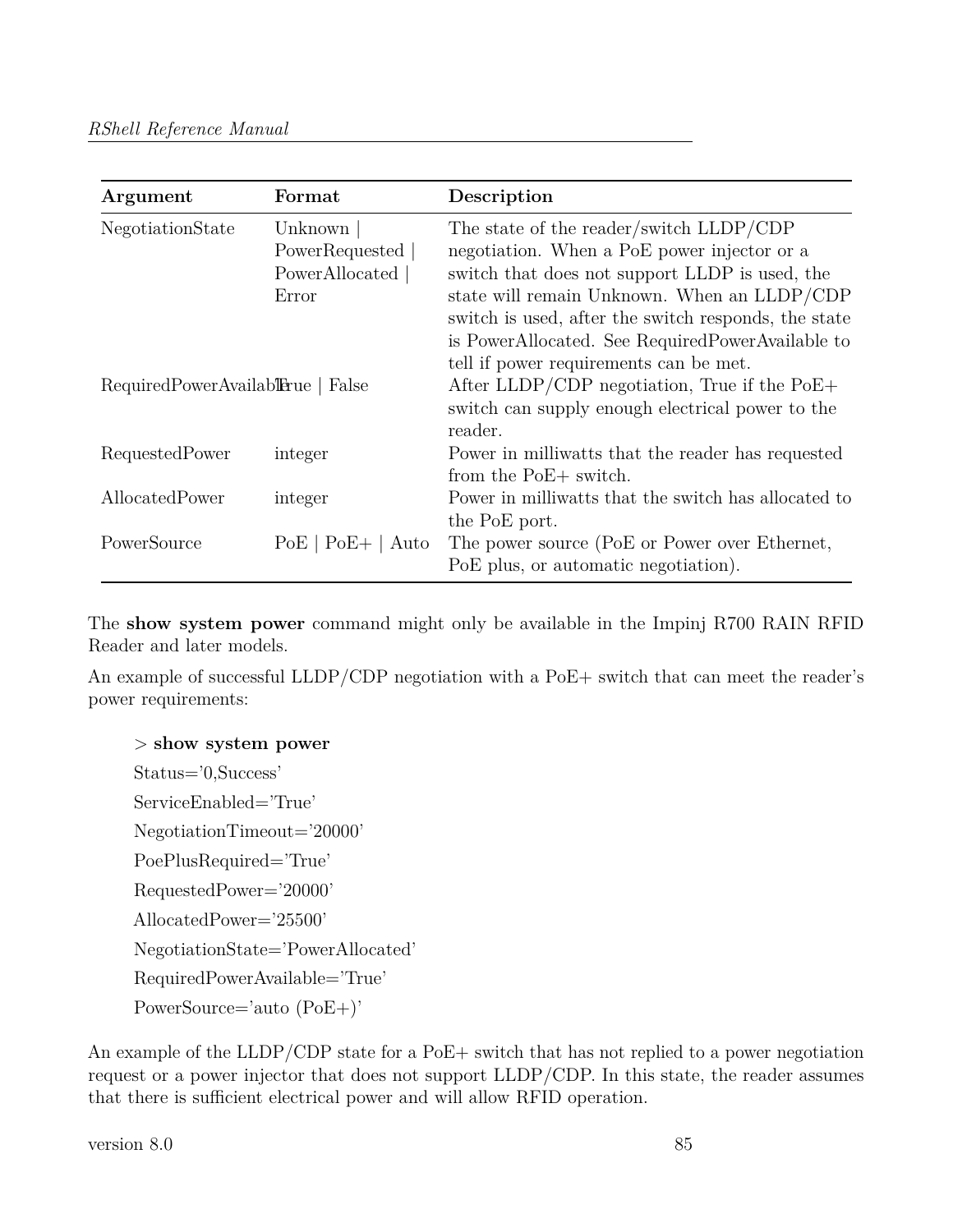| Argument                          | Format                                               | Description                                                                                                                                                                                                                                                                                                                                   |
|-----------------------------------|------------------------------------------------------|-----------------------------------------------------------------------------------------------------------------------------------------------------------------------------------------------------------------------------------------------------------------------------------------------------------------------------------------------|
| NegotiationState                  | Unknown<br>PowerRequested<br>PowerAllocated<br>Error | The state of the reader/switch LLDP/CDP<br>negotiation. When a PoE power injector or a<br>switch that does not support LLDP is used, the<br>state will remain Unknown. When an LLDP/CDP<br>switch is used, after the switch responds, the state<br>is PowerAllocated. See RequiredPowerAvailable to<br>tell if power requirements can be met. |
| RequiredPowerAvailabTerue   False |                                                      | After LLDP/CDP negotiation, True if the $PoE+$<br>switch can supply enough electrical power to the<br>reader.                                                                                                                                                                                                                                 |
| RequestedPower                    | integer                                              | Power in milliwatts that the reader has requested<br>from the PoE+ switch.                                                                                                                                                                                                                                                                    |
| AllocatedPower                    | integer                                              | Power in milliwatts that the switch has allocated to<br>the PoE port.                                                                                                                                                                                                                                                                         |
| PowerSource                       | $PoE+$<br>PoE<br>Auto                                | The power source (PoE or Power over Ethernet,<br>PoE plus, or automatic negotiation).                                                                                                                                                                                                                                                         |

The **show system power** command might only be available in the Impinj R700 RAIN RFID Reader and later models.

An example of successful LLDP/CDP negotiation with a PoE+ switch that can meet the reader's power requirements:

#### > **show system power**

Status='0,Success' ServiceEnabled='True' NegotiationTimeout='20000' PoePlusRequired='True' RequestedPower='20000' AllocatedPower='25500' NegotiationState='PowerAllocated' RequiredPowerAvailable='True' PowerSource='auto (PoE+)'

An example of the LLDP/CDP state for a PoE+ switch that has not replied to a power negotiation request or a power injector that does not support LLDP/CDP. In this state, the reader assumes that there is sufficient electrical power and will allow RFID operation.

version 8.0 85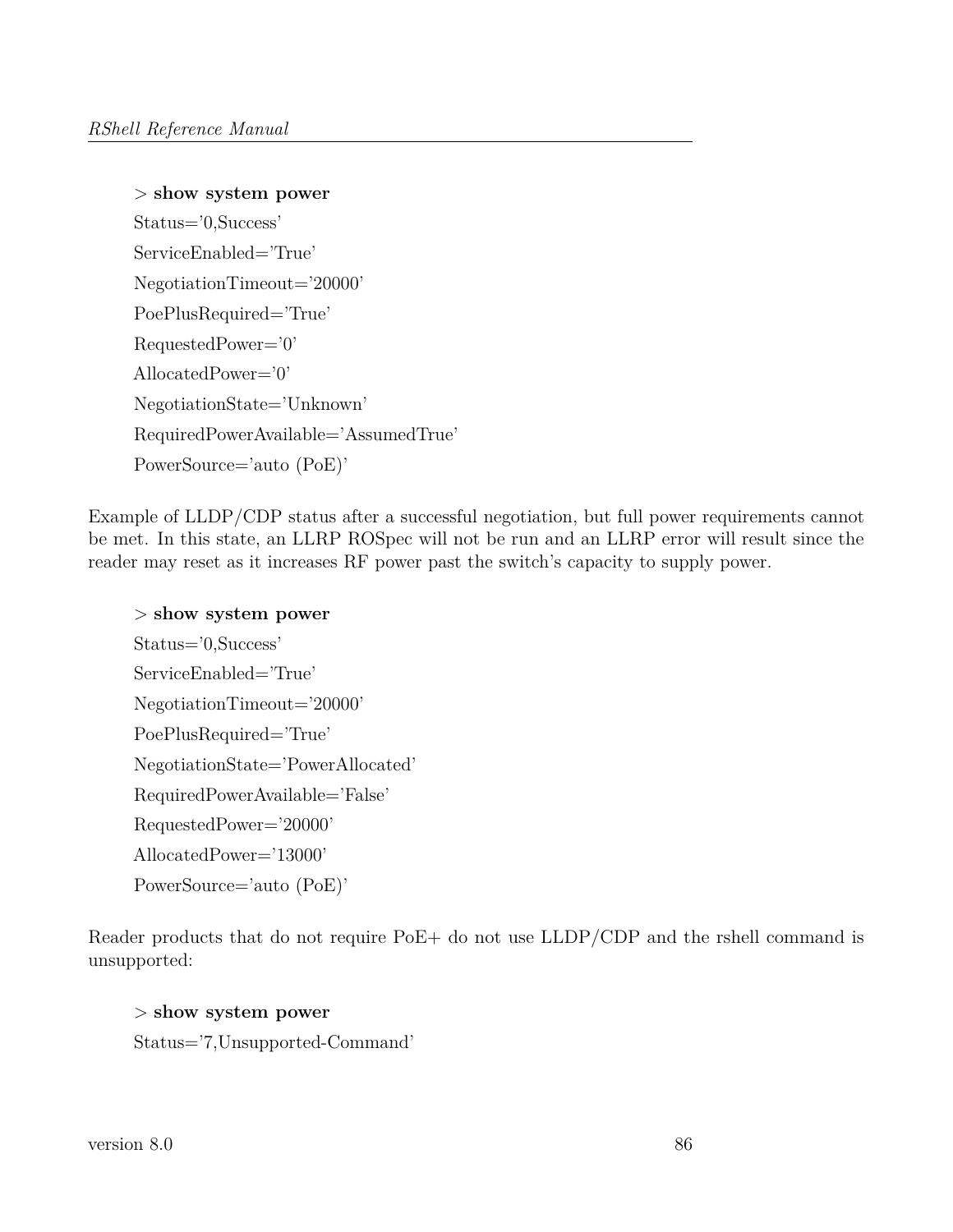```
> show system power
Status='0,Success'
ServiceEnabled='True'
NegotiationTimeout='20000'
PoePlusRequired='True'
RequestedPower='0'
AllocatedPower='0'
NegotiationState='Unknown'
RequiredPowerAvailable='AssumedTrue'
PowerSource='auto (PoE)'
```
Example of LLDP/CDP status after a successful negotiation, but full power requirements cannot be met. In this state, an LLRP ROSpec will not be run and an LLRP error will result since the reader may reset as it increases RF power past the switch's capacity to supply power.

```
> show system power
Status='0,Success'
ServiceEnabled='True'
NegotiationTimeout='20000'
PoePlusRequired='True'
NegotiationState='PowerAllocated'
RequiredPowerAvailable='False'
RequestedPower='20000'
AllocatedPower='13000'
PowerSource='auto (PoE)'
```
Reader products that do not require PoE+ do not use LLDP/CDP and the rshell command is unsupported:

> **show system power** Status='7,Unsupported-Command'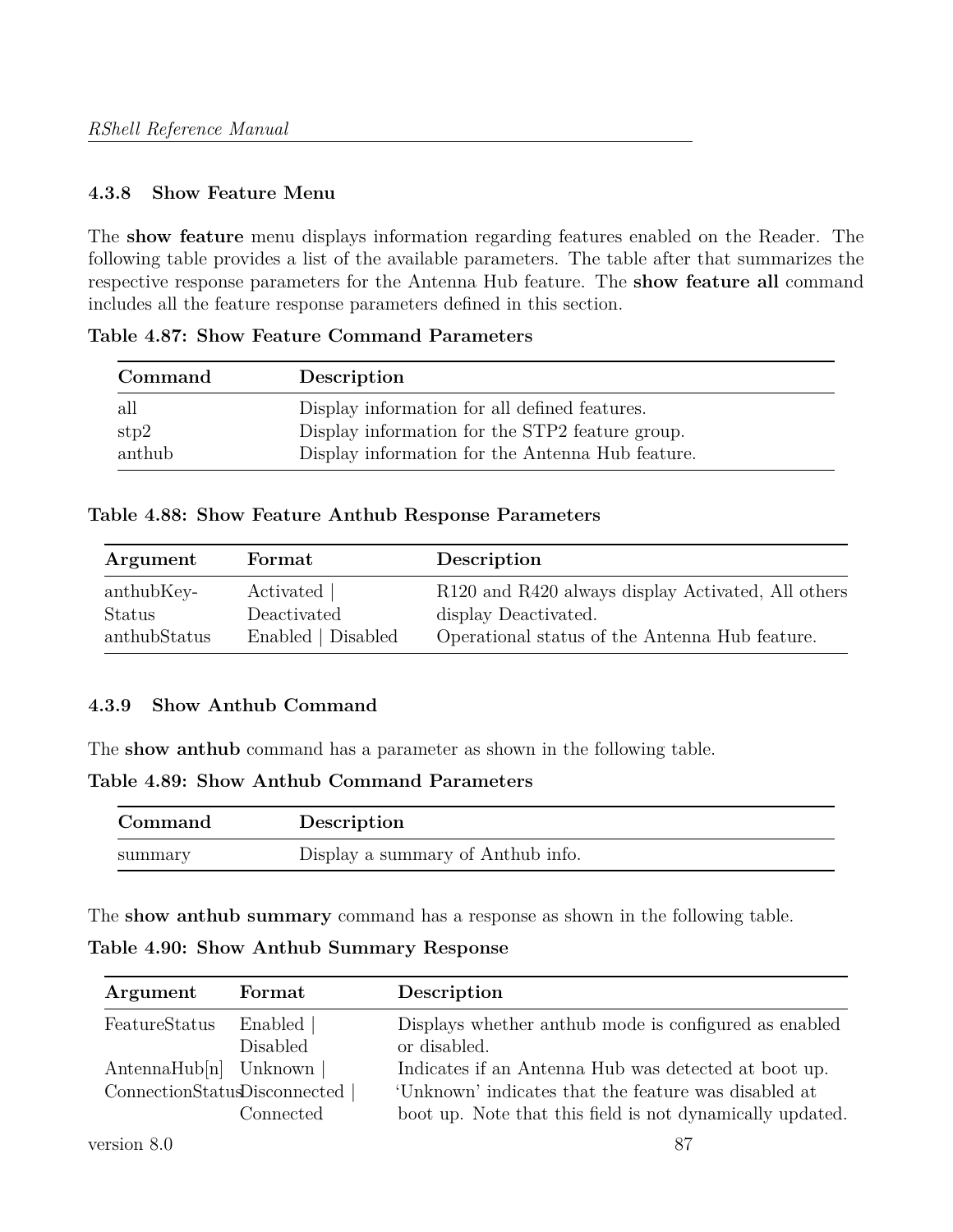#### **4.3.8 Show Feature Menu**

The **show feature** menu displays information regarding features enabled on the Reader. The following table provides a list of the available parameters. The table after that summarizes the respective response parameters for the Antenna Hub feature. The **show feature all** command includes all the feature response parameters defined in this section.

**Command Description** all Display information for all defined features. stp2 Display information for the STP2 feature group. anthub Display information for the Antenna Hub feature.

**Table 4.87: Show Feature Command Parameters**

#### **Table 4.88: Show Feature Anthub Response Parameters**

| Argument      | Format             | Description                                        |
|---------------|--------------------|----------------------------------------------------|
| anthubKey-    | Activated          | R120 and R420 always display Activated, All others |
| <b>Status</b> | Deactivated        | display Deactivated.                               |
| anthubStatus  | Enabled   Disabled | Operational status of the Antenna Hub feature.     |

#### **4.3.9 Show Anthub Command**

The **show anthub** command has a parameter as shown in the following table.

**Table 4.89: Show Anthub Command Parameters**

| Command | Description                       |
|---------|-----------------------------------|
| summary | Display a summary of Anthub info. |

The **show anthub summary** command has a response as shown in the following table.

**Table 4.90: Show Anthub Summary Response**

| Argument                                                       | Format                       | Description                                                                                                                                                               |
|----------------------------------------------------------------|------------------------------|---------------------------------------------------------------------------------------------------------------------------------------------------------------------------|
| FeatureStatus                                                  | Enabled  <br><b>Disabled</b> | Displays whether anthub mode is configured as enabled<br>or disabled.                                                                                                     |
| $\text{AntennaHub}[n]$ Unknown<br>ConnectionStatusDisconnected | Connected                    | Indicates if an Antenna Hub was detected at boot up.<br>'Unknown' indicates that the feature was disabled at<br>boot up. Note that this field is not dynamically updated. |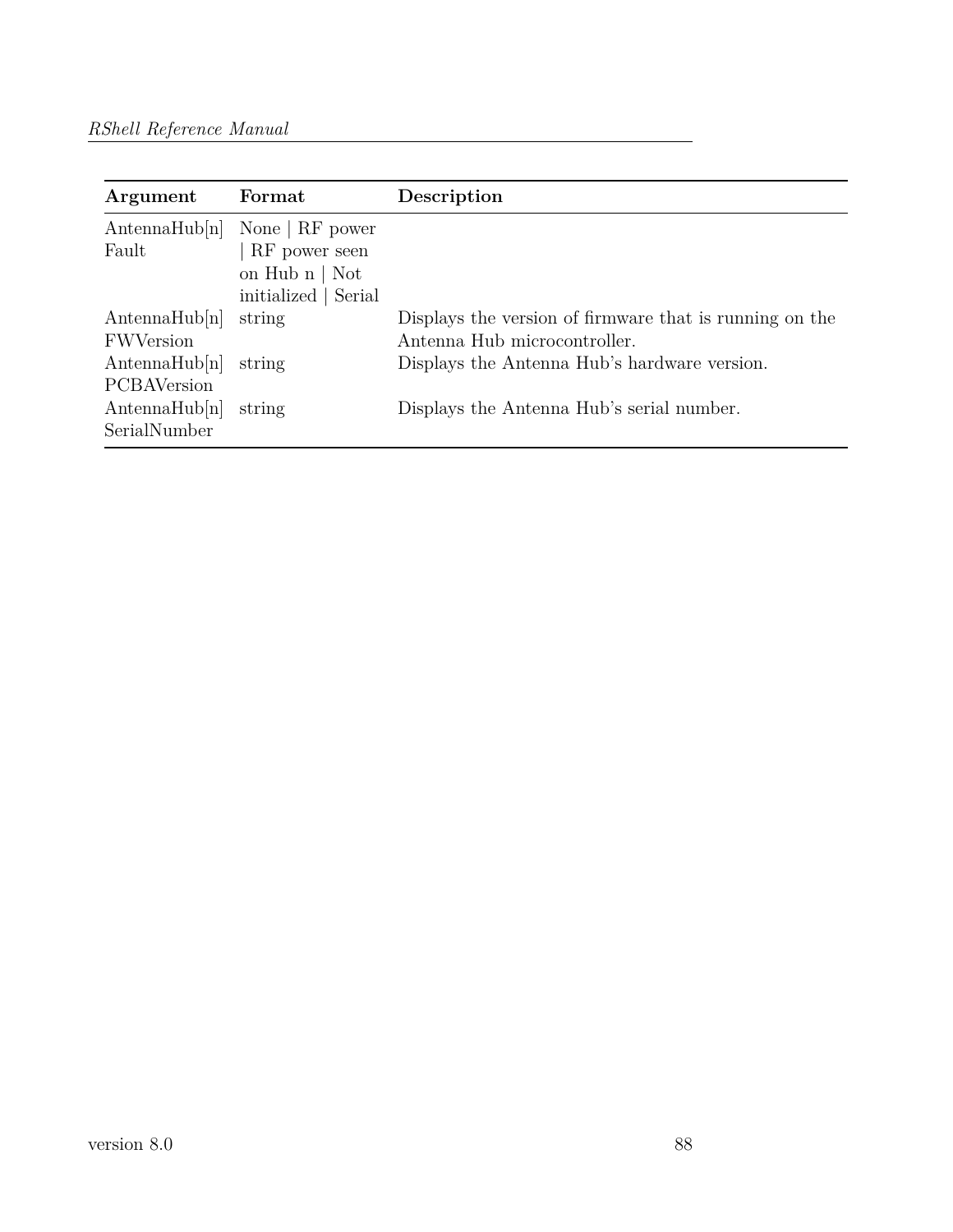| Argument           | Format                | Description                                             |
|--------------------|-----------------------|---------------------------------------------------------|
| AntennaHub[n]      | None $\vert$ RF power |                                                         |
| Fault              | RF power seen         |                                                         |
|                    | on Hub $n \mid Not$   |                                                         |
|                    | initialized   Serial  |                                                         |
| AntennaHub[n]      | string                | Displays the version of firmware that is running on the |
| <b>FWVersion</b>   |                       | Antenna Hub microcontroller.                            |
| AntennaHub[n]      | string                | Displays the Antenna Hub's hardware version.            |
| <b>PCBAVersion</b> |                       |                                                         |
| AntennaHub[n]      | string                | Displays the Antenna Hub's serial number.               |
| SerialNumber       |                       |                                                         |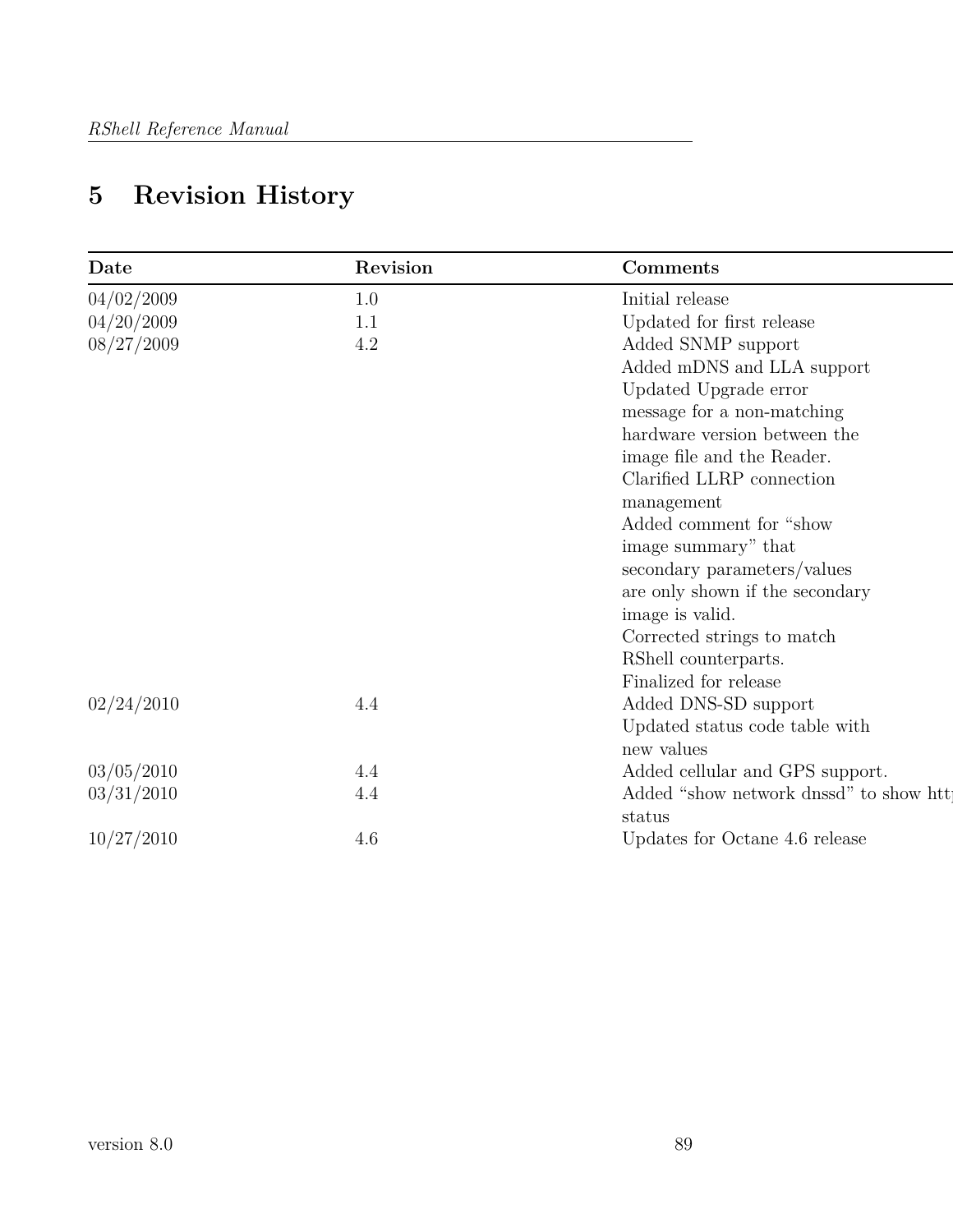| Date       | Revision | Comments                               |
|------------|----------|----------------------------------------|
| 04/02/2009 | 1.0      | Initial release                        |
| 04/20/2009 | 1.1      | Updated for first release              |
| 08/27/2009 | 4.2      | Added SNMP support                     |
|            |          | Added mDNS and LLA support             |
|            |          | Updated Upgrade error                  |
|            |          | message for a non-matching             |
|            |          | hardware version between the           |
|            |          | image file and the Reader.             |
|            |          | Clarified LLRP connection              |
|            |          | management                             |
|            |          | Added comment for "show                |
|            |          | image summary" that                    |
|            |          | secondary parameters/values            |
|            |          | are only shown if the secondary        |
|            |          | image is valid.                        |
|            |          | Corrected strings to match             |
|            |          | RShell counterparts.                   |
|            |          | Finalized for release                  |
| 02/24/2010 | 4.4      | Added DNS-SD support                   |
|            |          | Updated status code table with         |
|            |          | new values                             |
| 03/05/2010 | 4.4      | Added cellular and GPS support.        |
| 03/31/2010 | 4.4      | Added "show network dnssd" to show htt |
|            |          | status                                 |
| 10/27/2010 | 4.6      | Updates for Octane 4.6 release         |
|            |          |                                        |

# **5 Revision History**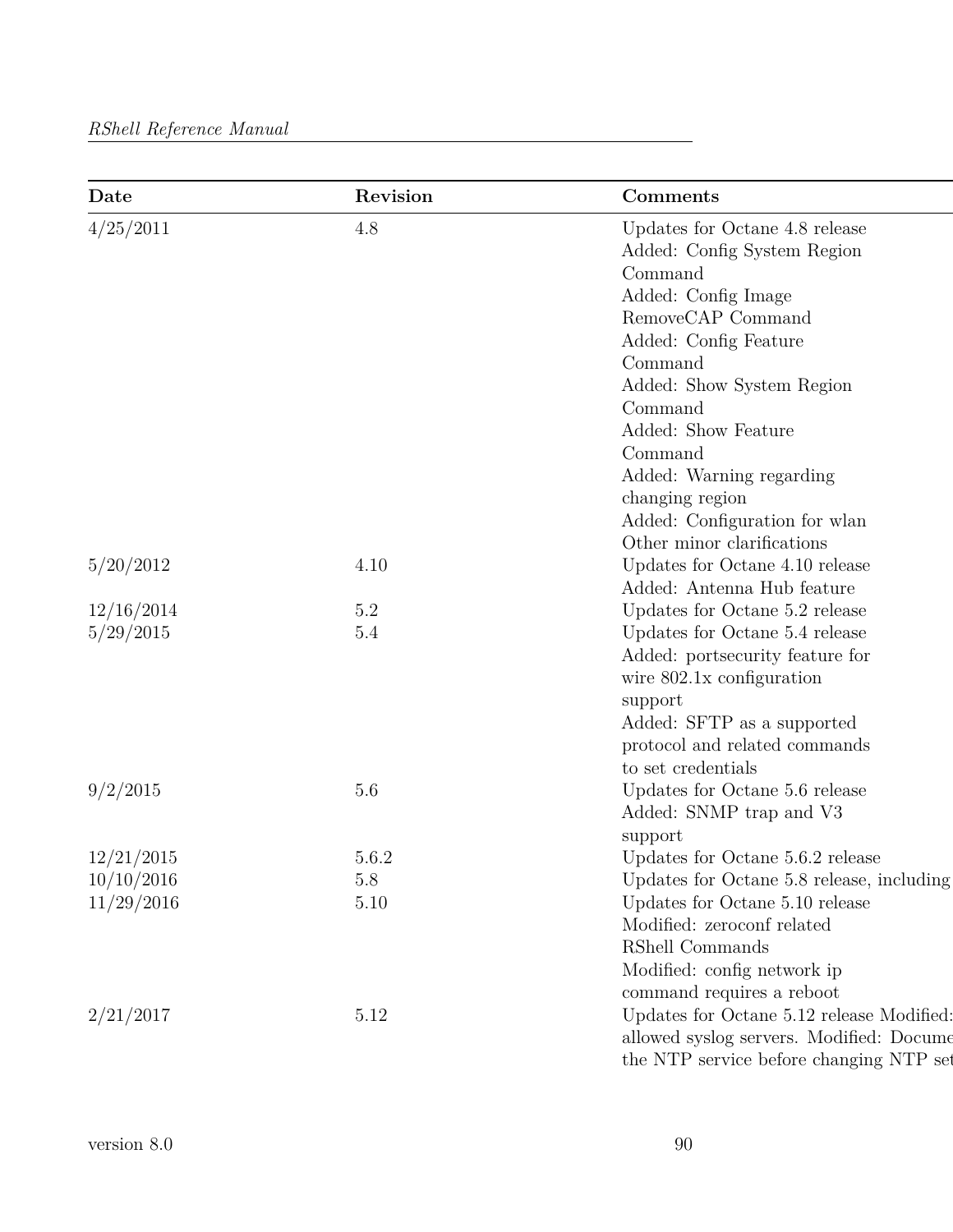| Date       | Revision | Comments                                  |
|------------|----------|-------------------------------------------|
| 4/25/2011  | 4.8      | Updates for Octane 4.8 release            |
|            |          | Added: Config System Region               |
|            |          | Command                                   |
|            |          | Added: Config Image                       |
|            |          | RemoveCAP Command                         |
|            |          | Added: Config Feature                     |
|            |          | Command                                   |
|            |          | Added: Show System Region                 |
|            |          | Command                                   |
|            |          | Added: Show Feature                       |
|            |          | Command                                   |
|            |          | Added: Warning regarding                  |
|            |          | changing region                           |
|            |          | Added: Configuration for wlan             |
|            |          | Other minor clarifications                |
| 5/20/2012  | 4.10     | Updates for Octane $4.10$ release         |
|            |          | Added: Antenna Hub feature                |
| 12/16/2014 | $5.2\,$  | Updates for Octane 5.2 release            |
| 5/29/2015  | $5.4\,$  | Updates for Octane 5.4 release            |
|            |          | Added: portsecurity feature for           |
|            |          | wire $802.1x$ configuration               |
|            |          | support                                   |
|            |          | Added: SFTP as a supported                |
|            |          | protocol and related commands             |
|            |          | to set credentials                        |
| 9/2/2015   | 5.6      | Updates for Octane 5.6 release            |
|            |          | Added: SNMP trap and V3                   |
|            |          | support                                   |
| 12/21/2015 | 5.6.2    | Updates for Octane 5.6.2 release          |
| 10/10/2016 | $5.8\,$  | Updates for Octane 5.8 release, including |
| 11/29/2016 | 5.10     | Updates for Octane 5.10 release           |
|            |          | Modified: zeroconf related                |
|            |          | RShell Commands                           |
|            |          | Modified: config network ip               |
|            |          | command requires a reboot                 |
| 2/21/2017  | 5.12     | Updates for Octane 5.12 release Modified: |
|            |          | allowed syslog servers. Modified: Docume  |
|            |          | the NTP service before changing NTP set   |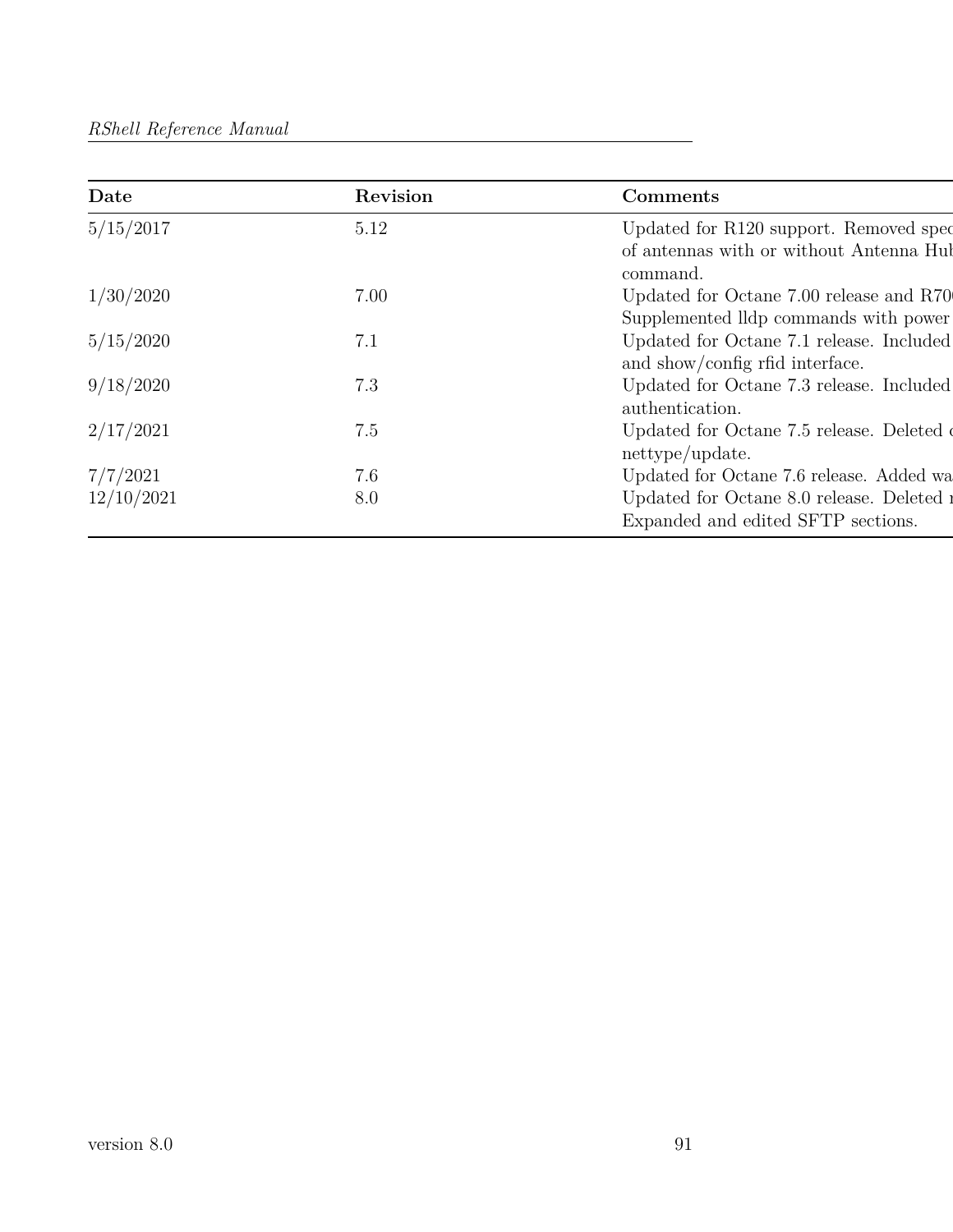| Date       | Revision | Comments                                                                                      |
|------------|----------|-----------------------------------------------------------------------------------------------|
| 5/15/2017  | 5.12     | Updated for R120 support. Removed spec<br>of antennas with or without Antenna Hul<br>command. |
| 1/30/2020  | 7.00     | Updated for Octane 7.00 release and R70                                                       |
|            |          | Supplemented Ildp commands with power                                                         |
| 5/15/2020  | 7.1      | Updated for Octane 7.1 release. Included<br>and show/config rfid interface.                   |
| 9/18/2020  | 7.3      | Updated for Octane 7.3 release. Included<br>authentication.                                   |
| 2/17/2021  | 7.5      | Updated for Octane 7.5 release. Deleted of<br>nettype/update.                                 |
| 7/7/2021   | 7.6      | Updated for Octane 7.6 release. Added wa                                                      |
| 12/10/2021 | 8.0      | Updated for Octane 8.0 release. Deleted a                                                     |
|            |          | Expanded and edited SFTP sections.                                                            |